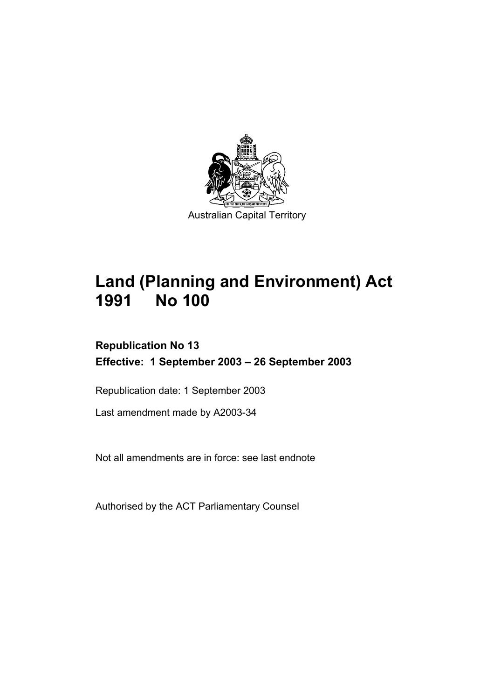

# **Land (Planning and Environment) Act 1991 No 100**

# **Republication No 13 Effective: 1 September 2003 – 26 September 2003**

Republication date: 1 September 2003

Last amendment made by A2003-34

Not all amendments are in force: see last endnote

Authorised by the ACT Parliamentary Counsel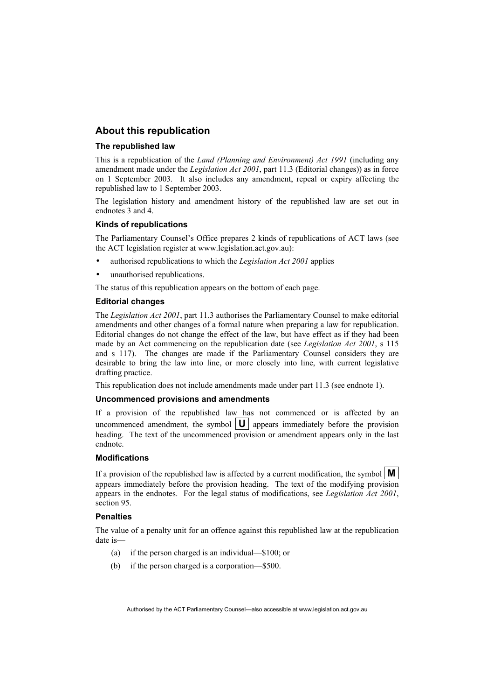#### **About this republication**

#### **The republished law**

This is a republication of the *Land (Planning and Environment) Act 1991* (including any amendment made under the *Legislation Act 2001*, part 11.3 (Editorial changes)) as in force on 1 September 2003*.* It also includes any amendment, repeal or expiry affecting the republished law to 1 September 2003.

The legislation history and amendment history of the republished law are set out in endnotes 3 and 4.

#### **Kinds of republications**

The Parliamentary Counsel's Office prepares 2 kinds of republications of ACT laws (see the ACT legislation register at www.legislation.act.gov.au):

- authorised republications to which the *Legislation Act 2001* applies
- unauthorised republications.

The status of this republication appears on the bottom of each page.

#### **Editorial changes**

The *Legislation Act 2001*, part 11.3 authorises the Parliamentary Counsel to make editorial amendments and other changes of a formal nature when preparing a law for republication. Editorial changes do not change the effect of the law, but have effect as if they had been made by an Act commencing on the republication date (see *Legislation Act 2001*, s 115 and s 117). The changes are made if the Parliamentary Counsel considers they are desirable to bring the law into line, or more closely into line, with current legislative drafting practice.

This republication does not include amendments made under part 11.3 (see endnote 1).

#### **Uncommenced provisions and amendments**

If a provision of the republished law has not commenced or is affected by an uncommenced amendment, the symbol  $|\mathbf{U}|$  appears immediately before the provision heading. The text of the uncommenced provision or amendment appears only in the last endnote.

#### **Modifications**

If a provision of the republished law is affected by a current modification, the symbol  $\mathbf{M}$ appears immediately before the provision heading. The text of the modifying provision appears in the endnotes. For the legal status of modifications, see *Legislation Act 2001*, section 95.

#### **Penalties**

The value of a penalty unit for an offence against this republished law at the republication date is—

- (a) if the person charged is an individual—\$100; or
- (b) if the person charged is a corporation—\$500.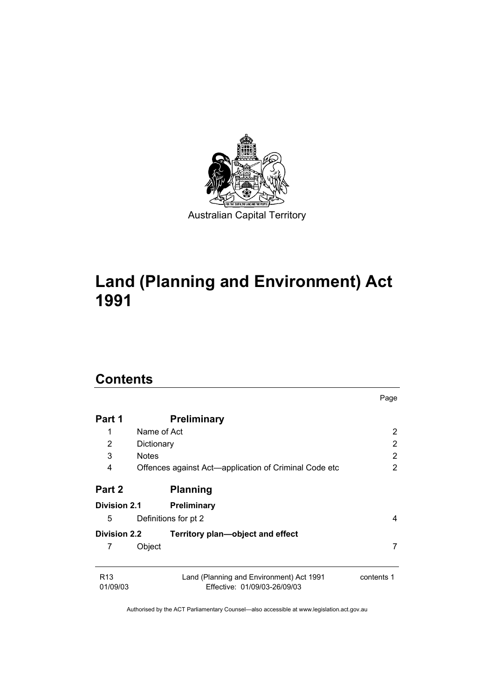

# **Land (Planning and Environment) Act 1991**

# **Contents**

|                             |                                                                          | Page                  |
|-----------------------------|--------------------------------------------------------------------------|-----------------------|
| Part 1                      | <b>Preliminary</b>                                                       |                       |
| 1                           | Name of Act                                                              | $\overline{2}$        |
| 2                           | Dictionary                                                               | $\overline{2}$        |
| 3                           | <b>Notes</b>                                                             | 2                     |
| 4                           | Offences against Act—application of Criminal Code etc                    | $\mathbf{2}^{\prime}$ |
| Part 2                      | <b>Planning</b>                                                          |                       |
| <b>Division 2.1</b>         | <b>Preliminary</b>                                                       |                       |
| 5                           | Definitions for pt 2                                                     | 4                     |
| <b>Division 2.2</b>         | Territory plan—object and effect                                         |                       |
| 7                           | Object                                                                   | 7                     |
| R <sub>13</sub><br>01/09/03 | Land (Planning and Environment) Act 1991<br>Effective: 01/09/03-26/09/03 | contents 1            |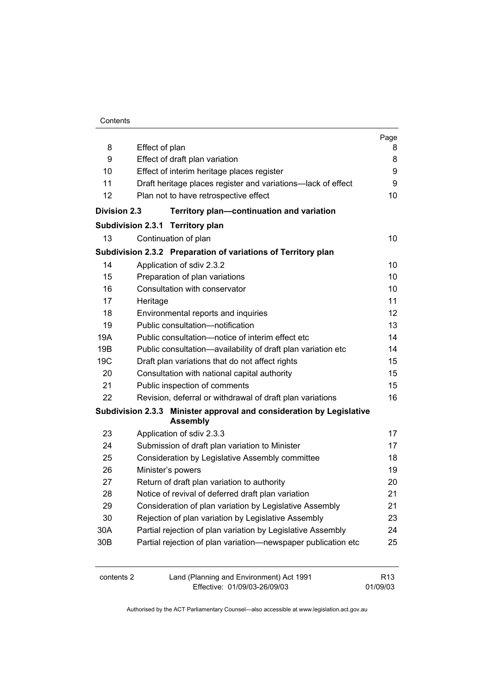|                                                                  |                                                              |                                                                                         | Page                        |
|------------------------------------------------------------------|--------------------------------------------------------------|-----------------------------------------------------------------------------------------|-----------------------------|
| 8                                                                | Effect of plan                                               |                                                                                         | 8                           |
| 9                                                                |                                                              | Effect of draft plan variation                                                          | 8<br>9                      |
| 10                                                               | Effect of interim heritage places register                   |                                                                                         |                             |
| 11                                                               | Draft heritage places register and variations-lack of effect |                                                                                         |                             |
| 12                                                               |                                                              | Plan not to have retrospective effect                                                   | 10                          |
| <b>Division 2.3</b><br>Territory plan-continuation and variation |                                                              |                                                                                         |                             |
|                                                                  |                                                              | Subdivision 2.3.1 Territory plan                                                        |                             |
| 13                                                               |                                                              | Continuation of plan                                                                    | 10                          |
|                                                                  |                                                              | Subdivision 2.3.2 Preparation of variations of Territory plan                           |                             |
| 14                                                               |                                                              | Application of sdiv 2.3.2                                                               | 10                          |
| 15                                                               |                                                              | Preparation of plan variations                                                          | 10                          |
| 16                                                               |                                                              | Consultation with conservator                                                           | 10                          |
| 17                                                               | Heritage                                                     |                                                                                         | 11                          |
| 18                                                               |                                                              | Environmental reports and inquiries                                                     | 12                          |
| 19                                                               |                                                              | Public consultation-notification                                                        | 13                          |
| 19A                                                              |                                                              | Public consultation-notice of interim effect etc                                        | 14                          |
| 19B                                                              |                                                              | Public consultation-availability of draft plan variation etc                            | 14                          |
| 19C                                                              |                                                              | Draft plan variations that do not affect rights                                         | 15                          |
| 20                                                               |                                                              | Consultation with national capital authority                                            | 15                          |
| 21                                                               |                                                              | Public inspection of comments                                                           | 15                          |
| 22                                                               |                                                              | Revision, deferral or withdrawal of draft plan variations                               | 16                          |
|                                                                  |                                                              | Subdivision 2.3.3 Minister approval and consideration by Legislative<br><b>Assembly</b> |                             |
| 23                                                               |                                                              | Application of sdiv 2.3.3                                                               | 17                          |
| 24                                                               |                                                              | Submission of draft plan variation to Minister                                          | 17                          |
| 25                                                               |                                                              | Consideration by Legislative Assembly committee                                         | 18                          |
| 26                                                               |                                                              | Minister's powers                                                                       | 19                          |
| 27                                                               |                                                              | Return of draft plan variation to authority                                             | 20                          |
| 28                                                               |                                                              | Notice of revival of deferred draft plan variation                                      | 21                          |
| 29                                                               |                                                              | Consideration of plan variation by Legislative Assembly                                 | 21                          |
| 30                                                               |                                                              | Rejection of plan variation by Legislative Assembly                                     | 23                          |
| 30A                                                              |                                                              | Partial rejection of plan variation by Legislative Assembly                             | 24                          |
| 30 <sub>B</sub>                                                  |                                                              | Partial rejection of plan variation-newspaper publication etc                           | 25                          |
| contents 2                                                       |                                                              | Land (Planning and Environment) Act 1991<br>Effective: 01/09/03-26/09/03                | R <sub>13</sub><br>01/09/03 |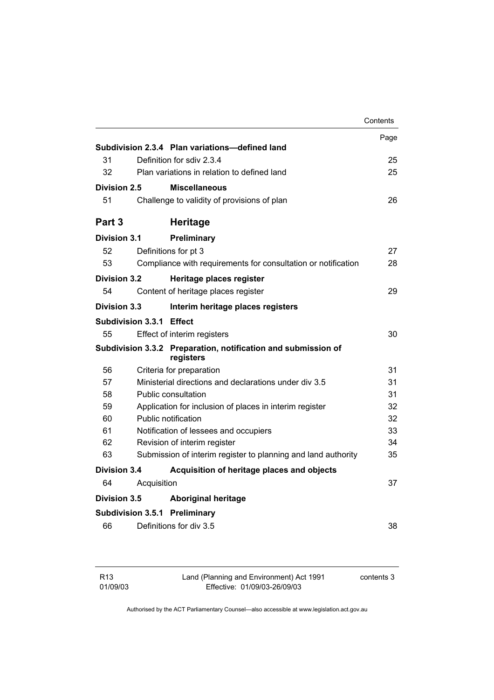|                     |                          |                                                                            | Contents |
|---------------------|--------------------------|----------------------------------------------------------------------------|----------|
|                     |                          |                                                                            | Page     |
|                     |                          | Subdivision 2.3.4 Plan variations-defined land                             |          |
| 31                  |                          | Definition for sdiv 2.3.4                                                  | 25       |
| 32                  |                          | Plan variations in relation to defined land                                | 25       |
| Division 2.5        |                          | <b>Miscellaneous</b>                                                       |          |
| 51                  |                          | Challenge to validity of provisions of plan                                | 26       |
| Part 3              |                          | <b>Heritage</b>                                                            |          |
| Division 3.1        |                          | Preliminary                                                                |          |
| 52                  |                          | Definitions for pt 3                                                       | 27       |
| 53                  |                          | Compliance with requirements for consultation or notification              | 28       |
| <b>Division 3.2</b> |                          | Heritage places register                                                   |          |
| 54                  |                          | Content of heritage places register                                        | 29       |
| <b>Division 3.3</b> |                          | Interim heritage places registers                                          |          |
|                     | Subdivision 3.3.1 Effect |                                                                            |          |
| 55                  |                          | Effect of interim registers                                                | 30       |
|                     |                          | Subdivision 3.3.2 Preparation, notification and submission of<br>registers |          |
| 56                  |                          | Criteria for preparation                                                   | 31       |
| 57                  |                          | Ministerial directions and declarations under div 3.5                      | 31       |
| 58                  |                          | Public consultation                                                        | 31       |
| 59                  |                          | Application for inclusion of places in interim register                    | 32       |
| 60                  |                          | Public notification                                                        | 32       |
| 61                  |                          | Notification of lessees and occupiers                                      | 33       |
| 62                  |                          | Revision of interim register                                               | 34       |
| 63                  |                          | Submission of interim register to planning and land authority              | 35       |
| <b>Division 3.4</b> |                          | Acquisition of heritage places and objects                                 |          |
| 64                  | Acquisition              |                                                                            | 37       |
| <b>Division 3.5</b> |                          | <b>Aboriginal heritage</b>                                                 |          |
|                     |                          | <b>Subdivision 3.5.1 Preliminary</b>                                       |          |
| 66                  |                          | Definitions for div 3.5                                                    | 38       |
|                     |                          |                                                                            |          |

| R13      |
|----------|
| 01/09/03 |

Land (Planning and Environment) Act 1991 Effective: 01/09/03-26/09/03

contents 3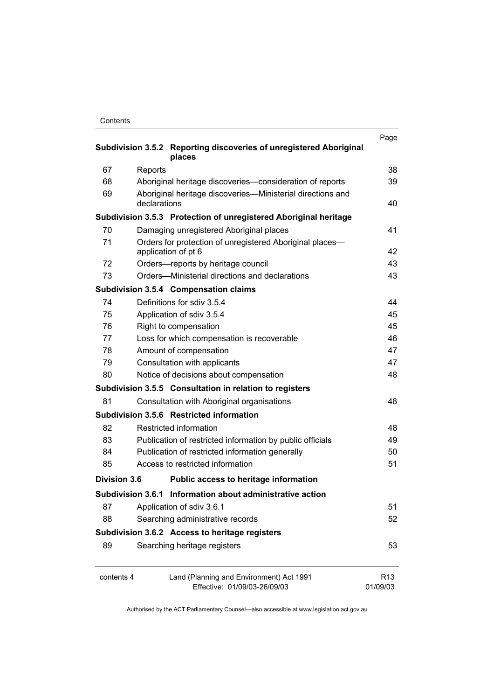| Contents |
|----------|
|----------|

| Subdivision 3.5.2 Reporting discoveries of unregistered Aboriginal |                                                                                 |                             |
|--------------------------------------------------------------------|---------------------------------------------------------------------------------|-----------------------------|
|                                                                    | places                                                                          |                             |
| 67                                                                 | Reports                                                                         | 38                          |
| 68                                                                 | Aboriginal heritage discoveries-consideration of reports                        | 39                          |
| 69                                                                 | Aboriginal heritage discoveries—Ministerial directions and<br>declarations      | 40                          |
|                                                                    | Subdivision 3.5.3 Protection of unregistered Aboriginal heritage                |                             |
| 70                                                                 | Damaging unregistered Aboriginal places                                         | 41                          |
| 71                                                                 | Orders for protection of unregistered Aboriginal places-<br>application of pt 6 | 42                          |
| 72                                                                 | Orders—reports by heritage council                                              | 43                          |
| 73                                                                 | Orders-Ministerial directions and declarations                                  | 43                          |
|                                                                    | <b>Subdivision 3.5.4 Compensation claims</b>                                    |                             |
| 74                                                                 | Definitions for sdiv 3.5.4                                                      | 44                          |
| 75                                                                 | Application of sdiv 3.5.4                                                       | 45                          |
| 76                                                                 | Right to compensation                                                           | 45                          |
| 77                                                                 | Loss for which compensation is recoverable                                      | 46                          |
| 78                                                                 | Amount of compensation                                                          | 47                          |
| 79                                                                 | Consultation with applicants                                                    | 47                          |
| 80                                                                 | Notice of decisions about compensation                                          | 48                          |
|                                                                    | Subdivision 3.5.5 Consultation in relation to registers                         |                             |
| 81                                                                 | Consultation with Aboriginal organisations                                      | 48                          |
|                                                                    | Subdivision 3.5.6 Restricted information                                        |                             |
| 82                                                                 | Restricted information                                                          | 48                          |
| 83                                                                 | Publication of restricted information by public officials                       | 49                          |
| 84                                                                 | Publication of restricted information generally                                 | 50                          |
| 85                                                                 | Access to restricted information                                                | 51                          |
| <b>Division 3.6</b>                                                | Public access to heritage information                                           |                             |
|                                                                    | Subdivision 3.6.1 Information about administrative action                       |                             |
| 87                                                                 | Application of sdiv 3.6.1                                                       | 51                          |
| 88                                                                 | Searching administrative records                                                | 52                          |
|                                                                    | Subdivision 3.6.2 Access to heritage registers                                  |                             |
| 89                                                                 | Searching heritage registers                                                    | 53                          |
| contents 4                                                         | Land (Planning and Environment) Act 1991<br>Effective: 01/09/03-26/09/03        | R <sub>13</sub><br>01/09/03 |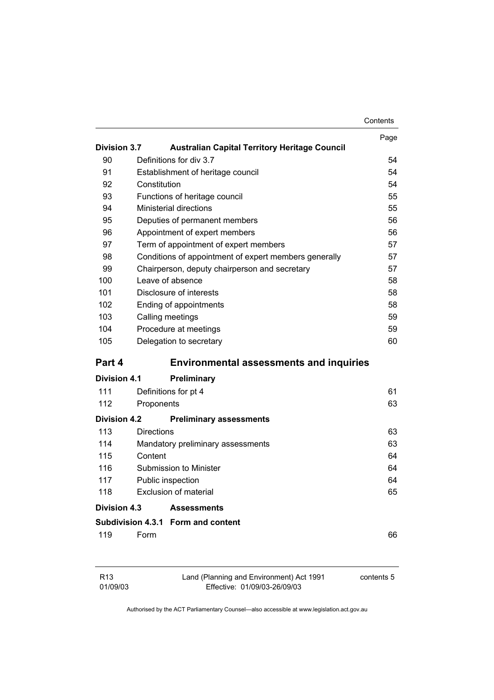|                     |                                                       | Contents   |
|---------------------|-------------------------------------------------------|------------|
|                     |                                                       | Page       |
| <b>Division 3.7</b> | <b>Australian Capital Territory Heritage Council</b>  |            |
| 90                  | Definitions for div 3.7                               | 54         |
| 91                  | Establishment of heritage council                     | 54         |
| 92                  | Constitution                                          | 54         |
| 93                  | Functions of heritage council                         | 55         |
| 94                  | <b>Ministerial directions</b>                         | 55         |
| 95                  | Deputies of permanent members                         | 56         |
| 96                  | Appointment of expert members                         | 56         |
| 97                  | Term of appointment of expert members                 | 57         |
| 98                  | Conditions of appointment of expert members generally | 57         |
| 99                  | Chairperson, deputy chairperson and secretary         | 57         |
| 100                 | Leave of absence                                      | 58         |
| 101                 | Disclosure of interests                               | 58         |
| 102                 | Ending of appointments                                | 58         |
| 103                 | Calling meetings                                      | 59         |
| 104                 | Procedure at meetings                                 | 59         |
| 105                 | Delegation to secretary                               | 60         |
| Part 4              | <b>Environmental assessments and inquiries</b>        |            |
| Division 4.1        | <b>Preliminary</b>                                    |            |
| 111                 | Definitions for pt 4                                  | 61         |
| 112                 | Proponents                                            | 63         |
| <b>Division 4.2</b> | <b>Preliminary assessments</b>                        |            |
| 113                 | <b>Directions</b>                                     | 63         |
| 114                 | Mandatory preliminary assessments                     | 63         |
| 115                 | Content                                               | 64         |
| 116                 | Submission to Minister                                | 64         |
| 117                 | Public inspection                                     | 64         |
| 118                 | <b>Exclusion of material</b>                          | 65         |
| Division 4.3        | <b>Assessments</b>                                    |            |
|                     | Subdivision 4.3.1 Form and content                    |            |
| 119                 | Form                                                  | 66         |
| R <sub>13</sub>     | Land (Planning and Environment) Act 1991              | contents 5 |

Effective: 01/09/03-26/09/03

01/09/03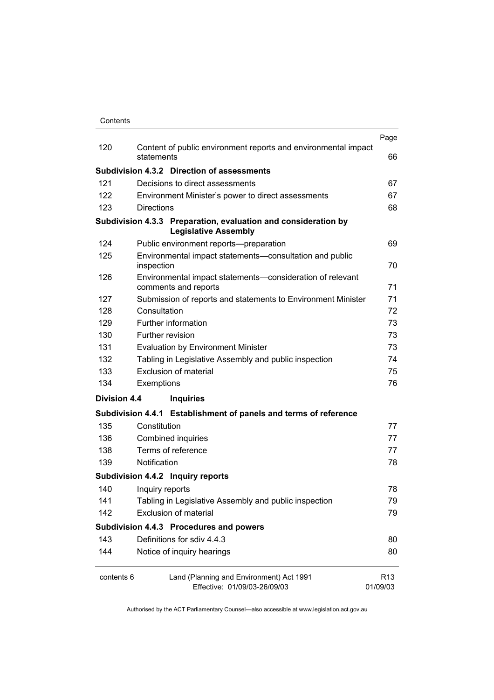|              |                                                                                               | Page                        |  |
|--------------|-----------------------------------------------------------------------------------------------|-----------------------------|--|
| 120          | Content of public environment reports and environmental impact<br>statements                  | 66                          |  |
|              | Subdivision 4.3.2 Direction of assessments                                                    |                             |  |
| 121          | Decisions to direct assessments                                                               | 67                          |  |
| 122          | Environment Minister's power to direct assessments                                            | 67                          |  |
| 123          | <b>Directions</b>                                                                             | 68                          |  |
|              | Subdivision 4.3.3 Preparation, evaluation and consideration by<br><b>Legislative Assembly</b> |                             |  |
| 124          | Public environment reports-preparation                                                        | 69                          |  |
| 125          | Environmental impact statements-consultation and public<br>inspection                         | 70                          |  |
| 126          | Environmental impact statements-consideration of relevant<br>comments and reports             | 71                          |  |
| 127          | Submission of reports and statements to Environment Minister                                  | 71                          |  |
| 128          | Consultation                                                                                  | 72                          |  |
| 129          | Further information                                                                           | 73                          |  |
| 130          | Further revision                                                                              | 73                          |  |
| 131          | <b>Evaluation by Environment Minister</b>                                                     |                             |  |
| 132          | Tabling in Legislative Assembly and public inspection                                         | 74                          |  |
| 133          | <b>Exclusion of material</b>                                                                  |                             |  |
| 134          | Exemptions                                                                                    | 76                          |  |
| Division 4.4 | <b>Inquiries</b>                                                                              |                             |  |
|              | Subdivision 4.4.1 Establishment of panels and terms of reference                              |                             |  |
| 135          | Constitution                                                                                  | 77                          |  |
| 136          | Combined inquiries                                                                            | 77                          |  |
| 138          | Terms of reference                                                                            | 77                          |  |
| 139          | Notification                                                                                  | 78                          |  |
|              | Subdivision 4.4.2 Inquiry reports                                                             |                             |  |
| 140          | Inquiry reports                                                                               | 78                          |  |
| 141          | Tabling in Legislative Assembly and public inspection                                         | 79                          |  |
| 142          | <b>Exclusion of material</b>                                                                  | 79                          |  |
|              | Subdivision 4.4.3 Procedures and powers                                                       |                             |  |
| 143          | Definitions for sdiv 4.4.3                                                                    | 80                          |  |
| 144          | Notice of inquiry hearings                                                                    | 80                          |  |
| contents 6   | Land (Planning and Environment) Act 1991<br>Effective: 01/09/03-26/09/03                      | R <sub>13</sub><br>01/09/03 |  |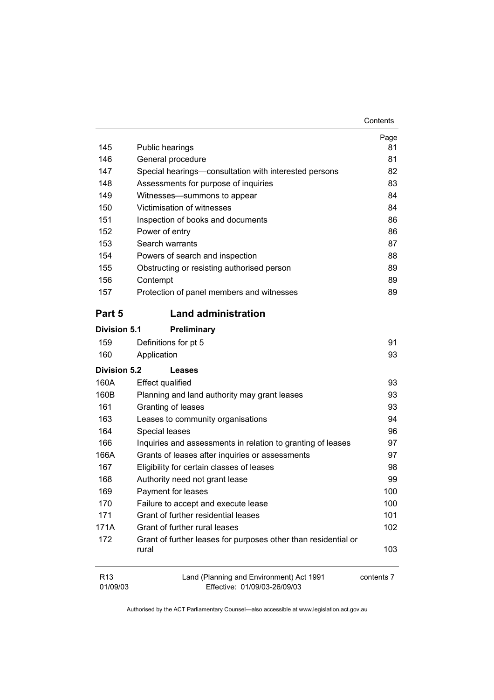| Contents |
|----------|
|----------|

| 145                         | Public hearings                                                          | Page<br>81 |
|-----------------------------|--------------------------------------------------------------------------|------------|
| 146                         | General procedure                                                        | 81         |
| 147                         | Special hearings-consultation with interested persons                    | 82         |
| 148                         | Assessments for purpose of inquiries                                     | 83         |
| 149                         | Witnesses-summons to appear                                              | 84         |
| 150                         | Victimisation of witnesses                                               | 84         |
| 151                         | Inspection of books and documents                                        | 86         |
| 152                         | Power of entry                                                           | 86         |
| 153                         | Search warrants                                                          | 87         |
| 154                         | Powers of search and inspection                                          | 88         |
| 155                         | Obstructing or resisting authorised person                               | 89         |
| 156                         | Contempt                                                                 | 89         |
| 157                         | Protection of panel members and witnesses                                | 89         |
| Part 5                      | <b>Land administration</b>                                               |            |
| <b>Division 5.1</b>         | Preliminary                                                              |            |
| 159                         | Definitions for pt 5                                                     | 91         |
| 160                         | Application                                                              | 93         |
| <b>Division 5.2</b>         | Leases                                                                   |            |
| 160A                        | <b>Effect qualified</b>                                                  | 93         |
| 160B                        | Planning and land authority may grant leases                             | 93         |
| 161                         | Granting of leases                                                       | 93         |
| 163                         | Leases to community organisations                                        | 94         |
| 164                         | Special leases                                                           | 96         |
| 166                         | Inquiries and assessments in relation to granting of leases              | 97         |
| 166A                        | Grants of leases after inquiries or assessments                          | 97         |
| 167                         | Eligibility for certain classes of leases                                | 98         |
| 168                         | Authority need not grant lease                                           | 99         |
| 169                         | Payment for leases                                                       | 100        |
| 170                         | Failure to accept and execute lease                                      | 100        |
| 171                         | Grant of further residential leases                                      | 101        |
| 171A                        | Grant of further rural leases                                            | 102        |
| 172                         | Grant of further leases for purposes other than residential or<br>rural  | 103        |
| R <sub>13</sub><br>01/09/03 | Land (Planning and Environment) Act 1991<br>Effective: 01/09/03-26/09/03 | contents 7 |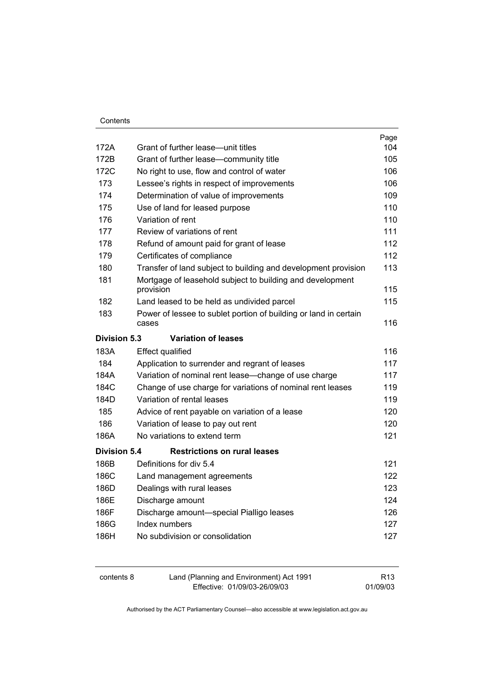|              |                                                                           | Page |
|--------------|---------------------------------------------------------------------------|------|
| 172A         | Grant of further lease-unit titles                                        | 104  |
| 172B         | Grant of further lease-community title                                    | 105  |
| 172C         | No right to use, flow and control of water                                |      |
| 173          | Lessee's rights in respect of improvements                                | 106  |
| 174          | Determination of value of improvements                                    | 109  |
| 175          | Use of land for leased purpose                                            | 110  |
| 176          | Variation of rent                                                         | 110  |
| 177          | Review of variations of rent                                              | 111  |
| 178          | Refund of amount paid for grant of lease                                  | 112  |
| 179          | Certificates of compliance                                                | 112  |
| 180          | Transfer of land subject to building and development provision            | 113  |
| 181          | Mortgage of leasehold subject to building and development                 |      |
|              | provision                                                                 | 115  |
| 182          | Land leased to be held as undivided parcel                                | 115  |
| 183          | Power of lessee to sublet portion of building or land in certain<br>cases | 116  |
| Division 5.3 | <b>Variation of leases</b>                                                |      |
| 183A         | <b>Effect qualified</b>                                                   | 116  |
| 184          | Application to surrender and regrant of leases                            | 117  |
| 184A         | Variation of nominal rent lease-change of use charge                      | 117  |
| 184C         | Change of use charge for variations of nominal rent leases                | 119  |
| 184D         | Variation of rental leases                                                | 119  |
| 185          | Advice of rent payable on variation of a lease                            | 120  |
| 186          | Variation of lease to pay out rent                                        | 120  |
| 186A         | No variations to extend term                                              | 121  |
| Division 5.4 | <b>Restrictions on rural leases</b>                                       |      |
| 186B         | Definitions for div 5.4                                                   | 121  |
| 186C         | Land management agreements                                                | 122  |
| 186D         | Dealings with rural leases                                                | 123  |
| 186E         | Discharge amount                                                          | 124  |
| 186F         | Discharge amount-special Pialligo leases                                  | 126  |
| 186G         | Index numbers                                                             | 127  |
| 186H         | No subdivision or consolidation                                           | 127  |
|              |                                                                           |      |

| contents 8 | Land (Planning and Environment) Act 1991 | R <sub>13</sub> |
|------------|------------------------------------------|-----------------|
|            | Effective: 01/09/03-26/09/03             | 01/09/03        |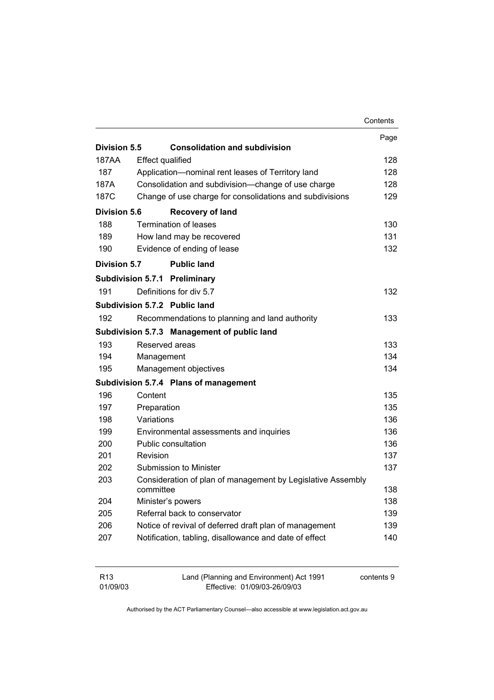|                     |                              |                                                             | Contents |
|---------------------|------------------------------|-------------------------------------------------------------|----------|
|                     |                              |                                                             | Page     |
| Division 5.5        |                              | <b>Consolidation and subdivision</b>                        |          |
| 187AA               | <b>Effect qualified</b>      |                                                             | 128      |
| 187                 |                              | Application-nominal rent leases of Territory land           | 128      |
| 187A                |                              | Consolidation and subdivision-change of use charge          | 128      |
| 187C                |                              | Change of use charge for consolidations and subdivisions    | 129      |
| <b>Division 5.6</b> |                              | <b>Recovery of land</b>                                     |          |
| 188                 |                              | <b>Termination of leases</b>                                | 130      |
| 189                 |                              | How land may be recovered                                   | 131      |
| 190                 |                              | Evidence of ending of lease                                 | 132      |
| <b>Division 5.7</b> |                              | <b>Public land</b>                                          |          |
|                     |                              | Subdivision 5.7.1 Preliminary                               |          |
| 191                 |                              | Definitions for div 5.7                                     | 132      |
|                     |                              | Subdivision 5.7.2 Public land                               |          |
| 192                 |                              | Recommendations to planning and land authority              | 133.     |
|                     |                              | Subdivision 5.7.3 Management of public land                 |          |
| 193                 | Reserved areas               |                                                             | 133      |
| 194                 | Management                   |                                                             | 134      |
| 195                 |                              | Management objectives                                       | 134      |
|                     |                              | Subdivision 5.7.4 Plans of management                       |          |
| 196                 | Content                      |                                                             | 135      |
| 197                 | Preparation                  |                                                             | 135      |
| 198                 | Variations                   |                                                             | 136      |
| 199                 |                              | Environmental assessments and inquiries                     | 136      |
| 200                 |                              | Public consultation                                         | 136      |
| 201                 | Revision                     |                                                             | 137      |
| 202                 |                              | Submission to Minister                                      | 137      |
| 203                 | committee                    | Consideration of plan of management by Legislative Assembly | 138      |
| 204                 | Minister's powers            |                                                             | 138      |
| 205                 | Referral back to conservator |                                                             | 139      |
| 206                 |                              | Notice of revival of deferred draft plan of management      | 139      |
| 207                 |                              | Notification, tabling, disallowance and date of effect      | 140      |
|                     |                              |                                                             |          |

| R13      | Land (Planning and Environment) Act 1991 | contents 9 |
|----------|------------------------------------------|------------|
| 01/09/03 | Effective: 01/09/03-26/09/03             |            |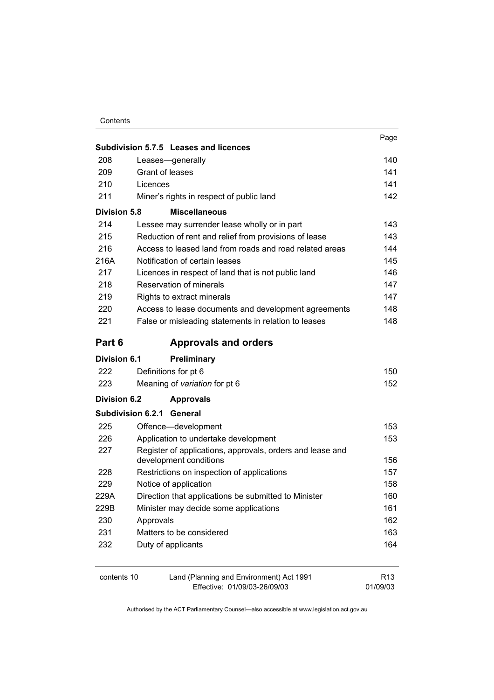|                                                         | Subdivision 5.7.5 Leases and licences                                               | Page            |
|---------------------------------------------------------|-------------------------------------------------------------------------------------|-----------------|
| 208                                                     | Leases-generally                                                                    | 140             |
| 209                                                     | Grant of leases                                                                     | 141             |
| 210                                                     | Licences                                                                            |                 |
| 211                                                     | Miner's rights in respect of public land                                            | 142             |
| <b>Division 5.8</b>                                     | <b>Miscellaneous</b>                                                                |                 |
| 214                                                     | Lessee may surrender lease wholly or in part                                        | 143             |
| 215                                                     | Reduction of rent and relief from provisions of lease                               | 143             |
| 216                                                     | Access to leased land from roads and road related areas                             | 144             |
| 216A                                                    | Notification of certain leases                                                      | 145             |
| 217                                                     | Licences in respect of land that is not public land                                 | 146             |
| 218                                                     | Reservation of minerals                                                             | 147             |
| 219                                                     | Rights to extract minerals                                                          | 147             |
| 220                                                     | Access to lease documents and development agreements                                | 148             |
| 221                                                     | False or misleading statements in relation to leases                                | 148             |
| Part 6                                                  | <b>Approvals and orders</b>                                                         |                 |
| Division 6.1                                            | <b>Preliminary</b>                                                                  |                 |
| 222                                                     | Definitions for pt 6                                                                | 150             |
| 223                                                     | Meaning of variation for pt 6                                                       | 152             |
| Division 6.2                                            | <b>Approvals</b>                                                                    |                 |
|                                                         | <b>Subdivision 6.2.1 General</b>                                                    |                 |
| 225                                                     | Offence-development                                                                 | 153             |
| 226                                                     | Application to undertake development                                                | 153             |
| 227                                                     | Register of applications, approvals, orders and lease and<br>development conditions | 156             |
| 228                                                     | Restrictions on inspection of applications                                          | 157             |
| 229                                                     | Notice of application                                                               |                 |
| 229A                                                    | Direction that applications be submitted to Minister                                |                 |
| 229B                                                    | Minister may decide some applications                                               |                 |
| 230                                                     | Approvals                                                                           |                 |
| 231                                                     | Matters to be considered                                                            |                 |
| 232                                                     | Duty of applicants                                                                  | 163<br>164      |
|                                                         |                                                                                     | R <sub>13</sub> |
| Land (Planning and Environment) Act 1991<br>contents 10 |                                                                                     |                 |

Effective: 01/09/03-26/09/03

01/09/03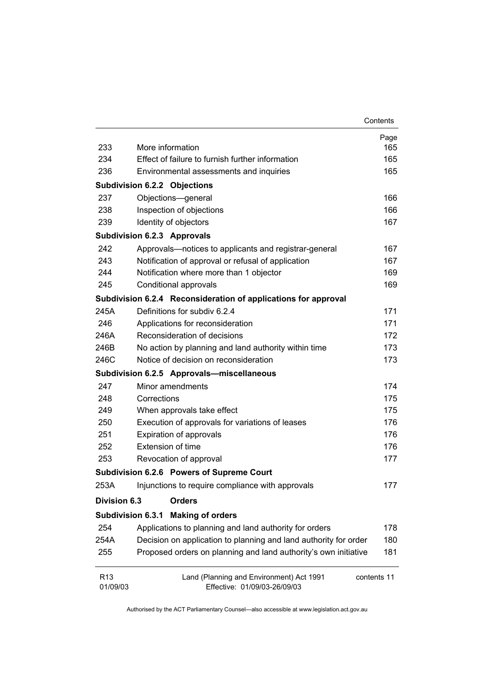|                             |                                                                                         | Contents |
|-----------------------------|-----------------------------------------------------------------------------------------|----------|
|                             |                                                                                         | Page     |
| 233                         | More information                                                                        | 165      |
| 234                         | Effect of failure to furnish further information                                        | 165      |
| 236                         | Environmental assessments and inquiries                                                 |          |
|                             | <b>Subdivision 6.2.2 Objections</b>                                                     |          |
| 237                         | Objections-general                                                                      | 166      |
| 238                         | Inspection of objections                                                                | 166      |
| 239                         | Identity of objectors                                                                   | 167      |
|                             | <b>Subdivision 6.2.3 Approvals</b>                                                      |          |
| 242                         | Approvals-notices to applicants and registrar-general                                   | 167      |
| 243                         | Notification of approval or refusal of application                                      | 167      |
| 244                         | Notification where more than 1 objector                                                 | 169      |
| 245                         | Conditional approvals                                                                   | 169      |
|                             | Subdivision 6.2.4 Reconsideration of applications for approval                          |          |
| 245A                        | Definitions for subdiv 6.2.4                                                            | 171      |
| 246                         | Applications for reconsideration                                                        | 171      |
| 246A                        | Reconsideration of decisions                                                            | 172      |
| 246B                        | No action by planning and land authority within time                                    | 173      |
| 246C                        | Notice of decision on reconsideration                                                   | 173      |
|                             | Subdivision 6.2.5 Approvals-miscellaneous                                               |          |
| 247                         | Minor amendments                                                                        | 174      |
| 248                         | Corrections                                                                             | 175      |
| 249                         | When approvals take effect                                                              | 175      |
| 250                         | Execution of approvals for variations of leases                                         | 176      |
| 251                         | Expiration of approvals                                                                 | 176      |
| 252                         | Extension of time                                                                       | 176      |
| 253                         | Revocation of approval                                                                  | 177      |
|                             | Subdivision 6.2.6 Powers of Supreme Court                                               |          |
| 253A                        | Injunctions to require compliance with approvals                                        | 177      |
| <b>Division 6.3</b>         | <b>Orders</b>                                                                           |          |
| <b>Subdivision 6.3.1</b>    | <b>Making of orders</b>                                                                 |          |
| 254                         | Applications to planning and land authority for orders                                  | 178      |
| 254A                        | Decision on application to planning and land authority for order                        | 180      |
| 255                         | Proposed orders on planning and land authority's own initiative                         | 181      |
| R <sub>13</sub><br>01/09/03 | Land (Planning and Environment) Act 1991<br>contents 11<br>Effective: 01/09/03-26/09/03 |          |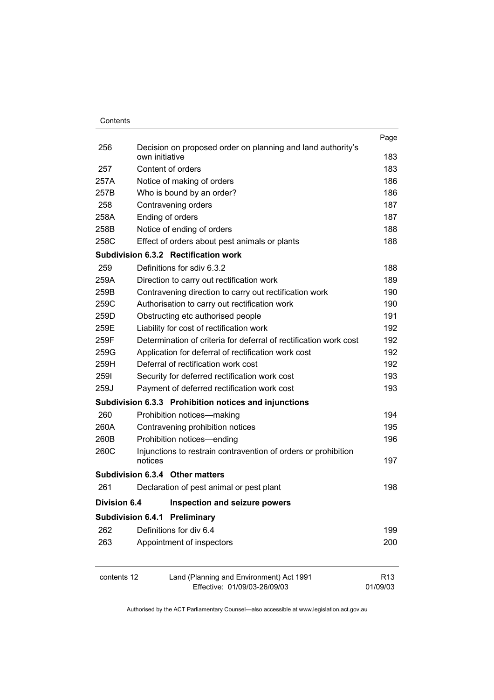|                                                                                                            |                                                                   | Page            |
|------------------------------------------------------------------------------------------------------------|-------------------------------------------------------------------|-----------------|
| 256                                                                                                        | Decision on proposed order on planning and land authority's       |                 |
|                                                                                                            | own initiative                                                    | 183             |
| 257                                                                                                        | Content of orders                                                 | 183             |
| 257A                                                                                                       | Notice of making of orders                                        | 186             |
| 257B                                                                                                       | Who is bound by an order?                                         | 186             |
| 258                                                                                                        | Contravening orders                                               | 187             |
| 258A                                                                                                       | Ending of orders                                                  | 187             |
| 258B                                                                                                       | Notice of ending of orders                                        | 188             |
| 258C                                                                                                       | Effect of orders about pest animals or plants                     | 188             |
|                                                                                                            | Subdivision 6.3.2 Rectification work                              |                 |
| 259                                                                                                        | Definitions for sdiv 6.3.2                                        | 188             |
| 259A                                                                                                       | Direction to carry out rectification work                         | 189             |
| 259B                                                                                                       | Contravening direction to carry out rectification work            | 190             |
| 259C                                                                                                       | Authorisation to carry out rectification work                     | 190             |
| 259D                                                                                                       | Obstructing etc authorised people                                 | 191             |
| 259E                                                                                                       | Liability for cost of rectification work                          | 192             |
| 259F                                                                                                       | Determination of criteria for deferral of rectification work cost | 192             |
| 259G<br>Application for deferral of rectification work cost<br>Deferral of rectification work cost<br>259H |                                                                   |                 |
|                                                                                                            |                                                                   |                 |
| 259J                                                                                                       | Payment of deferred rectification work cost                       | 193             |
|                                                                                                            | Subdivision 6.3.3 Prohibition notices and injunctions             |                 |
| 260                                                                                                        | Prohibition notices-making                                        | 194             |
| 260A                                                                                                       | Contravening prohibition notices                                  | 195             |
| 260B                                                                                                       | Prohibition notices-ending                                        | 196             |
| 260C                                                                                                       | Injunctions to restrain contravention of orders or prohibition    |                 |
|                                                                                                            | notices                                                           | 197             |
|                                                                                                            | Subdivision 6.3.4 Other matters                                   |                 |
| 261                                                                                                        | Declaration of pest animal or pest plant                          | 198             |
| <b>Division 6.4</b>                                                                                        | <b>Inspection and seizure powers</b>                              |                 |
|                                                                                                            | <b>Subdivision 6.4.1</b><br>Preliminary                           |                 |
| 262                                                                                                        | Definitions for div 6.4                                           | 199             |
| 263                                                                                                        | Appointment of inspectors                                         | 200             |
| contents 12                                                                                                | Land (Planning and Environment) Act 1991                          | R <sub>13</sub> |
|                                                                                                            | Effective: 01/09/03-26/09/03                                      | 01/09/03        |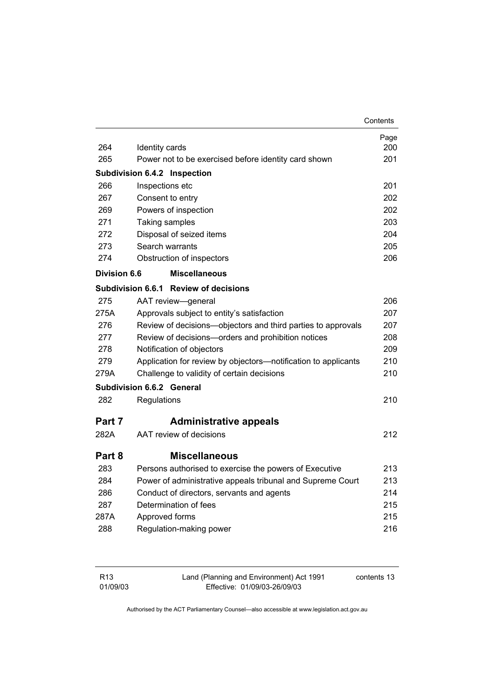|                     |                                                                | Contents |
|---------------------|----------------------------------------------------------------|----------|
|                     |                                                                | Page     |
| 264                 | Identity cards                                                 | 200      |
| 265                 | Power not to be exercised before identity card shown           | 201      |
|                     | <b>Subdivision 6.4.2 Inspection</b>                            |          |
| 266                 | Inspections etc                                                | 201      |
| 267                 | Consent to entry                                               | 202      |
| 269                 | Powers of inspection                                           | 202      |
| 271                 | Taking samples                                                 | 203      |
| 272                 | Disposal of seized items                                       | 204      |
| 273                 | Search warrants                                                | 205      |
| 274                 | Obstruction of inspectors                                      | 206      |
| <b>Division 6.6</b> | <b>Miscellaneous</b>                                           |          |
|                     | Subdivision 6.6.1 Review of decisions                          |          |
| 275                 | AAT review-general                                             | 206      |
| 275A                | Approvals subject to entity's satisfaction                     | 207      |
| 276                 | Review of decisions-objectors and third parties to approvals   | 207      |
| 277                 | Review of decisions-orders and prohibition notices             | 208      |
| 278                 | Notification of objectors                                      | 209      |
| 279                 | Application for review by objectors-notification to applicants | 210      |
| 279A                | Challenge to validity of certain decisions                     | 210      |
|                     | Subdivision 6.6.2 General                                      |          |
| 282                 | Regulations                                                    | 210      |
| Part 7              | <b>Administrative appeals</b>                                  |          |
| 282A                | AAT review of decisions                                        | 212      |
|                     |                                                                |          |
| Part 8              | <b>Miscellaneous</b>                                           |          |
| 283                 | Persons authorised to exercise the powers of Executive         | 213      |
| 284                 | Power of administrative appeals tribunal and Supreme Court     | 213      |
| 286                 | Conduct of directors, servants and agents                      | 214      |
| 287                 | Determination of fees                                          | 215      |
| 287A                | Approved forms                                                 | 215      |
| 288                 | Regulation-making power                                        | 216      |
|                     |                                                                |          |
|                     |                                                                |          |

| R <sub>13</sub> | Land (Planning and Environment) Act 1991 | contents 13 |
|-----------------|------------------------------------------|-------------|
| 01/09/03        | Effective: 01/09/03-26/09/03             |             |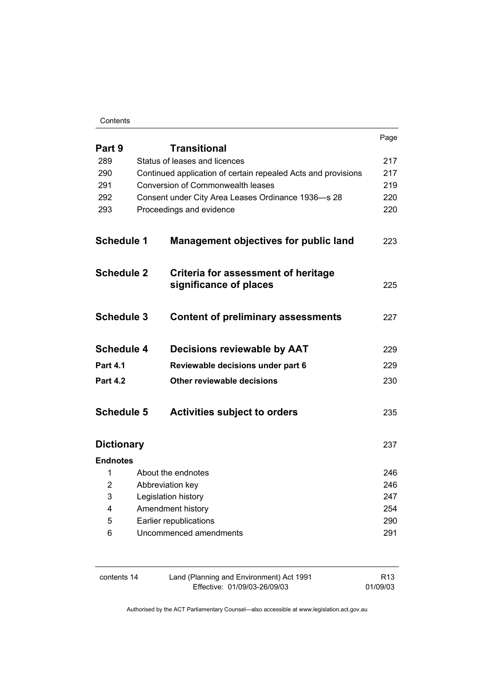#### **Contents**

|                   |                                                                                                    | Page       |
|-------------------|----------------------------------------------------------------------------------------------------|------------|
| Part 9            | <b>Transitional</b>                                                                                |            |
| 289               | Status of leases and licences                                                                      | 217        |
| 290<br>291        | Continued application of certain repealed Acts and provisions<br>Conversion of Commonwealth leases | 217<br>219 |
| 292               | Consent under City Area Leases Ordinance 1936-s 28                                                 | 220        |
| 293               | Proceedings and evidence                                                                           | 220        |
|                   |                                                                                                    |            |
| <b>Schedule 1</b> | <b>Management objectives for public land</b>                                                       | 223        |
| <b>Schedule 2</b> | Criteria for assessment of heritage<br>significance of places                                      | 225        |
| <b>Schedule 3</b> | <b>Content of preliminary assessments</b>                                                          | 227        |
| <b>Schedule 4</b> | <b>Decisions reviewable by AAT</b>                                                                 | 229        |
| <b>Part 4.1</b>   | Reviewable decisions under part 6                                                                  | 229        |
| <b>Part 4.2</b>   | Other reviewable decisions                                                                         | 230        |
| <b>Schedule 5</b> | <b>Activities subject to orders</b>                                                                | 235        |
| <b>Dictionary</b> |                                                                                                    | 237        |
| <b>Endnotes</b>   |                                                                                                    |            |
| 1                 | About the endnotes                                                                                 | 246        |
| 2                 | Abbreviation key                                                                                   | 246        |
| 3                 | Legislation history                                                                                | 247        |
| 4                 | Amendment history                                                                                  | 254        |
| 5                 | Earlier republications<br>Uncommenced amendments                                                   | 290<br>291 |
| 6                 |                                                                                                    |            |

| contents 14 | Land (Planning and Environment) Act 1991 | R <sub>13</sub> |
|-------------|------------------------------------------|-----------------|
|             | Effective: 01/09/03-26/09/03             | 01/09/03        |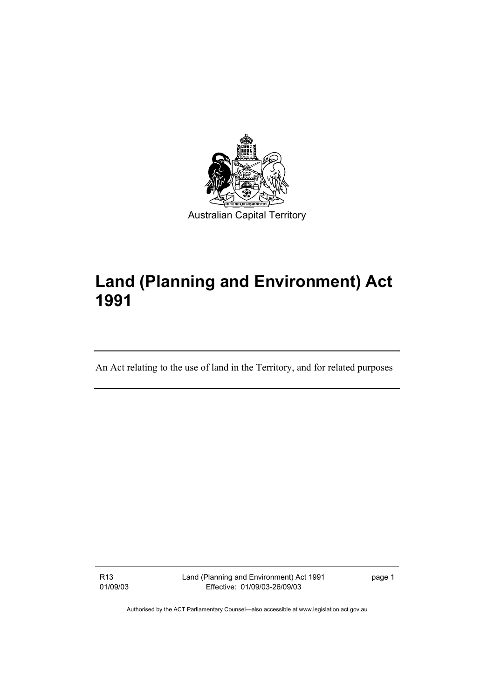

# **Land (Planning and Environment) Act 1991**

An Act relating to the use of land in the Territory, and for related purposes

R13 01/09/03 Land (Planning and Environment) Act 1991 Effective: 01/09/03-26/09/03

page 1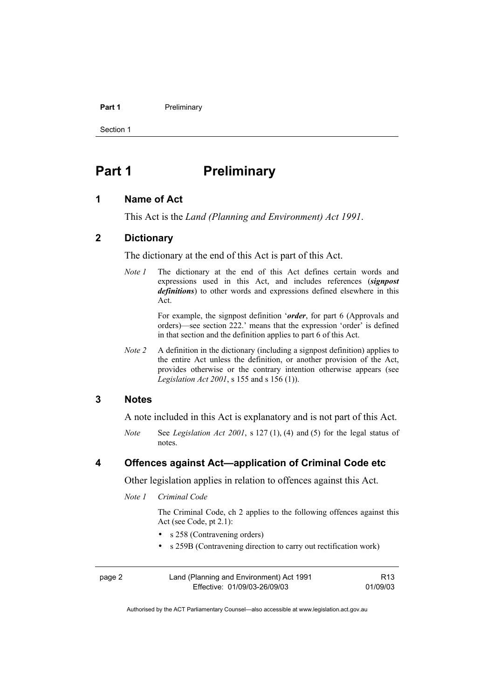#### Part 1 **Preliminary**

Section 1

# **Part 1** Preliminary

#### **1 Name of Act**

This Act is the *Land (Planning and Environment) Act 1991*.

#### **2 Dictionary**

The dictionary at the end of this Act is part of this Act.

*Note 1* The dictionary at the end of this Act defines certain words and expressions used in this Act, and includes references (*signpost definitions*) to other words and expressions defined elsewhere in this Act.

> For example, the signpost definition '*order*, for part 6 (Approvals and orders)—see section 222.' means that the expression 'order' is defined in that section and the definition applies to part 6 of this Act.

*Note 2* A definition in the dictionary (including a signpost definition) applies to the entire Act unless the definition, or another provision of the Act, provides otherwise or the contrary intention otherwise appears (see *Legislation Act 2001*, s 155 and s 156 (1)).

#### **3 Notes**

A note included in this Act is explanatory and is not part of this Act.

*Note* See *Legislation Act 2001*, s 127 (1), (4) and (5) for the legal status of notes.

#### **4 Offences against Act—application of Criminal Code etc**

Other legislation applies in relation to offences against this Act.

*Note 1 Criminal Code* 

 The Criminal Code, ch 2 applies to the following offences against this Act (see Code, pt 2.1):

- s 258 (Contravening orders)
- s 259B (Contravening direction to carry out rectification work)

| page 2 | Land (Planning and Environment) Act 1991 | R13      |
|--------|------------------------------------------|----------|
|        | Effective: 01/09/03-26/09/03             | 01/09/03 |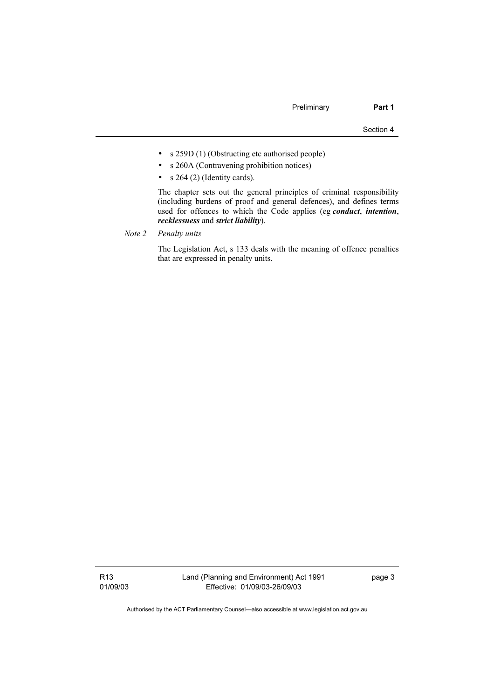- s 259D (1) (Obstructing etc authorised people)
- s 260A (Contravening prohibition notices)
- $s$  264 (2) (Identity cards).

 The chapter sets out the general principles of criminal responsibility (including burdens of proof and general defences), and defines terms used for offences to which the Code applies (eg *conduct*, *intention*, *recklessness* and *strict liability*).

*Note 2 Penalty units*

 The Legislation Act, s 133 deals with the meaning of offence penalties that are expressed in penalty units.

R13 01/09/03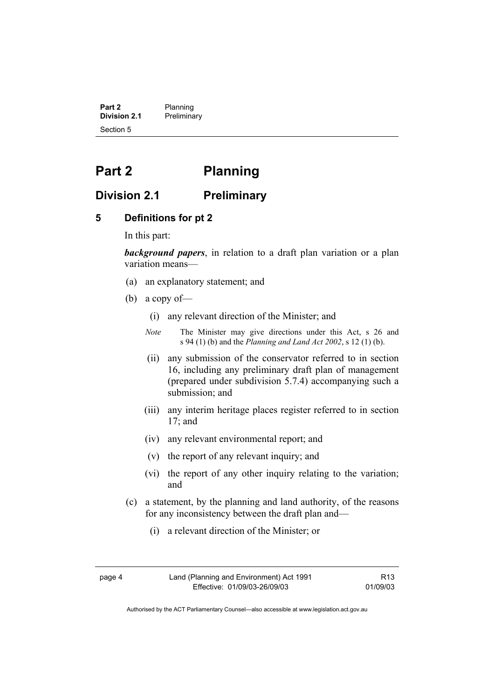**Part 2** Planning<br>**Division 2.1** Prelimina **Division 2.1** Preliminary Section 5

# **Part 2 Planning**

## **Division 2.1 Preliminary**

#### **5 Definitions for pt 2**

In this part:

*background papers*, in relation to a draft plan variation or a plan variation means—

- (a) an explanatory statement; and
- (b) a copy of—
	- (i) any relevant direction of the Minister; and
	- *Note* The Minister may give directions under this Act, s 26 and s 94 (1) (b) and the *Planning and Land Act 2002*, s 12 (1) (b).
	- (ii) any submission of the conservator referred to in section 16, including any preliminary draft plan of management (prepared under subdivision 5.7.4) accompanying such a submission; and
	- (iii) any interim heritage places register referred to in section 17; and
	- (iv) any relevant environmental report; and
	- (v) the report of any relevant inquiry; and
	- (vi) the report of any other inquiry relating to the variation; and
- (c) a statement, by the planning and land authority, of the reasons for any inconsistency between the draft plan and—
	- (i) a relevant direction of the Minister; or
- 

R13 01/09/03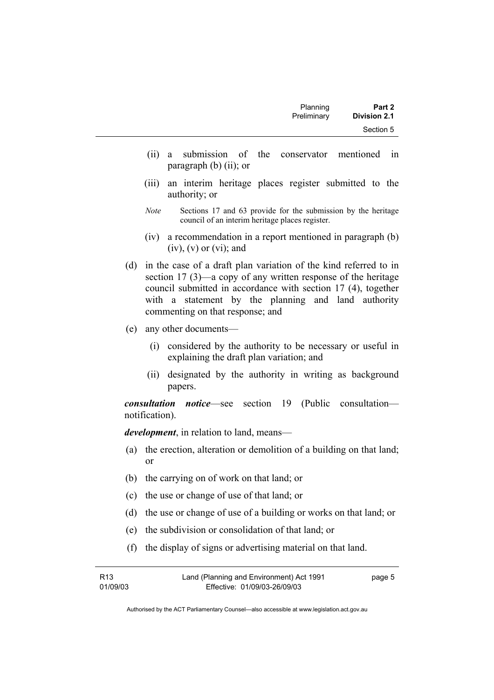- (ii) a submission of the conservator mentioned in paragraph (b) (ii); or
- (iii) an interim heritage places register submitted to the authority; or
- *Note* Sections 17 and 63 provide for the submission by the heritage council of an interim heritage places register.
- (iv) a recommendation in a report mentioned in paragraph (b)  $(iv)$ ,  $(v)$  or  $(vi)$ ; and
- (d) in the case of a draft plan variation of the kind referred to in section 17 (3)—a copy of any written response of the heritage council submitted in accordance with section 17 (4), together with a statement by the planning and land authority commenting on that response; and
- (e) any other documents—
	- (i) considered by the authority to be necessary or useful in explaining the draft plan variation; and
	- (ii) designated by the authority in writing as background papers.

*consultation notice*—see section 19 (Public consultation notification).

*development*, in relation to land, means—

- (a) the erection, alteration or demolition of a building on that land; or
- (b) the carrying on of work on that land; or
- (c) the use or change of use of that land; or
- (d) the use or change of use of a building or works on that land; or
- (e) the subdivision or consolidation of that land; or
- (f) the display of signs or advertising material on that land.

| R13      | Land (Planning and Environment) Act 1991 | page 5 |
|----------|------------------------------------------|--------|
| 01/09/03 | Effective: 01/09/03-26/09/03             |        |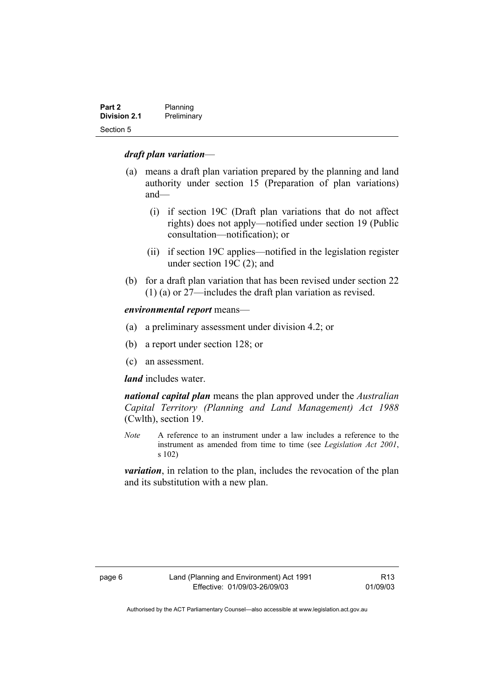| Part 2              | Planning    |
|---------------------|-------------|
| <b>Division 2.1</b> | Preliminary |
| Section 5           |             |

#### *draft plan variation*—

- (a) means a draft plan variation prepared by the planning and land authority under section 15 (Preparation of plan variations) and—
	- (i) if section 19C (Draft plan variations that do not affect rights) does not apply—notified under section 19 (Public consultation—notification); or
	- (ii) if section 19C applies—notified in the legislation register under section 19C (2); and
- (b) for a draft plan variation that has been revised under section 22 (1) (a) or 27—includes the draft plan variation as revised.

#### *environmental report* means—

- (a) a preliminary assessment under division 4.2; or
- (b) a report under section 128; or
- (c) an assessment.

#### *land* includes water.

*national capital plan* means the plan approved under the *Australian Capital Territory (Planning and Land Management) Act 1988* (Cwlth), section 19.

*Note* A reference to an instrument under a law includes a reference to the instrument as amended from time to time (see *Legislation Act 2001*, s 102)

*variation*, in relation to the plan, includes the revocation of the plan and its substitution with a new plan.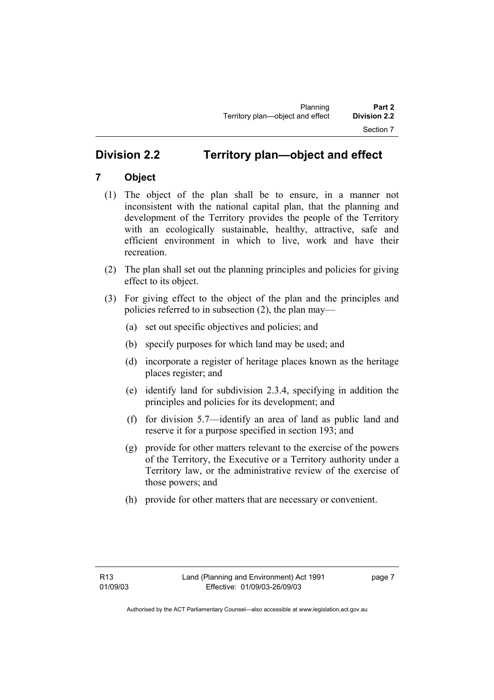# **Division 2.2 Territory plan—object and effect**

# **7 Object**

- (1) The object of the plan shall be to ensure, in a manner not inconsistent with the national capital plan, that the planning and development of the Territory provides the people of the Territory with an ecologically sustainable, healthy, attractive, safe and efficient environment in which to live, work and have their recreation.
- (2) The plan shall set out the planning principles and policies for giving effect to its object.
- (3) For giving effect to the object of the plan and the principles and policies referred to in subsection (2), the plan may—
	- (a) set out specific objectives and policies; and
	- (b) specify purposes for which land may be used; and
	- (d) incorporate a register of heritage places known as the heritage places register; and
	- (e) identify land for subdivision 2.3.4, specifying in addition the principles and policies for its development; and
	- (f) for division 5.7—identify an area of land as public land and reserve it for a purpose specified in section 193; and
	- (g) provide for other matters relevant to the exercise of the powers of the Territory, the Executive or a Territory authority under a Territory law, or the administrative review of the exercise of those powers; and
	- (h) provide for other matters that are necessary or convenient.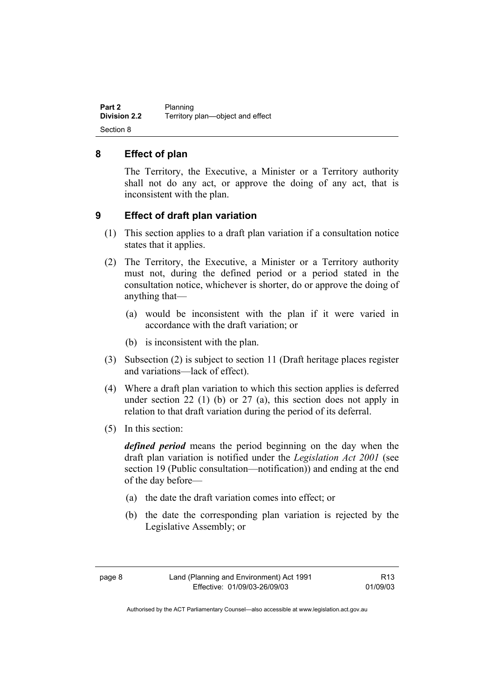**Part 2** Planning<br>**Division 2.2** Territory **Division 2.2** Territory plan—object and effect Section 8

#### **8 Effect of plan**

The Territory, the Executive, a Minister or a Territory authority shall not do any act, or approve the doing of any act, that is inconsistent with the plan.

#### **9 Effect of draft plan variation**

- (1) This section applies to a draft plan variation if a consultation notice states that it applies.
- (2) The Territory, the Executive, a Minister or a Territory authority must not, during the defined period or a period stated in the consultation notice, whichever is shorter, do or approve the doing of anything that—
	- (a) would be inconsistent with the plan if it were varied in accordance with the draft variation; or
	- (b) is inconsistent with the plan.
- (3) Subsection (2) is subject to section 11 (Draft heritage places register and variations—lack of effect).
- (4) Where a draft plan variation to which this section applies is deferred under section  $22$  (1) (b) or  $27$  (a), this section does not apply in relation to that draft variation during the period of its deferral.
- (5) In this section:

*defined period* means the period beginning on the day when the draft plan variation is notified under the *Legislation Act 2001* (see section 19 (Public consultation—notification)) and ending at the end of the day before—

- (a) the date the draft variation comes into effect; or
- (b) the date the corresponding plan variation is rejected by the Legislative Assembly; or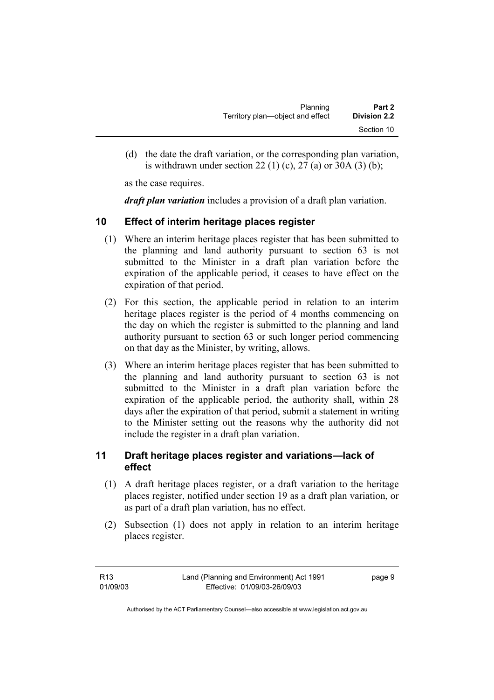| Planning                         | Part 2              |
|----------------------------------|---------------------|
| Territory plan—object and effect | <b>Division 2.2</b> |
|                                  | Section 10          |

 (d) the date the draft variation, or the corresponding plan variation, is withdrawn under section 22 (1) (c), 27 (a) or 30A (3) (b);

as the case requires.

*draft plan variation* includes a provision of a draft plan variation.

#### **10 Effect of interim heritage places register**

- (1) Where an interim heritage places register that has been submitted to the planning and land authority pursuant to section 63 is not submitted to the Minister in a draft plan variation before the expiration of the applicable period, it ceases to have effect on the expiration of that period.
- (2) For this section, the applicable period in relation to an interim heritage places register is the period of 4 months commencing on the day on which the register is submitted to the planning and land authority pursuant to section 63 or such longer period commencing on that day as the Minister, by writing, allows.
- (3) Where an interim heritage places register that has been submitted to the planning and land authority pursuant to section 63 is not submitted to the Minister in a draft plan variation before the expiration of the applicable period, the authority shall, within 28 days after the expiration of that period, submit a statement in writing to the Minister setting out the reasons why the authority did not include the register in a draft plan variation.

## **11 Draft heritage places register and variations—lack of effect**

- (1) A draft heritage places register, or a draft variation to the heritage places register, notified under section 19 as a draft plan variation, or as part of a draft plan variation, has no effect.
- (2) Subsection (1) does not apply in relation to an interim heritage places register.

| R13      | Land (Planning and Environment) Act 1991 | page 9 |
|----------|------------------------------------------|--------|
| 01/09/03 | Effective: 01/09/03-26/09/03             |        |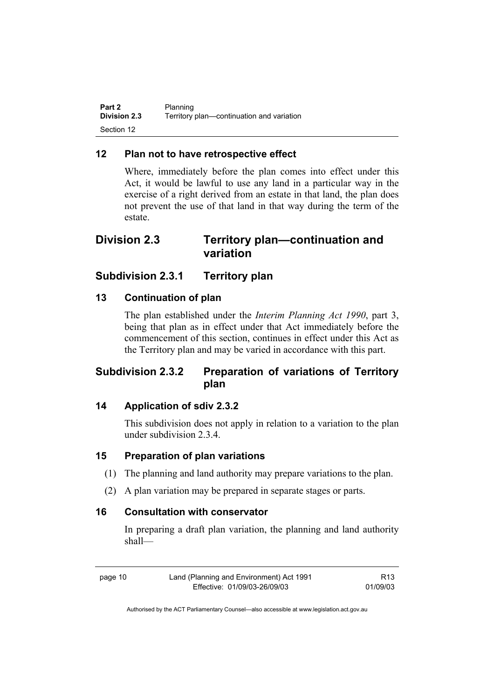| Part 2              | Planning                                  |
|---------------------|-------------------------------------------|
| <b>Division 2.3</b> | Territory plan-continuation and variation |
| Section 12          |                                           |

### **12 Plan not to have retrospective effect**

Where, immediately before the plan comes into effect under this Act, it would be lawful to use any land in a particular way in the exercise of a right derived from an estate in that land, the plan does not prevent the use of that land in that way during the term of the estate.

# **Division 2.3 Territory plan—continuation and variation**

## **Subdivision 2.3.1 Territory plan**

#### **13 Continuation of plan**

The plan established under the *Interim Planning Act 1990*, part 3, being that plan as in effect under that Act immediately before the commencement of this section, continues in effect under this Act as the Territory plan and may be varied in accordance with this part.

# **Subdivision 2.3.2 Preparation of variations of Territory plan**

### **14 Application of sdiv 2.3.2**

This subdivision does not apply in relation to a variation to the plan under subdivision 2.3.4.

#### **15 Preparation of plan variations**

- (1) The planning and land authority may prepare variations to the plan.
- (2) A plan variation may be prepared in separate stages or parts.

#### **16 Consultation with conservator**

In preparing a draft plan variation, the planning and land authority shall—

page 10 Land (Planning and Environment) Act 1991 Effective: 01/09/03-26/09/03

R13 01/09/03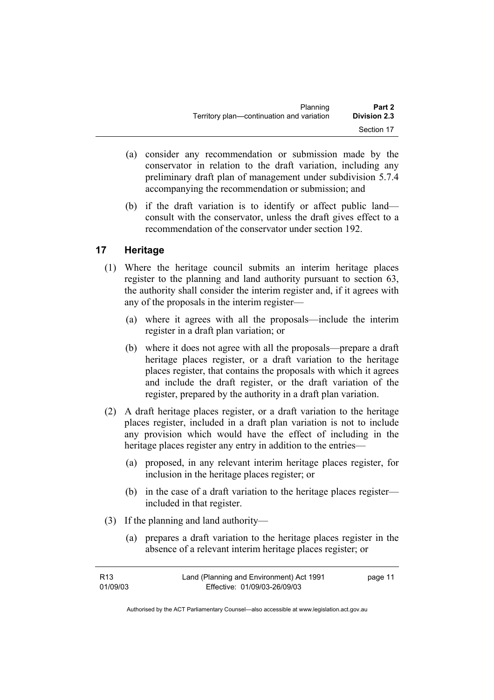| Planning                                  | Part 2              |
|-------------------------------------------|---------------------|
| Territory plan—continuation and variation | <b>Division 2.3</b> |
|                                           | Section 17          |

- (a) consider any recommendation or submission made by the conservator in relation to the draft variation, including any preliminary draft plan of management under subdivision 5.7.4 accompanying the recommendation or submission; and
- (b) if the draft variation is to identify or affect public land consult with the conservator, unless the draft gives effect to a recommendation of the conservator under section 192.

## **17 Heritage**

- (1) Where the heritage council submits an interim heritage places register to the planning and land authority pursuant to section 63, the authority shall consider the interim register and, if it agrees with any of the proposals in the interim register—
	- (a) where it agrees with all the proposals—include the interim register in a draft plan variation; or
	- (b) where it does not agree with all the proposals—prepare a draft heritage places register, or a draft variation to the heritage places register, that contains the proposals with which it agrees and include the draft register, or the draft variation of the register, prepared by the authority in a draft plan variation.
- (2) A draft heritage places register, or a draft variation to the heritage places register, included in a draft plan variation is not to include any provision which would have the effect of including in the heritage places register any entry in addition to the entries—
	- (a) proposed, in any relevant interim heritage places register, for inclusion in the heritage places register; or
	- (b) in the case of a draft variation to the heritage places register included in that register.
- (3) If the planning and land authority—
	- (a) prepares a draft variation to the heritage places register in the absence of a relevant interim heritage places register; or

| R13      | Land (Planning and Environment) Act 1991 | page 11 |
|----------|------------------------------------------|---------|
| 01/09/03 | Effective: 01/09/03-26/09/03             |         |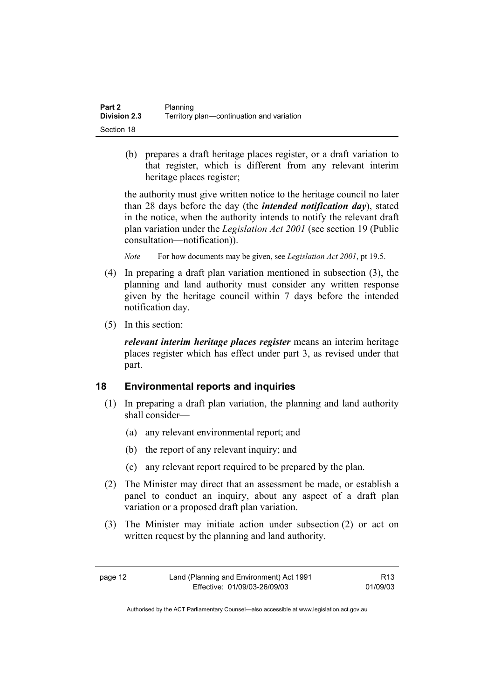| Part 2              | Planning                                  |
|---------------------|-------------------------------------------|
| <b>Division 2.3</b> | Territory plan—continuation and variation |
| Section 18          |                                           |

 (b) prepares a draft heritage places register, or a draft variation to that register, which is different from any relevant interim heritage places register;

the authority must give written notice to the heritage council no later than 28 days before the day (the *intended notification day*), stated in the notice, when the authority intends to notify the relevant draft plan variation under the *Legislation Act 2001* (see section 19 (Public consultation—notification)).

*Note* For how documents may be given, see *Legislation Act 2001*, pt 19.5.

- (4) In preparing a draft plan variation mentioned in subsection (3), the planning and land authority must consider any written response given by the heritage council within 7 days before the intended notification day.
- (5) In this section:

*relevant interim heritage places register* means an interim heritage places register which has effect under part 3, as revised under that part.

## **18 Environmental reports and inquiries**

- (1) In preparing a draft plan variation, the planning and land authority shall consider—
	- (a) any relevant environmental report; and
	- (b) the report of any relevant inquiry; and
	- (c) any relevant report required to be prepared by the plan.
- (2) The Minister may direct that an assessment be made, or establish a panel to conduct an inquiry, about any aspect of a draft plan variation or a proposed draft plan variation.
- (3) The Minister may initiate action under subsection (2) or act on written request by the planning and land authority.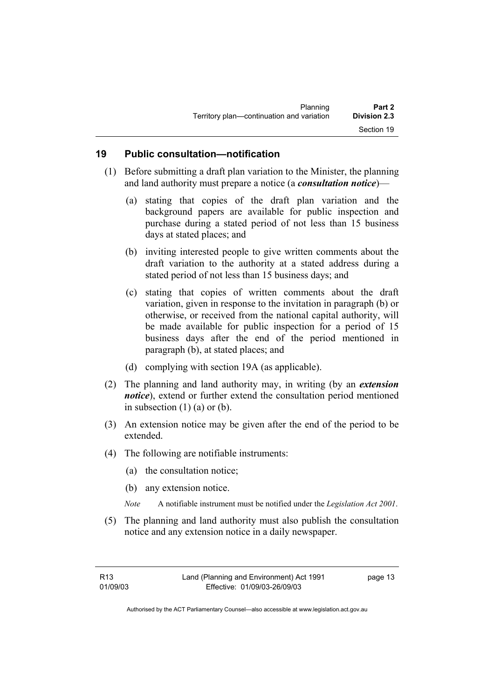| Planning                                  | Part 2              |
|-------------------------------------------|---------------------|
| Territory plan-continuation and variation | <b>Division 2.3</b> |
|                                           | Section 19          |

#### **19 Public consultation—notification**

- (1) Before submitting a draft plan variation to the Minister, the planning and land authority must prepare a notice (a *consultation notice*)—
	- (a) stating that copies of the draft plan variation and the background papers are available for public inspection and purchase during a stated period of not less than 15 business days at stated places; and
	- (b) inviting interested people to give written comments about the draft variation to the authority at a stated address during a stated period of not less than 15 business days; and
	- (c) stating that copies of written comments about the draft variation, given in response to the invitation in paragraph (b) or otherwise, or received from the national capital authority, will be made available for public inspection for a period of 15 business days after the end of the period mentioned in paragraph (b), at stated places; and
	- (d) complying with section 19A (as applicable).
- (2) The planning and land authority may, in writing (by an *extension notice*), extend or further extend the consultation period mentioned in subsection  $(1)$  (a) or (b).
- (3) An extension notice may be given after the end of the period to be extended.
- (4) The following are notifiable instruments:
	- (a) the consultation notice;
	- (b) any extension notice.
	- *Note* A notifiable instrument must be notified under the *Legislation Act 2001*.
- (5) The planning and land authority must also publish the consultation notice and any extension notice in a daily newspaper.

page 13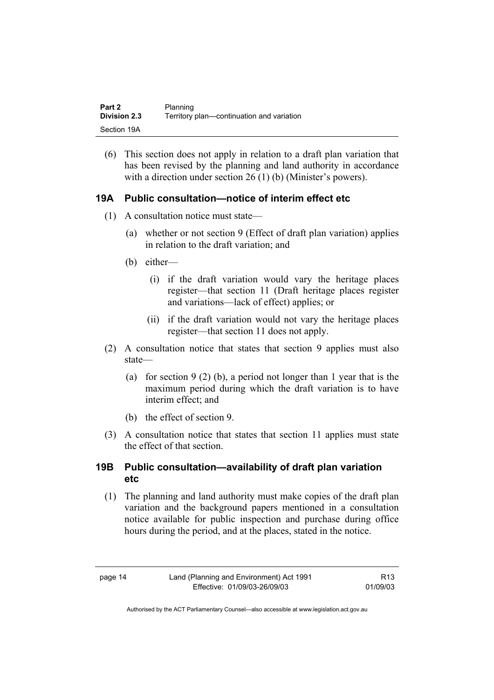| Part 2              | Planning                                  |
|---------------------|-------------------------------------------|
| <b>Division 2.3</b> | Territory plan-continuation and variation |
| Section 19A         |                                           |

(6) This section does not apply in relation to a draft plan variation that has been revised by the planning and land authority in accordance with a direction under section 26 (1) (b) (Minister's powers).

#### **19A Public consultation—notice of interim effect etc**

- (1) A consultation notice must state—
	- (a) whether or not section 9 (Effect of draft plan variation) applies in relation to the draft variation; and
	- (b) either—
		- (i) if the draft variation would vary the heritage places register—that section 11 (Draft heritage places register and variations—lack of effect) applies; or
		- (ii) if the draft variation would not vary the heritage places register—that section 11 does not apply.
- (2) A consultation notice that states that section 9 applies must also state—
	- (a) for section 9 (2) (b), a period not longer than 1 year that is the maximum period during which the draft variation is to have interim effect; and
	- (b) the effect of section 9.
- (3) A consultation notice that states that section 11 applies must state the effect of that section.

#### **19B Public consultation—availability of draft plan variation etc**

(1) The planning and land authority must make copies of the draft plan variation and the background papers mentioned in a consultation notice available for public inspection and purchase during office hours during the period, and at the places, stated in the notice.

R13 01/09/03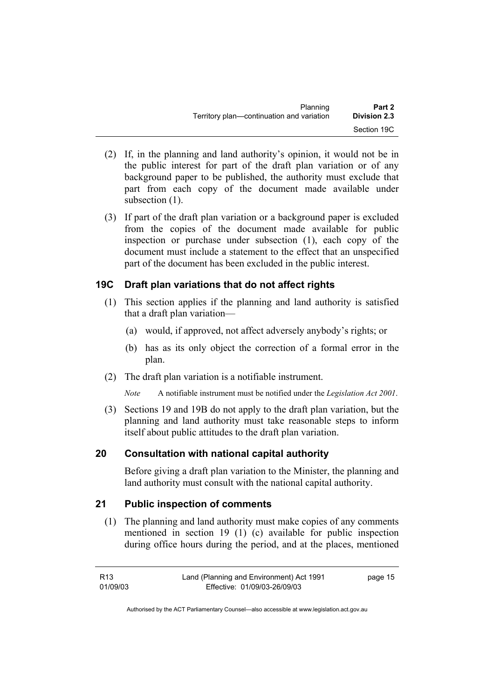| Planning                                  | Part 2              |
|-------------------------------------------|---------------------|
| Territory plan—continuation and variation | <b>Division 2.3</b> |
|                                           | Section 19C         |

- (2) If, in the planning and land authority's opinion, it would not be in the public interest for part of the draft plan variation or of any background paper to be published, the authority must exclude that part from each copy of the document made available under subsection  $(1)$ .
- (3) If part of the draft plan variation or a background paper is excluded from the copies of the document made available for public inspection or purchase under subsection (1), each copy of the document must include a statement to the effect that an unspecified part of the document has been excluded in the public interest.

#### **19C Draft plan variations that do not affect rights**

- (1) This section applies if the planning and land authority is satisfied that a draft plan variation—
	- (a) would, if approved, not affect adversely anybody's rights; or
	- (b) has as its only object the correction of a formal error in the plan.
- (2) The draft plan variation is a notifiable instrument.
	- *Note* A notifiable instrument must be notified under the *Legislation Act 2001*.
- (3) Sections 19 and 19B do not apply to the draft plan variation, but the planning and land authority must take reasonable steps to inform itself about public attitudes to the draft plan variation.

#### **20 Consultation with national capital authority**

Before giving a draft plan variation to the Minister, the planning and land authority must consult with the national capital authority.

#### **21 Public inspection of comments**

 (1) The planning and land authority must make copies of any comments mentioned in section 19 (1) (c) available for public inspection during office hours during the period, and at the places, mentioned

| R13      | Land (Planning and Environment) Act 1991 | page 15 |
|----------|------------------------------------------|---------|
| 01/09/03 | Effective: 01/09/03-26/09/03             |         |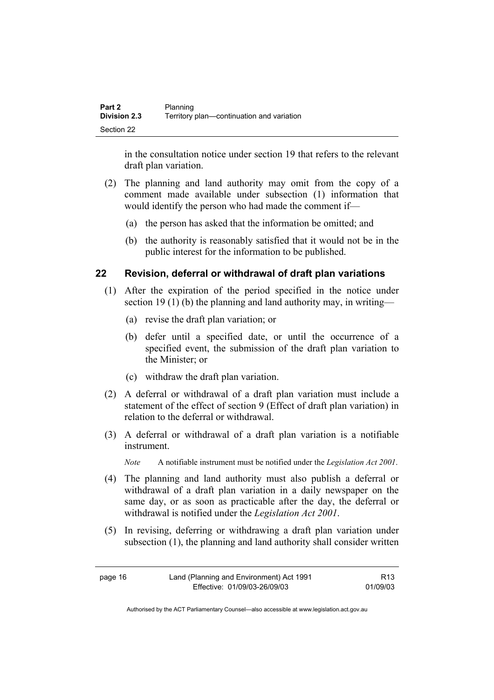| <b>Part 2</b> | Planning                                  |
|---------------|-------------------------------------------|
| Division 2.3  | Territory plan—continuation and variation |
| Section 22    |                                           |

in the consultation notice under section 19 that refers to the relevant draft plan variation.

- (2) The planning and land authority may omit from the copy of a comment made available under subsection (1) information that would identify the person who had made the comment if—
	- (a) the person has asked that the information be omitted; and
	- (b) the authority is reasonably satisfied that it would not be in the public interest for the information to be published.

#### **22 Revision, deferral or withdrawal of draft plan variations**

- (1) After the expiration of the period specified in the notice under section 19 (1) (b) the planning and land authority may, in writing—
	- (a) revise the draft plan variation; or
	- (b) defer until a specified date, or until the occurrence of a specified event, the submission of the draft plan variation to the Minister; or
	- (c) withdraw the draft plan variation.
- (2) A deferral or withdrawal of a draft plan variation must include a statement of the effect of section 9 (Effect of draft plan variation) in relation to the deferral or withdrawal.
- (3) A deferral or withdrawal of a draft plan variation is a notifiable instrument.

*Note* A notifiable instrument must be notified under the *Legislation Act 2001*.

- (4) The planning and land authority must also publish a deferral or withdrawal of a draft plan variation in a daily newspaper on the same day, or as soon as practicable after the day, the deferral or withdrawal is notified under the *Legislation Act 2001*.
- (5) In revising, deferring or withdrawing a draft plan variation under subsection (1), the planning and land authority shall consider written

| page 16 | Land (Planning and Environment) Act 1991 | R13      |
|---------|------------------------------------------|----------|
|         | Effective: 01/09/03-26/09/03             | 01/09/03 |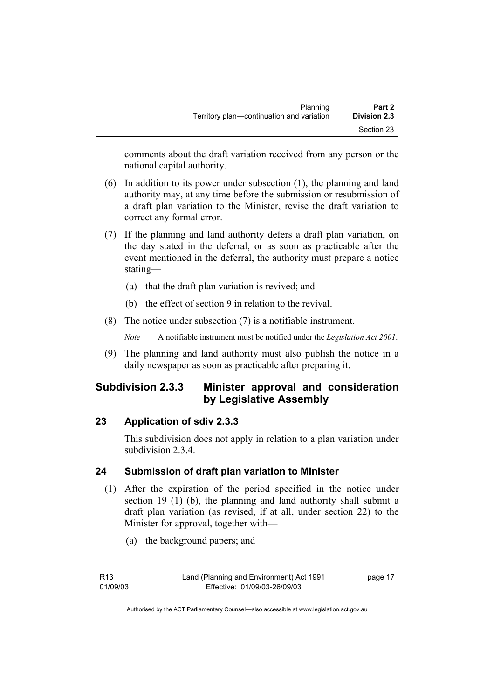comments about the draft variation received from any person or the national capital authority.

- (6) In addition to its power under subsection (1), the planning and land authority may, at any time before the submission or resubmission of a draft plan variation to the Minister, revise the draft variation to correct any formal error.
- (7) If the planning and land authority defers a draft plan variation, on the day stated in the deferral, or as soon as practicable after the event mentioned in the deferral, the authority must prepare a notice stating—
	- (a) that the draft plan variation is revived; and
	- (b) the effect of section 9 in relation to the revival.
- (8) The notice under subsection (7) is a notifiable instrument.

*Note* A notifiable instrument must be notified under the *Legislation Act 2001*.

(9) The planning and land authority must also publish the notice in a daily newspaper as soon as practicable after preparing it.

# **Subdivision 2.3.3 Minister approval and consideration by Legislative Assembly**

## **23 Application of sdiv 2.3.3**

This subdivision does not apply in relation to a plan variation under subdivision 2.3.4

## **24 Submission of draft plan variation to Minister**

- (1) After the expiration of the period specified in the notice under section 19 (1) (b), the planning and land authority shall submit a draft plan variation (as revised, if at all, under section 22) to the Minister for approval, together with—
	- (a) the background papers; and

page 17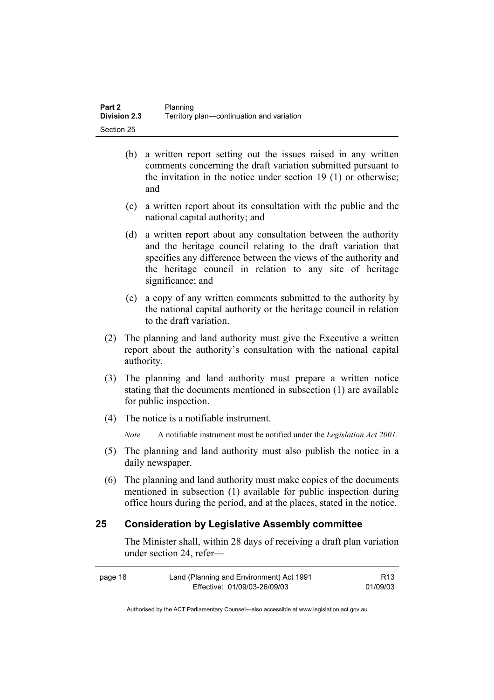- (b) a written report setting out the issues raised in any written comments concerning the draft variation submitted pursuant to the invitation in the notice under section 19 (1) or otherwise; and
- (c) a written report about its consultation with the public and the national capital authority; and
- (d) a written report about any consultation between the authority and the heritage council relating to the draft variation that specifies any difference between the views of the authority and the heritage council in relation to any site of heritage significance; and
- (e) a copy of any written comments submitted to the authority by the national capital authority or the heritage council in relation to the draft variation.
- (2) The planning and land authority must give the Executive a written report about the authority's consultation with the national capital authority.
- (3) The planning and land authority must prepare a written notice stating that the documents mentioned in subsection (1) are available for public inspection.
- (4) The notice is a notifiable instrument.

*Note* A notifiable instrument must be notified under the *Legislation Act 2001*.

- (5) The planning and land authority must also publish the notice in a daily newspaper.
- (6) The planning and land authority must make copies of the documents mentioned in subsection (1) available for public inspection during office hours during the period, and at the places, stated in the notice.

#### **25 Consideration by Legislative Assembly committee**

The Minister shall, within 28 days of receiving a draft plan variation under section 24, refer—

| page 18 | Land (Planning and Environment) Act 1991 | R <sub>13</sub> |
|---------|------------------------------------------|-----------------|
|         | Effective: 01/09/03-26/09/03             | 01/09/03        |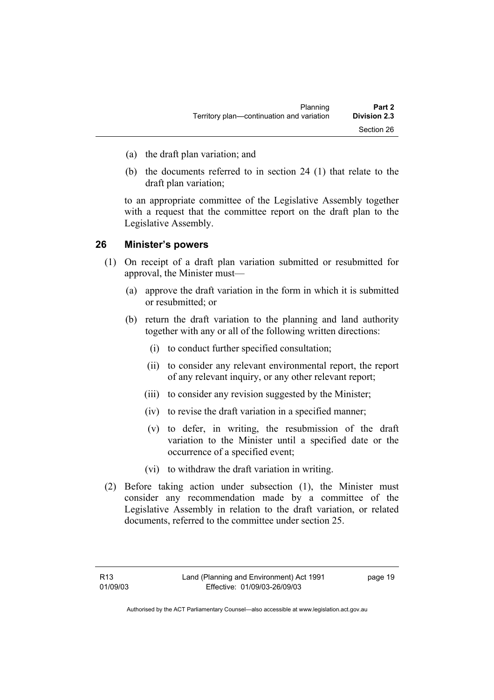- (a) the draft plan variation; and
- (b) the documents referred to in section 24 (1) that relate to the draft plan variation;

to an appropriate committee of the Legislative Assembly together with a request that the committee report on the draft plan to the Legislative Assembly.

#### **26 Minister's powers**

- (1) On receipt of a draft plan variation submitted or resubmitted for approval, the Minister must—
	- (a) approve the draft variation in the form in which it is submitted or resubmitted; or
	- (b) return the draft variation to the planning and land authority together with any or all of the following written directions:
		- (i) to conduct further specified consultation;
		- (ii) to consider any relevant environmental report, the report of any relevant inquiry, or any other relevant report;
		- (iii) to consider any revision suggested by the Minister;
		- (iv) to revise the draft variation in a specified manner;
		- (v) to defer, in writing, the resubmission of the draft variation to the Minister until a specified date or the occurrence of a specified event;
		- (vi) to withdraw the draft variation in writing.
- (2) Before taking action under subsection (1), the Minister must consider any recommendation made by a committee of the Legislative Assembly in relation to the draft variation, or related documents, referred to the committee under section 25.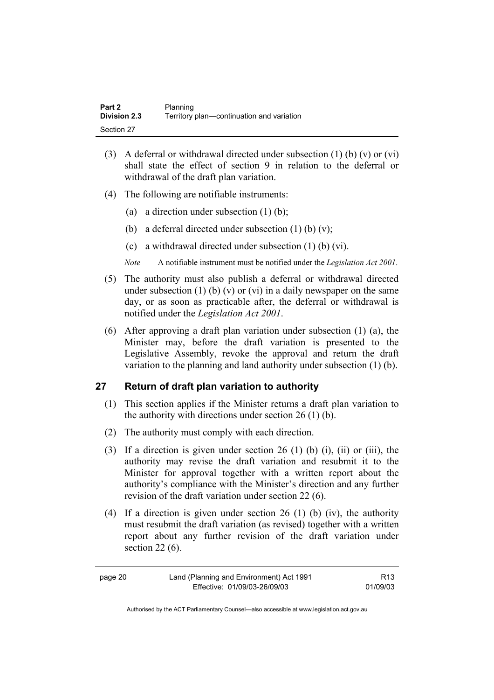| Part 2              | Planning                                  |
|---------------------|-------------------------------------------|
| <b>Division 2.3</b> | Territory plan-continuation and variation |
| Section 27          |                                           |

- (3) A deferral or withdrawal directed under subsection  $(1)$  (b)  $(v)$  or  $(vi)$ shall state the effect of section 9 in relation to the deferral or withdrawal of the draft plan variation.
- (4) The following are notifiable instruments:
	- (a) a direction under subsection  $(1)$  (b);
	- (b) a deferral directed under subsection  $(1)$  (b)  $(v)$ ;
	- (c) a withdrawal directed under subsection (1) (b) (vi).
	- *Note* A notifiable instrument must be notified under the *Legislation Act 2001*.
- (5) The authority must also publish a deferral or withdrawal directed under subsection (1) (b) (v) or (vi) in a daily newspaper on the same day, or as soon as practicable after, the deferral or withdrawal is notified under the *Legislation Act 2001*.
- (6) After approving a draft plan variation under subsection (1) (a), the Minister may, before the draft variation is presented to the Legislative Assembly, revoke the approval and return the draft variation to the planning and land authority under subsection (1) (b).

#### **27 Return of draft plan variation to authority**

- (1) This section applies if the Minister returns a draft plan variation to the authority with directions under section 26 (1) (b).
- (2) The authority must comply with each direction.
- (3) If a direction is given under section 26 (1) (b) (i), (ii) or (iii), the authority may revise the draft variation and resubmit it to the Minister for approval together with a written report about the authority's compliance with the Minister's direction and any further revision of the draft variation under section 22 (6).
- (4) If a direction is given under section 26 (1) (b) (iv), the authority must resubmit the draft variation (as revised) together with a written report about any further revision of the draft variation under section 22 (6).

| page 20 | Land (Planning and Environment) Act 1991 | R <sub>13</sub> |
|---------|------------------------------------------|-----------------|
|         | Effective: 01/09/03-26/09/03             | 01/09/03        |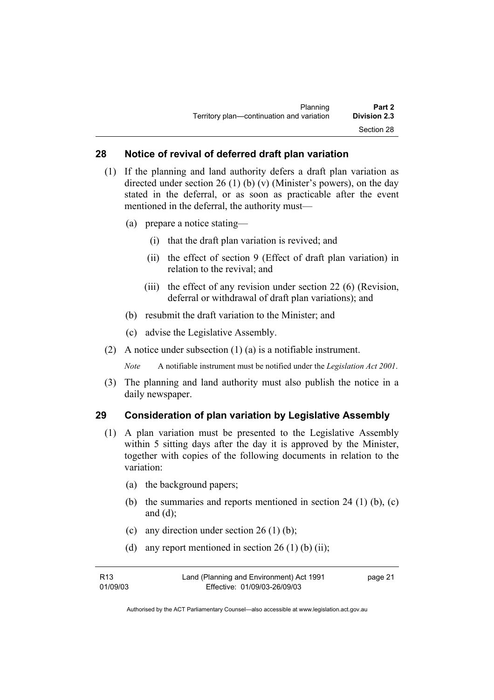#### **28 Notice of revival of deferred draft plan variation**

- (1) If the planning and land authority defers a draft plan variation as directed under section 26 (1) (b) (v) (Minister's powers), on the day stated in the deferral, or as soon as practicable after the event mentioned in the deferral, the authority must—
	- (a) prepare a notice stating—
		- (i) that the draft plan variation is revived; and
		- (ii) the effect of section 9 (Effect of draft plan variation) in relation to the revival; and
		- (iii) the effect of any revision under section 22 (6) (Revision, deferral or withdrawal of draft plan variations); and
	- (b) resubmit the draft variation to the Minister; and
	- (c) advise the Legislative Assembly.
- (2) A notice under subsection (1) (a) is a notifiable instrument.

*Note* A notifiable instrument must be notified under the *Legislation Act 2001*.

(3) The planning and land authority must also publish the notice in a daily newspaper.

#### **29 Consideration of plan variation by Legislative Assembly**

- (1) A plan variation must be presented to the Legislative Assembly within 5 sitting days after the day it is approved by the Minister, together with copies of the following documents in relation to the variation:
	- (a) the background papers;
	- (b) the summaries and reports mentioned in section 24 (1) (b), (c) and  $(d)$ ;
	- (c) any direction under section  $26(1)$  (b);
	- (d) any report mentioned in section  $26(1)$  (b) (ii);

| R13      | Land (Planning and Environment) Act 1991 | page 21 |
|----------|------------------------------------------|---------|
| 01/09/03 | Effective: 01/09/03-26/09/03             |         |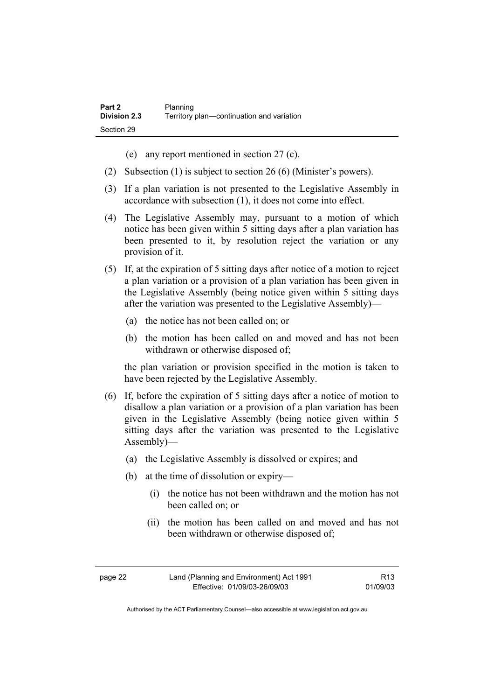- (e) any report mentioned in section 27 (c).
- (2) Subsection (1) is subject to section 26 (6) (Minister's powers).
- (3) If a plan variation is not presented to the Legislative Assembly in accordance with subsection (1), it does not come into effect.
- (4) The Legislative Assembly may, pursuant to a motion of which notice has been given within 5 sitting days after a plan variation has been presented to it, by resolution reject the variation or any provision of it.
- (5) If, at the expiration of 5 sitting days after notice of a motion to reject a plan variation or a provision of a plan variation has been given in the Legislative Assembly (being notice given within 5 sitting days after the variation was presented to the Legislative Assembly)—
	- (a) the notice has not been called on; or
	- (b) the motion has been called on and moved and has not been withdrawn or otherwise disposed of;

the plan variation or provision specified in the motion is taken to have been rejected by the Legislative Assembly.

- (6) If, before the expiration of 5 sitting days after a notice of motion to disallow a plan variation or a provision of a plan variation has been given in the Legislative Assembly (being notice given within 5 sitting days after the variation was presented to the Legislative Assembly)—
	- (a) the Legislative Assembly is dissolved or expires; and
	- (b) at the time of dissolution or expiry—
		- (i) the notice has not been withdrawn and the motion has not been called on; or
		- (ii) the motion has been called on and moved and has not been withdrawn or otherwise disposed of;

| page 22 | Land (Planning and Environment) Act 1991 | R <sub>13</sub> |
|---------|------------------------------------------|-----------------|
|         | Effective: 01/09/03-26/09/03             | 01/09/03        |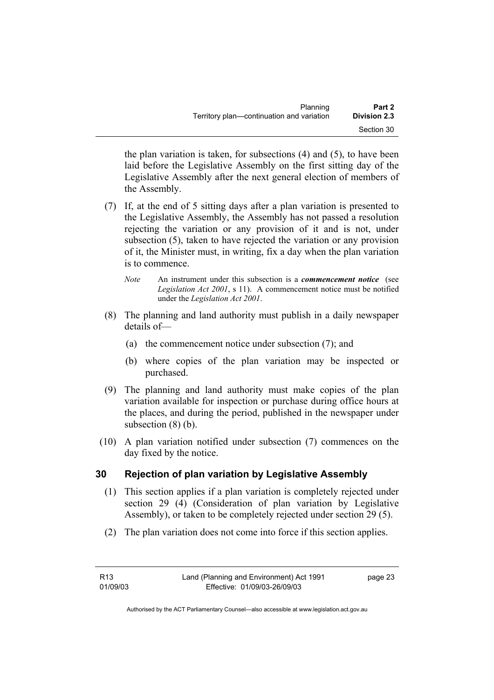| Planning                                  | Part 2              |
|-------------------------------------------|---------------------|
| Territory plan—continuation and variation | <b>Division 2.3</b> |
|                                           | Section 30          |

the plan variation is taken, for subsections (4) and (5), to have been laid before the Legislative Assembly on the first sitting day of the Legislative Assembly after the next general election of members of the Assembly.

- (7) If, at the end of 5 sitting days after a plan variation is presented to the Legislative Assembly, the Assembly has not passed a resolution rejecting the variation or any provision of it and is not, under subsection (5), taken to have rejected the variation or any provision of it, the Minister must, in writing, fix a day when the plan variation is to commence.
	- *Note* An instrument under this subsection is a *commencement notice* (see *Legislation Act 2001*, s 11). A commencement notice must be notified under the *Legislation Act 2001*.
- (8) The planning and land authority must publish in a daily newspaper details of—
	- (a) the commencement notice under subsection (7); and
	- (b) where copies of the plan variation may be inspected or purchased.
- (9) The planning and land authority must make copies of the plan variation available for inspection or purchase during office hours at the places, and during the period, published in the newspaper under subsection (8) (b).
- (10) A plan variation notified under subsection (7) commences on the day fixed by the notice.

## **30 Rejection of plan variation by Legislative Assembly**

- (1) This section applies if a plan variation is completely rejected under section 29 (4) (Consideration of plan variation by Legislative Assembly), or taken to be completely rejected under section 29 (5).
- (2) The plan variation does not come into force if this section applies.

| R13      | Land (Planning and Environment) Act 1991 | page 23 |
|----------|------------------------------------------|---------|
| 01/09/03 | Effective: 01/09/03-26/09/03             |         |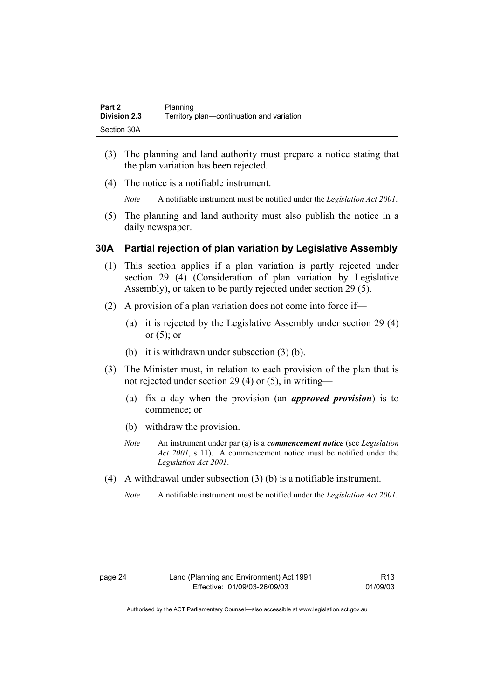| Part 2              | Planning                                  |
|---------------------|-------------------------------------------|
| <b>Division 2.3</b> | Territory plan-continuation and variation |
| Section 30A         |                                           |

- (3) The planning and land authority must prepare a notice stating that the plan variation has been rejected.
- (4) The notice is a notifiable instrument.

*Note* A notifiable instrument must be notified under the *Legislation Act 2001*.

(5) The planning and land authority must also publish the notice in a daily newspaper.

#### **30A Partial rejection of plan variation by Legislative Assembly**

- (1) This section applies if a plan variation is partly rejected under section 29 (4) (Consideration of plan variation by Legislative Assembly), or taken to be partly rejected under section 29 (5).
- (2) A provision of a plan variation does not come into force if—
	- (a) it is rejected by the Legislative Assembly under section 29 (4) or  $(5)$ ; or
	- (b) it is withdrawn under subsection (3) (b).
- (3) The Minister must, in relation to each provision of the plan that is not rejected under section 29 (4) or (5), in writing—
	- (a) fix a day when the provision (an *approved provision*) is to commence; or
	- (b) withdraw the provision.
	- *Note* An instrument under par (a) is a *commencement notice* (see *Legislation Act 2001*, s 11). A commencement notice must be notified under the *Legislation Act 2001*.
- (4) A withdrawal under subsection (3) (b) is a notifiable instrument.
	- *Note* A notifiable instrument must be notified under the *Legislation Act 2001*.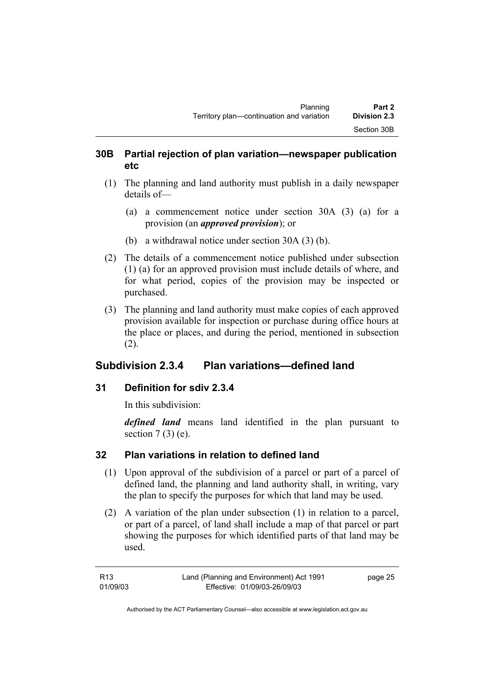### **30B Partial rejection of plan variation—newspaper publication etc**

- (1) The planning and land authority must publish in a daily newspaper details of—
	- (a) a commencement notice under section 30A (3) (a) for a provision (an *approved provision*); or
	- (b) a withdrawal notice under section 30A (3) (b).
- (2) The details of a commencement notice published under subsection (1) (a) for an approved provision must include details of where, and for what period, copies of the provision may be inspected or purchased.
- (3) The planning and land authority must make copies of each approved provision available for inspection or purchase during office hours at the place or places, and during the period, mentioned in subsection (2).

## **Subdivision 2.3.4 Plan variations—defined land**

## **31 Definition for sdiv 2.3.4**

In this subdivision:

*defined land* means land identified in the plan pursuant to section  $7(3)$  (e).

## **32 Plan variations in relation to defined land**

- (1) Upon approval of the subdivision of a parcel or part of a parcel of defined land, the planning and land authority shall, in writing, vary the plan to specify the purposes for which that land may be used.
- (2) A variation of the plan under subsection (1) in relation to a parcel, or part of a parcel, of land shall include a map of that parcel or part showing the purposes for which identified parts of that land may be used.

| R13      | Land (Planning and Environment) Act 1991 | page 25 |
|----------|------------------------------------------|---------|
| 01/09/03 | Effective: 01/09/03-26/09/03             |         |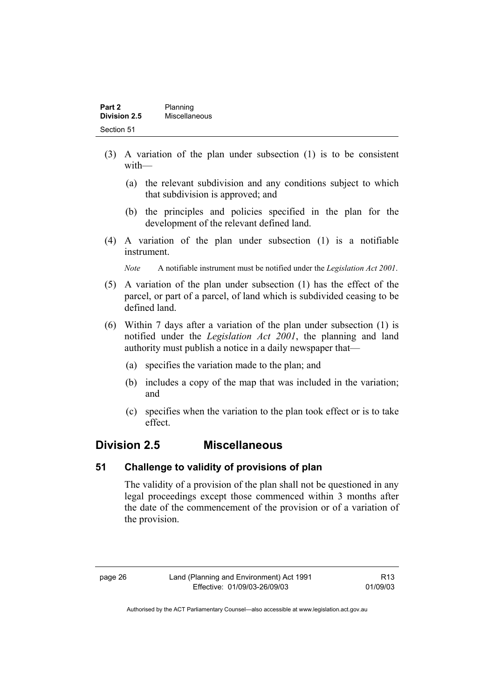| Part 2       | Planning      |  |
|--------------|---------------|--|
| Division 2.5 | Miscellaneous |  |
| Section 51   |               |  |

- (3) A variation of the plan under subsection (1) is to be consistent with—
	- (a) the relevant subdivision and any conditions subject to which that subdivision is approved; and
	- (b) the principles and policies specified in the plan for the development of the relevant defined land.
- (4) A variation of the plan under subsection (1) is a notifiable instrument.

*Note* A notifiable instrument must be notified under the *Legislation Act 2001*.

- (5) A variation of the plan under subsection (1) has the effect of the parcel, or part of a parcel, of land which is subdivided ceasing to be defined land.
- (6) Within 7 days after a variation of the plan under subsection (1) is notified under the *Legislation Act 2001*, the planning and land authority must publish a notice in a daily newspaper that—
	- (a) specifies the variation made to the plan; and
	- (b) includes a copy of the map that was included in the variation; and
	- (c) specifies when the variation to the plan took effect or is to take effect.

## **Division 2.5 Miscellaneous**

#### **51 Challenge to validity of provisions of plan**

The validity of a provision of the plan shall not be questioned in any legal proceedings except those commenced within 3 months after the date of the commencement of the provision or of a variation of the provision.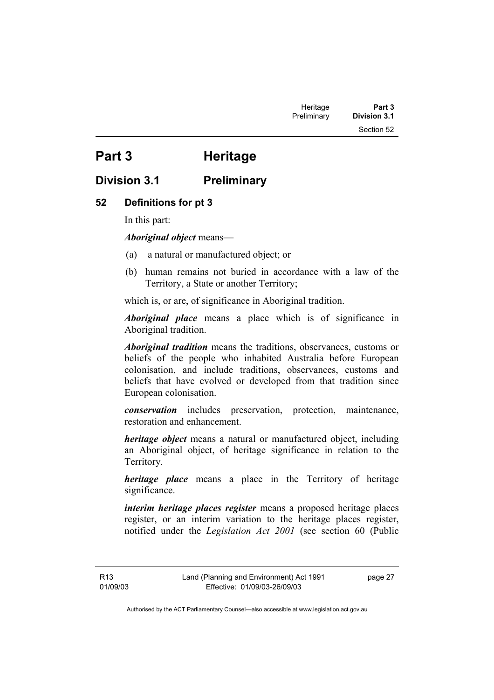# **Part 3 Heritage**

## **Division 3.1 Preliminary**

#### **52 Definitions for pt 3**

In this part:

*Aboriginal object* means—

- (a) a natural or manufactured object; or
- (b) human remains not buried in accordance with a law of the Territory, a State or another Territory;

which is, or are, of significance in Aboriginal tradition.

*Aboriginal place* means a place which is of significance in Aboriginal tradition.

*Aboriginal tradition* means the traditions, observances, customs or beliefs of the people who inhabited Australia before European colonisation, and include traditions, observances, customs and beliefs that have evolved or developed from that tradition since European colonisation.

*conservation* includes preservation, protection, maintenance, restoration and enhancement.

*heritage object* means a natural or manufactured object, including an Aboriginal object, of heritage significance in relation to the Territory.

*heritage place* means a place in the Territory of heritage significance.

*interim heritage places register* means a proposed heritage places register, or an interim variation to the heritage places register, notified under the *Legislation Act 2001* (see section 60 (Public

R13 01/09/03 page 27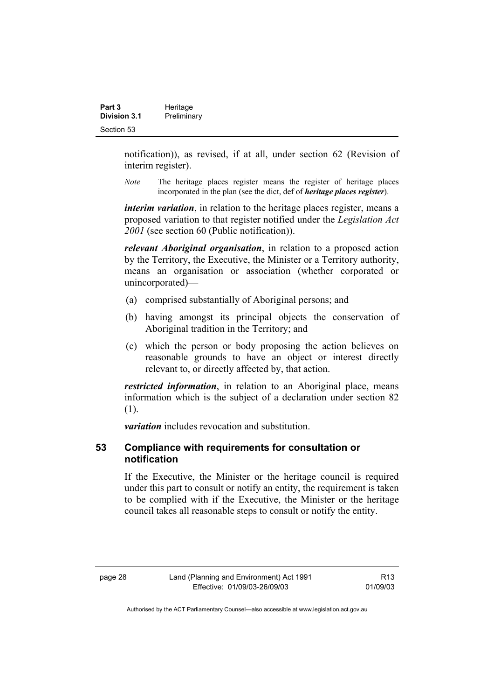| Part 3              | Heritage    |
|---------------------|-------------|
| <b>Division 3.1</b> | Preliminary |
| Section 53          |             |

notification)), as revised, if at all, under section 62 (Revision of interim register).

*Note* The heritage places register means the register of heritage places incorporated in the plan (see the dict, def of *heritage places register*).

*interim variation*, in relation to the heritage places register, means a proposed variation to that register notified under the *Legislation Act 2001* (see section 60 (Public notification)).

*relevant Aboriginal organisation*, in relation to a proposed action by the Territory, the Executive, the Minister or a Territory authority, means an organisation or association (whether corporated or unincorporated)—

- (a) comprised substantially of Aboriginal persons; and
- (b) having amongst its principal objects the conservation of Aboriginal tradition in the Territory; and
- (c) which the person or body proposing the action believes on reasonable grounds to have an object or interest directly relevant to, or directly affected by, that action.

*restricted information*, in relation to an Aboriginal place, means information which is the subject of a declaration under section 82 (1).

*variation* includes revocation and substitution.

#### **53 Compliance with requirements for consultation or notification**

If the Executive, the Minister or the heritage council is required under this part to consult or notify an entity, the requirement is taken to be complied with if the Executive, the Minister or the heritage council takes all reasonable steps to consult or notify the entity.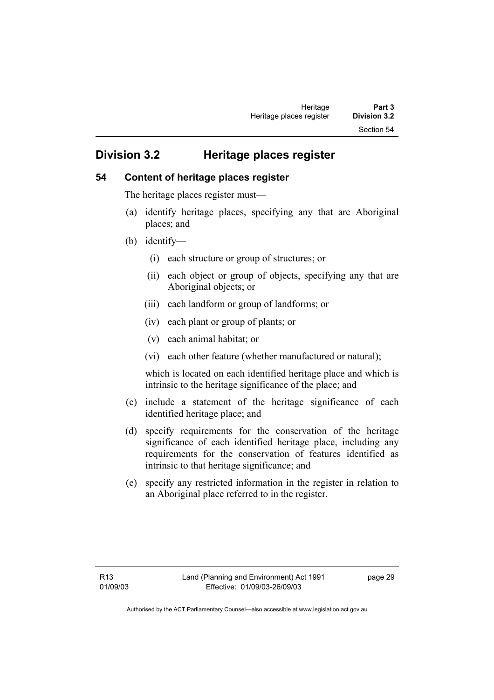## **Division 3.2 Heritage places register**

#### **54 Content of heritage places register**

The heritage places register must—

- (a) identify heritage places, specifying any that are Aboriginal places; and
- (b) identify—
	- (i) each structure or group of structures; or
	- (ii) each object or group of objects, specifying any that are Aboriginal objects; or
	- (iii) each landform or group of landforms; or
	- (iv) each plant or group of plants; or
	- (v) each animal habitat; or
	- (vi) each other feature (whether manufactured or natural);

which is located on each identified heritage place and which is intrinsic to the heritage significance of the place; and

- (c) include a statement of the heritage significance of each identified heritage place; and
- (d) specify requirements for the conservation of the heritage significance of each identified heritage place, including any requirements for the conservation of features identified as intrinsic to that heritage significance; and
- (e) specify any restricted information in the register in relation to an Aboriginal place referred to in the register.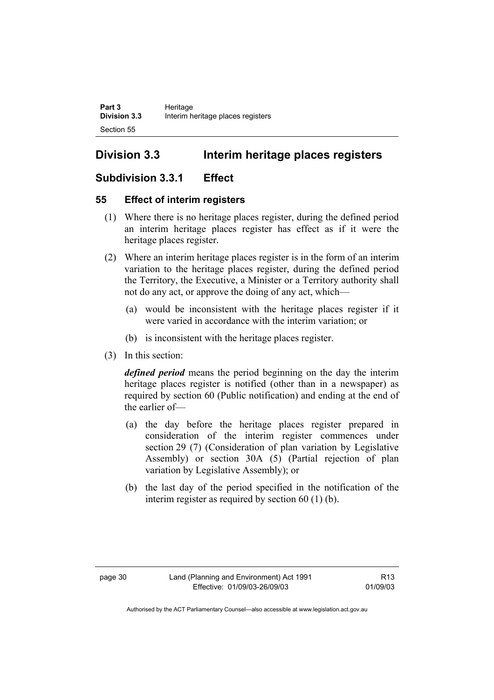## **Division 3.3 Interim heritage places registers**

## **Subdivision 3.3.1 Effect**

## **55 Effect of interim registers**

- (1) Where there is no heritage places register, during the defined period an interim heritage places register has effect as if it were the heritage places register.
- (2) Where an interim heritage places register is in the form of an interim variation to the heritage places register, during the defined period the Territory, the Executive, a Minister or a Territory authority shall not do any act, or approve the doing of any act, which—
	- (a) would be inconsistent with the heritage places register if it were varied in accordance with the interim variation; or
	- (b) is inconsistent with the heritage places register.
- (3) In this section:

*defined period* means the period beginning on the day the interim heritage places register is notified (other than in a newspaper) as required by section 60 (Public notification) and ending at the end of the earlier of—

- (a) the day before the heritage places register prepared in consideration of the interim register commences under section 29 (7) (Consideration of plan variation by Legislative Assembly) or section 30A (5) (Partial rejection of plan variation by Legislative Assembly); or
- (b) the last day of the period specified in the notification of the interim register as required by section 60 (1) (b).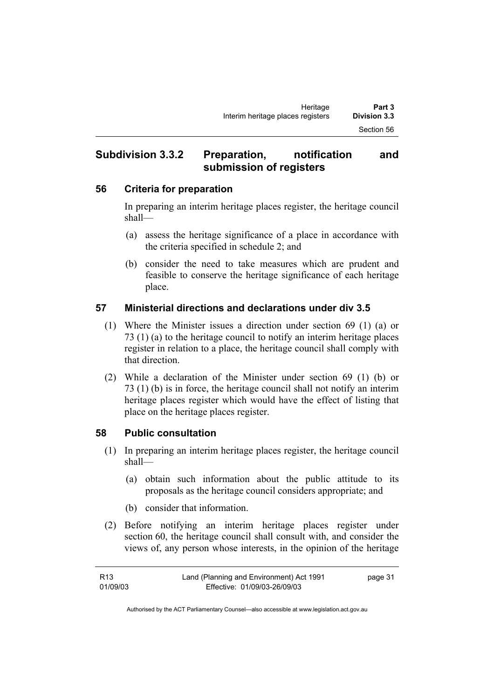## **Subdivision 3.3.2 Preparation, notification and submission of registers**

#### **56 Criteria for preparation**

In preparing an interim heritage places register, the heritage council shall—

- (a) assess the heritage significance of a place in accordance with the criteria specified in schedule 2; and
- (b) consider the need to take measures which are prudent and feasible to conserve the heritage significance of each heritage place.

## **57 Ministerial directions and declarations under div 3.5**

- (1) Where the Minister issues a direction under section 69 (1) (a) or 73 (1) (a) to the heritage council to notify an interim heritage places register in relation to a place, the heritage council shall comply with that direction.
- (2) While a declaration of the Minister under section 69 (1) (b) or 73 (1) (b) is in force, the heritage council shall not notify an interim heritage places register which would have the effect of listing that place on the heritage places register.

## **58 Public consultation**

- (1) In preparing an interim heritage places register, the heritage council shall—
	- (a) obtain such information about the public attitude to its proposals as the heritage council considers appropriate; and
	- (b) consider that information.
- (2) Before notifying an interim heritage places register under section 60, the heritage council shall consult with, and consider the views of, any person whose interests, in the opinion of the heritage

| R13      | Land (Planning and Environment) Act 1991 | page 31 |
|----------|------------------------------------------|---------|
| 01/09/03 | Effective: 01/09/03-26/09/03             |         |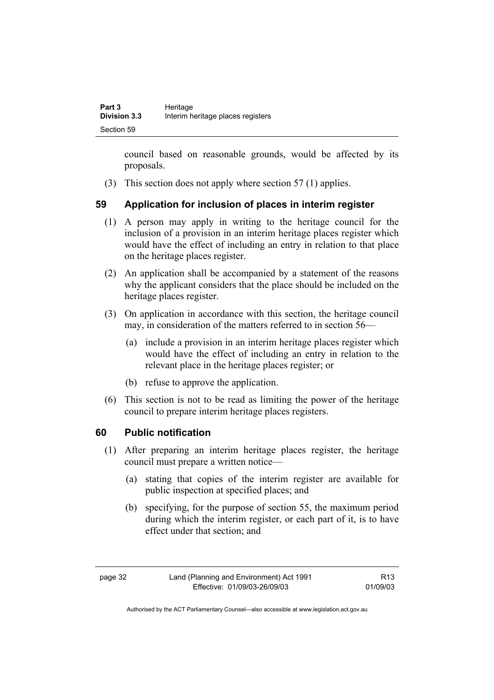council based on reasonable grounds, would be affected by its proposals.

(3) This section does not apply where section 57 (1) applies.

## **59 Application for inclusion of places in interim register**

- (1) A person may apply in writing to the heritage council for the inclusion of a provision in an interim heritage places register which would have the effect of including an entry in relation to that place on the heritage places register.
- (2) An application shall be accompanied by a statement of the reasons why the applicant considers that the place should be included on the heritage places register.
- (3) On application in accordance with this section, the heritage council may, in consideration of the matters referred to in section 56—
	- (a) include a provision in an interim heritage places register which would have the effect of including an entry in relation to the relevant place in the heritage places register; or
	- (b) refuse to approve the application.
- (6) This section is not to be read as limiting the power of the heritage council to prepare interim heritage places registers.

## **60 Public notification**

- (1) After preparing an interim heritage places register, the heritage council must prepare a written notice—
	- (a) stating that copies of the interim register are available for public inspection at specified places; and
	- (b) specifying, for the purpose of section 55, the maximum period during which the interim register, or each part of it, is to have effect under that section; and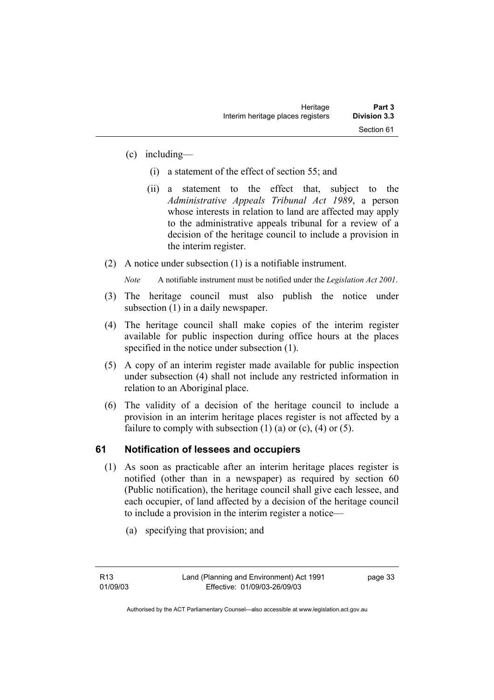- (c) including—
	- (i) a statement of the effect of section 55; and
	- (ii) a statement to the effect that, subject to the *Administrative Appeals Tribunal Act 1989*, a person whose interests in relation to land are affected may apply to the administrative appeals tribunal for a review of a decision of the heritage council to include a provision in the interim register.
- (2) A notice under subsection (1) is a notifiable instrument.

*Note* A notifiable instrument must be notified under the *Legislation Act 2001*.

- (3) The heritage council must also publish the notice under subsection (1) in a daily newspaper.
- (4) The heritage council shall make copies of the interim register available for public inspection during office hours at the places specified in the notice under subsection (1).
- (5) A copy of an interim register made available for public inspection under subsection (4) shall not include any restricted information in relation to an Aboriginal place.
- (6) The validity of a decision of the heritage council to include a provision in an interim heritage places register is not affected by a failure to comply with subsection  $(1)$   $(a)$  or  $(c)$ ,  $(4)$  or  $(5)$ .

## **61 Notification of lessees and occupiers**

- (1) As soon as practicable after an interim heritage places register is notified (other than in a newspaper) as required by section 60 (Public notification), the heritage council shall give each lessee, and each occupier, of land affected by a decision of the heritage council to include a provision in the interim register a notice—
	- (a) specifying that provision; and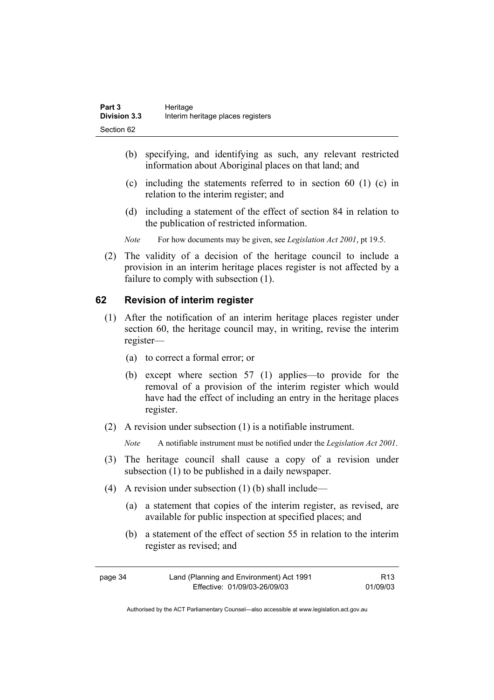- (b) specifying, and identifying as such, any relevant restricted information about Aboriginal places on that land; and
- (c) including the statements referred to in section 60 (1) (c) in relation to the interim register; and
- (d) including a statement of the effect of section 84 in relation to the publication of restricted information.
- *Note* For how documents may be given, see *Legislation Act 2001*, pt 19.5.
- (2) The validity of a decision of the heritage council to include a provision in an interim heritage places register is not affected by a failure to comply with subsection (1).

#### **62 Revision of interim register**

- (1) After the notification of an interim heritage places register under section 60, the heritage council may, in writing, revise the interim register—
	- (a) to correct a formal error; or
	- (b) except where section 57 (1) applies—to provide for the removal of a provision of the interim register which would have had the effect of including an entry in the heritage places register.
- (2) A revision under subsection (1) is a notifiable instrument.

*Note* A notifiable instrument must be notified under the *Legislation Act 2001*.

- (3) The heritage council shall cause a copy of a revision under subsection (1) to be published in a daily newspaper.
- (4) A revision under subsection (1) (b) shall include—
	- (a) a statement that copies of the interim register, as revised, are available for public inspection at specified places; and
	- (b) a statement of the effect of section 55 in relation to the interim register as revised; and

| page 34 | Land (Planning and Environment) Act 1991 | R13      |
|---------|------------------------------------------|----------|
|         | Effective: 01/09/03-26/09/03             | 01/09/03 |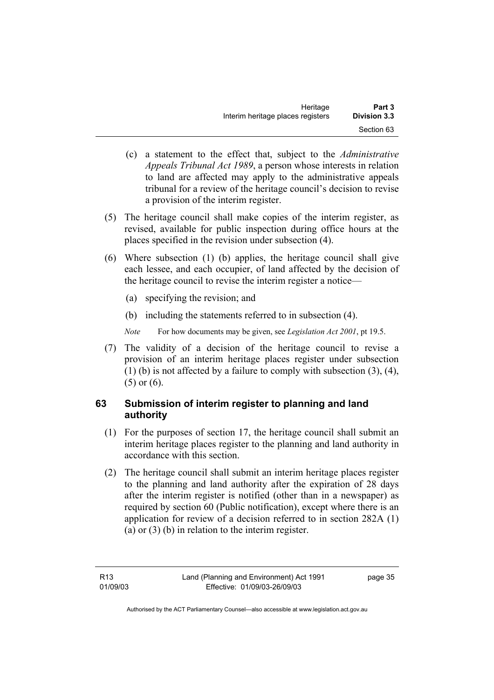| Heritage                          | Part 3              |
|-----------------------------------|---------------------|
| Interim heritage places registers | <b>Division 3.3</b> |
|                                   | Section 63          |

- (c) a statement to the effect that, subject to the *Administrative Appeals Tribunal Act 1989*, a person whose interests in relation to land are affected may apply to the administrative appeals tribunal for a review of the heritage council's decision to revise a provision of the interim register.
- (5) The heritage council shall make copies of the interim register, as revised, available for public inspection during office hours at the places specified in the revision under subsection (4).
- (6) Where subsection (1) (b) applies, the heritage council shall give each lessee, and each occupier, of land affected by the decision of the heritage council to revise the interim register a notice—
	- (a) specifying the revision; and
	- (b) including the statements referred to in subsection (4).
	- *Note* For how documents may be given, see *Legislation Act 2001*, pt 19.5.
- (7) The validity of a decision of the heritage council to revise a provision of an interim heritage places register under subsection (1) (b) is not affected by a failure to comply with subsection (3), (4), (5) or (6).

## **63 Submission of interim register to planning and land authority**

- (1) For the purposes of section 17, the heritage council shall submit an interim heritage places register to the planning and land authority in accordance with this section.
- (2) The heritage council shall submit an interim heritage places register to the planning and land authority after the expiration of 28 days after the interim register is notified (other than in a newspaper) as required by section 60 (Public notification), except where there is an application for review of a decision referred to in section 282A (1) (a) or (3) (b) in relation to the interim register.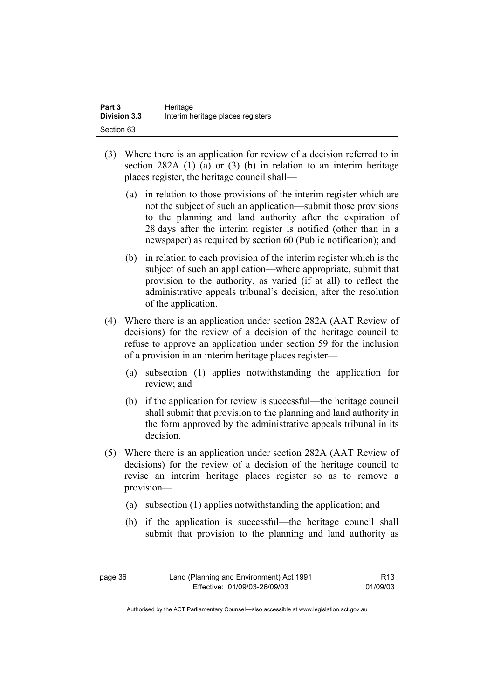| Part 3              | Heritage                          |
|---------------------|-----------------------------------|
| <b>Division 3.3</b> | Interim heritage places registers |
| Section 63          |                                   |

- (3) Where there is an application for review of a decision referred to in section 282A (1) (a) or (3) (b) in relation to an interim heritage places register, the heritage council shall—
	- (a) in relation to those provisions of the interim register which are not the subject of such an application—submit those provisions to the planning and land authority after the expiration of 28 days after the interim register is notified (other than in a newspaper) as required by section 60 (Public notification); and
	- (b) in relation to each provision of the interim register which is the subject of such an application—where appropriate, submit that provision to the authority, as varied (if at all) to reflect the administrative appeals tribunal's decision, after the resolution of the application.
- (4) Where there is an application under section 282A (AAT Review of decisions) for the review of a decision of the heritage council to refuse to approve an application under section 59 for the inclusion of a provision in an interim heritage places register—
	- (a) subsection (1) applies notwithstanding the application for review; and
	- (b) if the application for review is successful—the heritage council shall submit that provision to the planning and land authority in the form approved by the administrative appeals tribunal in its decision.
- (5) Where there is an application under section 282A (AAT Review of decisions) for the review of a decision of the heritage council to revise an interim heritage places register so as to remove a provision—
	- (a) subsection (1) applies notwithstanding the application; and
	- (b) if the application is successful—the heritage council shall submit that provision to the planning and land authority as

R13 01/09/03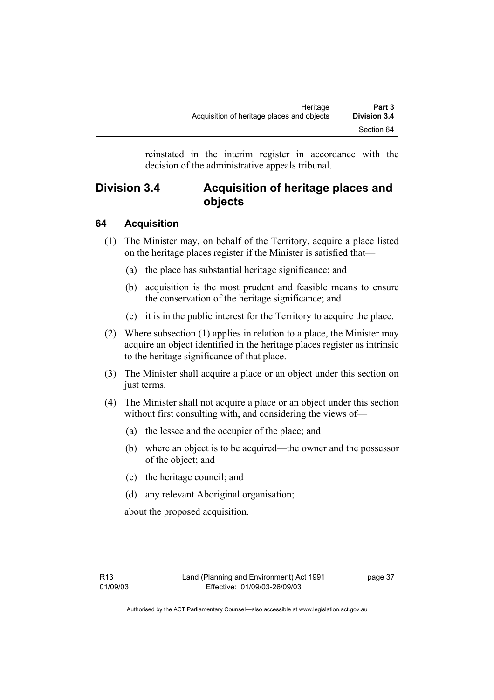reinstated in the interim register in accordance with the decision of the administrative appeals tribunal.

## **Division 3.4 Acquisition of heritage places and objects**

## **64 Acquisition**

- (1) The Minister may, on behalf of the Territory, acquire a place listed on the heritage places register if the Minister is satisfied that—
	- (a) the place has substantial heritage significance; and
	- (b) acquisition is the most prudent and feasible means to ensure the conservation of the heritage significance; and
	- (c) it is in the public interest for the Territory to acquire the place.
- (2) Where subsection (1) applies in relation to a place, the Minister may acquire an object identified in the heritage places register as intrinsic to the heritage significance of that place.
- (3) The Minister shall acquire a place or an object under this section on just terms.
- (4) The Minister shall not acquire a place or an object under this section without first consulting with, and considering the views of—
	- (a) the lessee and the occupier of the place; and
	- (b) where an object is to be acquired—the owner and the possessor of the object; and
	- (c) the heritage council; and
	- (d) any relevant Aboriginal organisation;

about the proposed acquisition.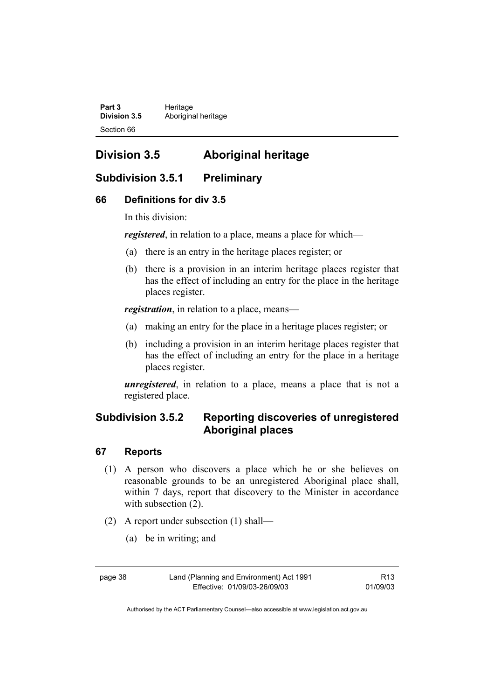Part 3 **Heritage Division 3.5** Aboriginal heritage Section 66

## **Division 3.5 Aboriginal heritage**

## **Subdivision 3.5.1 Preliminary**

#### **66 Definitions for div 3.5**

In this division:

*registered*, in relation to a place, means a place for which—

- (a) there is an entry in the heritage places register; or
- (b) there is a provision in an interim heritage places register that has the effect of including an entry for the place in the heritage places register.

*registration*, in relation to a place, means—

- (a) making an entry for the place in a heritage places register; or
- (b) including a provision in an interim heritage places register that has the effect of including an entry for the place in a heritage places register.

*unregistered*, in relation to a place, means a place that is not a registered place.

## **Subdivision 3.5.2 Reporting discoveries of unregistered Aboriginal places**

#### **67 Reports**

- (1) A person who discovers a place which he or she believes on reasonable grounds to be an unregistered Aboriginal place shall, within 7 days, report that discovery to the Minister in accordance with subsection  $(2)$ .
- (2) A report under subsection (1) shall—
	- (a) be in writing; and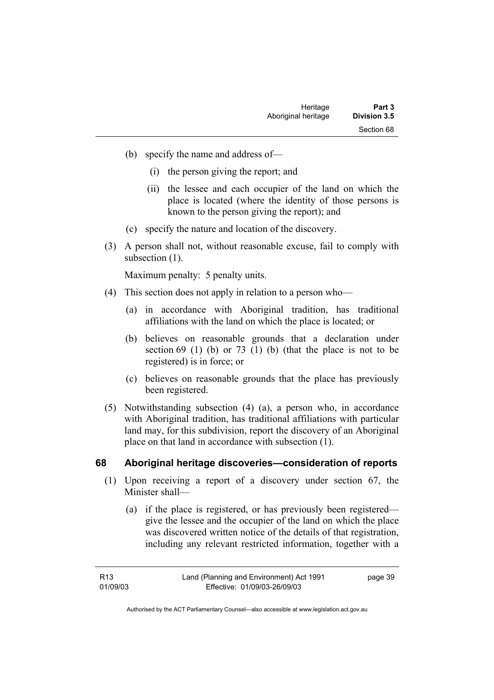- (b) specify the name and address of—
	- (i) the person giving the report; and
	- (ii) the lessee and each occupier of the land on which the place is located (where the identity of those persons is known to the person giving the report); and
- (c) specify the nature and location of the discovery.
- (3) A person shall not, without reasonable excuse, fail to comply with subsection  $(1)$ .

Maximum penalty: 5 penalty units.

- (4) This section does not apply in relation to a person who—
	- (a) in accordance with Aboriginal tradition, has traditional affiliations with the land on which the place is located; or
	- (b) believes on reasonable grounds that a declaration under section  $69$  (1) (b) or  $73$  (1) (b) (that the place is not to be registered) is in force; or
	- (c) believes on reasonable grounds that the place has previously been registered.
- (5) Notwithstanding subsection (4) (a), a person who, in accordance with Aboriginal tradition, has traditional affiliations with particular land may, for this subdivision, report the discovery of an Aboriginal place on that land in accordance with subsection (1).

#### **68 Aboriginal heritage discoveries—consideration of reports**

- (1) Upon receiving a report of a discovery under section 67, the Minister shall—
	- (a) if the place is registered, or has previously been registered give the lessee and the occupier of the land on which the place was discovered written notice of the details of that registration, including any relevant restricted information, together with a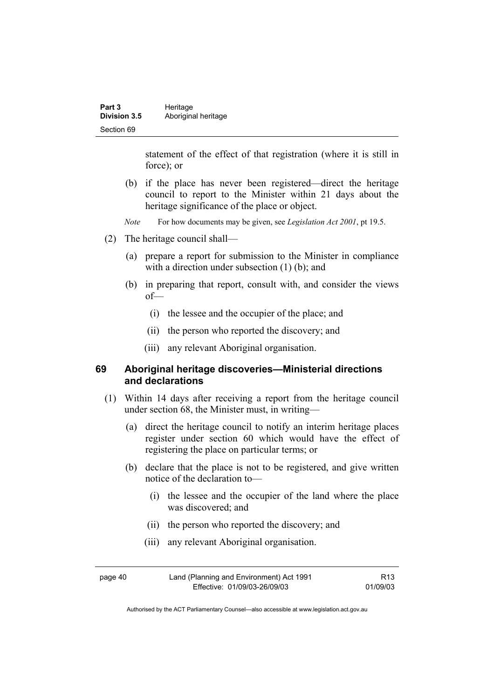| Part 3              | Heritage            |
|---------------------|---------------------|
| <b>Division 3.5</b> | Aboriginal heritage |
| Section 69          |                     |

statement of the effect of that registration (where it is still in force); or

- (b) if the place has never been registered—direct the heritage council to report to the Minister within 21 days about the heritage significance of the place or object.
- *Note* For how documents may be given, see *Legislation Act 2001*, pt 19.5.
- (2) The heritage council shall—
	- (a) prepare a report for submission to the Minister in compliance with a direction under subsection (1) (b); and
	- (b) in preparing that report, consult with, and consider the views of—
		- (i) the lessee and the occupier of the place; and
		- (ii) the person who reported the discovery; and
		- (iii) any relevant Aboriginal organisation.

#### **69 Aboriginal heritage discoveries—Ministerial directions and declarations**

- (1) Within 14 days after receiving a report from the heritage council under section 68, the Minister must, in writing—
	- (a) direct the heritage council to notify an interim heritage places register under section 60 which would have the effect of registering the place on particular terms; or
	- (b) declare that the place is not to be registered, and give written notice of the declaration to—
		- (i) the lessee and the occupier of the land where the place was discovered; and
		- (ii) the person who reported the discovery; and
		- (iii) any relevant Aboriginal organisation.

| page 40 | Land (Planning and Environment) Act 1991 | R <sub>13</sub> |
|---------|------------------------------------------|-----------------|
|         | Effective: 01/09/03-26/09/03             | 01/09/03        |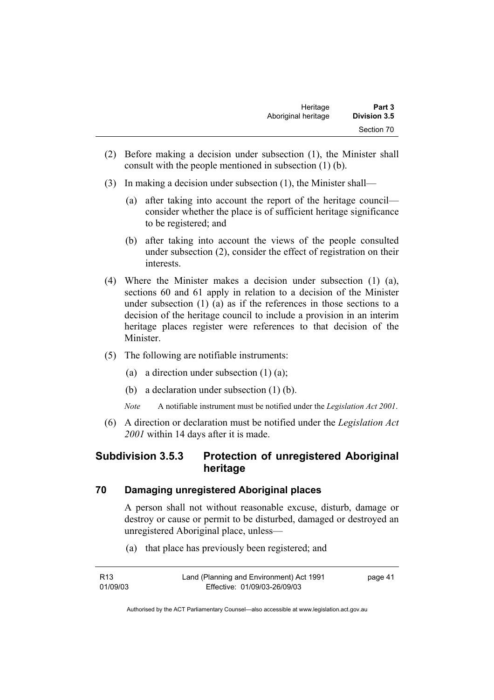| Heritage            | Part 3              |
|---------------------|---------------------|
| Aboriginal heritage | <b>Division 3.5</b> |
|                     | Section 70          |

- (2) Before making a decision under subsection (1), the Minister shall consult with the people mentioned in subsection (1) (b).
- (3) In making a decision under subsection (1), the Minister shall—
	- (a) after taking into account the report of the heritage council consider whether the place is of sufficient heritage significance to be registered; and
	- (b) after taking into account the views of the people consulted under subsection (2), consider the effect of registration on their interests.
- (4) Where the Minister makes a decision under subsection (1) (a), sections 60 and 61 apply in relation to a decision of the Minister under subsection (1) (a) as if the references in those sections to a decision of the heritage council to include a provision in an interim heritage places register were references to that decision of the Minister.
- (5) The following are notifiable instruments:
	- (a) a direction under subsection  $(1)$   $(a)$ ;
	- (b) a declaration under subsection (1) (b).
	- *Note* A notifiable instrument must be notified under the *Legislation Act 2001*.
- (6) A direction or declaration must be notified under the *Legislation Act 2001* within 14 days after it is made.

## **Subdivision 3.5.3 Protection of unregistered Aboriginal heritage**

#### **70 Damaging unregistered Aboriginal places**

A person shall not without reasonable excuse, disturb, damage or destroy or cause or permit to be disturbed, damaged or destroyed an unregistered Aboriginal place, unless—

(a) that place has previously been registered; and

| R13      | Land (Planning and Environment) Act 1991 | page 41 |
|----------|------------------------------------------|---------|
| 01/09/03 | Effective: 01/09/03-26/09/03             |         |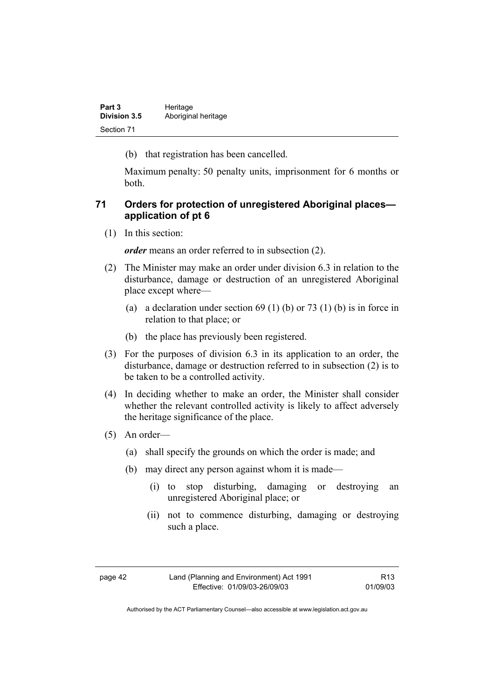| Part 3              | Heritage            |
|---------------------|---------------------|
| <b>Division 3.5</b> | Aboriginal heritage |
| Section 71          |                     |

(b) that registration has been cancelled.

Maximum penalty: 50 penalty units, imprisonment for 6 months or both.

### **71 Orders for protection of unregistered Aboriginal places application of pt 6**

(1) In this section:

*order* means an order referred to in subsection (2).

- (2) The Minister may make an order under division 6.3 in relation to the disturbance, damage or destruction of an unregistered Aboriginal place except where—
	- (a) a declaration under section  $69 (1) (b)$  or  $73 (1) (b)$  is in force in relation to that place; or
	- (b) the place has previously been registered.
- (3) For the purposes of division 6.3 in its application to an order, the disturbance, damage or destruction referred to in subsection (2) is to be taken to be a controlled activity.
- (4) In deciding whether to make an order, the Minister shall consider whether the relevant controlled activity is likely to affect adversely the heritage significance of the place.
- (5) An order—
	- (a) shall specify the grounds on which the order is made; and
	- (b) may direct any person against whom it is made—
		- (i) to stop disturbing, damaging or destroying an unregistered Aboriginal place; or
		- (ii) not to commence disturbing, damaging or destroying such a place.

| τ<br>и<br>16<br>٠ |  |
|-------------------|--|
|-------------------|--|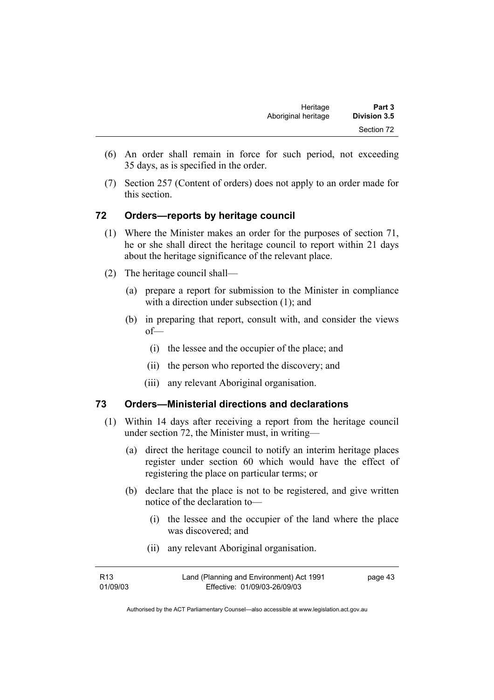- (6) An order shall remain in force for such period, not exceeding 35 days, as is specified in the order.
- (7) Section 257 (Content of orders) does not apply to an order made for this section.

#### **72 Orders—reports by heritage council**

- (1) Where the Minister makes an order for the purposes of section 71, he or she shall direct the heritage council to report within 21 days about the heritage significance of the relevant place.
- (2) The heritage council shall—
	- (a) prepare a report for submission to the Minister in compliance with a direction under subsection (1); and
	- (b) in preparing that report, consult with, and consider the views of—
		- (i) the lessee and the occupier of the place; and
		- (ii) the person who reported the discovery; and
		- (iii) any relevant Aboriginal organisation.

#### **73 Orders—Ministerial directions and declarations**

- (1) Within 14 days after receiving a report from the heritage council under section 72, the Minister must, in writing—
	- (a) direct the heritage council to notify an interim heritage places register under section 60 which would have the effect of registering the place on particular terms; or
	- (b) declare that the place is not to be registered, and give written notice of the declaration to—
		- (i) the lessee and the occupier of the land where the place was discovered; and
		- (ii) any relevant Aboriginal organisation.

| R13      | Land (Planning and Environment) Act 1991 | page 43 |
|----------|------------------------------------------|---------|
| 01/09/03 | Effective: 01/09/03-26/09/03             |         |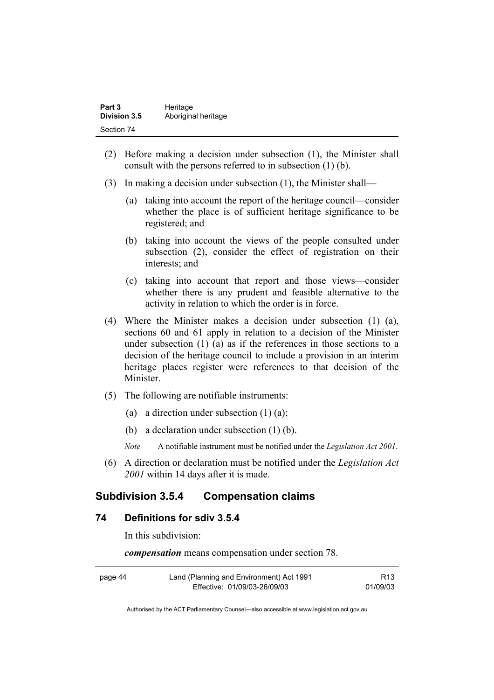| Part 3              | Heritage            |
|---------------------|---------------------|
| <b>Division 3.5</b> | Aboriginal heritage |
| Section 74          |                     |

- (2) Before making a decision under subsection (1), the Minister shall consult with the persons referred to in subsection (1) (b).
- (3) In making a decision under subsection (1), the Minister shall—
	- (a) taking into account the report of the heritage council—consider whether the place is of sufficient heritage significance to be registered; and
	- (b) taking into account the views of the people consulted under subsection (2), consider the effect of registration on their interests; and
	- (c) taking into account that report and those views—consider whether there is any prudent and feasible alternative to the activity in relation to which the order is in force.
- (4) Where the Minister makes a decision under subsection (1) (a), sections 60 and 61 apply in relation to a decision of the Minister under subsection (1) (a) as if the references in those sections to a decision of the heritage council to include a provision in an interim heritage places register were references to that decision of the Minister.
- (5) The following are notifiable instruments:
	- (a) a direction under subsection  $(1)$   $(a)$ ;
	- (b) a declaration under subsection (1) (b).
	- *Note* A notifiable instrument must be notified under the *Legislation Act 2001*.
- (6) A direction or declaration must be notified under the *Legislation Act 2001* within 14 days after it is made.

## **Subdivision 3.5.4 Compensation claims**

#### **74 Definitions for sdiv 3.5.4**

In this subdivision:

*compensation* means compensation under section 78.

| page 44 | Land (Planning and Environment) Act 1991 | R13      |
|---------|------------------------------------------|----------|
|         | Effective: 01/09/03-26/09/03             | 01/09/03 |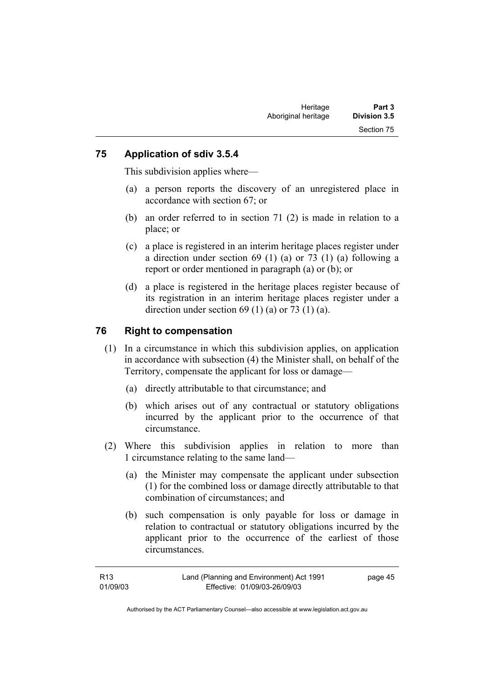#### **75 Application of sdiv 3.5.4**

This subdivision applies where—

- (a) a person reports the discovery of an unregistered place in accordance with section 67; or
- (b) an order referred to in section 71 (2) is made in relation to a place; or
- (c) a place is registered in an interim heritage places register under a direction under section 69 (1) (a) or 73 (1) (a) following a report or order mentioned in paragraph (a) or (b); or
- (d) a place is registered in the heritage places register because of its registration in an interim heritage places register under a direction under section  $69$  (1) (a) or  $73$  (1) (a).

#### **76 Right to compensation**

- (1) In a circumstance in which this subdivision applies, on application in accordance with subsection (4) the Minister shall, on behalf of the Territory, compensate the applicant for loss or damage—
	- (a) directly attributable to that circumstance; and
	- (b) which arises out of any contractual or statutory obligations incurred by the applicant prior to the occurrence of that circumstance.
- (2) Where this subdivision applies in relation to more than 1 circumstance relating to the same land—
	- (a) the Minister may compensate the applicant under subsection (1) for the combined loss or damage directly attributable to that combination of circumstances; and
	- (b) such compensation is only payable for loss or damage in relation to contractual or statutory obligations incurred by the applicant prior to the occurrence of the earliest of those circumstances.

| R13      | Land (Planning and Environment) Act 1991 | page 45 |
|----------|------------------------------------------|---------|
| 01/09/03 | Effective: 01/09/03-26/09/03             |         |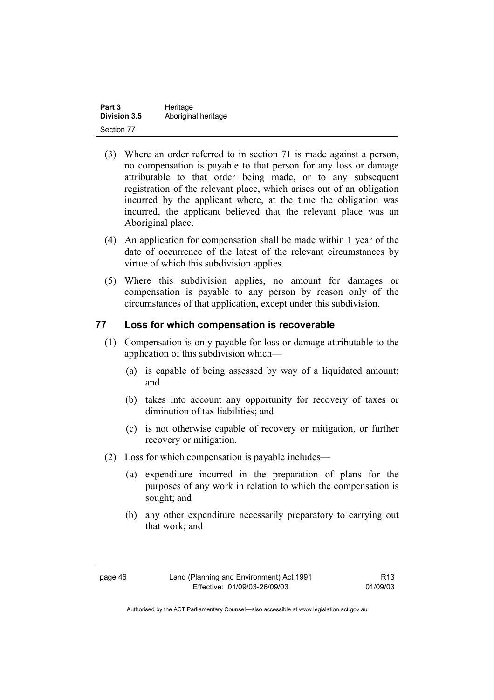| Part 3              | Heritage            |
|---------------------|---------------------|
| <b>Division 3.5</b> | Aboriginal heritage |
| Section 77          |                     |

- (3) Where an order referred to in section 71 is made against a person, no compensation is payable to that person for any loss or damage attributable to that order being made, or to any subsequent registration of the relevant place, which arises out of an obligation incurred by the applicant where, at the time the obligation was incurred, the applicant believed that the relevant place was an Aboriginal place.
- (4) An application for compensation shall be made within 1 year of the date of occurrence of the latest of the relevant circumstances by virtue of which this subdivision applies.
- (5) Where this subdivision applies, no amount for damages or compensation is payable to any person by reason only of the circumstances of that application, except under this subdivision.

#### **77 Loss for which compensation is recoverable**

- (1) Compensation is only payable for loss or damage attributable to the application of this subdivision which—
	- (a) is capable of being assessed by way of a liquidated amount; and
	- (b) takes into account any opportunity for recovery of taxes or diminution of tax liabilities; and
	- (c) is not otherwise capable of recovery or mitigation, or further recovery or mitigation.
- (2) Loss for which compensation is payable includes—
	- (a) expenditure incurred in the preparation of plans for the purposes of any work in relation to which the compensation is sought; and
	- (b) any other expenditure necessarily preparatory to carrying out that work; and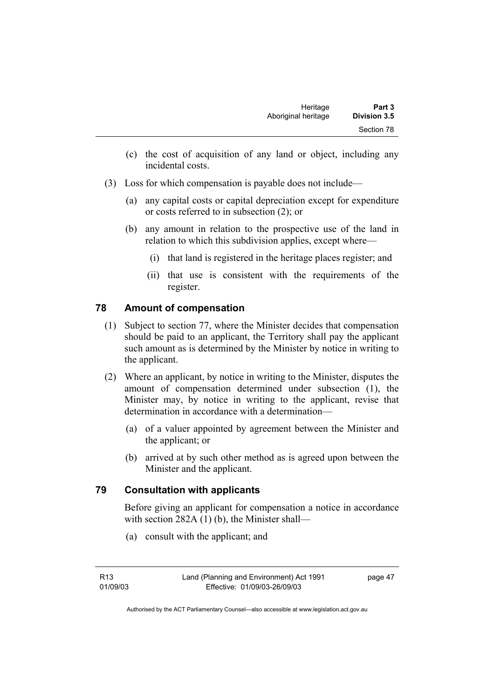- (c) the cost of acquisition of any land or object, including any incidental costs.
- (3) Loss for which compensation is payable does not include—
	- (a) any capital costs or capital depreciation except for expenditure or costs referred to in subsection (2); or
	- (b) any amount in relation to the prospective use of the land in relation to which this subdivision applies, except where—
		- (i) that land is registered in the heritage places register; and
		- (ii) that use is consistent with the requirements of the register.

## **78 Amount of compensation**

- (1) Subject to section 77, where the Minister decides that compensation should be paid to an applicant, the Territory shall pay the applicant such amount as is determined by the Minister by notice in writing to the applicant.
- (2) Where an applicant, by notice in writing to the Minister, disputes the amount of compensation determined under subsection (1), the Minister may, by notice in writing to the applicant, revise that determination in accordance with a determination—
	- (a) of a valuer appointed by agreement between the Minister and the applicant; or
	- (b) arrived at by such other method as is agreed upon between the Minister and the applicant.

## **79 Consultation with applicants**

Before giving an applicant for compensation a notice in accordance with section 282A (1) (b), the Minister shall—

(a) consult with the applicant; and

page 47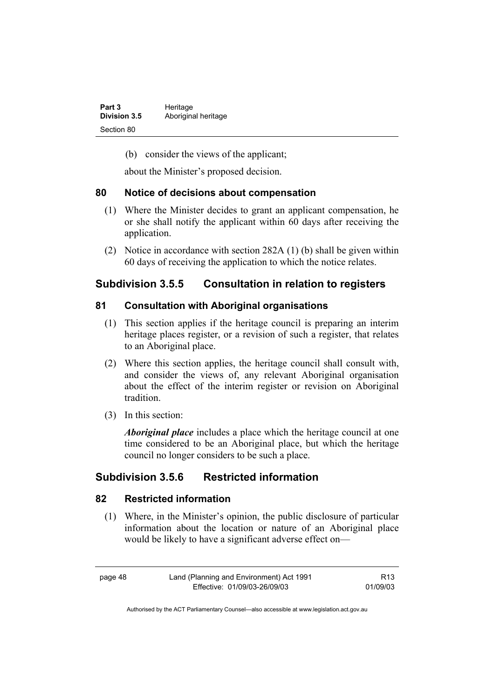| Part 3              | Heritage            |
|---------------------|---------------------|
| <b>Division 3.5</b> | Aboriginal heritage |
| Section 80          |                     |

(b) consider the views of the applicant;

about the Minister's proposed decision.

#### **80 Notice of decisions about compensation**

- (1) Where the Minister decides to grant an applicant compensation, he or she shall notify the applicant within 60 days after receiving the application.
- (2) Notice in accordance with section 282A (1) (b) shall be given within 60 days of receiving the application to which the notice relates.

## **Subdivision 3.5.5 Consultation in relation to registers**

#### **81 Consultation with Aboriginal organisations**

- (1) This section applies if the heritage council is preparing an interim heritage places register, or a revision of such a register, that relates to an Aboriginal place.
- (2) Where this section applies, the heritage council shall consult with, and consider the views of, any relevant Aboriginal organisation about the effect of the interim register or revision on Aboriginal tradition.
- (3) In this section:

*Aboriginal place* includes a place which the heritage council at one time considered to be an Aboriginal place, but which the heritage council no longer considers to be such a place.

## **Subdivision 3.5.6 Restricted information**

#### **82 Restricted information**

 (1) Where, in the Minister's opinion, the public disclosure of particular information about the location or nature of an Aboriginal place would be likely to have a significant adverse effect on—

R13 01/09/03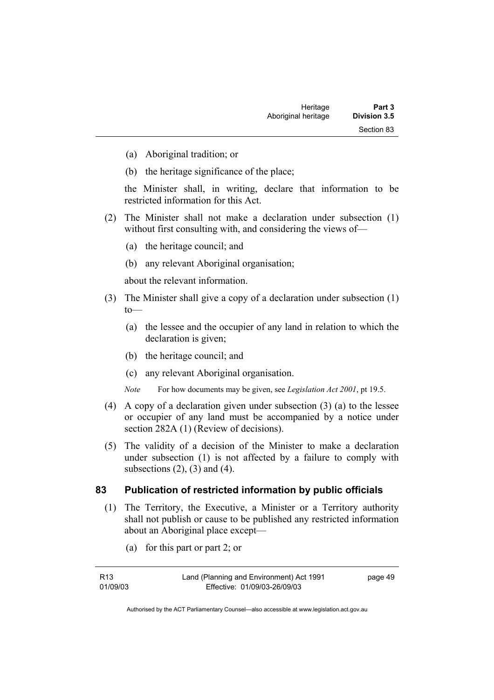- (a) Aboriginal tradition; or
- (b) the heritage significance of the place;

the Minister shall, in writing, declare that information to be restricted information for this Act.

- (2) The Minister shall not make a declaration under subsection (1) without first consulting with, and considering the views of-
	- (a) the heritage council; and
	- (b) any relevant Aboriginal organisation;

about the relevant information.

- (3) The Minister shall give a copy of a declaration under subsection (1)  $to$ —
	- (a) the lessee and the occupier of any land in relation to which the declaration is given;
	- (b) the heritage council; and
	- (c) any relevant Aboriginal organisation.

*Note* For how documents may be given, see *Legislation Act 2001*, pt 19.5.

- (4) A copy of a declaration given under subsection (3) (a) to the lessee or occupier of any land must be accompanied by a notice under section 282A (1) (Review of decisions).
- (5) The validity of a decision of the Minister to make a declaration under subsection (1) is not affected by a failure to comply with subsections  $(2)$ ,  $(3)$  and  $(4)$ .

#### **83 Publication of restricted information by public officials**

- (1) The Territory, the Executive, a Minister or a Territory authority shall not publish or cause to be published any restricted information about an Aboriginal place except—
	- (a) for this part or part 2; or

| R13      | Land (Planning and Environment) Act 1991 | page 49 |
|----------|------------------------------------------|---------|
| 01/09/03 | Effective: 01/09/03-26/09/03             |         |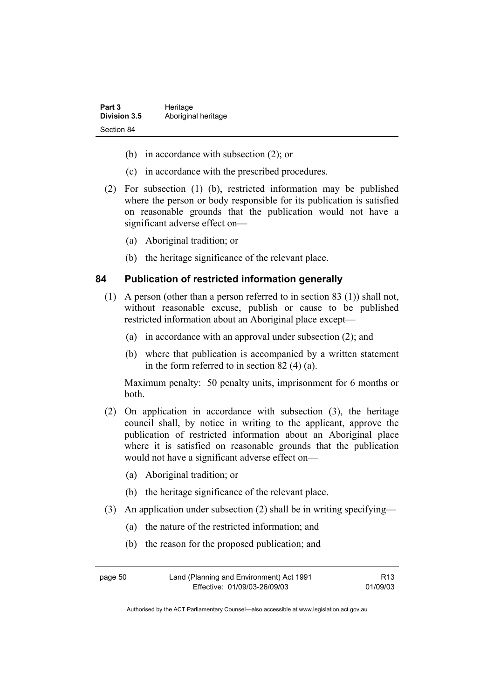| Part 3              | Heritage            |  |
|---------------------|---------------------|--|
| <b>Division 3.5</b> | Aboriginal heritage |  |
| Section 84          |                     |  |

- (b) in accordance with subsection (2); or
- (c) in accordance with the prescribed procedures.
- (2) For subsection (1) (b), restricted information may be published where the person or body responsible for its publication is satisfied on reasonable grounds that the publication would not have a significant adverse effect on—
	- (a) Aboriginal tradition; or
	- (b) the heritage significance of the relevant place.

#### **84 Publication of restricted information generally**

- (1) A person (other than a person referred to in section 83 (1)) shall not, without reasonable excuse, publish or cause to be published restricted information about an Aboriginal place except—
	- (a) in accordance with an approval under subsection (2); and
	- (b) where that publication is accompanied by a written statement in the form referred to in section 82 (4) (a).

Maximum penalty: 50 penalty units, imprisonment for 6 months or both.

- (2) On application in accordance with subsection (3), the heritage council shall, by notice in writing to the applicant, approve the publication of restricted information about an Aboriginal place where it is satisfied on reasonable grounds that the publication would not have a significant adverse effect on—
	- (a) Aboriginal tradition; or
	- (b) the heritage significance of the relevant place.
- (3) An application under subsection (2) shall be in writing specifying—
	- (a) the nature of the restricted information; and
	- (b) the reason for the proposed publication; and

| page 50 | Land (Planning and Environment) Act 1991 | R <sub>13</sub> |
|---------|------------------------------------------|-----------------|
|         | Effective: 01/09/03-26/09/03             | 01/09/03        |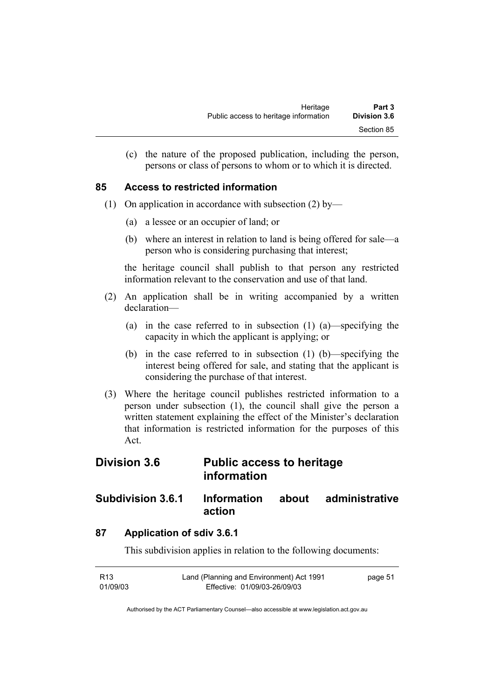(c) the nature of the proposed publication, including the person, persons or class of persons to whom or to which it is directed.

#### **85 Access to restricted information**

- (1) On application in accordance with subsection (2) by—
	- (a) a lessee or an occupier of land; or
	- (b) where an interest in relation to land is being offered for sale—a person who is considering purchasing that interest;

the heritage council shall publish to that person any restricted information relevant to the conservation and use of that land.

- (2) An application shall be in writing accompanied by a written declaration—
	- (a) in the case referred to in subsection (1) (a)—specifying the capacity in which the applicant is applying; or
	- (b) in the case referred to in subsection (1) (b)—specifying the interest being offered for sale, and stating that the applicant is considering the purchase of that interest.
- (3) Where the heritage council publishes restricted information to a person under subsection (1), the council shall give the person a written statement explaining the effect of the Minister's declaration that information is restricted information for the purposes of this Act.

## **Division 3.6 Public access to heritage information**

## **Subdivision 3.6.1 Information about administrative action**

## **87 Application of sdiv 3.6.1**

This subdivision applies in relation to the following documents:

| R13      | Land (Planning and Environment) Act 1991 | page 51 |
|----------|------------------------------------------|---------|
| 01/09/03 | Effective: 01/09/03-26/09/03             |         |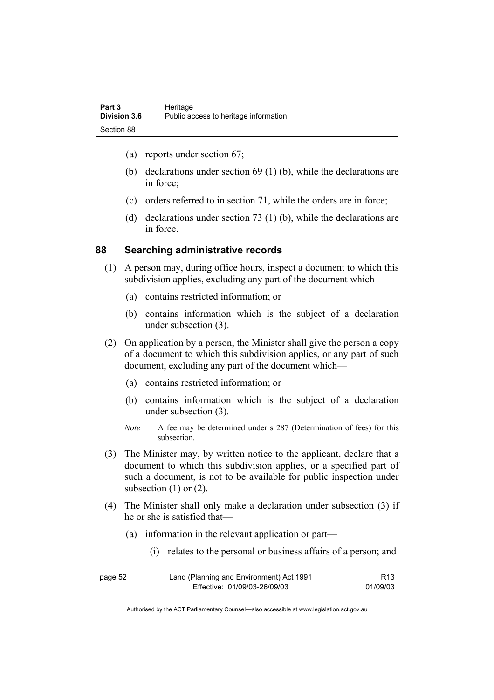- (a) reports under section 67;
- (b) declarations under section 69 (1) (b), while the declarations are in force;
- (c) orders referred to in section 71, while the orders are in force;
- (d) declarations under section 73 (1) (b), while the declarations are in force.

#### **88 Searching administrative records**

- (1) A person may, during office hours, inspect a document to which this subdivision applies, excluding any part of the document which—
	- (a) contains restricted information; or
	- (b) contains information which is the subject of a declaration under subsection (3).
- (2) On application by a person, the Minister shall give the person a copy of a document to which this subdivision applies, or any part of such document, excluding any part of the document which—
	- (a) contains restricted information; or
	- (b) contains information which is the subject of a declaration under subsection (3).
	- *Note* A fee may be determined under s 287 (Determination of fees) for this subsection.
- (3) The Minister may, by written notice to the applicant, declare that a document to which this subdivision applies, or a specified part of such a document, is not to be available for public inspection under subsection  $(1)$  or  $(2)$ .
- (4) The Minister shall only make a declaration under subsection (3) if he or she is satisfied that—
	- (a) information in the relevant application or part—
		- (i) relates to the personal or business affairs of a person; and

| page 52 | Land (Planning and Environment) Act 1991 | R13      |
|---------|------------------------------------------|----------|
|         | Effective: 01/09/03-26/09/03             | 01/09/03 |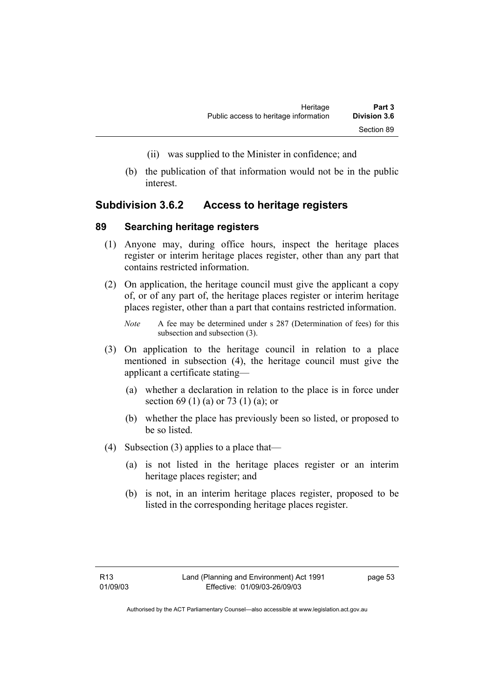- (ii) was supplied to the Minister in confidence; and
- (b) the publication of that information would not be in the public interest.

#### **Subdivision 3.6.2 Access to heritage registers**

#### **89 Searching heritage registers**

- (1) Anyone may, during office hours, inspect the heritage places register or interim heritage places register, other than any part that contains restricted information.
- (2) On application, the heritage council must give the applicant a copy of, or of any part of, the heritage places register or interim heritage places register, other than a part that contains restricted information.
	- *Note* A fee may be determined under s 287 (Determination of fees) for this subsection and subsection (3).
- (3) On application to the heritage council in relation to a place mentioned in subsection (4), the heritage council must give the applicant a certificate stating—
	- (a) whether a declaration in relation to the place is in force under section 69 (1) (a) or 73 (1) (a); or
	- (b) whether the place has previously been so listed, or proposed to be so listed.
- (4) Subsection (3) applies to a place that—
	- (a) is not listed in the heritage places register or an interim heritage places register; and
	- (b) is not, in an interim heritage places register, proposed to be listed in the corresponding heritage places register.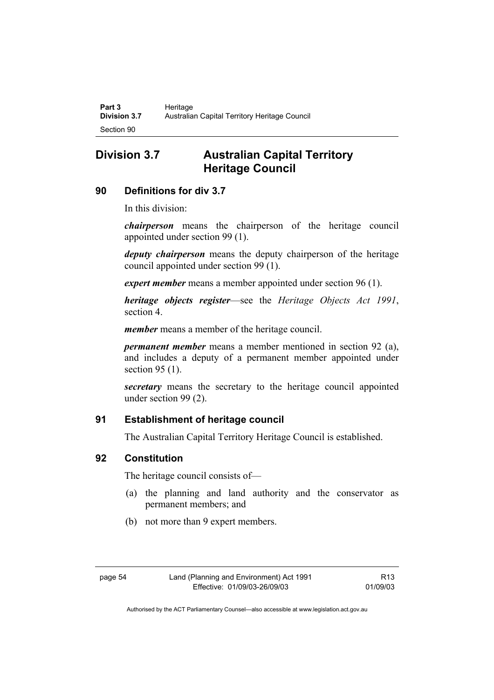## **Division 3.7 Australian Capital Territory Heritage Council**

## **90 Definitions for div 3.7**

In this division:

*chairperson* means the chairperson of the heritage council appointed under section 99 (1).

*deputy chairperson* means the deputy chairperson of the heritage council appointed under section 99 (1).

*expert member* means a member appointed under section 96 (1).

*heritage objects register*—see the *Heritage Objects Act 1991*, section 4.

*member* means a member of the heritage council.

*permanent member* means a member mentioned in section 92 (a), and includes a deputy of a permanent member appointed under section 95 (1).

*secretary* means the secretary to the heritage council appointed under section 99 (2).

## **91 Establishment of heritage council**

The Australian Capital Territory Heritage Council is established.

## **92 Constitution**

The heritage council consists of—

- (a) the planning and land authority and the conservator as permanent members; and
- (b) not more than 9 expert members.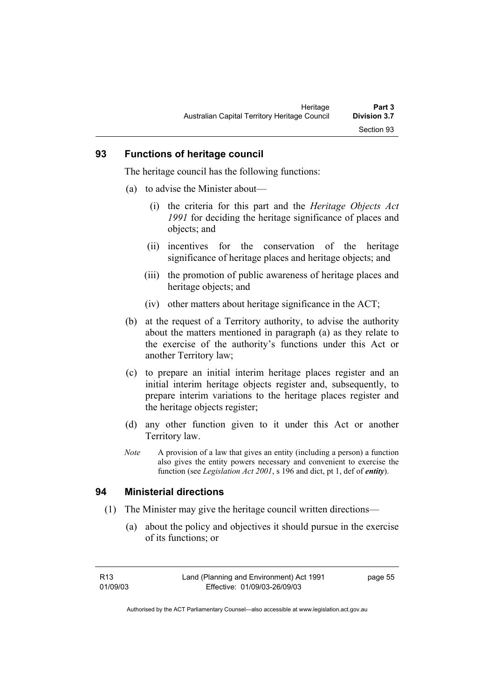#### **93 Functions of heritage council**

The heritage council has the following functions:

- (a) to advise the Minister about—
	- (i) the criteria for this part and the *Heritage Objects Act 1991* for deciding the heritage significance of places and objects; and
	- (ii) incentives for the conservation of the heritage significance of heritage places and heritage objects; and
	- (iii) the promotion of public awareness of heritage places and heritage objects; and
	- (iv) other matters about heritage significance in the ACT;
- (b) at the request of a Territory authority, to advise the authority about the matters mentioned in paragraph (a) as they relate to the exercise of the authority's functions under this Act or another Territory law;
- (c) to prepare an initial interim heritage places register and an initial interim heritage objects register and, subsequently, to prepare interim variations to the heritage places register and the heritage objects register;
- (d) any other function given to it under this Act or another Territory law.
- *Note* A provision of a law that gives an entity (including a person) a function also gives the entity powers necessary and convenient to exercise the function (see *Legislation Act 2001*, s 196 and dict, pt 1, def of *entity*).

#### **94 Ministerial directions**

- (1) The Minister may give the heritage council written directions—
	- (a) about the policy and objectives it should pursue in the exercise of its functions; or

page 55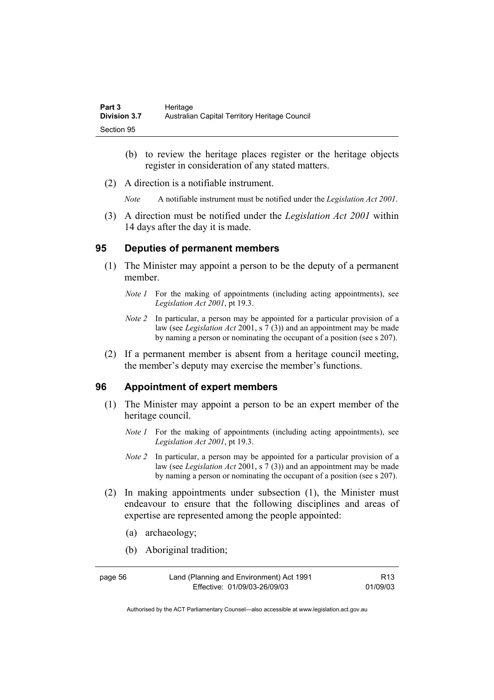| Part 3              | Heritage                                      |
|---------------------|-----------------------------------------------|
| <b>Division 3.7</b> | Australian Capital Territory Heritage Council |
| Section 95          |                                               |

- (b) to review the heritage places register or the heritage objects register in consideration of any stated matters.
- (2) A direction is a notifiable instrument.

*Note* A notifiable instrument must be notified under the *Legislation Act 2001*.

 (3) A direction must be notified under the *Legislation Act 2001* within 14 days after the day it is made.

#### **95 Deputies of permanent members**

- (1) The Minister may appoint a person to be the deputy of a permanent member.
	- *Note 1* For the making of appointments (including acting appointments), see *Legislation Act 2001*, pt 19.3.
	- *Note 2* In particular, a person may be appointed for a particular provision of a law (see *Legislation Act* 2001, s 7 (3)) and an appointment may be made by naming a person or nominating the occupant of a position (see s 207).
- (2) If a permanent member is absent from a heritage council meeting, the member's deputy may exercise the member's functions.

#### **96 Appointment of expert members**

- (1) The Minister may appoint a person to be an expert member of the heritage council.
	- *Note 1* For the making of appointments (including acting appointments), see *Legislation Act 2001*, pt 19.3.
	- *Note 2* In particular, a person may be appointed for a particular provision of a law (see *Legislation Act* 2001, s 7 (3)) and an appointment may be made by naming a person or nominating the occupant of a position (see s 207).
- (2) In making appointments under subsection (1), the Minister must endeavour to ensure that the following disciplines and areas of expertise are represented among the people appointed:
	- (a) archaeology;
	- (b) Aboriginal tradition;

| page 56 | Land (Planning and Environment) Act 1991 | R <sub>13</sub> |
|---------|------------------------------------------|-----------------|
|         | Effective: 01/09/03-26/09/03             | 01/09/03        |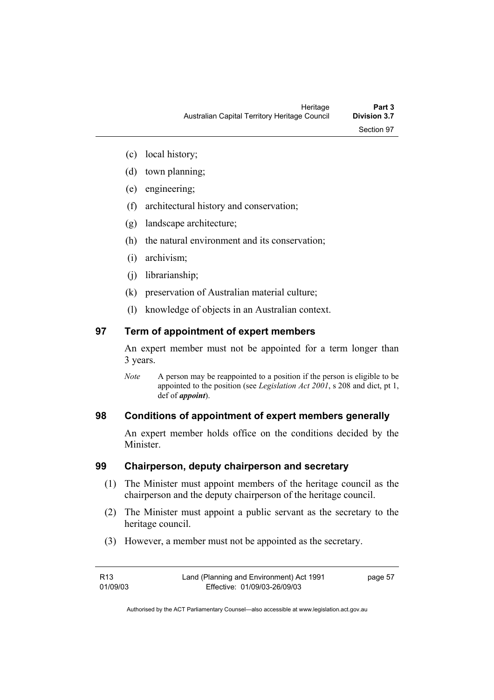- (c) local history;
- (d) town planning;
- (e) engineering;
- (f) architectural history and conservation;
- (g) landscape architecture;
- (h) the natural environment and its conservation;
- (i) archivism;
- (j) librarianship;
- (k) preservation of Australian material culture;
- (l) knowledge of objects in an Australian context.

### **97 Term of appointment of expert members**

An expert member must not be appointed for a term longer than 3 years.

*Note* A person may be reappointed to a position if the person is eligible to be appointed to the position (see *Legislation Act 2001*, s 208 and dict, pt 1, def of *appoint*).

### **98 Conditions of appointment of expert members generally**

An expert member holds office on the conditions decided by the **Minister** 

#### **99 Chairperson, deputy chairperson and secretary**

- (1) The Minister must appoint members of the heritage council as the chairperson and the deputy chairperson of the heritage council.
- (2) The Minister must appoint a public servant as the secretary to the heritage council.
- (3) However, a member must not be appointed as the secretary.

| R13      | Land (Planning and Environment) Act 1991 | page 57 |
|----------|------------------------------------------|---------|
| 01/09/03 | Effective: 01/09/03-26/09/03             |         |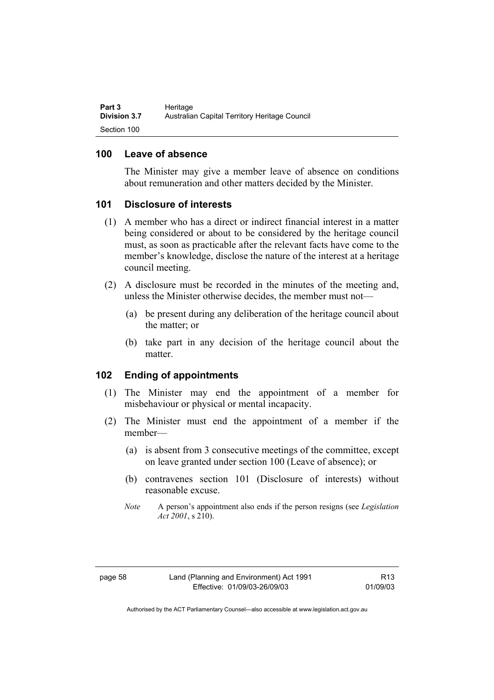#### **100 Leave of absence**

The Minister may give a member leave of absence on conditions about remuneration and other matters decided by the Minister.

#### **101 Disclosure of interests**

- (1) A member who has a direct or indirect financial interest in a matter being considered or about to be considered by the heritage council must, as soon as practicable after the relevant facts have come to the member's knowledge, disclose the nature of the interest at a heritage council meeting.
- (2) A disclosure must be recorded in the minutes of the meeting and, unless the Minister otherwise decides, the member must not—
	- (a) be present during any deliberation of the heritage council about the matter; or
	- (b) take part in any decision of the heritage council about the matter.

### **102 Ending of appointments**

- (1) The Minister may end the appointment of a member for misbehaviour or physical or mental incapacity.
- (2) The Minister must end the appointment of a member if the member—
	- (a) is absent from 3 consecutive meetings of the committee, except on leave granted under section 100 (Leave of absence); or
	- (b) contravenes section 101 (Disclosure of interests) without reasonable excuse.
	- *Note* A person's appointment also ends if the person resigns (see *Legislation Act 2001*, s 210).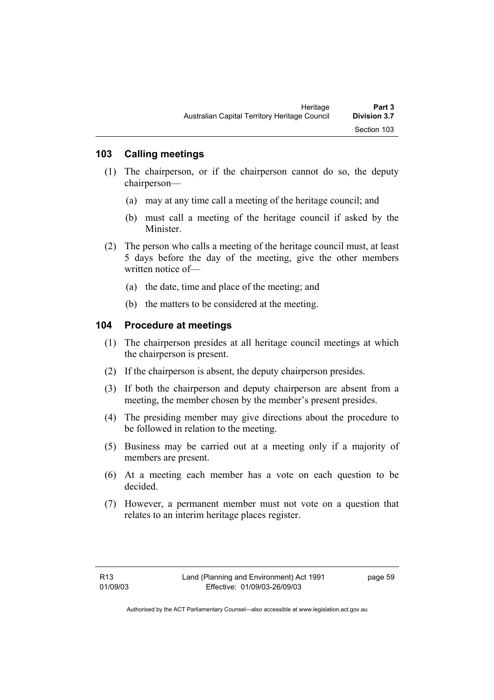### **103 Calling meetings**

- (1) The chairperson, or if the chairperson cannot do so, the deputy chairperson—
	- (a) may at any time call a meeting of the heritage council; and
	- (b) must call a meeting of the heritage council if asked by the Minister.
- (2) The person who calls a meeting of the heritage council must, at least 5 days before the day of the meeting, give the other members written notice of—
	- (a) the date, time and place of the meeting; and
	- (b) the matters to be considered at the meeting.

#### **104 Procedure at meetings**

- (1) The chairperson presides at all heritage council meetings at which the chairperson is present.
- (2) If the chairperson is absent, the deputy chairperson presides.
- (3) If both the chairperson and deputy chairperson are absent from a meeting, the member chosen by the member's present presides.
- (4) The presiding member may give directions about the procedure to be followed in relation to the meeting.
- (5) Business may be carried out at a meeting only if a majority of members are present.
- (6) At a meeting each member has a vote on each question to be decided.
- (7) However, a permanent member must not vote on a question that relates to an interim heritage places register.

page 59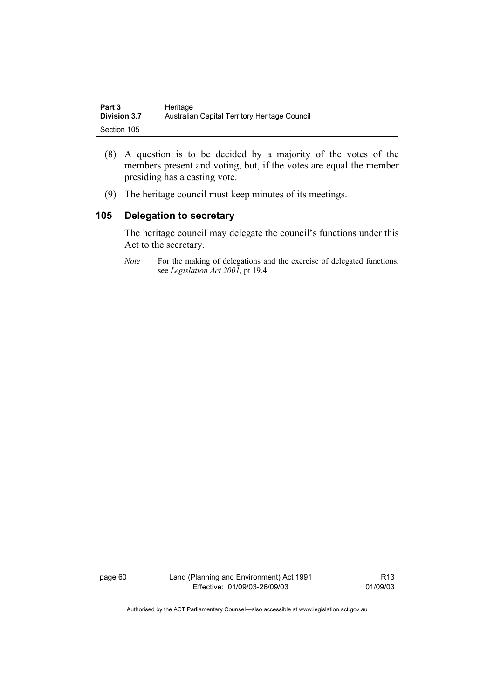| Part 3              | Heritage                                      |
|---------------------|-----------------------------------------------|
| <b>Division 3.7</b> | Australian Capital Territory Heritage Council |
| Section 105         |                                               |

- (8) A question is to be decided by a majority of the votes of the members present and voting, but, if the votes are equal the member presiding has a casting vote.
- (9) The heritage council must keep minutes of its meetings.

## **105 Delegation to secretary**

The heritage council may delegate the council's functions under this Act to the secretary.

*Note* For the making of delegations and the exercise of delegated functions, see *Legislation Act 2001*, pt 19.4.

page 60 Land (Planning and Environment) Act 1991 Effective: 01/09/03-26/09/03

R13 01/09/03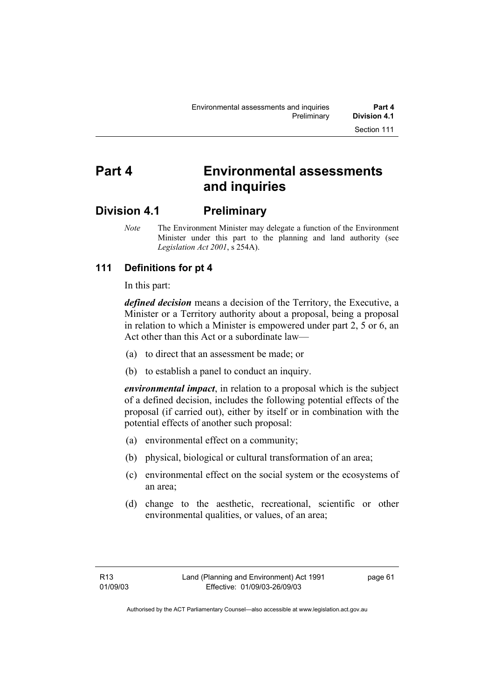# **Part 4 Environmental assessments and inquiries**

## **Division 4.1 Preliminary**

*Note* The Environment Minister may delegate a function of the Environment Minister under this part to the planning and land authority (see *Legislation Act 2001*, s 254A).

## **111 Definitions for pt 4**

In this part:

*defined decision* means a decision of the Territory, the Executive, a Minister or a Territory authority about a proposal, being a proposal in relation to which a Minister is empowered under part 2, 5 or 6, an Act other than this Act or a subordinate law—

- (a) to direct that an assessment be made; or
- (b) to establish a panel to conduct an inquiry.

*environmental impact*, in relation to a proposal which is the subject of a defined decision, includes the following potential effects of the proposal (if carried out), either by itself or in combination with the potential effects of another such proposal:

- (a) environmental effect on a community;
- (b) physical, biological or cultural transformation of an area;
- (c) environmental effect on the social system or the ecosystems of an area;
- (d) change to the aesthetic, recreational, scientific or other environmental qualities, or values, of an area;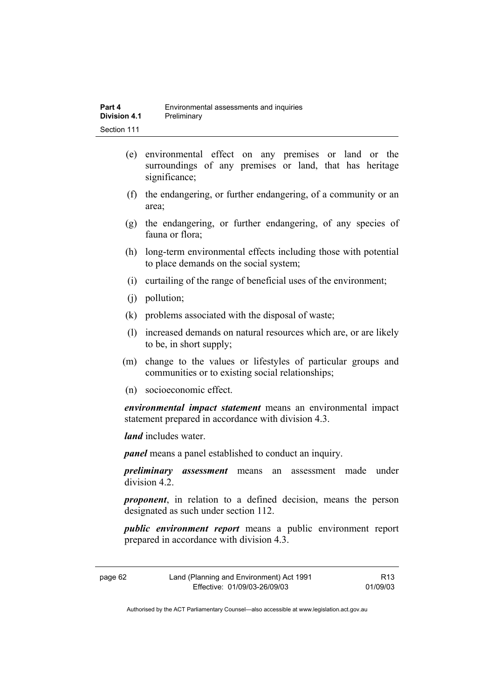- (e) environmental effect on any premises or land or the surroundings of any premises or land, that has heritage significance;
- (f) the endangering, or further endangering, of a community or an area;
- (g) the endangering, or further endangering, of any species of fauna or flora;
- (h) long-term environmental effects including those with potential to place demands on the social system;
- (i) curtailing of the range of beneficial uses of the environment;
- (j) pollution;
- (k) problems associated with the disposal of waste;
- (l) increased demands on natural resources which are, or are likely to be, in short supply;
- (m) change to the values or lifestyles of particular groups and communities or to existing social relationships;
- (n) socioeconomic effect.

*environmental impact statement* means an environmental impact statement prepared in accordance with division 4.3.

*land* includes water.

*panel* means a panel established to conduct an inquiry.

*preliminary assessment* means an assessment made under division 4.2.

*proponent*, in relation to a defined decision, means the person designated as such under section 112.

*public environment report* means a public environment report prepared in accordance with division 4.3.

| page 62 | Land (Planning and Environment) Act 1991 | R13      |
|---------|------------------------------------------|----------|
|         | Effective: 01/09/03-26/09/03             | 01/09/03 |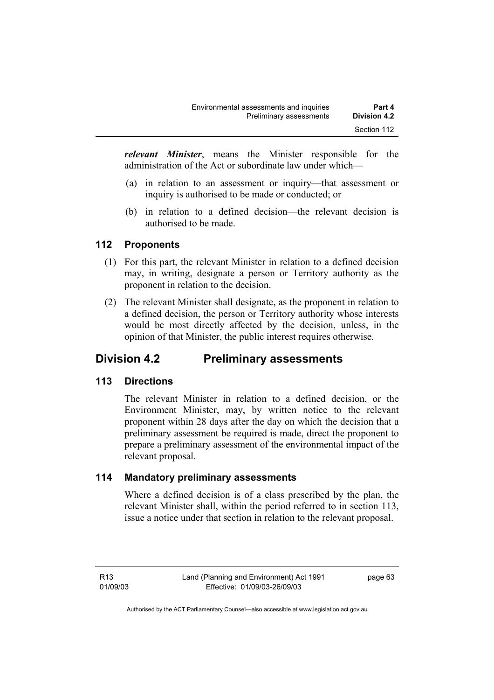*relevant Minister*, means the Minister responsible for the administration of the Act or subordinate law under which—

- (a) in relation to an assessment or inquiry—that assessment or inquiry is authorised to be made or conducted; or
- (b) in relation to a defined decision—the relevant decision is authorised to be made.

## **112 Proponents**

- (1) For this part, the relevant Minister in relation to a defined decision may, in writing, designate a person or Territory authority as the proponent in relation to the decision.
- (2) The relevant Minister shall designate, as the proponent in relation to a defined decision, the person or Territory authority whose interests would be most directly affected by the decision, unless, in the opinion of that Minister, the public interest requires otherwise.

## **Division 4.2 Preliminary assessments**

## **113 Directions**

The relevant Minister in relation to a defined decision, or the Environment Minister, may, by written notice to the relevant proponent within 28 days after the day on which the decision that a preliminary assessment be required is made, direct the proponent to prepare a preliminary assessment of the environmental impact of the relevant proposal.

## **114 Mandatory preliminary assessments**

Where a defined decision is of a class prescribed by the plan, the relevant Minister shall, within the period referred to in section 113, issue a notice under that section in relation to the relevant proposal.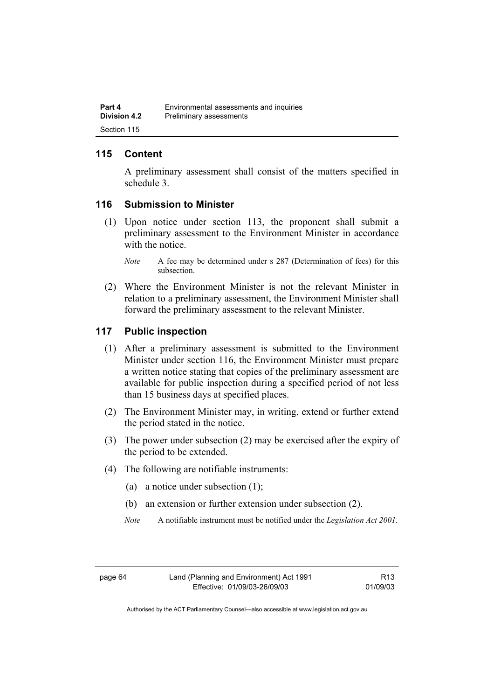## **115 Content**

A preliminary assessment shall consist of the matters specified in schedule 3.

### **116 Submission to Minister**

- (1) Upon notice under section 113, the proponent shall submit a preliminary assessment to the Environment Minister in accordance with the notice
	- *Note* A fee may be determined under s 287 (Determination of fees) for this subsection.
- (2) Where the Environment Minister is not the relevant Minister in relation to a preliminary assessment, the Environment Minister shall forward the preliminary assessment to the relevant Minister.

#### **117 Public inspection**

- (1) After a preliminary assessment is submitted to the Environment Minister under section 116, the Environment Minister must prepare a written notice stating that copies of the preliminary assessment are available for public inspection during a specified period of not less than 15 business days at specified places.
- (2) The Environment Minister may, in writing, extend or further extend the period stated in the notice.
- (3) The power under subsection (2) may be exercised after the expiry of the period to be extended.
- (4) The following are notifiable instruments:
	- (a) a notice under subsection (1);
	- (b) an extension or further extension under subsection (2).
	- *Note* A notifiable instrument must be notified under the *Legislation Act 2001*.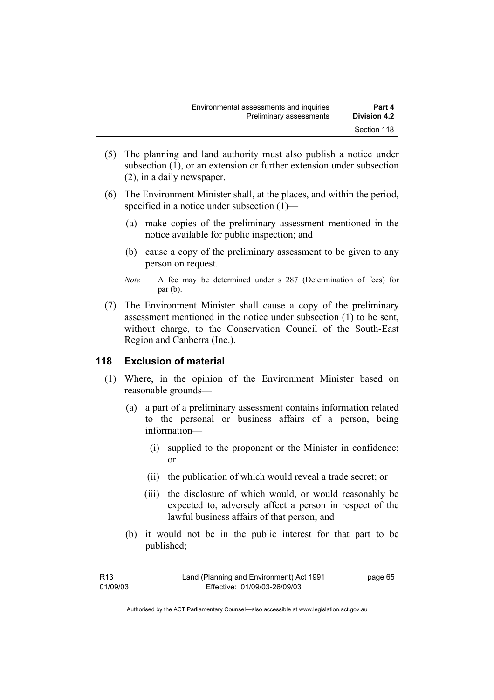- (5) The planning and land authority must also publish a notice under subsection (1), or an extension or further extension under subsection (2), in a daily newspaper.
- (6) The Environment Minister shall, at the places, and within the period, specified in a notice under subsection (1)—
	- (a) make copies of the preliminary assessment mentioned in the notice available for public inspection; and
	- (b) cause a copy of the preliminary assessment to be given to any person on request.
	- *Note* A fee may be determined under s 287 (Determination of fees) for par (b).
- (7) The Environment Minister shall cause a copy of the preliminary assessment mentioned in the notice under subsection (1) to be sent, without charge, to the Conservation Council of the South-East Region and Canberra (Inc.).

### **118 Exclusion of material**

- (1) Where, in the opinion of the Environment Minister based on reasonable grounds—
	- (a) a part of a preliminary assessment contains information related to the personal or business affairs of a person, being information—
		- (i) supplied to the proponent or the Minister in confidence; or
		- (ii) the publication of which would reveal a trade secret; or
		- (iii) the disclosure of which would, or would reasonably be expected to, adversely affect a person in respect of the lawful business affairs of that person; and
	- (b) it would not be in the public interest for that part to be published;

| R13      | Land (Planning and Environment) Act 1991 | page 65 |
|----------|------------------------------------------|---------|
| 01/09/03 | Effective: 01/09/03-26/09/03             |         |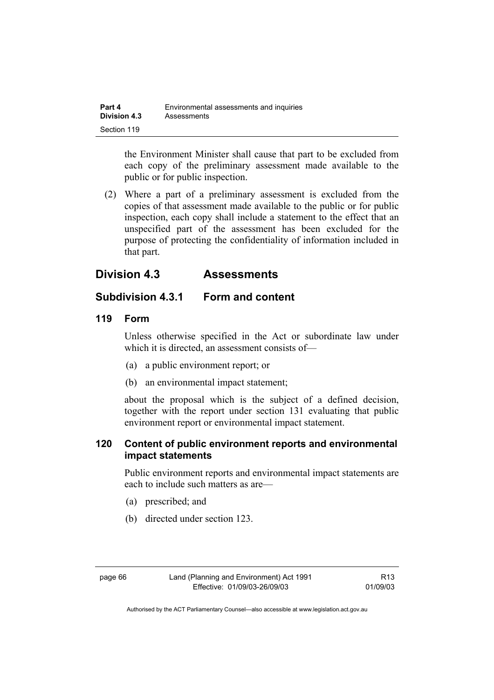| Part 4              | Environmental assessments and inquiries |
|---------------------|-----------------------------------------|
| <b>Division 4.3</b> | Assessments                             |
| Section 119         |                                         |

the Environment Minister shall cause that part to be excluded from each copy of the preliminary assessment made available to the public or for public inspection.

 (2) Where a part of a preliminary assessment is excluded from the copies of that assessment made available to the public or for public inspection, each copy shall include a statement to the effect that an unspecified part of the assessment has been excluded for the purpose of protecting the confidentiality of information included in that part.

## **Division 4.3 Assessments**

## **Subdivision 4.3.1 Form and content**

## **119 Form**

Unless otherwise specified in the Act or subordinate law under which it is directed, an assessment consists of—

- (a) a public environment report; or
- (b) an environmental impact statement;

about the proposal which is the subject of a defined decision, together with the report under section 131 evaluating that public environment report or environmental impact statement.

## **120 Content of public environment reports and environmental impact statements**

Public environment reports and environmental impact statements are each to include such matters as are—

- (a) prescribed; and
- (b) directed under section 123.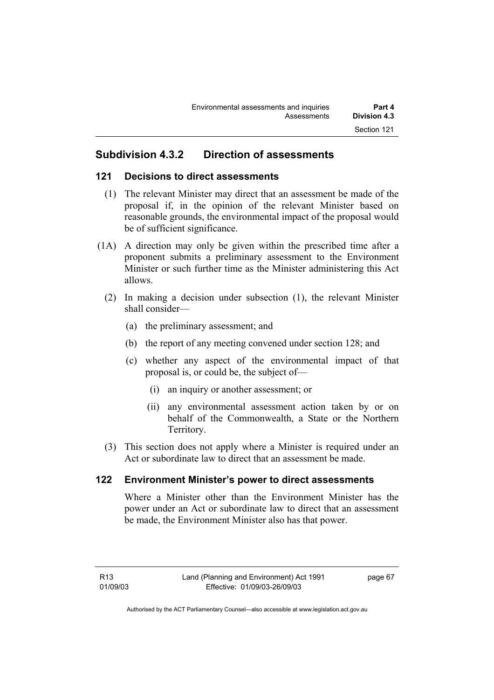## **Subdivision 4.3.2 Direction of assessments**

### **121 Decisions to direct assessments**

- (1) The relevant Minister may direct that an assessment be made of the proposal if, in the opinion of the relevant Minister based on reasonable grounds, the environmental impact of the proposal would be of sufficient significance.
- (1A) A direction may only be given within the prescribed time after a proponent submits a preliminary assessment to the Environment Minister or such further time as the Minister administering this Act allows.
	- (2) In making a decision under subsection (1), the relevant Minister shall consider—
		- (a) the preliminary assessment; and
		- (b) the report of any meeting convened under section 128; and
		- (c) whether any aspect of the environmental impact of that proposal is, or could be, the subject of—
			- (i) an inquiry or another assessment; or
			- (ii) any environmental assessment action taken by or on behalf of the Commonwealth, a State or the Northern Territory.
	- (3) This section does not apply where a Minister is required under an Act or subordinate law to direct that an assessment be made.

## **122 Environment Minister's power to direct assessments**

Where a Minister other than the Environment Minister has the power under an Act or subordinate law to direct that an assessment be made, the Environment Minister also has that power.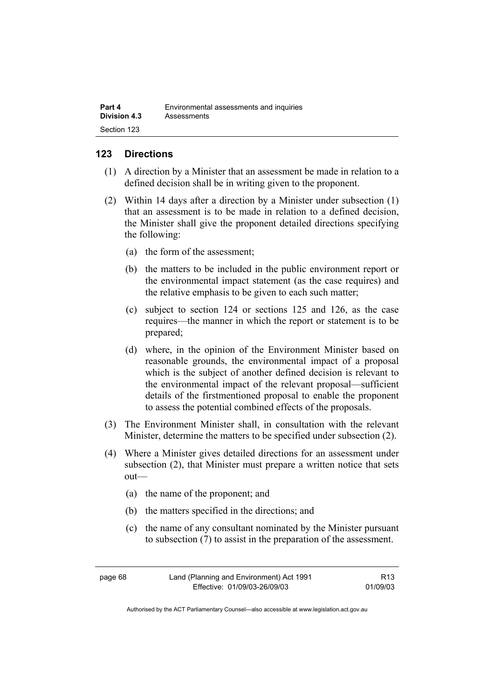| Part 4              | Environmental assessments and inquiries |
|---------------------|-----------------------------------------|
| <b>Division 4.3</b> | Assessments                             |
| Section 123         |                                         |

## **123 Directions**

- (1) A direction by a Minister that an assessment be made in relation to a defined decision shall be in writing given to the proponent.
- (2) Within 14 days after a direction by a Minister under subsection (1) that an assessment is to be made in relation to a defined decision, the Minister shall give the proponent detailed directions specifying the following:
	- (a) the form of the assessment;
	- (b) the matters to be included in the public environment report or the environmental impact statement (as the case requires) and the relative emphasis to be given to each such matter;
	- (c) subject to section 124 or sections 125 and 126, as the case requires—the manner in which the report or statement is to be prepared;
	- (d) where, in the opinion of the Environment Minister based on reasonable grounds, the environmental impact of a proposal which is the subject of another defined decision is relevant to the environmental impact of the relevant proposal—sufficient details of the firstmentioned proposal to enable the proponent to assess the potential combined effects of the proposals.
- (3) The Environment Minister shall, in consultation with the relevant Minister, determine the matters to be specified under subsection (2).
- (4) Where a Minister gives detailed directions for an assessment under subsection (2), that Minister must prepare a written notice that sets out—
	- (a) the name of the proponent; and
	- (b) the matters specified in the directions; and
	- (c) the name of any consultant nominated by the Minister pursuant to subsection (7) to assist in the preparation of the assessment.

| page 68 | Land (Planning and Environment) Act 1991 | R <sub>13</sub> |
|---------|------------------------------------------|-----------------|
|         | Effective: 01/09/03-26/09/03             | 01/09/03        |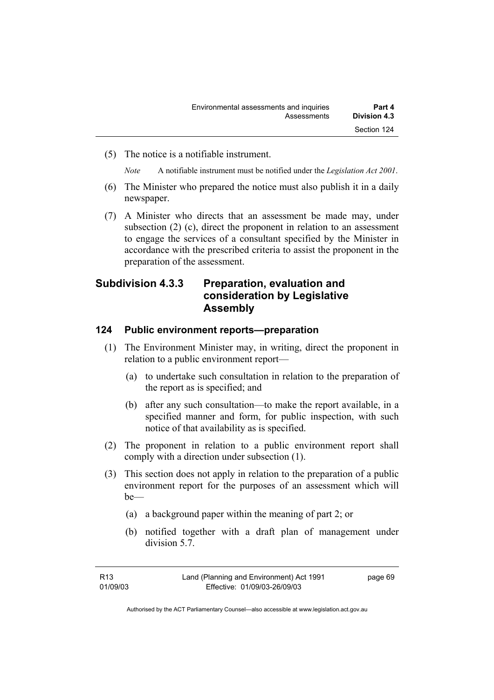(5) The notice is a notifiable instrument.

*Note* A notifiable instrument must be notified under the *Legislation Act 2001*.

- (6) The Minister who prepared the notice must also publish it in a daily newspaper.
- (7) A Minister who directs that an assessment be made may, under subsection (2) (c), direct the proponent in relation to an assessment to engage the services of a consultant specified by the Minister in accordance with the prescribed criteria to assist the proponent in the preparation of the assessment.

## **Subdivision 4.3.3 Preparation, evaluation and consideration by Legislative Assembly**

### **124 Public environment reports—preparation**

- (1) The Environment Minister may, in writing, direct the proponent in relation to a public environment report—
	- (a) to undertake such consultation in relation to the preparation of the report as is specified; and
	- (b) after any such consultation—to make the report available, in a specified manner and form, for public inspection, with such notice of that availability as is specified.
- (2) The proponent in relation to a public environment report shall comply with a direction under subsection (1).
- (3) This section does not apply in relation to the preparation of a public environment report for the purposes of an assessment which will be—
	- (a) a background paper within the meaning of part 2; or
	- (b) notified together with a draft plan of management under division 5.7.

| R13      | Land (Planning and Environment) Act 1991 | page 69 |
|----------|------------------------------------------|---------|
| 01/09/03 | Effective: 01/09/03-26/09/03             |         |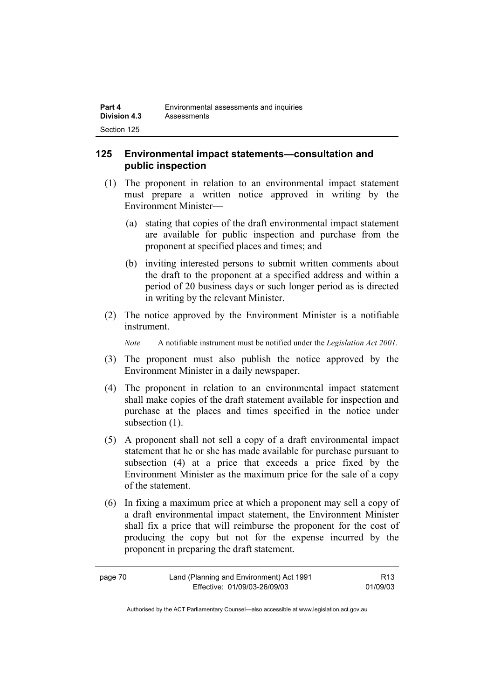## **125 Environmental impact statements—consultation and public inspection**

- (1) The proponent in relation to an environmental impact statement must prepare a written notice approved in writing by the Environment Minister—
	- (a) stating that copies of the draft environmental impact statement are available for public inspection and purchase from the proponent at specified places and times; and
	- (b) inviting interested persons to submit written comments about the draft to the proponent at a specified address and within a period of 20 business days or such longer period as is directed in writing by the relevant Minister.
- (2) The notice approved by the Environment Minister is a notifiable instrument.

*Note* A notifiable instrument must be notified under the *Legislation Act 2001*.

- (3) The proponent must also publish the notice approved by the Environment Minister in a daily newspaper.
- (4) The proponent in relation to an environmental impact statement shall make copies of the draft statement available for inspection and purchase at the places and times specified in the notice under subsection  $(1)$ .
- (5) A proponent shall not sell a copy of a draft environmental impact statement that he or she has made available for purchase pursuant to subsection (4) at a price that exceeds a price fixed by the Environment Minister as the maximum price for the sale of a copy of the statement.
- (6) In fixing a maximum price at which a proponent may sell a copy of a draft environmental impact statement, the Environment Minister shall fix a price that will reimburse the proponent for the cost of producing the copy but not for the expense incurred by the proponent in preparing the draft statement.

| page 70 | Land (Planning and Environment) Act 1991 | R <sub>13</sub> |
|---------|------------------------------------------|-----------------|
|         | Effective: 01/09/03-26/09/03             | 01/09/03        |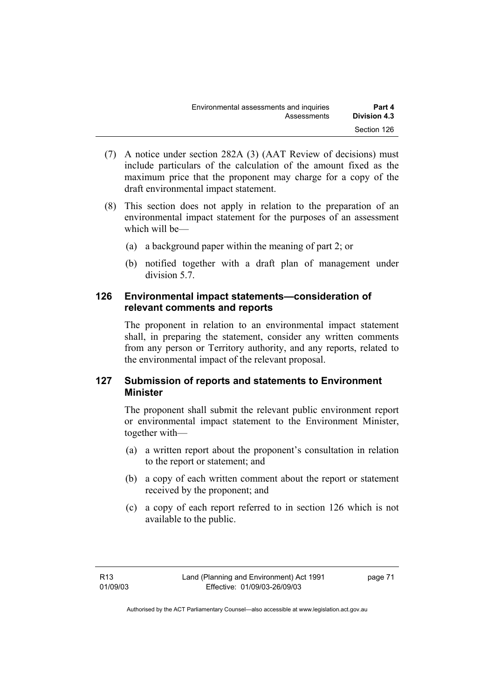| Environmental assessments and inquiries | Part 4       |
|-----------------------------------------|--------------|
| Assessments                             | Division 4.3 |
|                                         | Section 126  |

- (7) A notice under section 282A (3) (AAT Review of decisions) must include particulars of the calculation of the amount fixed as the maximum price that the proponent may charge for a copy of the draft environmental impact statement.
- (8) This section does not apply in relation to the preparation of an environmental impact statement for the purposes of an assessment which will be—
	- (a) a background paper within the meaning of part 2; or
	- (b) notified together with a draft plan of management under division 5.7.

### **126 Environmental impact statements—consideration of relevant comments and reports**

The proponent in relation to an environmental impact statement shall, in preparing the statement, consider any written comments from any person or Territory authority, and any reports, related to the environmental impact of the relevant proposal.

## **127 Submission of reports and statements to Environment Minister**

The proponent shall submit the relevant public environment report or environmental impact statement to the Environment Minister, together with—

- (a) a written report about the proponent's consultation in relation to the report or statement; and
- (b) a copy of each written comment about the report or statement received by the proponent; and
- (c) a copy of each report referred to in section 126 which is not available to the public.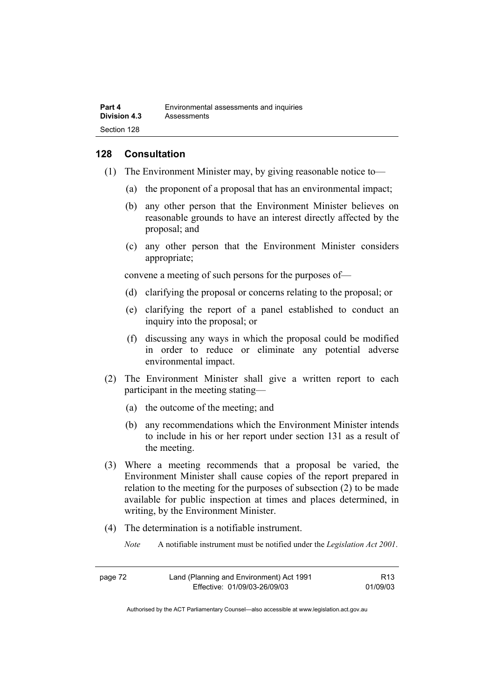## **128 Consultation**

- (1) The Environment Minister may, by giving reasonable notice to—
	- (a) the proponent of a proposal that has an environmental impact;
	- (b) any other person that the Environment Minister believes on reasonable grounds to have an interest directly affected by the proposal; and
	- (c) any other person that the Environment Minister considers appropriate;

convene a meeting of such persons for the purposes of—

- (d) clarifying the proposal or concerns relating to the proposal; or
- (e) clarifying the report of a panel established to conduct an inquiry into the proposal; or
- (f) discussing any ways in which the proposal could be modified in order to reduce or eliminate any potential adverse environmental impact.
- (2) The Environment Minister shall give a written report to each participant in the meeting stating—
	- (a) the outcome of the meeting; and
	- (b) any recommendations which the Environment Minister intends to include in his or her report under section 131 as a result of the meeting.
- (3) Where a meeting recommends that a proposal be varied, the Environment Minister shall cause copies of the report prepared in relation to the meeting for the purposes of subsection (2) to be made available for public inspection at times and places determined, in writing, by the Environment Minister.
- (4) The determination is a notifiable instrument.
	- *Note* A notifiable instrument must be notified under the *Legislation Act 2001*.

| page 72 | Land (Planning and Environment) Act 1991 | R13      |
|---------|------------------------------------------|----------|
|         | Effective: 01/09/03-26/09/03             | 01/09/03 |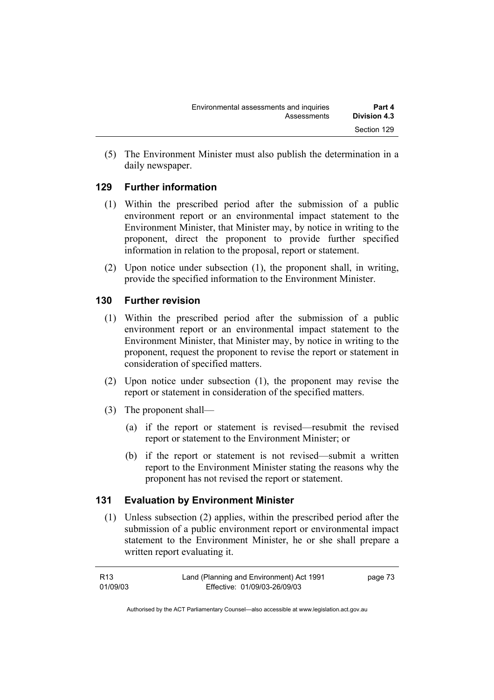(5) The Environment Minister must also publish the determination in a daily newspaper.

## **129 Further information**

- (1) Within the prescribed period after the submission of a public environment report or an environmental impact statement to the Environment Minister, that Minister may, by notice in writing to the proponent, direct the proponent to provide further specified information in relation to the proposal, report or statement.
- (2) Upon notice under subsection (1), the proponent shall, in writing, provide the specified information to the Environment Minister.

## **130 Further revision**

- (1) Within the prescribed period after the submission of a public environment report or an environmental impact statement to the Environment Minister, that Minister may, by notice in writing to the proponent, request the proponent to revise the report or statement in consideration of specified matters.
- (2) Upon notice under subsection (1), the proponent may revise the report or statement in consideration of the specified matters.
- (3) The proponent shall—
	- (a) if the report or statement is revised—resubmit the revised report or statement to the Environment Minister; or
	- (b) if the report or statement is not revised—submit a written report to the Environment Minister stating the reasons why the proponent has not revised the report or statement.

## **131 Evaluation by Environment Minister**

 (1) Unless subsection (2) applies, within the prescribed period after the submission of a public environment report or environmental impact statement to the Environment Minister, he or she shall prepare a written report evaluating it.

| R13      | Land (Planning and Environment) Act 1991 | page 73 |
|----------|------------------------------------------|---------|
| 01/09/03 | Effective: 01/09/03-26/09/03             |         |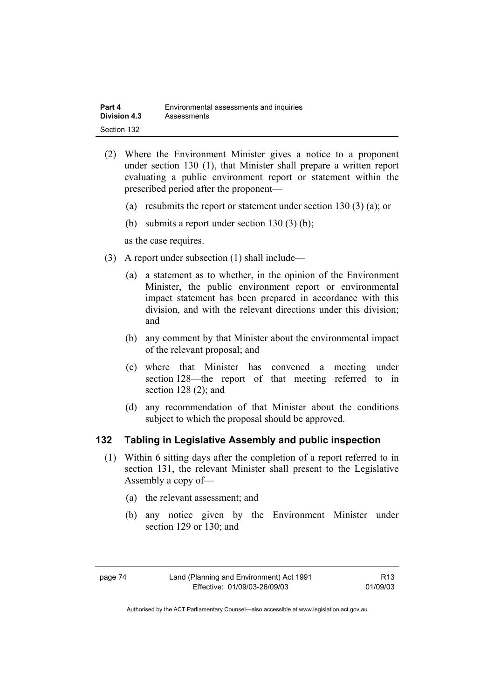| Part 4              | Environmental assessments and inquiries |
|---------------------|-----------------------------------------|
| <b>Division 4.3</b> | Assessments                             |
| Section 132         |                                         |

- (2) Where the Environment Minister gives a notice to a proponent under section 130 (1), that Minister shall prepare a written report evaluating a public environment report or statement within the prescribed period after the proponent—
	- (a) resubmits the report or statement under section 130 (3) (a); or
	- (b) submits a report under section 130 (3) (b);

as the case requires.

- (3) A report under subsection (1) shall include—
	- (a) a statement as to whether, in the opinion of the Environment Minister, the public environment report or environmental impact statement has been prepared in accordance with this division, and with the relevant directions under this division; and
	- (b) any comment by that Minister about the environmental impact of the relevant proposal; and
	- (c) where that Minister has convened a meeting under section 128—the report of that meeting referred to in section 128 (2); and
	- (d) any recommendation of that Minister about the conditions subject to which the proposal should be approved.

#### **132 Tabling in Legislative Assembly and public inspection**

- (1) Within 6 sitting days after the completion of a report referred to in section 131, the relevant Minister shall present to the Legislative Assembly a copy of—
	- (a) the relevant assessment; and
	- (b) any notice given by the Environment Minister under section 129 or 130; and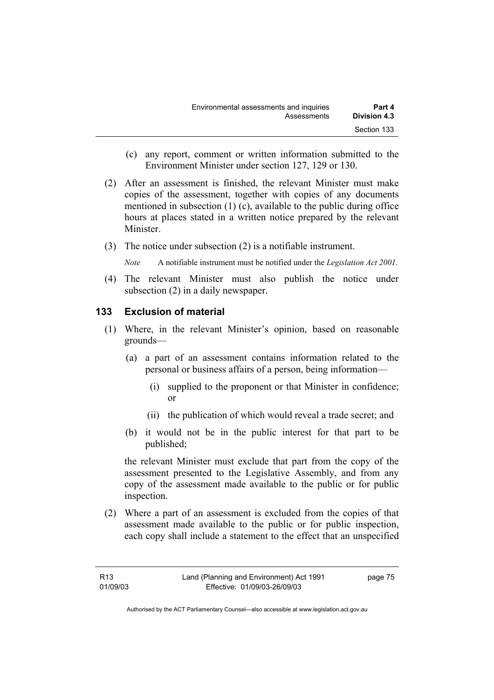- (c) any report, comment or written information submitted to the Environment Minister under section 127, 129 or 130.
- (2) After an assessment is finished, the relevant Minister must make copies of the assessment, together with copies of any documents mentioned in subsection (1) (c), available to the public during office hours at places stated in a written notice prepared by the relevant **Minister**
- (3) The notice under subsection (2) is a notifiable instrument.

*Note* A notifiable instrument must be notified under the *Legislation Act 2001*.

(4) The relevant Minister must also publish the notice under subsection (2) in a daily newspaper.

## **133 Exclusion of material**

- (1) Where, in the relevant Minister's opinion, based on reasonable grounds—
	- (a) a part of an assessment contains information related to the personal or business affairs of a person, being information—
		- (i) supplied to the proponent or that Minister in confidence; or
		- (ii) the publication of which would reveal a trade secret; and
	- (b) it would not be in the public interest for that part to be published;

the relevant Minister must exclude that part from the copy of the assessment presented to the Legislative Assembly, and from any copy of the assessment made available to the public or for public inspection.

 (2) Where a part of an assessment is excluded from the copies of that assessment made available to the public or for public inspection, each copy shall include a statement to the effect that an unspecified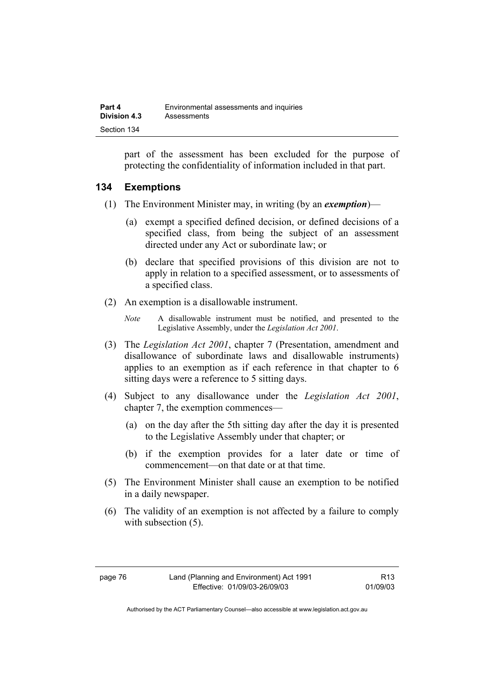part of the assessment has been excluded for the purpose of protecting the confidentiality of information included in that part.

## **134 Exemptions**

- (1) The Environment Minister may, in writing (by an *exemption*)—
	- (a) exempt a specified defined decision, or defined decisions of a specified class, from being the subject of an assessment directed under any Act or subordinate law; or
	- (b) declare that specified provisions of this division are not to apply in relation to a specified assessment, or to assessments of a specified class.
- (2) An exemption is a disallowable instrument.
	- *Note* A disallowable instrument must be notified, and presented to the Legislative Assembly, under the *Legislation Act 2001*.
- (3) The *Legislation Act 2001*, chapter 7 (Presentation, amendment and disallowance of subordinate laws and disallowable instruments) applies to an exemption as if each reference in that chapter to 6 sitting days were a reference to 5 sitting days.
- (4) Subject to any disallowance under the *Legislation Act 2001*, chapter 7, the exemption commences—
	- (a) on the day after the 5th sitting day after the day it is presented to the Legislative Assembly under that chapter; or
	- (b) if the exemption provides for a later date or time of commencement—on that date or at that time.
- (5) The Environment Minister shall cause an exemption to be notified in a daily newspaper.
- (6) The validity of an exemption is not affected by a failure to comply with subsection  $(5)$ .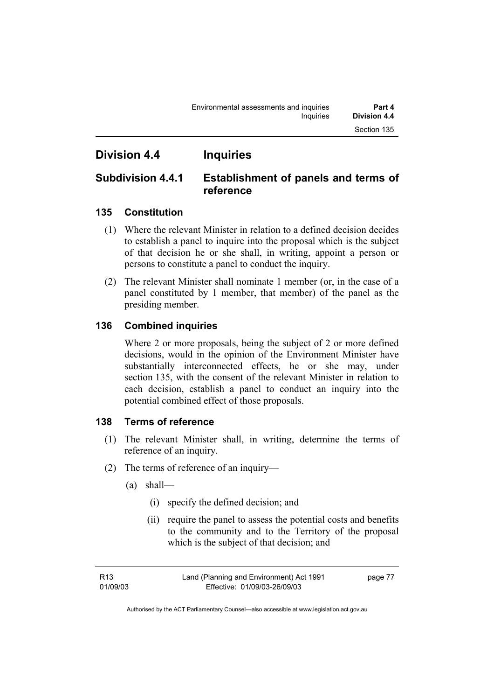## **Division 4.4 Inquiries**

## **Subdivision 4.4.1 Establishment of panels and terms of reference**

## **135 Constitution**

- (1) Where the relevant Minister in relation to a defined decision decides to establish a panel to inquire into the proposal which is the subject of that decision he or she shall, in writing, appoint a person or persons to constitute a panel to conduct the inquiry.
- (2) The relevant Minister shall nominate 1 member (or, in the case of a panel constituted by 1 member, that member) of the panel as the presiding member.

## **136 Combined inquiries**

Where 2 or more proposals, being the subject of 2 or more defined decisions, would in the opinion of the Environment Minister have substantially interconnected effects, he or she may, under section 135, with the consent of the relevant Minister in relation to each decision, establish a panel to conduct an inquiry into the potential combined effect of those proposals.

## **138 Terms of reference**

- (1) The relevant Minister shall, in writing, determine the terms of reference of an inquiry.
- (2) The terms of reference of an inquiry—
	- (a) shall—
		- (i) specify the defined decision; and
		- (ii) require the panel to assess the potential costs and benefits to the community and to the Territory of the proposal which is the subject of that decision; and

page 77

Authorised by the ACT Parliamentary Counsel—also accessible at www.legislation.act.gov.au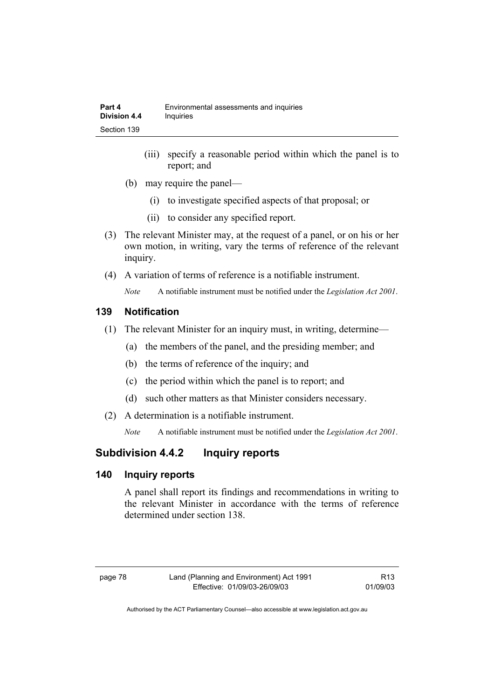- (iii) specify a reasonable period within which the panel is to report; and
- (b) may require the panel—
	- (i) to investigate specified aspects of that proposal; or
	- (ii) to consider any specified report.
- (3) The relevant Minister may, at the request of a panel, or on his or her own motion, in writing, vary the terms of reference of the relevant inquiry.
- (4) A variation of terms of reference is a notifiable instrument.

*Note* A notifiable instrument must be notified under the *Legislation Act 2001*.

## **139 Notification**

- (1) The relevant Minister for an inquiry must, in writing, determine—
	- (a) the members of the panel, and the presiding member; and
	- (b) the terms of reference of the inquiry; and
	- (c) the period within which the panel is to report; and
	- (d) such other matters as that Minister considers necessary.
- (2) A determination is a notifiable instrument.

*Note* A notifiable instrument must be notified under the *Legislation Act 2001*.

## **Subdivision 4.4.2 Inquiry reports**

## **140 Inquiry reports**

A panel shall report its findings and recommendations in writing to the relevant Minister in accordance with the terms of reference determined under section 138.

| œ.<br>г<br>٧<br>× |  |
|-------------------|--|
|-------------------|--|

R13 01/09/03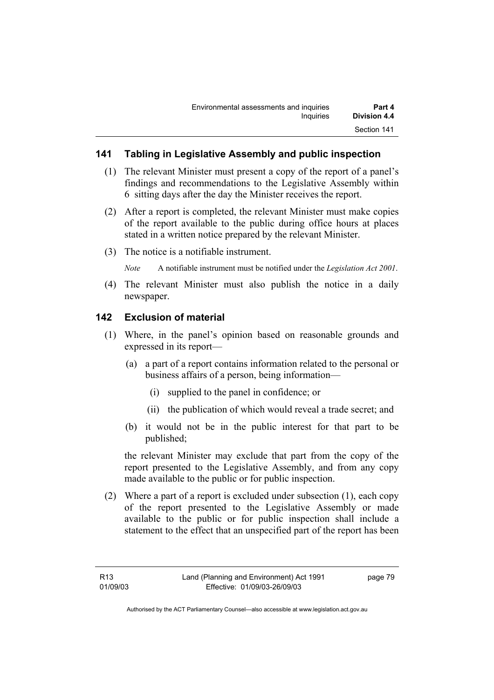## **141 Tabling in Legislative Assembly and public inspection**

- (1) The relevant Minister must present a copy of the report of a panel's findings and recommendations to the Legislative Assembly within 6 sitting days after the day the Minister receives the report.
- (2) After a report is completed, the relevant Minister must make copies of the report available to the public during office hours at places stated in a written notice prepared by the relevant Minister.
- (3) The notice is a notifiable instrument.

*Note* A notifiable instrument must be notified under the *Legislation Act 2001*.

(4) The relevant Minister must also publish the notice in a daily newspaper.

## **142 Exclusion of material**

- (1) Where, in the panel's opinion based on reasonable grounds and expressed in its report—
	- (a) a part of a report contains information related to the personal or business affairs of a person, being information—
		- (i) supplied to the panel in confidence; or
		- (ii) the publication of which would reveal a trade secret; and
	- (b) it would not be in the public interest for that part to be published;

the relevant Minister may exclude that part from the copy of the report presented to the Legislative Assembly, and from any copy made available to the public or for public inspection.

 (2) Where a part of a report is excluded under subsection (1), each copy of the report presented to the Legislative Assembly or made available to the public or for public inspection shall include a statement to the effect that an unspecified part of the report has been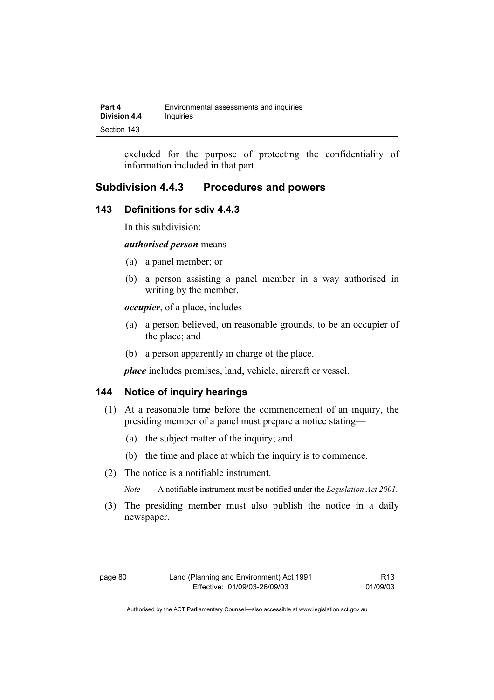| Part 4              | Environmental assessments and inquiries |
|---------------------|-----------------------------------------|
| <b>Division 4.4</b> | Inquiries                               |
| Section 143         |                                         |

excluded for the purpose of protecting the confidentiality of information included in that part.

## **Subdivision 4.4.3 Procedures and powers**

### **143 Definitions for sdiv 4.4.3**

In this subdivision:

*authorised person* means—

- (a) a panel member; or
- (b) a person assisting a panel member in a way authorised in writing by the member.

*occupier*, of a place, includes—

- (a) a person believed, on reasonable grounds, to be an occupier of the place; and
- (b) a person apparently in charge of the place.

*place* includes premises, land, vehicle, aircraft or vessel.

#### **144 Notice of inquiry hearings**

- (1) At a reasonable time before the commencement of an inquiry, the presiding member of a panel must prepare a notice stating—
	- (a) the subject matter of the inquiry; and
	- (b) the time and place at which the inquiry is to commence.
- (2) The notice is a notifiable instrument.

*Note* A notifiable instrument must be notified under the *Legislation Act 2001*.

(3) The presiding member must also publish the notice in a daily newspaper.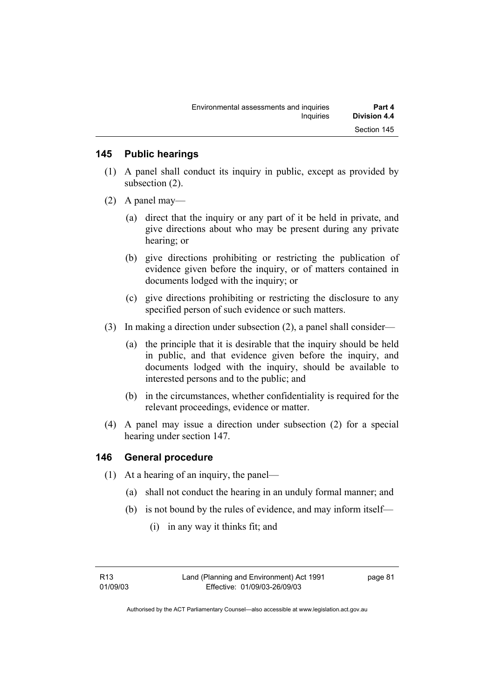### **145 Public hearings**

- (1) A panel shall conduct its inquiry in public, except as provided by subsection (2).
- (2) A panel may—
	- (a) direct that the inquiry or any part of it be held in private, and give directions about who may be present during any private hearing; or
	- (b) give directions prohibiting or restricting the publication of evidence given before the inquiry, or of matters contained in documents lodged with the inquiry; or
	- (c) give directions prohibiting or restricting the disclosure to any specified person of such evidence or such matters.
- (3) In making a direction under subsection (2), a panel shall consider—
	- (a) the principle that it is desirable that the inquiry should be held in public, and that evidence given before the inquiry, and documents lodged with the inquiry, should be available to interested persons and to the public; and
	- (b) in the circumstances, whether confidentiality is required for the relevant proceedings, evidence or matter.
- (4) A panel may issue a direction under subsection (2) for a special hearing under section 147.

### **146 General procedure**

- (1) At a hearing of an inquiry, the panel—
	- (a) shall not conduct the hearing in an unduly formal manner; and
	- (b) is not bound by the rules of evidence, and may inform itself—
		- (i) in any way it thinks fit; and

R13 01/09/03 page 81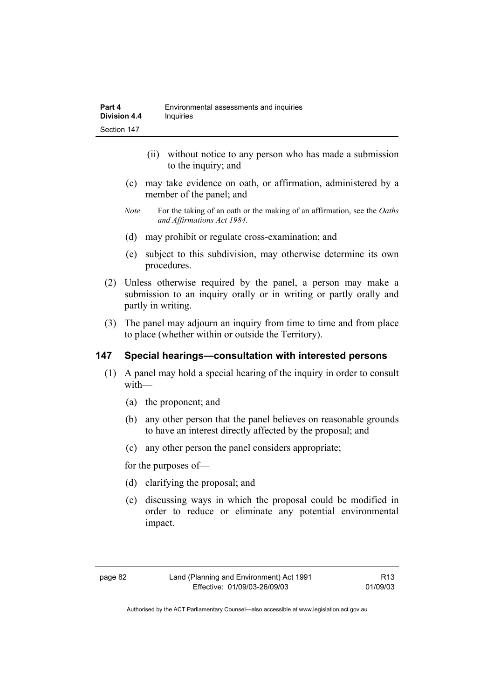- (ii) without notice to any person who has made a submission to the inquiry; and
- (c) may take evidence on oath, or affirmation, administered by a member of the panel; and
- *Note* For the taking of an oath or the making of an affirmation, see the *Oaths and Affirmations Act 1984.*
- (d) may prohibit or regulate cross-examination; and
- (e) subject to this subdivision, may otherwise determine its own procedures.
- (2) Unless otherwise required by the panel, a person may make a submission to an inquiry orally or in writing or partly orally and partly in writing.
- (3) The panel may adjourn an inquiry from time to time and from place to place (whether within or outside the Territory).

## **147 Special hearings—consultation with interested persons**

- (1) A panel may hold a special hearing of the inquiry in order to consult with—
	- (a) the proponent; and
	- (b) any other person that the panel believes on reasonable grounds to have an interest directly affected by the proposal; and
	- (c) any other person the panel considers appropriate;

for the purposes of—

- (d) clarifying the proposal; and
- (e) discussing ways in which the proposal could be modified in order to reduce or eliminate any potential environmental impact.

R13 01/09/03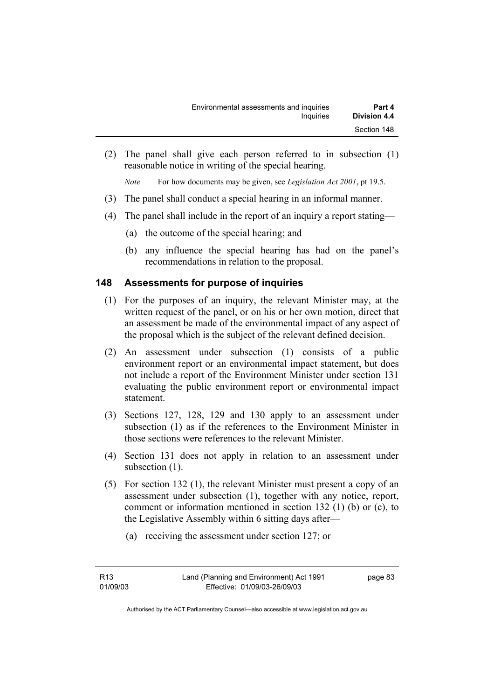(2) The panel shall give each person referred to in subsection (1) reasonable notice in writing of the special hearing.

*Note* For how documents may be given, see *Legislation Act 2001*, pt 19.5.

- (3) The panel shall conduct a special hearing in an informal manner.
- (4) The panel shall include in the report of an inquiry a report stating—
	- (a) the outcome of the special hearing; and
	- (b) any influence the special hearing has had on the panel's recommendations in relation to the proposal.

## **148 Assessments for purpose of inquiries**

- (1) For the purposes of an inquiry, the relevant Minister may, at the written request of the panel, or on his or her own motion, direct that an assessment be made of the environmental impact of any aspect of the proposal which is the subject of the relevant defined decision.
- (2) An assessment under subsection (1) consists of a public environment report or an environmental impact statement, but does not include a report of the Environment Minister under section 131 evaluating the public environment report or environmental impact statement.
- (3) Sections 127, 128, 129 and 130 apply to an assessment under subsection (1) as if the references to the Environment Minister in those sections were references to the relevant Minister.
- (4) Section 131 does not apply in relation to an assessment under subsection  $(1)$ .
- (5) For section 132 (1), the relevant Minister must present a copy of an assessment under subsection (1), together with any notice, report, comment or information mentioned in section 132 (1) (b) or (c), to the Legislative Assembly within 6 sitting days after—
	- (a) receiving the assessment under section 127; or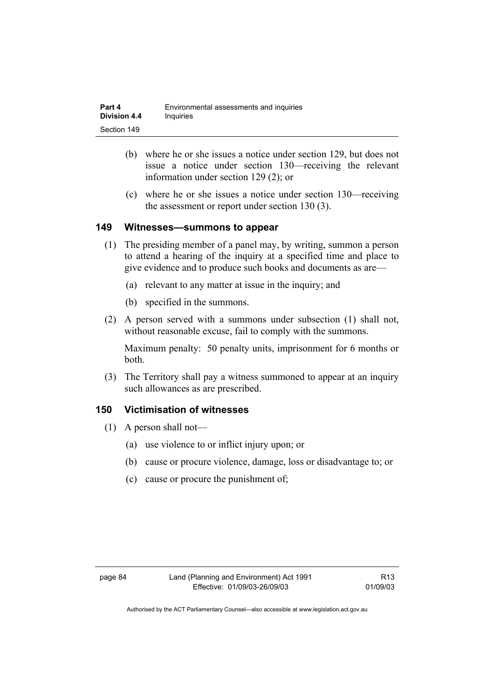| Part 4       | Environmental assessments and inquiries |
|--------------|-----------------------------------------|
| Division 4.4 | <i>Inquiries</i>                        |
| Section 149  |                                         |

- (b) where he or she issues a notice under section 129, but does not issue a notice under section 130—receiving the relevant information under section 129 (2); or
- (c) where he or she issues a notice under section 130—receiving the assessment or report under section 130 (3).

#### **149 Witnesses—summons to appear**

- (1) The presiding member of a panel may, by writing, summon a person to attend a hearing of the inquiry at a specified time and place to give evidence and to produce such books and documents as are—
	- (a) relevant to any matter at issue in the inquiry; and
	- (b) specified in the summons.
- (2) A person served with a summons under subsection (1) shall not, without reasonable excuse, fail to comply with the summons.

Maximum penalty: 50 penalty units, imprisonment for 6 months or both.

 (3) The Territory shall pay a witness summoned to appear at an inquiry such allowances as are prescribed.

### **150 Victimisation of witnesses**

- (1) A person shall not—
	- (a) use violence to or inflict injury upon; or
	- (b) cause or procure violence, damage, loss or disadvantage to; or
	- (c) cause or procure the punishment of;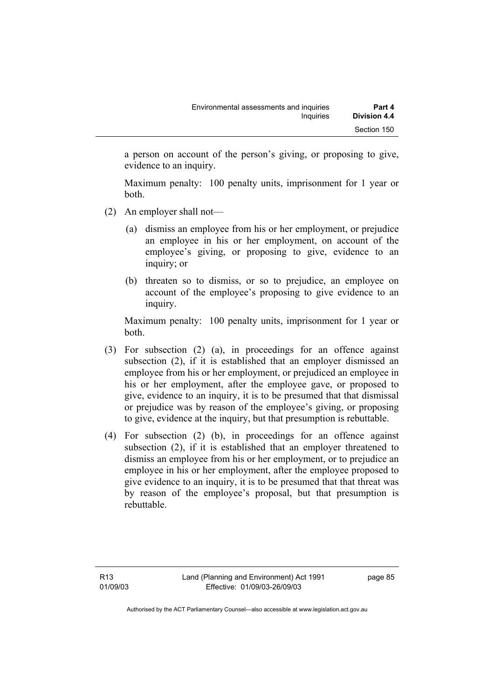a person on account of the person's giving, or proposing to give, evidence to an inquiry.

Maximum penalty: 100 penalty units, imprisonment for 1 year or both.

- (2) An employer shall not—
	- (a) dismiss an employee from his or her employment, or prejudice an employee in his or her employment, on account of the employee's giving, or proposing to give, evidence to an inquiry; or
	- (b) threaten so to dismiss, or so to prejudice, an employee on account of the employee's proposing to give evidence to an inquiry.

Maximum penalty: 100 penalty units, imprisonment for 1 year or both.

- (3) For subsection (2) (a), in proceedings for an offence against subsection (2), if it is established that an employer dismissed an employee from his or her employment, or prejudiced an employee in his or her employment, after the employee gave, or proposed to give, evidence to an inquiry, it is to be presumed that that dismissal or prejudice was by reason of the employee's giving, or proposing to give, evidence at the inquiry, but that presumption is rebuttable.
- (4) For subsection (2) (b), in proceedings for an offence against subsection (2), if it is established that an employer threatened to dismiss an employee from his or her employment, or to prejudice an employee in his or her employment, after the employee proposed to give evidence to an inquiry, it is to be presumed that that threat was by reason of the employee's proposal, but that presumption is rebuttable.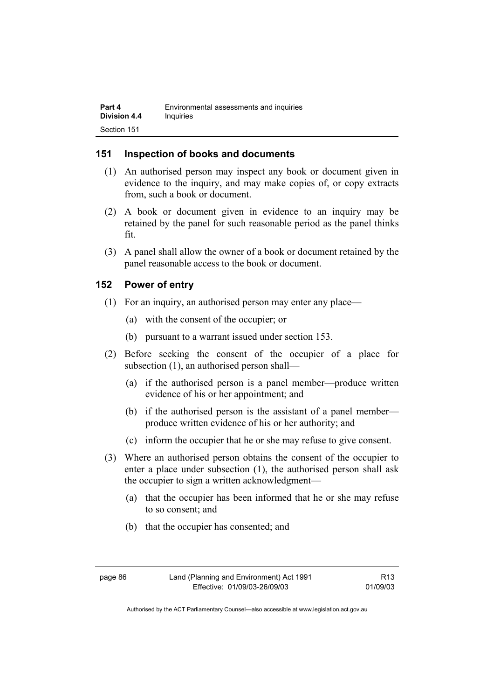## **151 Inspection of books and documents**

- (1) An authorised person may inspect any book or document given in evidence to the inquiry, and may make copies of, or copy extracts from, such a book or document.
- (2) A book or document given in evidence to an inquiry may be retained by the panel for such reasonable period as the panel thinks fit.
- (3) A panel shall allow the owner of a book or document retained by the panel reasonable access to the book or document.

## **152 Power of entry**

- (1) For an inquiry, an authorised person may enter any place—
	- (a) with the consent of the occupier; or
	- (b) pursuant to a warrant issued under section 153.
- (2) Before seeking the consent of the occupier of a place for subsection (1), an authorised person shall—
	- (a) if the authorised person is a panel member—produce written evidence of his or her appointment; and
	- (b) if the authorised person is the assistant of a panel member produce written evidence of his or her authority; and
	- (c) inform the occupier that he or she may refuse to give consent.
- (3) Where an authorised person obtains the consent of the occupier to enter a place under subsection (1), the authorised person shall ask the occupier to sign a written acknowledgment—
	- (a) that the occupier has been informed that he or she may refuse to so consent; and
	- (b) that the occupier has consented; and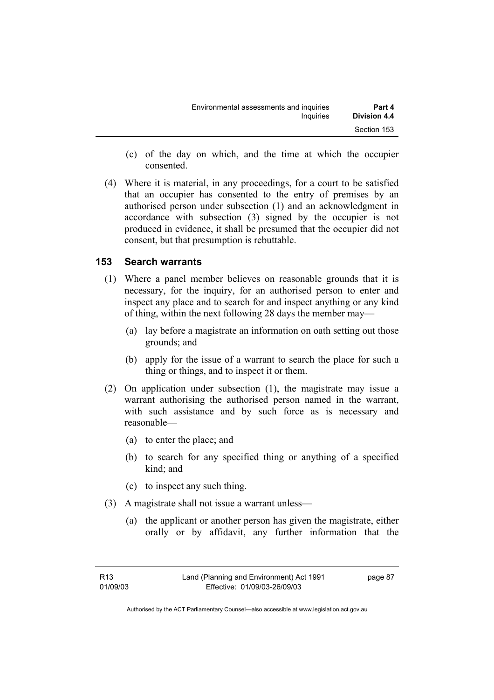| Environmental assessments and inquiries | Part 4              |
|-----------------------------------------|---------------------|
| Inquiries                               | <b>Division 4.4</b> |
|                                         | Section 153         |

- (c) of the day on which, and the time at which the occupier consented.
- (4) Where it is material, in any proceedings, for a court to be satisfied that an occupier has consented to the entry of premises by an authorised person under subsection (1) and an acknowledgment in accordance with subsection (3) signed by the occupier is not produced in evidence, it shall be presumed that the occupier did not consent, but that presumption is rebuttable.

## **153 Search warrants**

- (1) Where a panel member believes on reasonable grounds that it is necessary, for the inquiry, for an authorised person to enter and inspect any place and to search for and inspect anything or any kind of thing, within the next following 28 days the member may—
	- (a) lay before a magistrate an information on oath setting out those grounds; and
	- (b) apply for the issue of a warrant to search the place for such a thing or things, and to inspect it or them.
- (2) On application under subsection (1), the magistrate may issue a warrant authorising the authorised person named in the warrant, with such assistance and by such force as is necessary and reasonable—
	- (a) to enter the place; and
	- (b) to search for any specified thing or anything of a specified kind; and
	- (c) to inspect any such thing.
- (3) A magistrate shall not issue a warrant unless—
	- (a) the applicant or another person has given the magistrate, either orally or by affidavit, any further information that the

page 87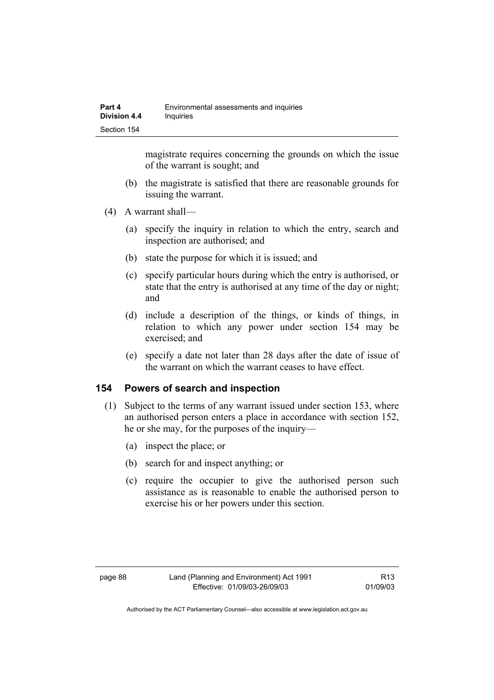magistrate requires concerning the grounds on which the issue of the warrant is sought; and

- (b) the magistrate is satisfied that there are reasonable grounds for issuing the warrant.
- (4) A warrant shall—
	- (a) specify the inquiry in relation to which the entry, search and inspection are authorised; and
	- (b) state the purpose for which it is issued; and
	- (c) specify particular hours during which the entry is authorised, or state that the entry is authorised at any time of the day or night; and
	- (d) include a description of the things, or kinds of things, in relation to which any power under section 154 may be exercised; and
	- (e) specify a date not later than 28 days after the date of issue of the warrant on which the warrant ceases to have effect.

### **154 Powers of search and inspection**

- (1) Subject to the terms of any warrant issued under section 153, where an authorised person enters a place in accordance with section 152, he or she may, for the purposes of the inquiry—
	- (a) inspect the place; or
	- (b) search for and inspect anything; or
	- (c) require the occupier to give the authorised person such assistance as is reasonable to enable the authorised person to exercise his or her powers under this section.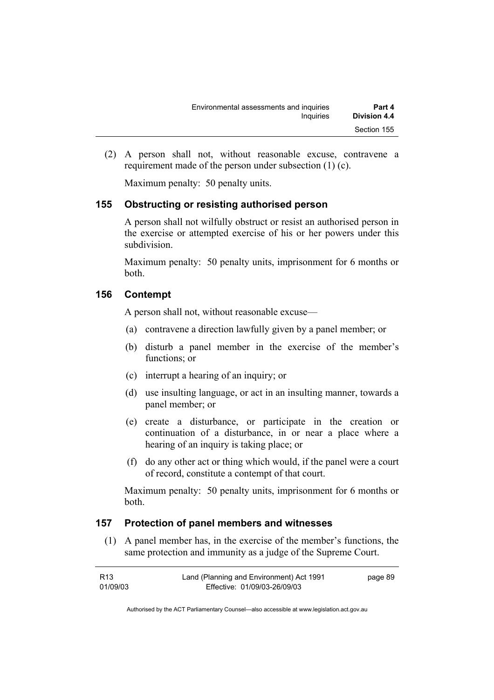| Environmental assessments and inquiries | Part 4       |
|-----------------------------------------|--------------|
| Inquiries                               | Division 4.4 |
|                                         | Section 155  |

 (2) A person shall not, without reasonable excuse, contravene a requirement made of the person under subsection (1) (c).

Maximum penalty: 50 penalty units.

### **155 Obstructing or resisting authorised person**

A person shall not wilfully obstruct or resist an authorised person in the exercise or attempted exercise of his or her powers under this subdivision.

Maximum penalty: 50 penalty units, imprisonment for 6 months or both.

#### **156 Contempt**

A person shall not, without reasonable excuse—

- (a) contravene a direction lawfully given by a panel member; or
- (b) disturb a panel member in the exercise of the member's functions; or
- (c) interrupt a hearing of an inquiry; or
- (d) use insulting language, or act in an insulting manner, towards a panel member; or
- (e) create a disturbance, or participate in the creation or continuation of a disturbance, in or near a place where a hearing of an inquiry is taking place; or
- (f) do any other act or thing which would, if the panel were a court of record, constitute a contempt of that court.

Maximum penalty: 50 penalty units, imprisonment for 6 months or both.

### **157 Protection of panel members and witnesses**

 (1) A panel member has, in the exercise of the member's functions, the same protection and immunity as a judge of the Supreme Court.

| R13      | Land (Planning and Environment) Act 1991 | page 89 |
|----------|------------------------------------------|---------|
| 01/09/03 | Effective: 01/09/03-26/09/03             |         |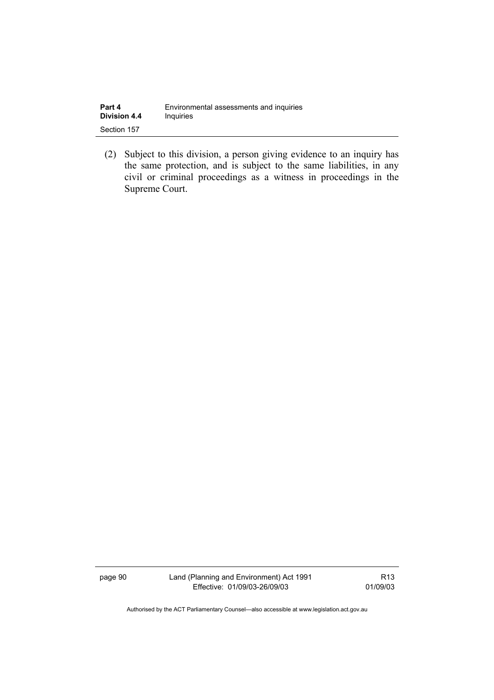| Part 4              | Environmental assessments and inquiries |
|---------------------|-----------------------------------------|
| <b>Division 4.4</b> | Inquiries                               |
| Section 157         |                                         |

 (2) Subject to this division, a person giving evidence to an inquiry has the same protection, and is subject to the same liabilities, in any civil or criminal proceedings as a witness in proceedings in the Supreme Court.

page 90 Land (Planning and Environment) Act 1991 Effective: 01/09/03-26/09/03

R13 01/09/03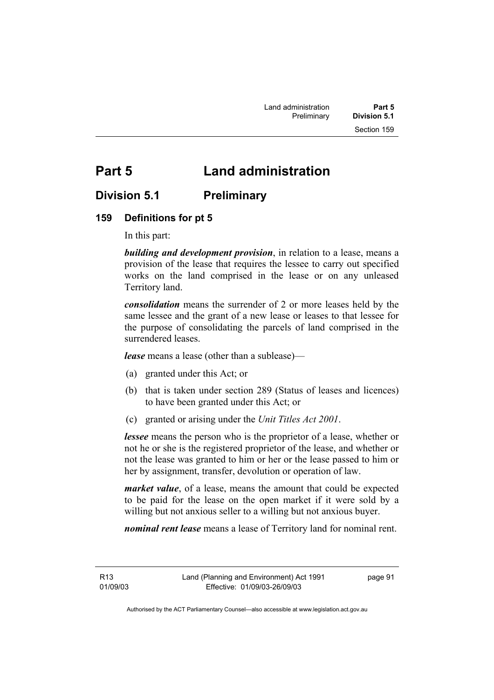# **Part 5 Land administration**

## **Division 5.1 Preliminary**

## **159 Definitions for pt 5**

In this part:

*building and development provision*, in relation to a lease, means a provision of the lease that requires the lessee to carry out specified works on the land comprised in the lease or on any unleased Territory land.

*consolidation* means the surrender of 2 or more leases held by the same lessee and the grant of a new lease or leases to that lessee for the purpose of consolidating the parcels of land comprised in the surrendered leases.

*lease* means a lease (other than a sublease)—

- (a) granted under this Act; or
- (b) that is taken under section 289 (Status of leases and licences) to have been granted under this Act; or
- (c) granted or arising under the *Unit Titles Act 2001*.

*lessee* means the person who is the proprietor of a lease, whether or not he or she is the registered proprietor of the lease, and whether or not the lease was granted to him or her or the lease passed to him or her by assignment, transfer, devolution or operation of law.

*market value*, of a lease, means the amount that could be expected to be paid for the lease on the open market if it were sold by a willing but not anxious seller to a willing but not anxious buyer.

*nominal rent lease* means a lease of Territory land for nominal rent.

R13 01/09/03 page 91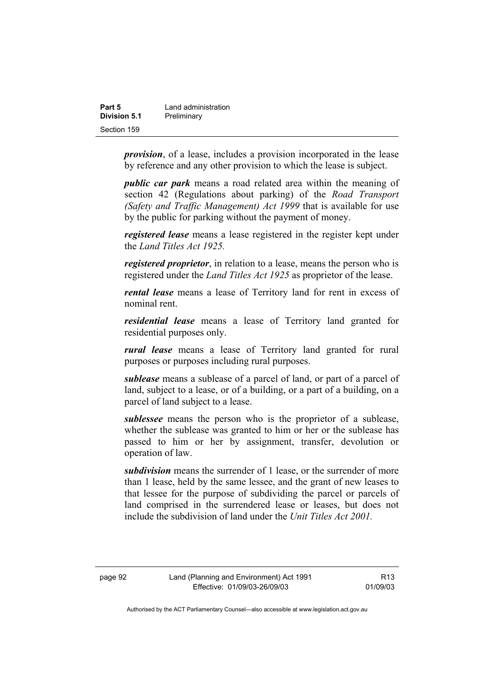| Part 5       | Land administration |
|--------------|---------------------|
| Division 5.1 | Preliminary         |
| Section 159  |                     |

*provision*, of a lease, includes a provision incorporated in the lease by reference and any other provision to which the lease is subject.

*public car park* means a road related area within the meaning of section 42 (Regulations about parking) of the *Road Transport (Safety and Traffic Management) Act 1999* that is available for use by the public for parking without the payment of money.

*registered lease* means a lease registered in the register kept under the *Land Titles Act 1925.*

*registered proprietor*, in relation to a lease, means the person who is registered under the *Land Titles Act 1925* as proprietor of the lease.

*rental lease* means a lease of Territory land for rent in excess of nominal rent.

*residential lease* means a lease of Territory land granted for residential purposes only.

*rural lease* means a lease of Territory land granted for rural purposes or purposes including rural purposes.

*sublease* means a sublease of a parcel of land, or part of a parcel of land, subject to a lease, or of a building, or a part of a building, on a parcel of land subject to a lease.

*sublessee* means the person who is the proprietor of a sublease, whether the sublease was granted to him or her or the sublease has passed to him or her by assignment, transfer, devolution or operation of law.

*subdivision* means the surrender of 1 lease, or the surrender of more than 1 lease, held by the same lessee, and the grant of new leases to that lessee for the purpose of subdividing the parcel or parcels of land comprised in the surrendered lease or leases, but does not include the subdivision of land under the *Unit Titles Act 2001.*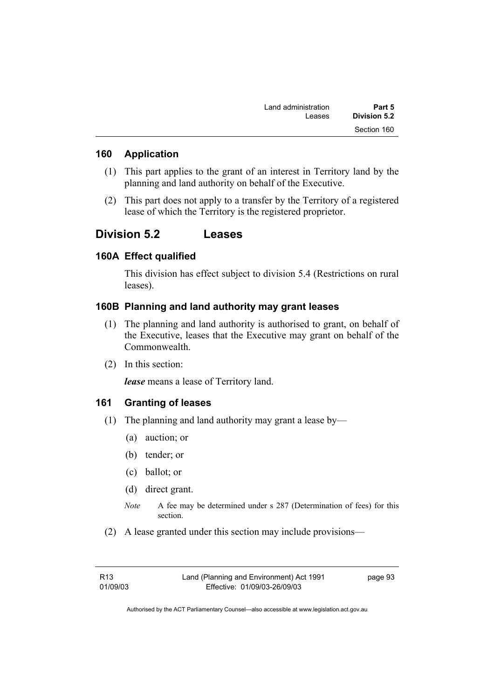| Part 5       | Land administration |
|--------------|---------------------|
| Division 5.2 | Leases              |
| Section 160  |                     |

#### **160 Application**

- (1) This part applies to the grant of an interest in Territory land by the planning and land authority on behalf of the Executive.
- (2) This part does not apply to a transfer by the Territory of a registered lease of which the Territory is the registered proprietor.

# **Division 5.2 Leases**

#### **160A Effect qualified**

This division has effect subject to division 5.4 (Restrictions on rural leases).

### **160B Planning and land authority may grant leases**

- (1) The planning and land authority is authorised to grant, on behalf of the Executive, leases that the Executive may grant on behalf of the Commonwealth.
- (2) In this section:

*lease* means a lease of Territory land.

#### **161 Granting of leases**

- (1) The planning and land authority may grant a lease by—
	- (a) auction; or
	- (b) tender; or
	- (c) ballot; or
	- (d) direct grant.
	- *Note* A fee may be determined under s 287 (Determination of fees) for this section.
- (2) A lease granted under this section may include provisions—

page 93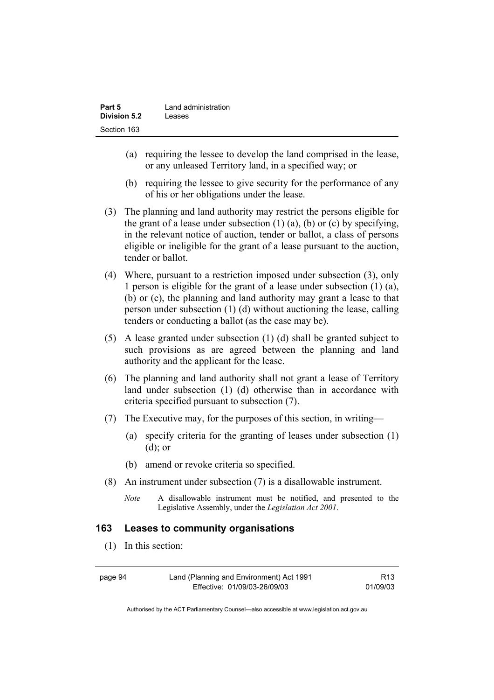| Part 5              | Land administration |
|---------------------|---------------------|
| <b>Division 5.2</b> | Leases              |
| Section 163         |                     |

- (a) requiring the lessee to develop the land comprised in the lease, or any unleased Territory land, in a specified way; or
- (b) requiring the lessee to give security for the performance of any of his or her obligations under the lease.
- (3) The planning and land authority may restrict the persons eligible for the grant of a lease under subsection  $(1)$   $(a)$ ,  $(b)$  or  $(c)$  by specifying, in the relevant notice of auction, tender or ballot, a class of persons eligible or ineligible for the grant of a lease pursuant to the auction, tender or ballot.
- (4) Where, pursuant to a restriction imposed under subsection (3), only 1 person is eligible for the grant of a lease under subsection (1) (a), (b) or (c), the planning and land authority may grant a lease to that person under subsection (1) (d) without auctioning the lease, calling tenders or conducting a ballot (as the case may be).
- (5) A lease granted under subsection (1) (d) shall be granted subject to such provisions as are agreed between the planning and land authority and the applicant for the lease.
- (6) The planning and land authority shall not grant a lease of Territory land under subsection (1) (d) otherwise than in accordance with criteria specified pursuant to subsection (7).
- (7) The Executive may, for the purposes of this section, in writing—
	- (a) specify criteria for the granting of leases under subsection (1) (d); or
	- (b) amend or revoke criteria so specified.
- (8) An instrument under subsection (7) is a disallowable instrument.
	- *Note* A disallowable instrument must be notified, and presented to the Legislative Assembly, under the *Legislation Act 2001*.

#### **163 Leases to community organisations**

(1) In this section:

| page 94 | Land (Planning and Environment) Act 1991 | R <sub>13</sub> |
|---------|------------------------------------------|-----------------|
|         | Effective: 01/09/03-26/09/03             | 01/09/03        |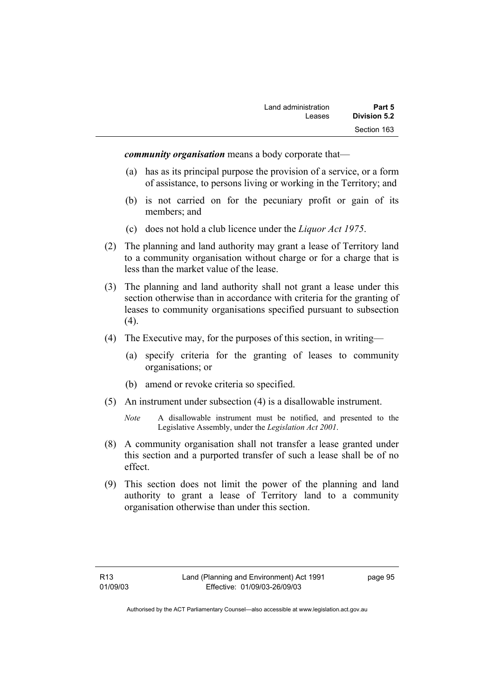*community organisation* means a body corporate that—

- (a) has as its principal purpose the provision of a service, or a form of assistance, to persons living or working in the Territory; and
- (b) is not carried on for the pecuniary profit or gain of its members; and
- (c) does not hold a club licence under the *Liquor Act 1975*.
- (2) The planning and land authority may grant a lease of Territory land to a community organisation without charge or for a charge that is less than the market value of the lease.
- (3) The planning and land authority shall not grant a lease under this section otherwise than in accordance with criteria for the granting of leases to community organisations specified pursuant to subsection  $(4).$
- (4) The Executive may, for the purposes of this section, in writing—
	- (a) specify criteria for the granting of leases to community organisations; or
	- (b) amend or revoke criteria so specified.
- (5) An instrument under subsection (4) is a disallowable instrument.
	- *Note* A disallowable instrument must be notified, and presented to the Legislative Assembly, under the *Legislation Act 2001*.
- (8) A community organisation shall not transfer a lease granted under this section and a purported transfer of such a lease shall be of no effect.
- (9) This section does not limit the power of the planning and land authority to grant a lease of Territory land to a community organisation otherwise than under this section.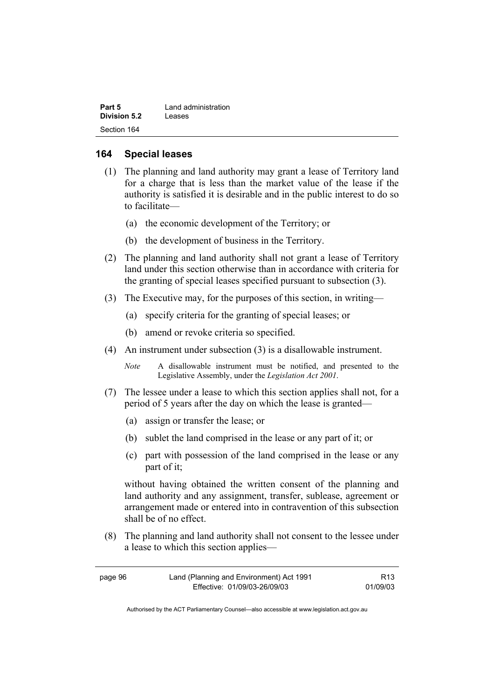| Part 5       | Land administration |
|--------------|---------------------|
| Division 5.2 | Leases              |
| Section 164  |                     |

#### **164 Special leases**

- (1) The planning and land authority may grant a lease of Territory land for a charge that is less than the market value of the lease if the authority is satisfied it is desirable and in the public interest to do so to facilitate—
	- (a) the economic development of the Territory; or
	- (b) the development of business in the Territory.
- (2) The planning and land authority shall not grant a lease of Territory land under this section otherwise than in accordance with criteria for the granting of special leases specified pursuant to subsection (3).
- (3) The Executive may, for the purposes of this section, in writing—
	- (a) specify criteria for the granting of special leases; or
	- (b) amend or revoke criteria so specified.
- (4) An instrument under subsection (3) is a disallowable instrument.
	- *Note* A disallowable instrument must be notified, and presented to the Legislative Assembly, under the *Legislation Act 2001*.
- (7) The lessee under a lease to which this section applies shall not, for a period of 5 years after the day on which the lease is granted—
	- (a) assign or transfer the lease; or
	- (b) sublet the land comprised in the lease or any part of it; or
	- (c) part with possession of the land comprised in the lease or any part of it;

without having obtained the written consent of the planning and land authority and any assignment, transfer, sublease, agreement or arrangement made or entered into in contravention of this subsection shall be of no effect.

 (8) The planning and land authority shall not consent to the lessee under a lease to which this section applies—

| page 96 | Land (Planning and Environment) Act 1991 | R13      |
|---------|------------------------------------------|----------|
|         | Effective: 01/09/03-26/09/03             | 01/09/03 |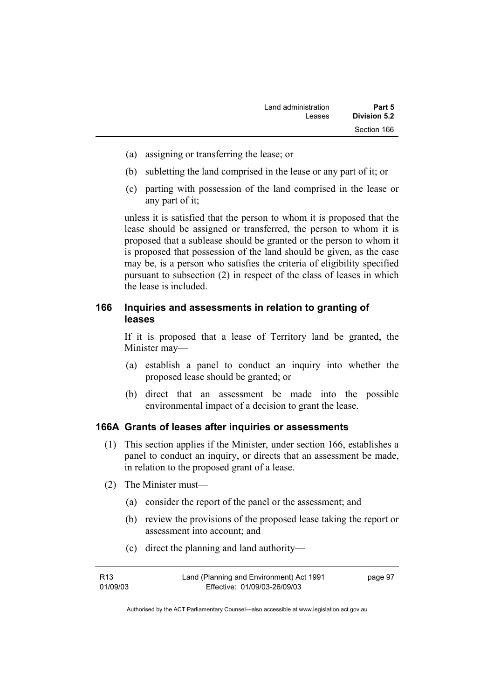- (a) assigning or transferring the lease; or
- (b) subletting the land comprised in the lease or any part of it; or
- (c) parting with possession of the land comprised in the lease or any part of it;

unless it is satisfied that the person to whom it is proposed that the lease should be assigned or transferred, the person to whom it is proposed that a sublease should be granted or the person to whom it is proposed that possession of the land should be given, as the case may be, is a person who satisfies the criteria of eligibility specified pursuant to subsection (2) in respect of the class of leases in which the lease is included.

## **166 Inquiries and assessments in relation to granting of leases**

If it is proposed that a lease of Territory land be granted, the Minister may—

- (a) establish a panel to conduct an inquiry into whether the proposed lease should be granted; or
- (b) direct that an assessment be made into the possible environmental impact of a decision to grant the lease.

#### **166A Grants of leases after inquiries or assessments**

- (1) This section applies if the Minister, under section 166, establishes a panel to conduct an inquiry, or directs that an assessment be made, in relation to the proposed grant of a lease.
- (2) The Minister must—
	- (a) consider the report of the panel or the assessment; and
	- (b) review the provisions of the proposed lease taking the report or assessment into account; and
	- (c) direct the planning and land authority—

| R13      | Land (Planning and Environment) Act 1991 | page 97 |
|----------|------------------------------------------|---------|
| 01/09/03 | Effective: 01/09/03-26/09/03             |         |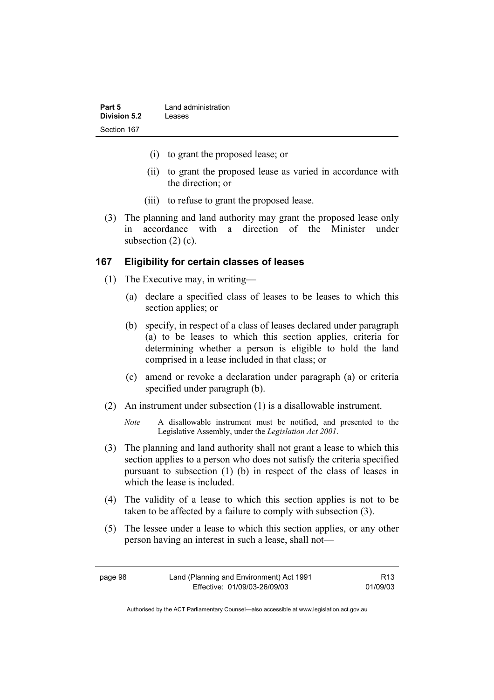| Part 5       | Land administration |
|--------------|---------------------|
| Division 5.2 | Leases              |
| Section 167  |                     |

- (i) to grant the proposed lease; or
- (ii) to grant the proposed lease as varied in accordance with the direction; or
- (iii) to refuse to grant the proposed lease.
- (3) The planning and land authority may grant the proposed lease only in accordance with a direction of the Minister under subsection  $(2)$  (c).

#### **167 Eligibility for certain classes of leases**

- (1) The Executive may, in writing—
	- (a) declare a specified class of leases to be leases to which this section applies; or
	- (b) specify, in respect of a class of leases declared under paragraph (a) to be leases to which this section applies, criteria for determining whether a person is eligible to hold the land comprised in a lease included in that class; or
	- (c) amend or revoke a declaration under paragraph (a) or criteria specified under paragraph (b).
- (2) An instrument under subsection (1) is a disallowable instrument.
	- *Note* A disallowable instrument must be notified, and presented to the Legislative Assembly, under the *Legislation Act 2001*.
- (3) The planning and land authority shall not grant a lease to which this section applies to a person who does not satisfy the criteria specified pursuant to subsection (1) (b) in respect of the class of leases in which the lease is included.
- (4) The validity of a lease to which this section applies is not to be taken to be affected by a failure to comply with subsection (3).
- (5) The lessee under a lease to which this section applies, or any other person having an interest in such a lease, shall not—

| page 98 | Land (Planning and Environment) Act 1991 | R <sub>13</sub> |
|---------|------------------------------------------|-----------------|
|         | Effective: 01/09/03-26/09/03             | 01/09/03        |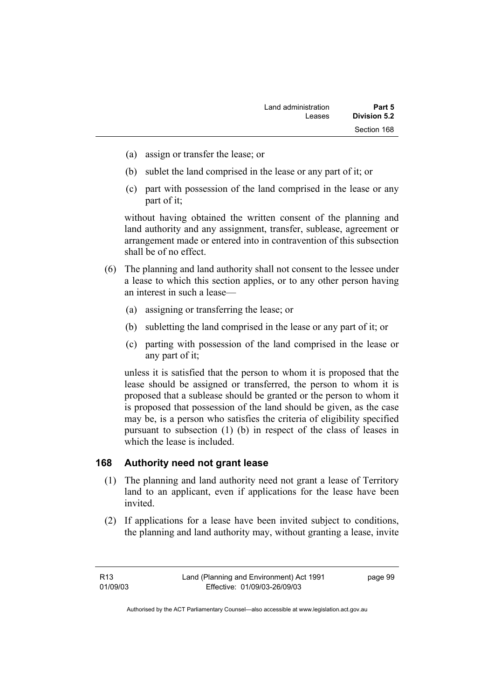- (a) assign or transfer the lease; or
- (b) sublet the land comprised in the lease or any part of it; or
- (c) part with possession of the land comprised in the lease or any part of it;

without having obtained the written consent of the planning and land authority and any assignment, transfer, sublease, agreement or arrangement made or entered into in contravention of this subsection shall be of no effect.

- (6) The planning and land authority shall not consent to the lessee under a lease to which this section applies, or to any other person having an interest in such a lease—
	- (a) assigning or transferring the lease; or
	- (b) subletting the land comprised in the lease or any part of it; or
	- (c) parting with possession of the land comprised in the lease or any part of it;

unless it is satisfied that the person to whom it is proposed that the lease should be assigned or transferred, the person to whom it is proposed that a sublease should be granted or the person to whom it is proposed that possession of the land should be given, as the case may be, is a person who satisfies the criteria of eligibility specified pursuant to subsection (1) (b) in respect of the class of leases in which the lease is included.

## **168 Authority need not grant lease**

- (1) The planning and land authority need not grant a lease of Territory land to an applicant, even if applications for the lease have been invited.
- (2) If applications for a lease have been invited subject to conditions, the planning and land authority may, without granting a lease, invite

R13 01/09/03 page 99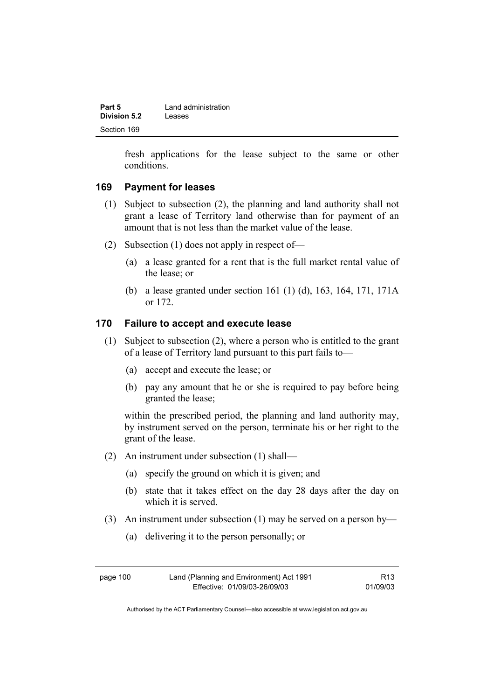| Part 5       | Land administration |
|--------------|---------------------|
| Division 5.2 | Leases              |
| Section 169  |                     |

fresh applications for the lease subject to the same or other conditions.

#### **169 Payment for leases**

- (1) Subject to subsection (2), the planning and land authority shall not grant a lease of Territory land otherwise than for payment of an amount that is not less than the market value of the lease.
- (2) Subsection (1) does not apply in respect of—
	- (a) a lease granted for a rent that is the full market rental value of the lease; or
	- (b) a lease granted under section 161 (1) (d), 163, 164, 171, 171A or 172.

#### **170 Failure to accept and execute lease**

- (1) Subject to subsection (2), where a person who is entitled to the grant of a lease of Territory land pursuant to this part fails to—
	- (a) accept and execute the lease; or
	- (b) pay any amount that he or she is required to pay before being granted the lease;

within the prescribed period, the planning and land authority may, by instrument served on the person, terminate his or her right to the grant of the lease.

- (2) An instrument under subsection (1) shall—
	- (a) specify the ground on which it is given; and
	- (b) state that it takes effect on the day 28 days after the day on which it is served.
- (3) An instrument under subsection (1) may be served on a person by—
	- (a) delivering it to the person personally; or

| page 100 | Land (Planning and Environment) Act 1991 | R <sub>13</sub> |
|----------|------------------------------------------|-----------------|
|          | Effective: 01/09/03-26/09/03             | 01/09/03        |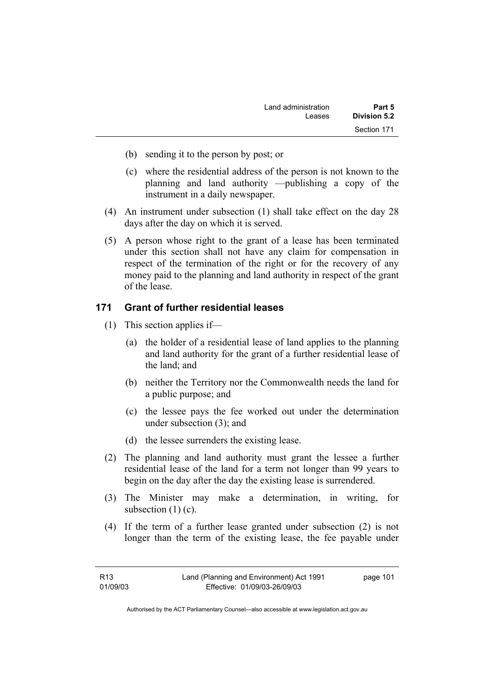| Part 5       | Land administration |
|--------------|---------------------|
| Division 5.2 | Leases              |
| Section 171  |                     |

- (b) sending it to the person by post; or
- (c) where the residential address of the person is not known to the planning and land authority —publishing a copy of the instrument in a daily newspaper.
- (4) An instrument under subsection (1) shall take effect on the day 28 days after the day on which it is served.
- (5) A person whose right to the grant of a lease has been terminated under this section shall not have any claim for compensation in respect of the termination of the right or for the recovery of any money paid to the planning and land authority in respect of the grant of the lease.

### **171 Grant of further residential leases**

- (1) This section applies if—
	- (a) the holder of a residential lease of land applies to the planning and land authority for the grant of a further residential lease of the land; and
	- (b) neither the Territory nor the Commonwealth needs the land for a public purpose; and
	- (c) the lessee pays the fee worked out under the determination under subsection (3); and
	- (d) the lessee surrenders the existing lease.
- (2) The planning and land authority must grant the lessee a further residential lease of the land for a term not longer than 99 years to begin on the day after the day the existing lease is surrendered.
- (3) The Minister may make a determination, in writing, for subsection  $(1)$  (c).
- (4) If the term of a further lease granted under subsection (2) is not longer than the term of the existing lease, the fee payable under

| R13      | Land (Planning and Environment) Act 1991 | page 101 |
|----------|------------------------------------------|----------|
| 01/09/03 | Effective: 01/09/03-26/09/03             |          |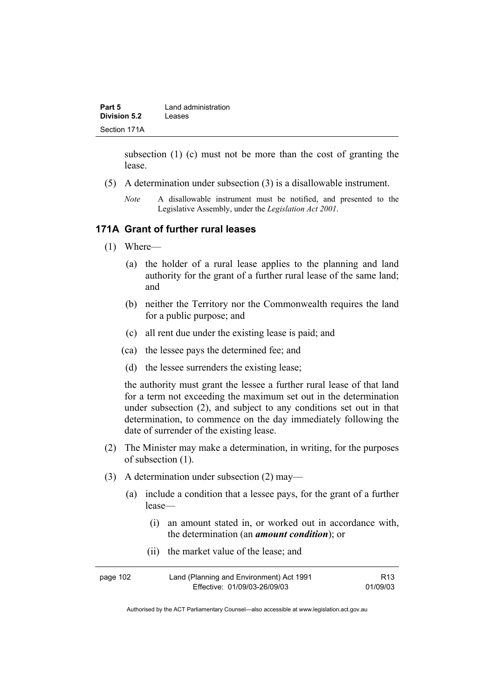| Part 5       | Land administration |
|--------------|---------------------|
| Division 5.2 | Leases              |
| Section 171A |                     |

subsection (1) (c) must not be more than the cost of granting the lease.

- (5) A determination under subsection (3) is a disallowable instrument.
	- *Note* A disallowable instrument must be notified, and presented to the Legislative Assembly, under the *Legislation Act 2001*.

#### **171A Grant of further rural leases**

- (1) Where—
	- (a) the holder of a rural lease applies to the planning and land authority for the grant of a further rural lease of the same land; and
	- (b) neither the Territory nor the Commonwealth requires the land for a public purpose; and
	- (c) all rent due under the existing lease is paid; and
	- (ca) the lessee pays the determined fee; and
	- (d) the lessee surrenders the existing lease;

the authority must grant the lessee a further rural lease of that land for a term not exceeding the maximum set out in the determination under subsection (2), and subject to any conditions set out in that determination, to commence on the day immediately following the date of surrender of the existing lease.

- (2) The Minister may make a determination, in writing, for the purposes of subsection (1).
- (3) A determination under subsection (2) may—
	- (a) include a condition that a lessee pays, for the grant of a further lease—
		- (i) an amount stated in, or worked out in accordance with, the determination (an *amount condition*); or
		- (ii) the market value of the lease; and

| page 102 | Land (Planning and Environment) Act 1991 | R13      |
|----------|------------------------------------------|----------|
|          | Effective: 01/09/03-26/09/03             | 01/09/03 |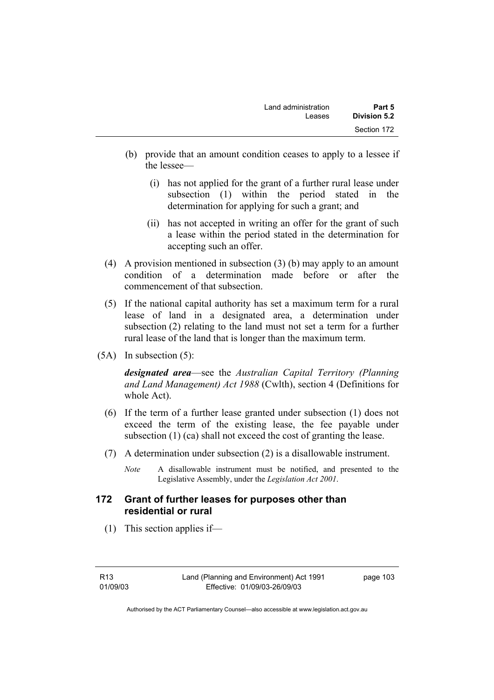| Land administration<br>Leases | Part 5<br>Division 5.2 |
|-------------------------------|------------------------|
|                               | Section 172            |
|                               |                        |

- (b) provide that an amount condition ceases to apply to a lessee if the lessee—
	- (i) has not applied for the grant of a further rural lease under subsection (1) within the period stated in the determination for applying for such a grant; and
	- (ii) has not accepted in writing an offer for the grant of such a lease within the period stated in the determination for accepting such an offer.
- (4) A provision mentioned in subsection (3) (b) may apply to an amount condition of a determination made before or after the commencement of that subsection.
- (5) If the national capital authority has set a maximum term for a rural lease of land in a designated area, a determination under subsection (2) relating to the land must not set a term for a further rural lease of the land that is longer than the maximum term.
- (5A) In subsection (5):

*designated area*—see the *Australian Capital Territory (Planning and Land Management) Act 1988* (Cwlth), section 4 (Definitions for whole Act).

- (6) If the term of a further lease granted under subsection (1) does not exceed the term of the existing lease, the fee payable under subsection (1) (ca) shall not exceed the cost of granting the lease.
- (7) A determination under subsection (2) is a disallowable instrument.
	- *Note* A disallowable instrument must be notified, and presented to the Legislative Assembly, under the *Legislation Act 2001*.

### **172 Grant of further leases for purposes other than residential or rural**

(1) This section applies if—

page 103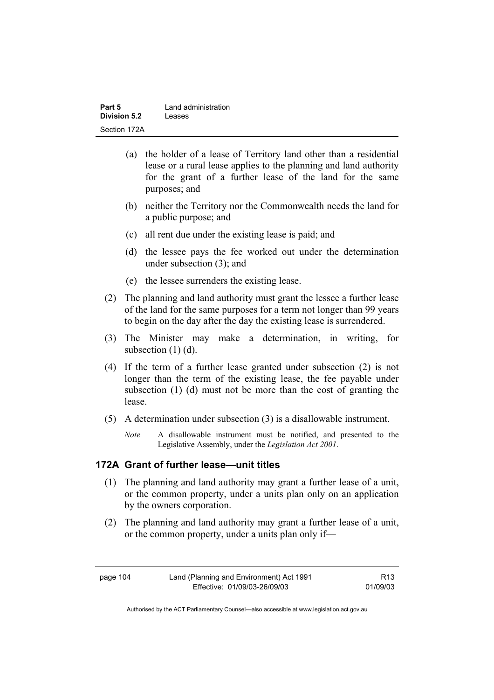| Part 5       | Land administration |
|--------------|---------------------|
| Division 5.2 | Leases              |
| Section 172A |                     |

- (a) the holder of a lease of Territory land other than a residential lease or a rural lease applies to the planning and land authority for the grant of a further lease of the land for the same purposes; and
- (b) neither the Territory nor the Commonwealth needs the land for a public purpose; and
- (c) all rent due under the existing lease is paid; and
- (d) the lessee pays the fee worked out under the determination under subsection (3); and
- (e) the lessee surrenders the existing lease.
- (2) The planning and land authority must grant the lessee a further lease of the land for the same purposes for a term not longer than 99 years to begin on the day after the day the existing lease is surrendered.
- (3) The Minister may make a determination, in writing, for subsection (1) (d).
- (4) If the term of a further lease granted under subsection (2) is not longer than the term of the existing lease, the fee payable under subsection (1) (d) must not be more than the cost of granting the lease.
- (5) A determination under subsection (3) is a disallowable instrument.
	- *Note* A disallowable instrument must be notified, and presented to the Legislative Assembly, under the *Legislation Act 2001*.

#### **172A Grant of further lease—unit titles**

- (1) The planning and land authority may grant a further lease of a unit, or the common property, under a units plan only on an application by the owners corporation.
- (2) The planning and land authority may grant a further lease of a unit, or the common property, under a units plan only if—

page 104 Land (Planning and Environment) Act 1991 Effective: 01/09/03-26/09/03

R13 01/09/03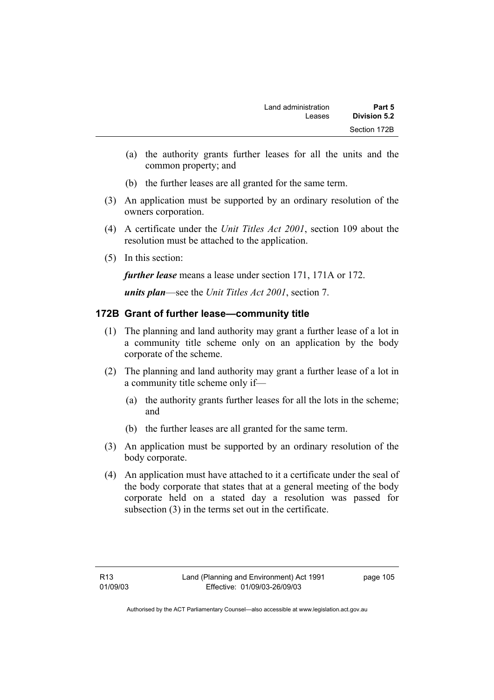- (a) the authority grants further leases for all the units and the common property; and
- (b) the further leases are all granted for the same term.
- (3) An application must be supported by an ordinary resolution of the owners corporation.
- (4) A certificate under the *Unit Titles Act 2001*, section 109 about the resolution must be attached to the application.
- (5) In this section:

*further lease* means a lease under section 171, 171A or 172.

*units plan*—see the *Unit Titles Act 2001*, section 7.

# **172B Grant of further lease—community title**

- (1) The planning and land authority may grant a further lease of a lot in a community title scheme only on an application by the body corporate of the scheme.
- (2) The planning and land authority may grant a further lease of a lot in a community title scheme only if—
	- (a) the authority grants further leases for all the lots in the scheme; and
	- (b) the further leases are all granted for the same term.
- (3) An application must be supported by an ordinary resolution of the body corporate.
- (4) An application must have attached to it a certificate under the seal of the body corporate that states that at a general meeting of the body corporate held on a stated day a resolution was passed for subsection (3) in the terms set out in the certificate.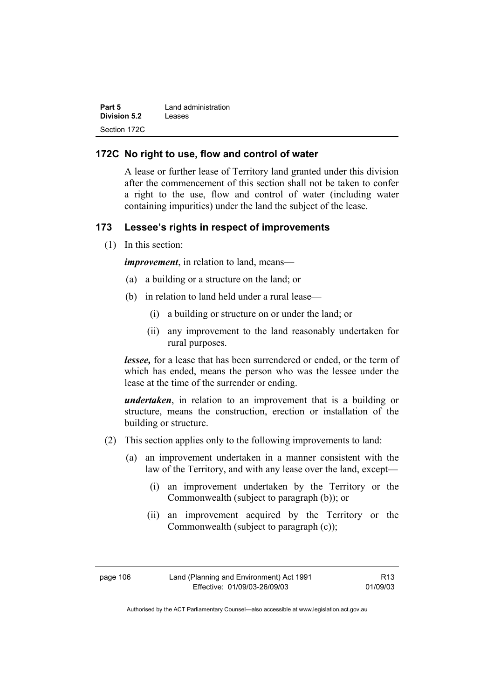| Part 5              | Land administration |
|---------------------|---------------------|
| <b>Division 5.2</b> | Leases              |
| Section 172C        |                     |

#### **172C No right to use, flow and control of water**

A lease or further lease of Territory land granted under this division after the commencement of this section shall not be taken to confer a right to the use, flow and control of water (including water containing impurities) under the land the subject of the lease.

#### **173 Lessee's rights in respect of improvements**

(1) In this section:

*improvement*, in relation to land, means—

- (a) a building or a structure on the land; or
- (b) in relation to land held under a rural lease—
	- (i) a building or structure on or under the land; or
	- (ii) any improvement to the land reasonably undertaken for rural purposes.

*lessee*, for a lease that has been surrendered or ended, or the term of which has ended, means the person who was the lessee under the lease at the time of the surrender or ending.

*undertaken*, in relation to an improvement that is a building or structure, means the construction, erection or installation of the building or structure.

- (2) This section applies only to the following improvements to land:
	- (a) an improvement undertaken in a manner consistent with the law of the Territory, and with any lease over the land, except—
		- (i) an improvement undertaken by the Territory or the Commonwealth (subject to paragraph (b)); or
		- (ii) an improvement acquired by the Territory or the Commonwealth (subject to paragraph (c));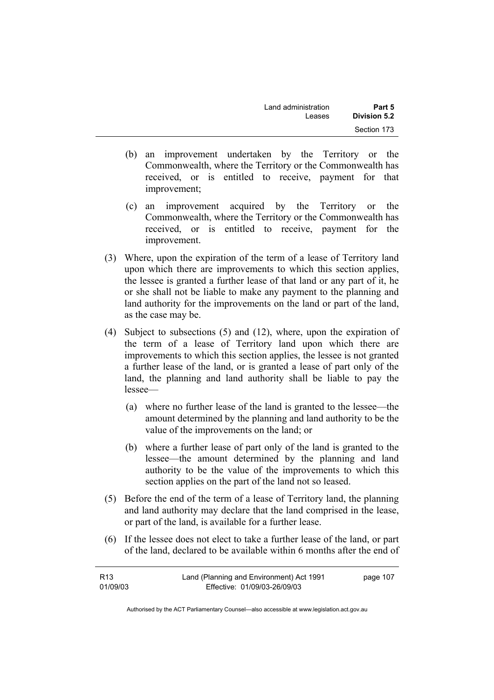| Land administration | Part 5       |
|---------------------|--------------|
| Leases              | Division 5.2 |
|                     | Section 173  |

- (b) an improvement undertaken by the Territory or the Commonwealth, where the Territory or the Commonwealth has received, or is entitled to receive, payment for that improvement;
- (c) an improvement acquired by the Territory or the Commonwealth, where the Territory or the Commonwealth has received, or is entitled to receive, payment for the improvement.
- (3) Where, upon the expiration of the term of a lease of Territory land upon which there are improvements to which this section applies, the lessee is granted a further lease of that land or any part of it, he or she shall not be liable to make any payment to the planning and land authority for the improvements on the land or part of the land, as the case may be.
- (4) Subject to subsections (5) and (12), where, upon the expiration of the term of a lease of Territory land upon which there are improvements to which this section applies, the lessee is not granted a further lease of the land, or is granted a lease of part only of the land, the planning and land authority shall be liable to pay the lessee—
	- (a) where no further lease of the land is granted to the lessee—the amount determined by the planning and land authority to be the value of the improvements on the land; or
	- (b) where a further lease of part only of the land is granted to the lessee—the amount determined by the planning and land authority to be the value of the improvements to which this section applies on the part of the land not so leased.
- (5) Before the end of the term of a lease of Territory land, the planning and land authority may declare that the land comprised in the lease, or part of the land, is available for a further lease.
- (6) If the lessee does not elect to take a further lease of the land, or part of the land, declared to be available within 6 months after the end of

| R <sub>13</sub> | Land (Planning and Environment) Act 1991 | page 107 |
|-----------------|------------------------------------------|----------|
| 01/09/03        | Effective: 01/09/03-26/09/03             |          |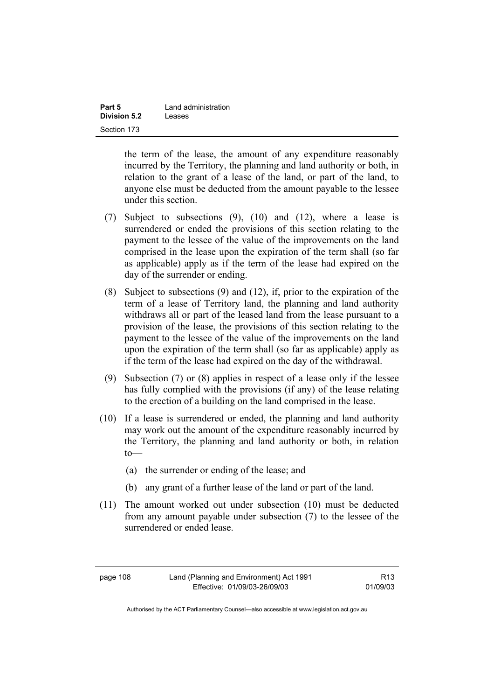| Part 5       | Land administration |
|--------------|---------------------|
| Division 5.2 | Leases              |
| Section 173  |                     |

the term of the lease, the amount of any expenditure reasonably incurred by the Territory, the planning and land authority or both, in relation to the grant of a lease of the land, or part of the land, to anyone else must be deducted from the amount payable to the lessee under this section.

- (7) Subject to subsections (9), (10) and (12), where a lease is surrendered or ended the provisions of this section relating to the payment to the lessee of the value of the improvements on the land comprised in the lease upon the expiration of the term shall (so far as applicable) apply as if the term of the lease had expired on the day of the surrender or ending.
- (8) Subject to subsections (9) and (12), if, prior to the expiration of the term of a lease of Territory land, the planning and land authority withdraws all or part of the leased land from the lease pursuant to a provision of the lease, the provisions of this section relating to the payment to the lessee of the value of the improvements on the land upon the expiration of the term shall (so far as applicable) apply as if the term of the lease had expired on the day of the withdrawal.
- (9) Subsection (7) or (8) applies in respect of a lease only if the lessee has fully complied with the provisions (if any) of the lease relating to the erection of a building on the land comprised in the lease.
- (10) If a lease is surrendered or ended, the planning and land authority may work out the amount of the expenditure reasonably incurred by the Territory, the planning and land authority or both, in relation to—
	- (a) the surrender or ending of the lease; and
	- (b) any grant of a further lease of the land or part of the land.
- (11) The amount worked out under subsection (10) must be deducted from any amount payable under subsection (7) to the lessee of the surrendered or ended lease.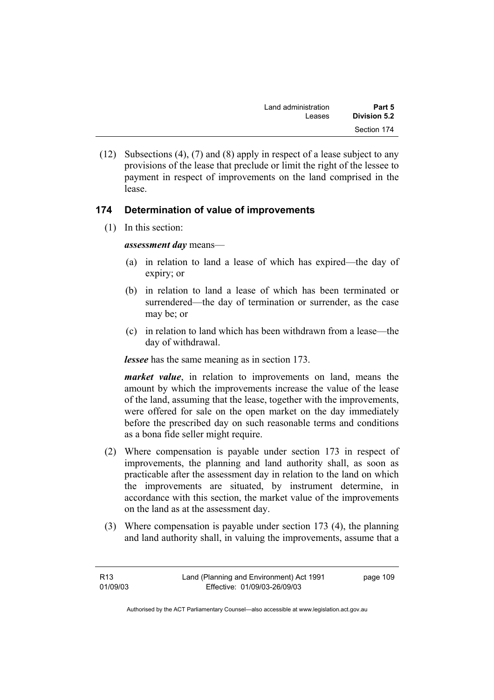| Land administration | Part 5       |
|---------------------|--------------|
| Leases              | Division 5.2 |
|                     | Section 174  |

 (12) Subsections (4), (7) and (8) apply in respect of a lease subject to any provisions of the lease that preclude or limit the right of the lessee to payment in respect of improvements on the land comprised in the lease.

# **174 Determination of value of improvements**

(1) In this section:

*assessment day* means—

- (a) in relation to land a lease of which has expired—the day of expiry; or
- (b) in relation to land a lease of which has been terminated or surrendered—the day of termination or surrender, as the case may be; or
- (c) in relation to land which has been withdrawn from a lease—the day of withdrawal.

*lessee* has the same meaning as in section 173.

*market value*, in relation to improvements on land, means the amount by which the improvements increase the value of the lease of the land, assuming that the lease, together with the improvements, were offered for sale on the open market on the day immediately before the prescribed day on such reasonable terms and conditions as a bona fide seller might require.

- (2) Where compensation is payable under section 173 in respect of improvements, the planning and land authority shall, as soon as practicable after the assessment day in relation to the land on which the improvements are situated, by instrument determine, in accordance with this section, the market value of the improvements on the land as at the assessment day.
- (3) Where compensation is payable under section 173 (4), the planning and land authority shall, in valuing the improvements, assume that a

| R13      | Land (Planning and Environment) Act 1991 | page 109 |
|----------|------------------------------------------|----------|
| 01/09/03 | Effective: 01/09/03-26/09/03             |          |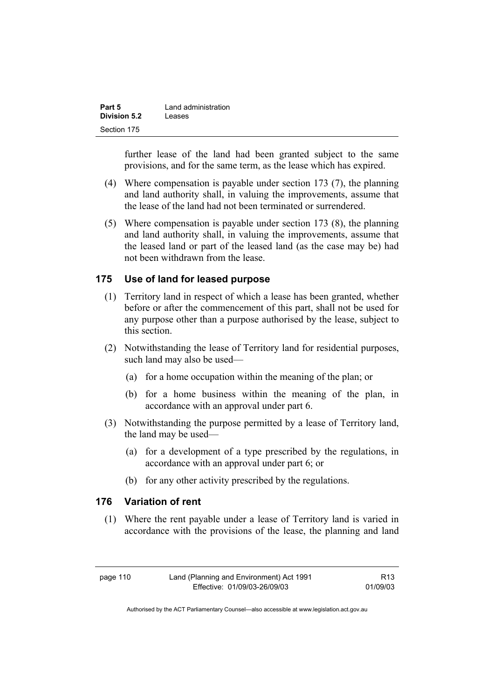| Part 5       | Land administration |
|--------------|---------------------|
| Division 5.2 | Leases              |
| Section 175  |                     |

further lease of the land had been granted subject to the same provisions, and for the same term, as the lease which has expired.

- (4) Where compensation is payable under section 173 (7), the planning and land authority shall, in valuing the improvements, assume that the lease of the land had not been terminated or surrendered.
- (5) Where compensation is payable under section 173 (8), the planning and land authority shall, in valuing the improvements, assume that the leased land or part of the leased land (as the case may be) had not been withdrawn from the lease.

### **175 Use of land for leased purpose**

- (1) Territory land in respect of which a lease has been granted, whether before or after the commencement of this part, shall not be used for any purpose other than a purpose authorised by the lease, subject to this section.
- (2) Notwithstanding the lease of Territory land for residential purposes, such land may also be used—
	- (a) for a home occupation within the meaning of the plan; or
	- (b) for a home business within the meaning of the plan, in accordance with an approval under part 6.
- (3) Notwithstanding the purpose permitted by a lease of Territory land, the land may be used—
	- (a) for a development of a type prescribed by the regulations, in accordance with an approval under part 6; or
	- (b) for any other activity prescribed by the regulations.

### **176 Variation of rent**

 (1) Where the rent payable under a lease of Territory land is varied in accordance with the provisions of the lease, the planning and land

R13 01/09/03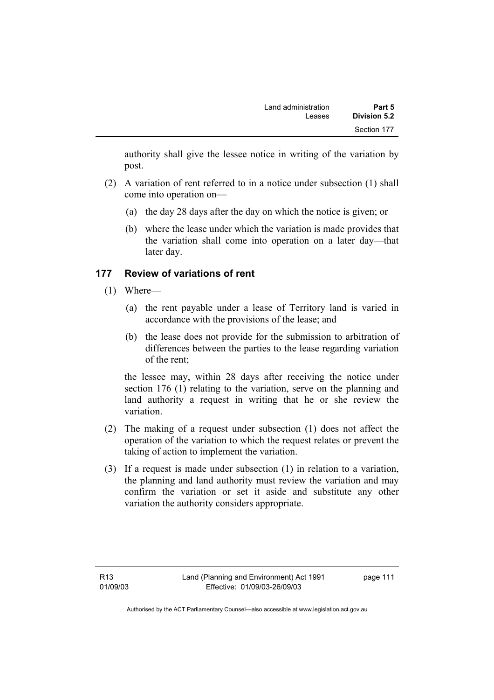authority shall give the lessee notice in writing of the variation by post.

- (2) A variation of rent referred to in a notice under subsection (1) shall come into operation on—
	- (a) the day 28 days after the day on which the notice is given; or
	- (b) where the lease under which the variation is made provides that the variation shall come into operation on a later day—that later day.

# **177 Review of variations of rent**

- (1) Where—
	- (a) the rent payable under a lease of Territory land is varied in accordance with the provisions of the lease; and
	- (b) the lease does not provide for the submission to arbitration of differences between the parties to the lease regarding variation of the rent;

the lessee may, within 28 days after receiving the notice under section 176 (1) relating to the variation, serve on the planning and land authority a request in writing that he or she review the variation.

- (2) The making of a request under subsection (1) does not affect the operation of the variation to which the request relates or prevent the taking of action to implement the variation.
- (3) If a request is made under subsection (1) in relation to a variation, the planning and land authority must review the variation and may confirm the variation or set it aside and substitute any other variation the authority considers appropriate.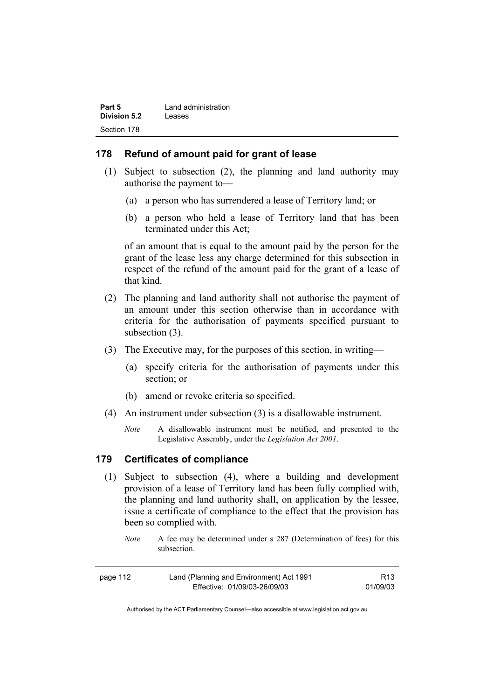| Part 5       | Land administration |
|--------------|---------------------|
| Division 5.2 | Leases              |
| Section 178  |                     |

#### **178 Refund of amount paid for grant of lease**

- (1) Subject to subsection (2), the planning and land authority may authorise the payment to—
	- (a) a person who has surrendered a lease of Territory land; or
	- (b) a person who held a lease of Territory land that has been terminated under this Act;

of an amount that is equal to the amount paid by the person for the grant of the lease less any charge determined for this subsection in respect of the refund of the amount paid for the grant of a lease of that kind.

- (2) The planning and land authority shall not authorise the payment of an amount under this section otherwise than in accordance with criteria for the authorisation of payments specified pursuant to subsection  $(3)$ .
- (3) The Executive may, for the purposes of this section, in writing—
	- (a) specify criteria for the authorisation of payments under this section; or
	- (b) amend or revoke criteria so specified.
- (4) An instrument under subsection (3) is a disallowable instrument.
	- *Note* A disallowable instrument must be notified, and presented to the Legislative Assembly, under the *Legislation Act 2001*.

### **179 Certificates of compliance**

- (1) Subject to subsection (4), where a building and development provision of a lease of Territory land has been fully complied with, the planning and land authority shall, on application by the lessee, issue a certificate of compliance to the effect that the provision has been so complied with.
	- *Note* A fee may be determined under s 287 (Determination of fees) for this subsection.

| page 112 | Land (Planning and Environment) Act 1991 | R <sub>13</sub> |
|----------|------------------------------------------|-----------------|
|          | Effective: 01/09/03-26/09/03             | 01/09/03        |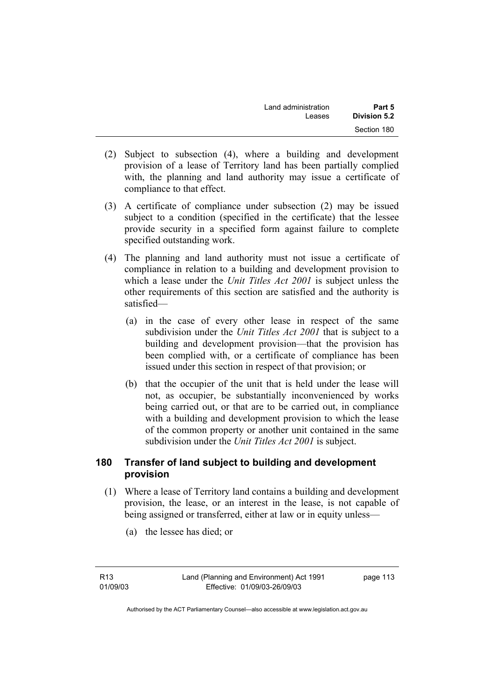| Land administration | Part 5       |
|---------------------|--------------|
| Leases              | Division 5.2 |
|                     | Section 180  |

- (2) Subject to subsection (4), where a building and development provision of a lease of Territory land has been partially complied with, the planning and land authority may issue a certificate of compliance to that effect.
- (3) A certificate of compliance under subsection (2) may be issued subject to a condition (specified in the certificate) that the lessee provide security in a specified form against failure to complete specified outstanding work.
- (4) The planning and land authority must not issue a certificate of compliance in relation to a building and development provision to which a lease under the *Unit Titles Act 2001* is subject unless the other requirements of this section are satisfied and the authority is satisfied—
	- (a) in the case of every other lease in respect of the same subdivision under the *Unit Titles Act 2001* that is subject to a building and development provision—that the provision has been complied with, or a certificate of compliance has been issued under this section in respect of that provision; or
	- (b) that the occupier of the unit that is held under the lease will not, as occupier, be substantially inconvenienced by works being carried out, or that are to be carried out, in compliance with a building and development provision to which the lease of the common property or another unit contained in the same subdivision under the *Unit Titles Act 2001* is subject.

# **180 Transfer of land subject to building and development provision**

- (1) Where a lease of Territory land contains a building and development provision, the lease, or an interest in the lease, is not capable of being assigned or transferred, either at law or in equity unless—
	- (a) the lessee has died; or

R13 01/09/03 page 113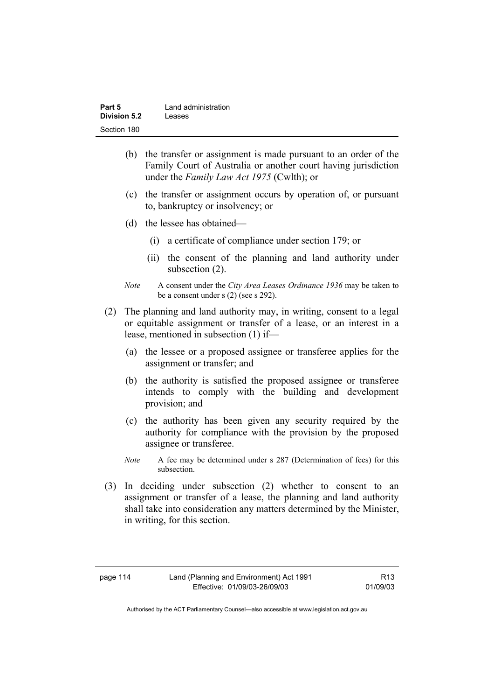| Part 5              | Land administration |
|---------------------|---------------------|
| <b>Division 5.2</b> | Leases              |
| Section 180         |                     |

- (b) the transfer or assignment is made pursuant to an order of the Family Court of Australia or another court having jurisdiction under the *Family Law Act 1975* (Cwlth); or
- (c) the transfer or assignment occurs by operation of, or pursuant to, bankruptcy or insolvency; or
- (d) the lessee has obtained—
	- (i) a certificate of compliance under section 179; or
	- (ii) the consent of the planning and land authority under subsection  $(2)$ .
- *Note* A consent under the *City Area Leases Ordinance 1936* may be taken to be a consent under s (2) (see s 292).
- (2) The planning and land authority may, in writing, consent to a legal or equitable assignment or transfer of a lease, or an interest in a lease, mentioned in subsection (1) if—
	- (a) the lessee or a proposed assignee or transferee applies for the assignment or transfer; and
	- (b) the authority is satisfied the proposed assignee or transferee intends to comply with the building and development provision; and
	- (c) the authority has been given any security required by the authority for compliance with the provision by the proposed assignee or transferee.
	- *Note* A fee may be determined under s 287 (Determination of fees) for this subsection.
- (3) In deciding under subsection (2) whether to consent to an assignment or transfer of a lease, the planning and land authority shall take into consideration any matters determined by the Minister, in writing, for this section.

R13 01/09/03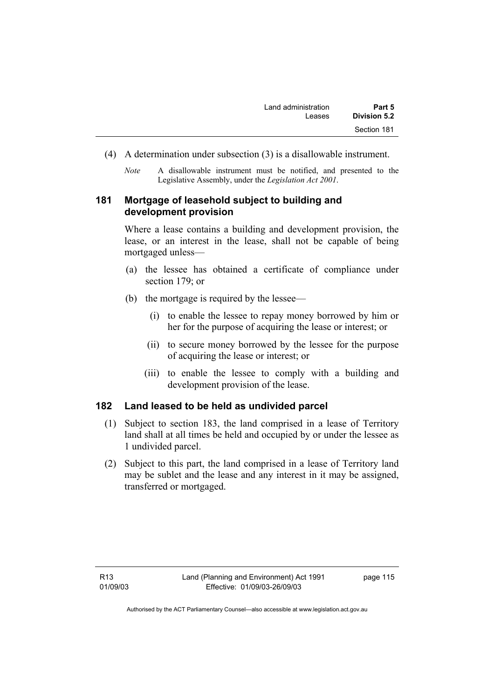- (4) A determination under subsection (3) is a disallowable instrument.
	- *Note* A disallowable instrument must be notified, and presented to the Legislative Assembly, under the *Legislation Act 2001*.

# **181 Mortgage of leasehold subject to building and development provision**

Where a lease contains a building and development provision, the lease, or an interest in the lease, shall not be capable of being mortgaged unless—

- (a) the lessee has obtained a certificate of compliance under section 179; or
- (b) the mortgage is required by the lessee—
	- (i) to enable the lessee to repay money borrowed by him or her for the purpose of acquiring the lease or interest; or
	- (ii) to secure money borrowed by the lessee for the purpose of acquiring the lease or interest; or
	- (iii) to enable the lessee to comply with a building and development provision of the lease.

# **182 Land leased to be held as undivided parcel**

- (1) Subject to section 183, the land comprised in a lease of Territory land shall at all times be held and occupied by or under the lessee as 1 undivided parcel.
- (2) Subject to this part, the land comprised in a lease of Territory land may be sublet and the lease and any interest in it may be assigned, transferred or mortgaged.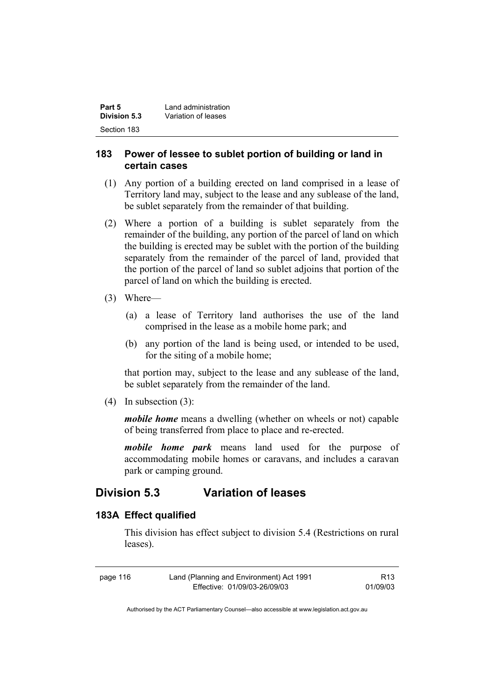| Part 5       | Land administration |
|--------------|---------------------|
| Division 5.3 | Variation of leases |
| Section 183  |                     |

### **183 Power of lessee to sublet portion of building or land in certain cases**

- (1) Any portion of a building erected on land comprised in a lease of Territory land may, subject to the lease and any sublease of the land, be sublet separately from the remainder of that building.
- (2) Where a portion of a building is sublet separately from the remainder of the building, any portion of the parcel of land on which the building is erected may be sublet with the portion of the building separately from the remainder of the parcel of land, provided that the portion of the parcel of land so sublet adjoins that portion of the parcel of land on which the building is erected.
- (3) Where—
	- (a) a lease of Territory land authorises the use of the land comprised in the lease as a mobile home park; and
	- (b) any portion of the land is being used, or intended to be used, for the siting of a mobile home;

that portion may, subject to the lease and any sublease of the land, be sublet separately from the remainder of the land.

(4) In subsection (3):

*mobile home* means a dwelling (whether on wheels or not) capable of being transferred from place to place and re-erected.

*mobile home park* means land used for the purpose of accommodating mobile homes or caravans, and includes a caravan park or camping ground.

# **Division 5.3 Variation of leases**

### **183A Effect qualified**

This division has effect subject to division 5.4 (Restrictions on rural leases).

| page 116 | Land (Planning and Environment) Act 1991 | R13      |
|----------|------------------------------------------|----------|
|          | Effective: 01/09/03-26/09/03             | 01/09/03 |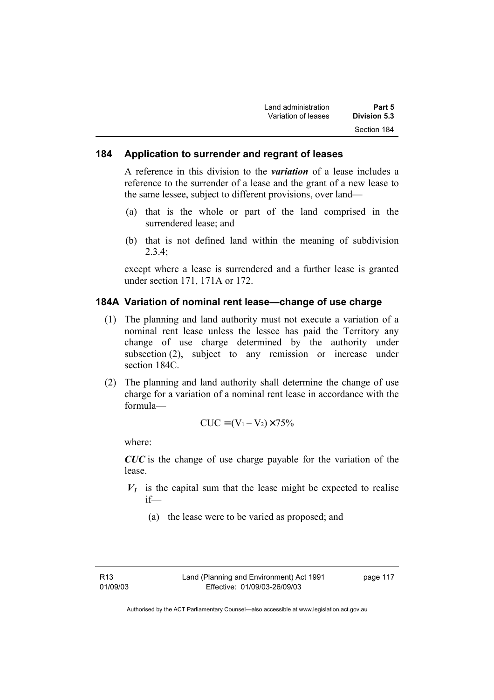| Land administration | Part 5       |
|---------------------|--------------|
| Variation of leases | Division 5.3 |
|                     | Section 184  |

#### **184 Application to surrender and regrant of leases**

A reference in this division to the *variation* of a lease includes a reference to the surrender of a lease and the grant of a new lease to the same lessee, subject to different provisions, over land—

- (a) that is the whole or part of the land comprised in the surrendered lease; and
- (b) that is not defined land within the meaning of subdivision  $2.3.4$

except where a lease is surrendered and a further lease is granted under section 171, 171A or 172.

#### **184A Variation of nominal rent lease—change of use charge**

- (1) The planning and land authority must not execute a variation of a nominal rent lease unless the lessee has paid the Territory any change of use charge determined by the authority under subsection (2), subject to any remission or increase under section 184C.
- (2) The planning and land authority shall determine the change of use charge for a variation of a nominal rent lease in accordance with the formula—

$$
CUC = (V_1 - V_2) \times 75\%
$$

where:

*CUC* is the change of use charge payable for the variation of the lease.

- $V_1$  is the capital sum that the lease might be expected to realise if—
	- (a) the lease were to be varied as proposed; and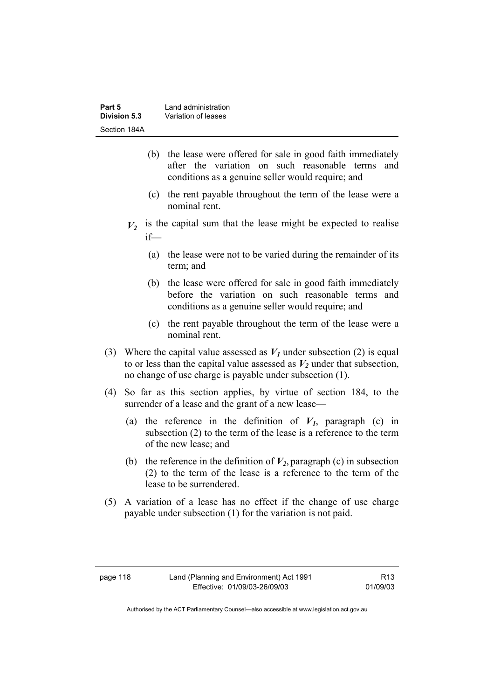| Part 5       | Land administration |
|--------------|---------------------|
| Division 5.3 | Variation of leases |
| Section 184A |                     |

- (b) the lease were offered for sale in good faith immediately after the variation on such reasonable terms and conditions as a genuine seller would require; and
- (c) the rent payable throughout the term of the lease were a nominal rent.
- $V_2$  is the capital sum that the lease might be expected to realise if—
	- (a) the lease were not to be varied during the remainder of its term; and
	- (b) the lease were offered for sale in good faith immediately before the variation on such reasonable terms and conditions as a genuine seller would require; and
	- (c) the rent payable throughout the term of the lease were a nominal rent.
- (3) Where the capital value assessed as  $V_I$  under subsection (2) is equal to or less than the capital value assessed as  $V_2$  under that subsection, no change of use charge is payable under subsection (1).
- (4) So far as this section applies, by virtue of section 184, to the surrender of a lease and the grant of a new lease—
	- (a) the reference in the definition of  $V_I$ , paragraph (c) in subsection (2) to the term of the lease is a reference to the term of the new lease; and
	- (b) the reference in the definition of  $V_2$ , paragraph (c) in subsection (2) to the term of the lease is a reference to the term of the lease to be surrendered.
- (5) A variation of a lease has no effect if the change of use charge payable under subsection (1) for the variation is not paid.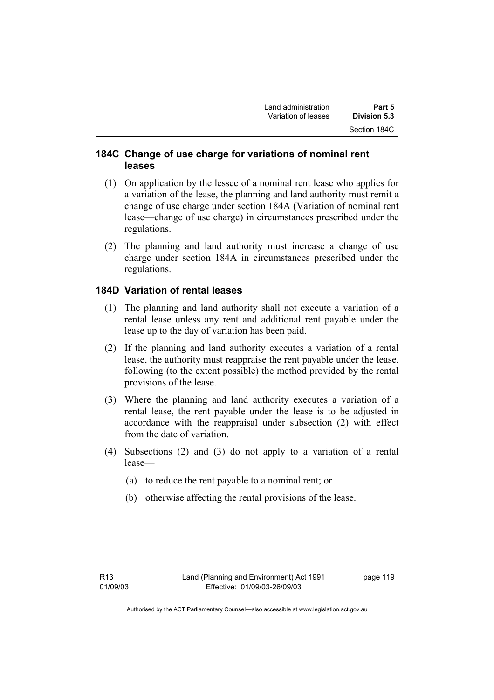# **184C Change of use charge for variations of nominal rent leases**

- (1) On application by the lessee of a nominal rent lease who applies for a variation of the lease, the planning and land authority must remit a change of use charge under section 184A (Variation of nominal rent lease—change of use charge) in circumstances prescribed under the regulations.
- (2) The planning and land authority must increase a change of use charge under section 184A in circumstances prescribed under the regulations.

# **184D Variation of rental leases**

- (1) The planning and land authority shall not execute a variation of a rental lease unless any rent and additional rent payable under the lease up to the day of variation has been paid.
- (2) If the planning and land authority executes a variation of a rental lease, the authority must reappraise the rent payable under the lease, following (to the extent possible) the method provided by the rental provisions of the lease.
- (3) Where the planning and land authority executes a variation of a rental lease, the rent payable under the lease is to be adjusted in accordance with the reappraisal under subsection (2) with effect from the date of variation.
- (4) Subsections (2) and (3) do not apply to a variation of a rental lease—
	- (a) to reduce the rent payable to a nominal rent; or
	- (b) otherwise affecting the rental provisions of the lease.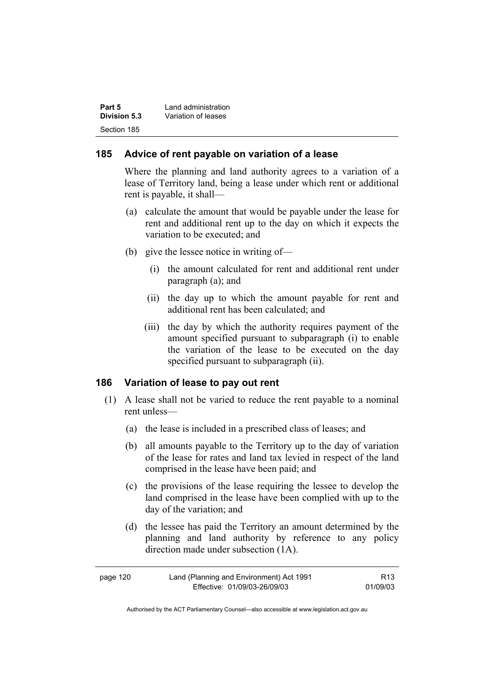| Part 5       | Land administration |
|--------------|---------------------|
| Division 5.3 | Variation of leases |
| Section 185  |                     |

#### **185 Advice of rent payable on variation of a lease**

Where the planning and land authority agrees to a variation of a lease of Territory land, being a lease under which rent or additional rent is payable, it shall—

- (a) calculate the amount that would be payable under the lease for rent and additional rent up to the day on which it expects the variation to be executed; and
- (b) give the lessee notice in writing of—
	- (i) the amount calculated for rent and additional rent under paragraph (a); and
	- (ii) the day up to which the amount payable for rent and additional rent has been calculated; and
	- (iii) the day by which the authority requires payment of the amount specified pursuant to subparagraph (i) to enable the variation of the lease to be executed on the day specified pursuant to subparagraph (ii).

#### **186 Variation of lease to pay out rent**

- (1) A lease shall not be varied to reduce the rent payable to a nominal rent unless—
	- (a) the lease is included in a prescribed class of leases; and
	- (b) all amounts payable to the Territory up to the day of variation of the lease for rates and land tax levied in respect of the land comprised in the lease have been paid; and
	- (c) the provisions of the lease requiring the lessee to develop the land comprised in the lease have been complied with up to the day of the variation; and
	- (d) the lessee has paid the Territory an amount determined by the planning and land authority by reference to any policy direction made under subsection (1A).

| page 120 | Land (Planning and Environment) Act 1991 | R <sub>13</sub> |
|----------|------------------------------------------|-----------------|
|          | Effective: 01/09/03-26/09/03             | 01/09/03        |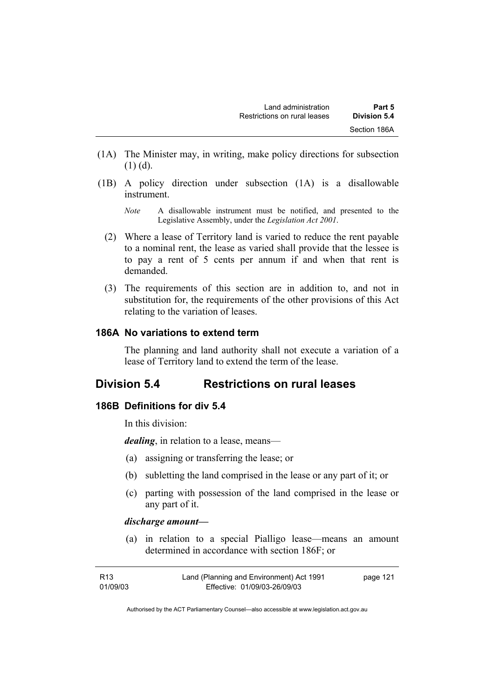- (1A) The Minister may, in writing, make policy directions for subsection  $(1)$  (d).
- (1B) A policy direction under subsection (1A) is a disallowable instrument.
	- *Note* A disallowable instrument must be notified, and presented to the Legislative Assembly, under the *Legislation Act 2001*.
	- (2) Where a lease of Territory land is varied to reduce the rent payable to a nominal rent, the lease as varied shall provide that the lessee is to pay a rent of 5 cents per annum if and when that rent is demanded.
	- (3) The requirements of this section are in addition to, and not in substitution for, the requirements of the other provisions of this Act relating to the variation of leases.

### **186A No variations to extend term**

The planning and land authority shall not execute a variation of a lease of Territory land to extend the term of the lease.

# **Division 5.4 Restrictions on rural leases**

### **186B Definitions for div 5.4**

In this division:

*dealing*, in relation to a lease, means—

- (a) assigning or transferring the lease; or
- (b) subletting the land comprised in the lease or any part of it; or
- (c) parting with possession of the land comprised in the lease or any part of it.

#### *discharge amount—*

 (a) in relation to a special Pialligo lease—means an amount determined in accordance with section 186F; or

| R13      | Land (Planning and Environment) Act 1991 | page 121 |
|----------|------------------------------------------|----------|
| 01/09/03 | Effective: 01/09/03-26/09/03             |          |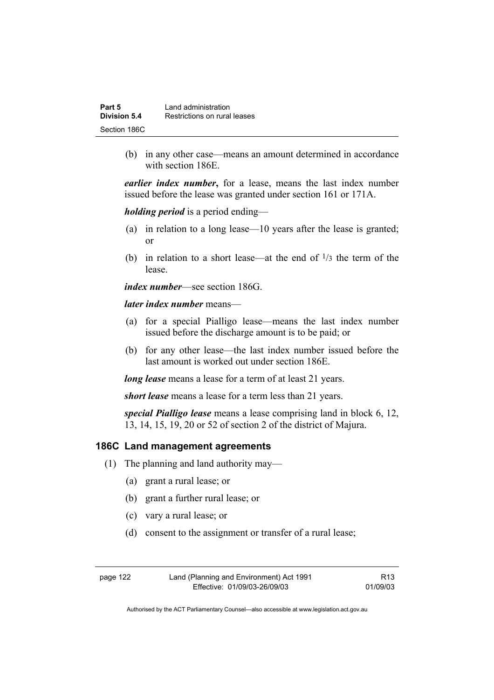| Part 5       | Land administration          |
|--------------|------------------------------|
| Division 5.4 | Restrictions on rural leases |
| Section 186C |                              |

 (b) in any other case—means an amount determined in accordance with section 186E.

*earlier index number***,** for a lease, means the last index number issued before the lease was granted under section 161 or 171A.

*holding period* is a period ending—

- (a) in relation to a long lease—10 years after the lease is granted; or
- (b) in relation to a short lease—at the end of  $\frac{1}{3}$  the term of the lease.

*index number*—see section 186G.

*later index number* means—

- (a) for a special Pialligo lease—means the last index number issued before the discharge amount is to be paid; or
- (b) for any other lease—the last index number issued before the last amount is worked out under section 186E.

*long lease* means a lease for a term of at least 21 years.

*short lease* means a lease for a term less than 21 years.

*special Pialligo lease* means a lease comprising land in block 6, 12, 13, 14, 15, 19, 20 or 52 of section 2 of the district of Majura.

#### **186C Land management agreements**

- (1) The planning and land authority may—
	- (a) grant a rural lease; or
	- (b) grant a further rural lease; or
	- (c) vary a rural lease; or
	- (d) consent to the assignment or transfer of a rural lease;

| page 122 | Land (Planning and Environment) Act 1991 | R <sub>13</sub> |
|----------|------------------------------------------|-----------------|
|          | Effective: 01/09/03-26/09/03             | 01/09/03        |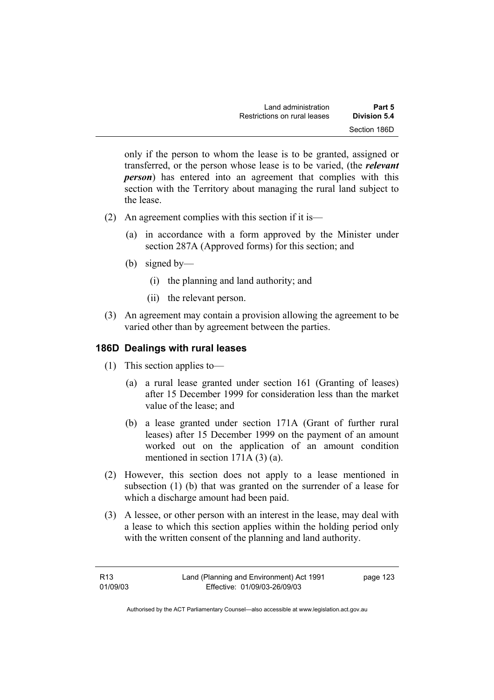| Land administration          | Part 5       |
|------------------------------|--------------|
| Restrictions on rural leases | Division 5.4 |
|                              | Section 186D |

only if the person to whom the lease is to be granted, assigned or transferred, or the person whose lease is to be varied, (the *relevant person*) has entered into an agreement that complies with this section with the Territory about managing the rural land subject to the lease.

- (2) An agreement complies with this section if it is—
	- (a) in accordance with a form approved by the Minister under section 287A (Approved forms) for this section; and
	- (b) signed by—
		- (i) the planning and land authority; and
		- (ii) the relevant person.
- (3) An agreement may contain a provision allowing the agreement to be varied other than by agreement between the parties.

#### **186D Dealings with rural leases**

- (1) This section applies to—
	- (a) a rural lease granted under section 161 (Granting of leases) after 15 December 1999 for consideration less than the market value of the lease; and
	- (b) a lease granted under section 171A (Grant of further rural leases) after 15 December 1999 on the payment of an amount worked out on the application of an amount condition mentioned in section 171A (3) (a).
- (2) However, this section does not apply to a lease mentioned in subsection (1) (b) that was granted on the surrender of a lease for which a discharge amount had been paid.
- (3) A lessee, or other person with an interest in the lease, may deal with a lease to which this section applies within the holding period only with the written consent of the planning and land authority.

| R13      | Land (Planning and Environment) Act 1991 | page 123 |
|----------|------------------------------------------|----------|
| 01/09/03 | Effective: 01/09/03-26/09/03             |          |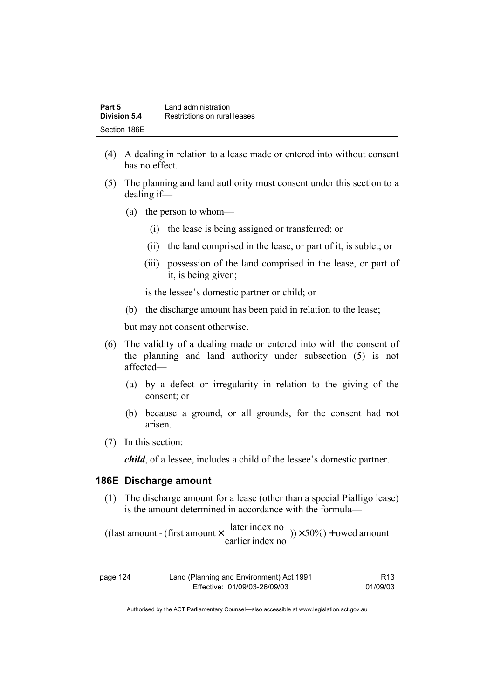| Part 5       | Land administration          |  |
|--------------|------------------------------|--|
| Division 5.4 | Restrictions on rural leases |  |
| Section 186E |                              |  |

- (4) A dealing in relation to a lease made or entered into without consent has no effect.
- (5) The planning and land authority must consent under this section to a dealing if—
	- (a) the person to whom—
		- (i) the lease is being assigned or transferred; or
		- (ii) the land comprised in the lease, or part of it, is sublet; or
		- (iii) possession of the land comprised in the lease, or part of it, is being given;

is the lessee's domestic partner or child; or

(b) the discharge amount has been paid in relation to the lease;

but may not consent otherwise.

- (6) The validity of a dealing made or entered into with the consent of the planning and land authority under subsection (5) is not affected—
	- (a) by a defect or irregularity in relation to the giving of the consent; or
	- (b) because a ground, or all grounds, for the consent had not arisen.
- (7) In this section:

*child*, of a lessee, includes a child of the lessee's domestic partner.

#### **186E Discharge amount**

 (1) The discharge amount for a lease (other than a special Pialligo lease) is the amount determined in accordance with the formula—

 $(y) \times 50\%$  + owed amount earlier index no ((last amount - (first amount  $\times \frac{\text{later index no}}{\text{in} \cdot \cdot \cdot \cdot}$ )) $\times$  50%) +

| page 124 | Land (Planning and Environment) Act 1991 | R13      |
|----------|------------------------------------------|----------|
|          | Effective: 01/09/03-26/09/03             | 01/09/03 |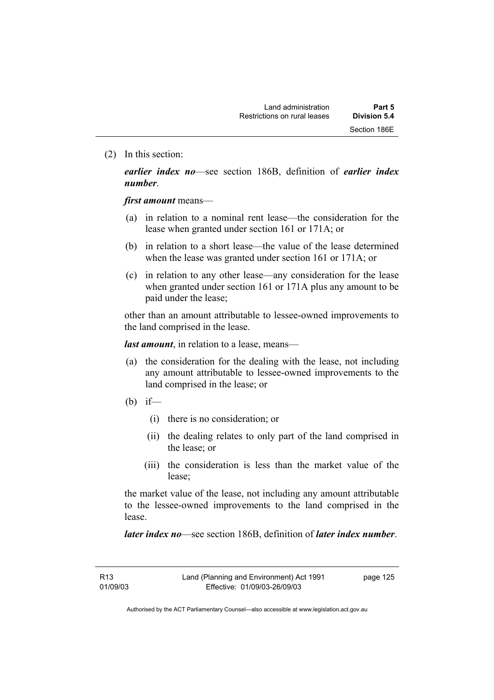(2) In this section:

*earlier index no*—see section 186B, definition of *earlier index number*.

*first amount* means—

- (a) in relation to a nominal rent lease—the consideration for the lease when granted under section 161 or 171A; or
- (b) in relation to a short lease—the value of the lease determined when the lease was granted under section 161 or 171A; or
- (c) in relation to any other lease—any consideration for the lease when granted under section 161 or 171A plus any amount to be paid under the lease;

other than an amount attributable to lessee-owned improvements to the land comprised in the lease.

*last amount*, in relation to a lease, means—

- (a) the consideration for the dealing with the lease, not including any amount attributable to lessee-owned improvements to the land comprised in the lease; or
- (b) if—
	- (i) there is no consideration; or
	- (ii) the dealing relates to only part of the land comprised in the lease; or
	- (iii) the consideration is less than the market value of the lease;

the market value of the lease, not including any amount attributable to the lessee-owned improvements to the land comprised in the lease.

*later index no*—see section 186B, definition of *later index number*.

R13 01/09/03 page 125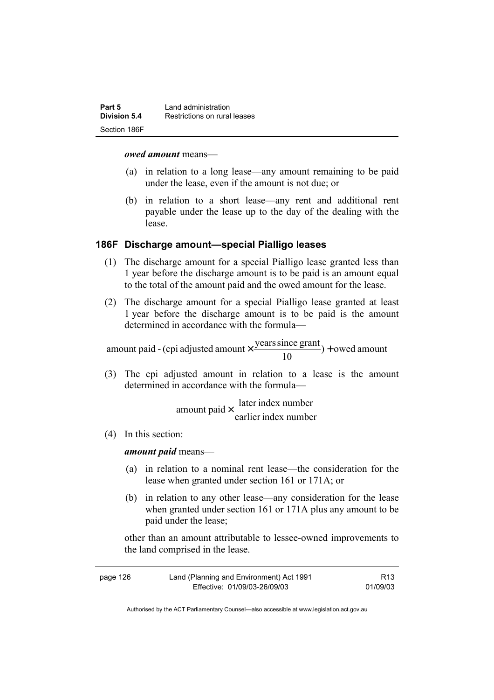| Part 5       | Land administration          |  |
|--------------|------------------------------|--|
| Division 5.4 | Restrictions on rural leases |  |
| Section 186F |                              |  |

#### *owed amount* means—

- (a) in relation to a long lease—any amount remaining to be paid under the lease, even if the amount is not due; or
- (b) in relation to a short lease—any rent and additional rent payable under the lease up to the day of the dealing with the lease.

#### **186F Discharge amount—special Pialligo leases**

- (1) The discharge amount for a special Pialligo lease granted less than 1 year before the discharge amount is to be paid is an amount equal to the total of the amount paid and the owed amount for the lease.
- (2) The discharge amount for a special Pialligo lease granted at least 1 year before the discharge amount is to be paid is the amount determined in accordance with the formula—

 $) +$  owed amount 10 amount paid - (cpi adjusted amount  $\times \frac{\text{years since grant}}{10}$ ) +

 (3) The cpi adjusted amount in relation to a lease is the amount determined in accordance with the formula—

> earlier index number amount paid  $\times \frac{\text{later index number}}{\text{time of length}}$

(4) In this section:

*amount paid* means—

- (a) in relation to a nominal rent lease—the consideration for the lease when granted under section 161 or 171A; or
- (b) in relation to any other lease—any consideration for the lease when granted under section 161 or 171A plus any amount to be paid under the lease;

other than an amount attributable to lessee-owned improvements to the land comprised in the lease.

| page 126 | Land (Planning and Environment) Act 1991 | R13      |
|----------|------------------------------------------|----------|
|          | Effective: 01/09/03-26/09/03             | 01/09/03 |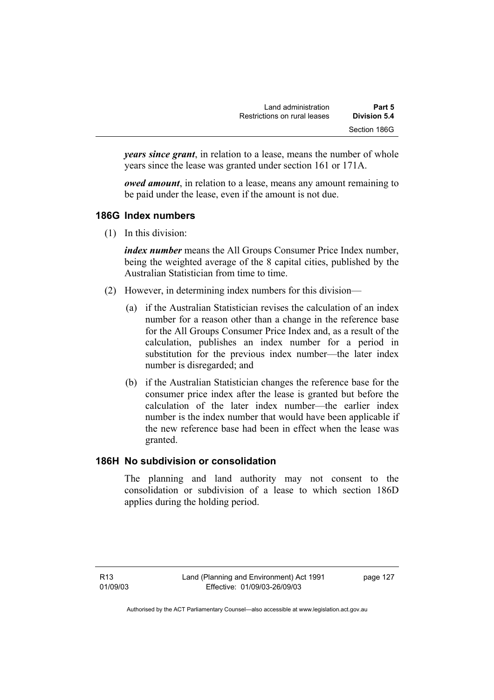| Land administration          | Part 5       |
|------------------------------|--------------|
| Restrictions on rural leases | Division 5.4 |
|                              | Section 186G |

*years since grant*, in relation to a lease, means the number of whole years since the lease was granted under section 161 or 171A.

*owed amount*, in relation to a lease, means any amount remaining to be paid under the lease, even if the amount is not due.

# **186G Index numbers**

(1) In this division:

*index number* means the All Groups Consumer Price Index number, being the weighted average of the 8 capital cities, published by the Australian Statistician from time to time.

- (2) However, in determining index numbers for this division—
	- (a) if the Australian Statistician revises the calculation of an index number for a reason other than a change in the reference base for the All Groups Consumer Price Index and, as a result of the calculation, publishes an index number for a period in substitution for the previous index number—the later index number is disregarded; and
	- (b) if the Australian Statistician changes the reference base for the consumer price index after the lease is granted but before the calculation of the later index number—the earlier index number is the index number that would have been applicable if the new reference base had been in effect when the lease was granted.

# **186H No subdivision or consolidation**

The planning and land authority may not consent to the consolidation or subdivision of a lease to which section 186D applies during the holding period.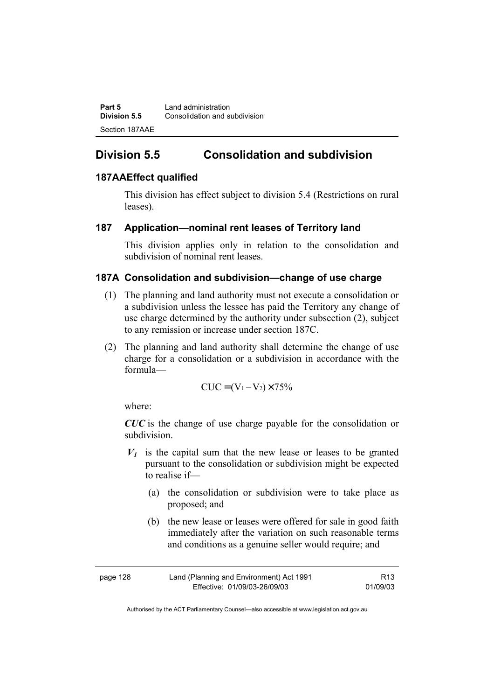**Part 5 Land administration Division 5.5** Consolidation and subdivision Section 187AAE

# **Division 5.5 Consolidation and subdivision**

# **187AAEffect qualified**

This division has effect subject to division 5.4 (Restrictions on rural leases).

### **187 Application—nominal rent leases of Territory land**

This division applies only in relation to the consolidation and subdivision of nominal rent leases.

### **187A Consolidation and subdivision—change of use charge**

- (1) The planning and land authority must not execute a consolidation or a subdivision unless the lessee has paid the Territory any change of use charge determined by the authority under subsection (2), subject to any remission or increase under section 187C.
- (2) The planning and land authority shall determine the change of use charge for a consolidation or a subdivision in accordance with the formula—

$$
CUC = (V_1 - V_2) \times 75\%
$$

where:

*CUC* is the change of use charge payable for the consolidation or subdivision.

- $V_1$  is the capital sum that the new lease or leases to be granted pursuant to the consolidation or subdivision might be expected to realise if—
	- (a) the consolidation or subdivision were to take place as proposed; and
	- (b) the new lease or leases were offered for sale in good faith immediately after the variation on such reasonable terms and conditions as a genuine seller would require; and

| page 128 | Land (Planning and Environment) Act 1991 | R <sub>13</sub> |
|----------|------------------------------------------|-----------------|
|          | Effective: 01/09/03-26/09/03             | 01/09/03        |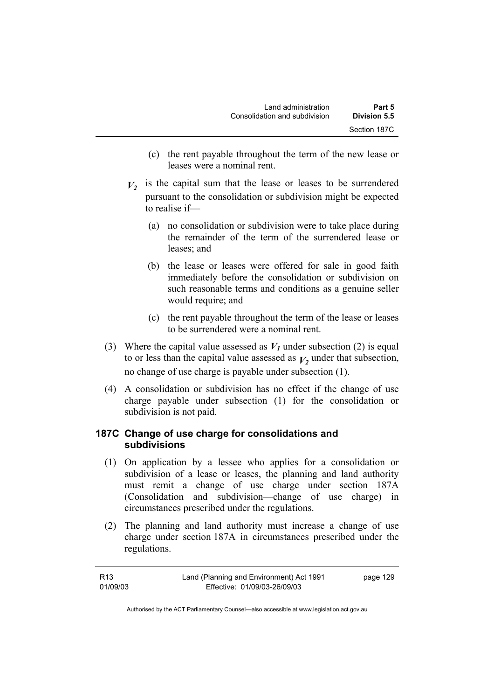- (c) the rent payable throughout the term of the new lease or leases were a nominal rent.
- $V_2$  is the capital sum that the lease or leases to be surrendered pursuant to the consolidation or subdivision might be expected to realise if—
	- (a) no consolidation or subdivision were to take place during the remainder of the term of the surrendered lease or leases; and
	- (b) the lease or leases were offered for sale in good faith immediately before the consolidation or subdivision on such reasonable terms and conditions as a genuine seller would require; and
	- (c) the rent payable throughout the term of the lease or leases to be surrendered were a nominal rent.
- (3) Where the capital value assessed as  $V_I$  under subsection (2) is equal to or less than the capital value assessed as  $V_2$  under that subsection, no change of use charge is payable under subsection (1).
- (4) A consolidation or subdivision has no effect if the change of use charge payable under subsection (1) for the consolidation or subdivision is not paid.

# **187C Change of use charge for consolidations and subdivisions**

- (1) On application by a lessee who applies for a consolidation or subdivision of a lease or leases, the planning and land authority must remit a change of use charge under section 187A (Consolidation and subdivision—change of use charge) in circumstances prescribed under the regulations.
- (2) The planning and land authority must increase a change of use charge under section 187A in circumstances prescribed under the regulations.

| R13      | Land (Planning and Environment) Act 1991 | page 129 |
|----------|------------------------------------------|----------|
| 01/09/03 | Effective: 01/09/03-26/09/03             |          |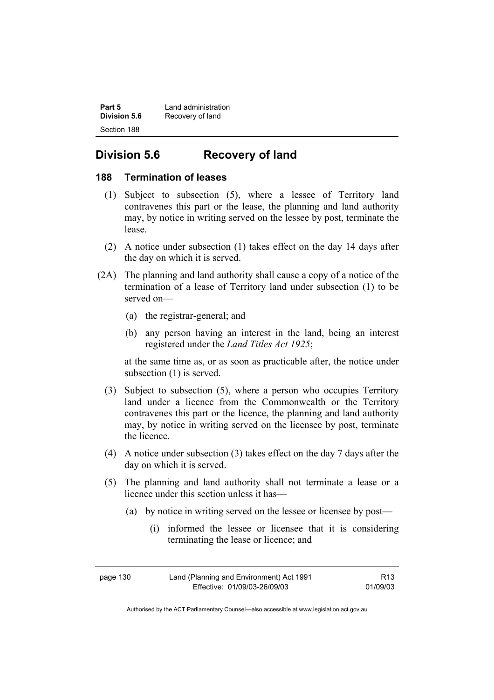| Part 5       | Land administration |
|--------------|---------------------|
| Division 5.6 | Recovery of land    |
| Section 188  |                     |

# **Division 5.6 Recovery of land**

### **188 Termination of leases**

- (1) Subject to subsection (5), where a lessee of Territory land contravenes this part or the lease, the planning and land authority may, by notice in writing served on the lessee by post, terminate the lease.
- (2) A notice under subsection (1) takes effect on the day 14 days after the day on which it is served.
- (2A) The planning and land authority shall cause a copy of a notice of the termination of a lease of Territory land under subsection (1) to be served on—
	- (a) the registrar-general; and
	- (b) any person having an interest in the land, being an interest registered under the *Land Titles Act 1925*;

at the same time as, or as soon as practicable after, the notice under subsection (1) is served.

- (3) Subject to subsection (5), where a person who occupies Territory land under a licence from the Commonwealth or the Territory contravenes this part or the licence, the planning and land authority may, by notice in writing served on the licensee by post, terminate the licence.
- (4) A notice under subsection (3) takes effect on the day 7 days after the day on which it is served.
- (5) The planning and land authority shall not terminate a lease or a licence under this section unless it has—
	- (a) by notice in writing served on the lessee or licensee by post—
		- (i) informed the lessee or licensee that it is considering terminating the lease or licence; and

| page 130 | Land (Planning and Environment) Act 1991 | R <sub>13</sub> |
|----------|------------------------------------------|-----------------|
|          | Effective: 01/09/03-26/09/03             | 01/09/03        |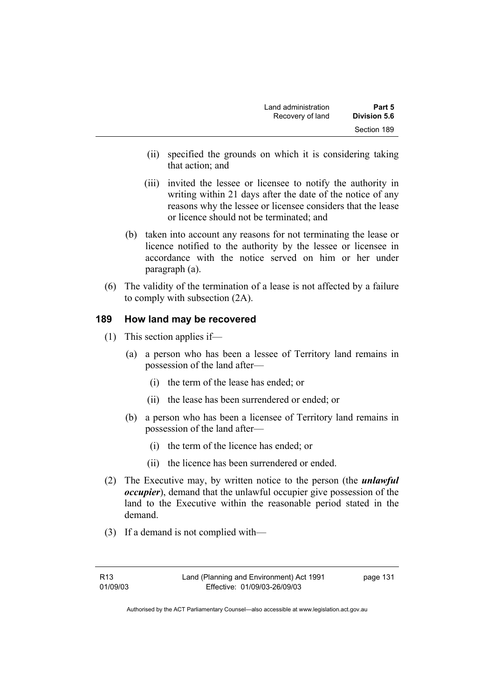| Land administration | Part 5       |
|---------------------|--------------|
| Recovery of land    | Division 5.6 |
|                     | Section 189  |

- (ii) specified the grounds on which it is considering taking that action; and
- (iii) invited the lessee or licensee to notify the authority in writing within 21 days after the date of the notice of any reasons why the lessee or licensee considers that the lease or licence should not be terminated; and
- (b) taken into account any reasons for not terminating the lease or licence notified to the authority by the lessee or licensee in accordance with the notice served on him or her under paragraph (a).
- (6) The validity of the termination of a lease is not affected by a failure to comply with subsection (2A).

### **189 How land may be recovered**

- (1) This section applies if—
	- (a) a person who has been a lessee of Territory land remains in possession of the land after—
		- (i) the term of the lease has ended; or
		- (ii) the lease has been surrendered or ended; or
	- (b) a person who has been a licensee of Territory land remains in possession of the land after—
		- (i) the term of the licence has ended; or
		- (ii) the licence has been surrendered or ended.
- (2) The Executive may, by written notice to the person (the *unlawful occupier*), demand that the unlawful occupier give possession of the land to the Executive within the reasonable period stated in the demand.
- (3) If a demand is not complied with—

page 131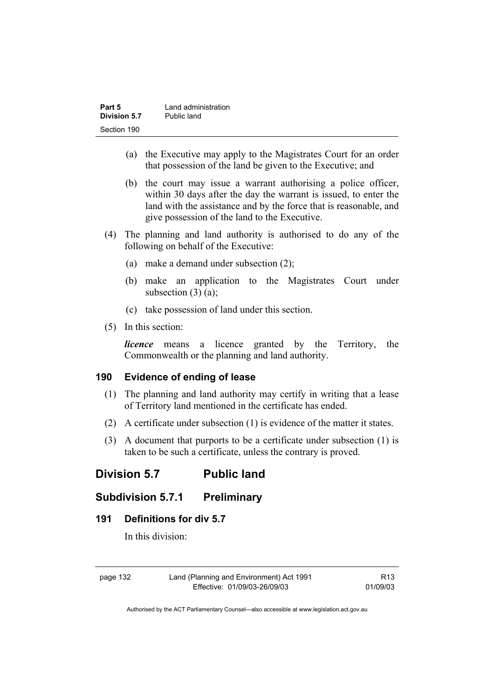| Part 5       | Land administration |
|--------------|---------------------|
| Division 5.7 | Public land         |
| Section 190  |                     |

- (a) the Executive may apply to the Magistrates Court for an order that possession of the land be given to the Executive; and
- (b) the court may issue a warrant authorising a police officer, within 30 days after the day the warrant is issued, to enter the land with the assistance and by the force that is reasonable, and give possession of the land to the Executive.
- (4) The planning and land authority is authorised to do any of the following on behalf of the Executive:
	- (a) make a demand under subsection (2);
	- (b) make an application to the Magistrates Court under subsection  $(3)$   $(a)$ ;
	- (c) take possession of land under this section.
- (5) In this section:

*licence* means a licence granted by the Territory, the Commonwealth or the planning and land authority.

### **190 Evidence of ending of lease**

- (1) The planning and land authority may certify in writing that a lease of Territory land mentioned in the certificate has ended.
- (2) A certificate under subsection (1) is evidence of the matter it states.
- (3) A document that purports to be a certificate under subsection (1) is taken to be such a certificate, unless the contrary is proved.

# **Division 5.7 Public land**

# **Subdivision 5.7.1 Preliminary**

### **191 Definitions for div 5.7**

In this division:

page 132 Land (Planning and Environment) Act 1991 Effective: 01/09/03-26/09/03

R13 01/09/03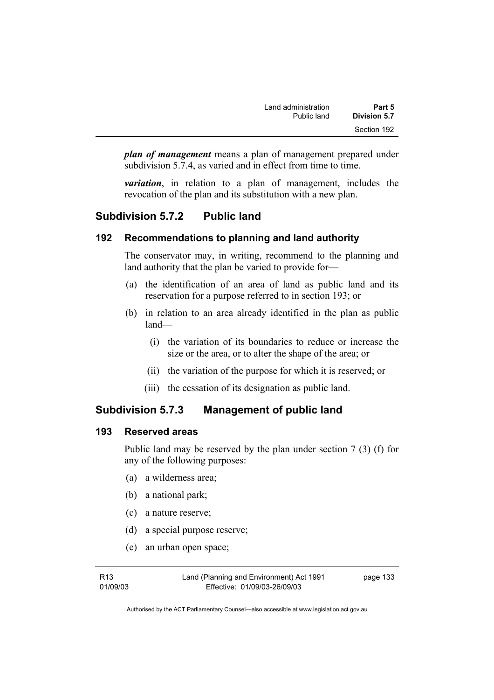| Land administration | Part 5       |
|---------------------|--------------|
| Public land         | Division 5.7 |
|                     | Section 192  |

*plan of management* means a plan of management prepared under subdivision 5.7.4, as varied and in effect from time to time.

*variation*, in relation to a plan of management, includes the revocation of the plan and its substitution with a new plan.

# **Subdivision 5.7.2 Public land**

### **192 Recommendations to planning and land authority**

The conservator may, in writing, recommend to the planning and land authority that the plan be varied to provide for—

- (a) the identification of an area of land as public land and its reservation for a purpose referred to in section 193; or
- (b) in relation to an area already identified in the plan as public land—
	- (i) the variation of its boundaries to reduce or increase the size or the area, or to alter the shape of the area; or
	- (ii) the variation of the purpose for which it is reserved; or
	- (iii) the cessation of its designation as public land.

# **Subdivision 5.7.3 Management of public land**

### **193 Reserved areas**

Public land may be reserved by the plan under section 7 (3) (f) for any of the following purposes:

- (a) a wilderness area;
- (b) a national park;
- (c) a nature reserve;
- (d) a special purpose reserve;
- (e) an urban open space;

Land (Planning and Environment) Act 1991 Effective: 01/09/03-26/09/03

page 133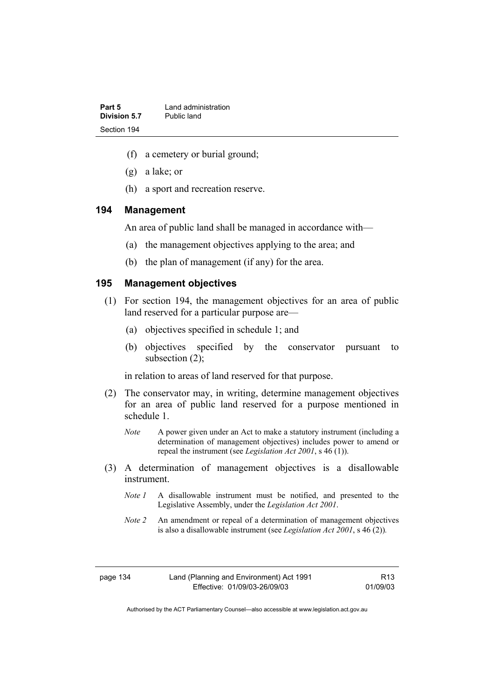| Part 5       | Land administration |
|--------------|---------------------|
| Division 5.7 | Public land         |
| Section 194  |                     |

- (f) a cemetery or burial ground;
- (g) a lake; or
- (h) a sport and recreation reserve.

#### **194 Management**

An area of public land shall be managed in accordance with—

- (a) the management objectives applying to the area; and
- (b) the plan of management (if any) for the area.

### **195 Management objectives**

- (1) For section 194, the management objectives for an area of public land reserved for a particular purpose are—
	- (a) objectives specified in schedule 1; and
	- (b) objectives specified by the conservator pursuant to subsection (2);

in relation to areas of land reserved for that purpose.

- (2) The conservator may, in writing, determine management objectives for an area of public land reserved for a purpose mentioned in schedule 1.
	- *Note* A power given under an Act to make a statutory instrument (including a determination of management objectives) includes power to amend or repeal the instrument (see *Legislation Act 2001*, s 46 (1)).
- (3) A determination of management objectives is a disallowable instrument.
	- *Note 1* A disallowable instrument must be notified, and presented to the Legislative Assembly, under the *Legislation Act 2001*.
	- *Note 2* An amendment or repeal of a determination of management objectives is also a disallowable instrument (see *Legislation Act 2001*, s 46 (2))*.*

R13 01/09/03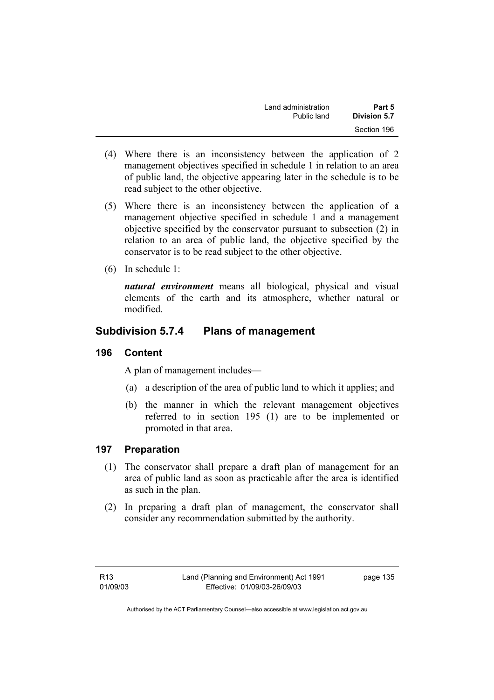| Land administration | Part 5              |
|---------------------|---------------------|
| Public land         | <b>Division 5.7</b> |
|                     | Section 196         |

- (4) Where there is an inconsistency between the application of 2 management objectives specified in schedule 1 in relation to an area of public land, the objective appearing later in the schedule is to be read subject to the other objective.
- (5) Where there is an inconsistency between the application of a management objective specified in schedule 1 and a management objective specified by the conservator pursuant to subsection (2) in relation to an area of public land, the objective specified by the conservator is to be read subject to the other objective.
- (6) In schedule 1:

*natural environment* means all biological, physical and visual elements of the earth and its atmosphere, whether natural or modified.

# **Subdivision 5.7.4 Plans of management**

### **196 Content**

A plan of management includes—

- (a) a description of the area of public land to which it applies; and
- (b) the manner in which the relevant management objectives referred to in section 195 (1) are to be implemented or promoted in that area.

# **197 Preparation**

- (1) The conservator shall prepare a draft plan of management for an area of public land as soon as practicable after the area is identified as such in the plan.
- (2) In preparing a draft plan of management, the conservator shall consider any recommendation submitted by the authority.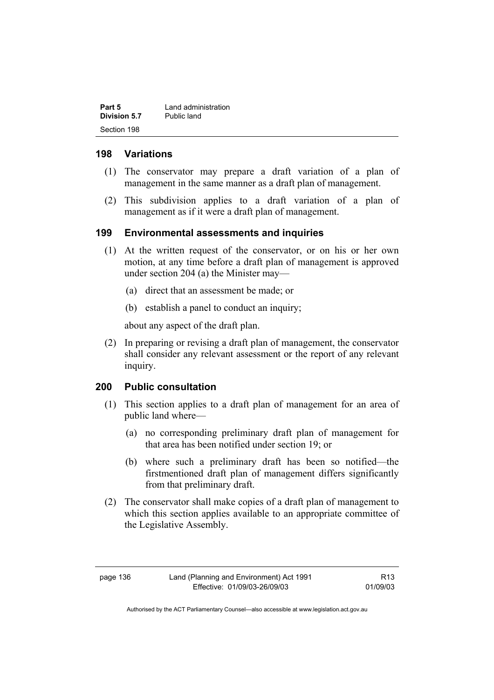| Part 5       | Land administration |
|--------------|---------------------|
| Division 5.7 | Public land         |
| Section 198  |                     |

### **198 Variations**

- (1) The conservator may prepare a draft variation of a plan of management in the same manner as a draft plan of management.
- (2) This subdivision applies to a draft variation of a plan of management as if it were a draft plan of management.

### **199 Environmental assessments and inquiries**

- (1) At the written request of the conservator, or on his or her own motion, at any time before a draft plan of management is approved under section 204 (a) the Minister may—
	- (a) direct that an assessment be made; or
	- (b) establish a panel to conduct an inquiry;

about any aspect of the draft plan.

 (2) In preparing or revising a draft plan of management, the conservator shall consider any relevant assessment or the report of any relevant inquiry.

# **200 Public consultation**

- (1) This section applies to a draft plan of management for an area of public land where—
	- (a) no corresponding preliminary draft plan of management for that area has been notified under section 19; or
	- (b) where such a preliminary draft has been so notified—the firstmentioned draft plan of management differs significantly from that preliminary draft.
- (2) The conservator shall make copies of a draft plan of management to which this section applies available to an appropriate committee of the Legislative Assembly.

R13 01/09/03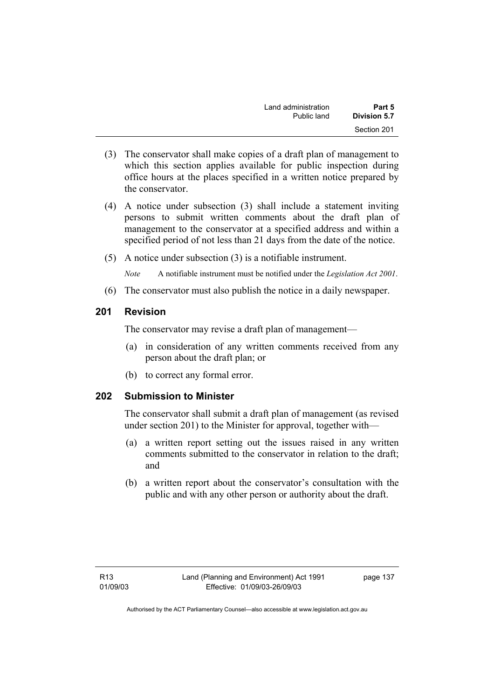| Land administration | Part 5       |
|---------------------|--------------|
| Public land         | Division 5.7 |
|                     | Section 201  |

- (3) The conservator shall make copies of a draft plan of management to which this section applies available for public inspection during office hours at the places specified in a written notice prepared by the conservator.
- (4) A notice under subsection (3) shall include a statement inviting persons to submit written comments about the draft plan of management to the conservator at a specified address and within a specified period of not less than 21 days from the date of the notice.
- (5) A notice under subsection (3) is a notifiable instrument.

*Note* A notifiable instrument must be notified under the *Legislation Act 2001*.

(6) The conservator must also publish the notice in a daily newspaper.

### **201 Revision**

The conservator may revise a draft plan of management—

- (a) in consideration of any written comments received from any person about the draft plan; or
- (b) to correct any formal error.

### **202 Submission to Minister**

The conservator shall submit a draft plan of management (as revised under section 201) to the Minister for approval, together with—

- (a) a written report setting out the issues raised in any written comments submitted to the conservator in relation to the draft; and
- (b) a written report about the conservator's consultation with the public and with any other person or authority about the draft.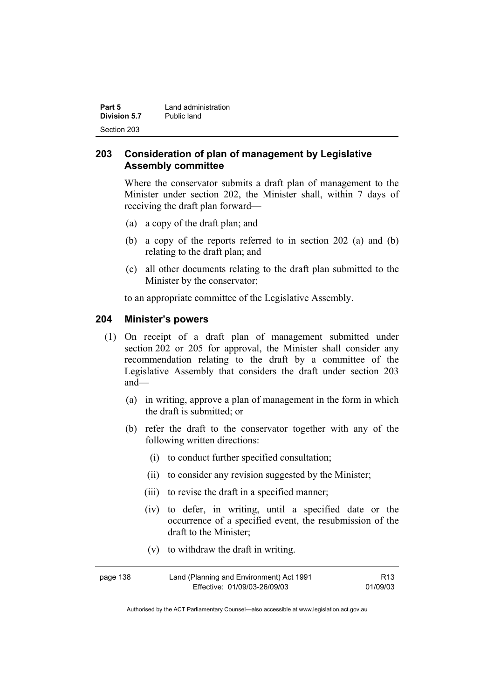| Part 5       | Land administration |
|--------------|---------------------|
| Division 5.7 | Public land         |
| Section 203  |                     |

# **203 Consideration of plan of management by Legislative Assembly committee**

Where the conservator submits a draft plan of management to the Minister under section 202, the Minister shall, within 7 days of receiving the draft plan forward—

- (a) a copy of the draft plan; and
- (b) a copy of the reports referred to in section 202 (a) and (b) relating to the draft plan; and
- (c) all other documents relating to the draft plan submitted to the Minister by the conservator;

to an appropriate committee of the Legislative Assembly.

### **204 Minister's powers**

- (1) On receipt of a draft plan of management submitted under section 202 or 205 for approval, the Minister shall consider any recommendation relating to the draft by a committee of the Legislative Assembly that considers the draft under section 203 and—
	- (a) in writing, approve a plan of management in the form in which the draft is submitted; or
	- (b) refer the draft to the conservator together with any of the following written directions:
		- (i) to conduct further specified consultation;
		- (ii) to consider any revision suggested by the Minister;
		- (iii) to revise the draft in a specified manner;
		- (iv) to defer, in writing, until a specified date or the occurrence of a specified event, the resubmission of the draft to the Minister;
		- (v) to withdraw the draft in writing.

| page 138 | Land (Planning and Environment) Act 1991 | R <sub>13</sub> |
|----------|------------------------------------------|-----------------|
|          | Effective: 01/09/03-26/09/03             | 01/09/03        |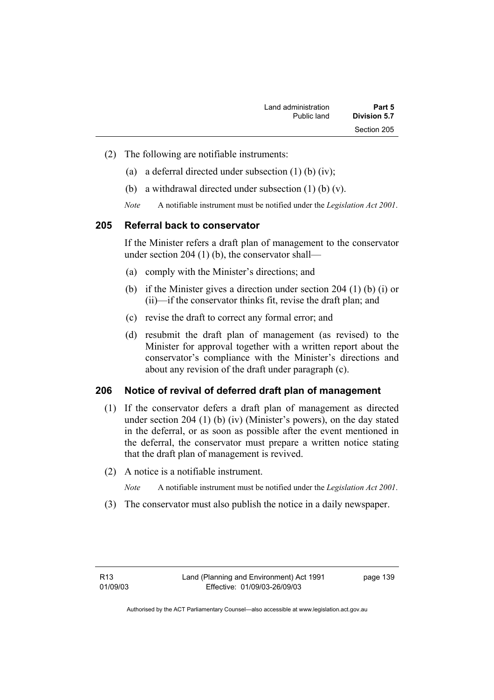| Land administration | Part 5              |
|---------------------|---------------------|
| Public land         | <b>Division 5.7</b> |
|                     | Section 205         |

- (2) The following are notifiable instruments:
	- (a) a deferral directed under subsection (1) (b) (iv);
	- (b) a withdrawal directed under subsection (1) (b) (v).
	- *Note* A notifiable instrument must be notified under the *Legislation Act 2001*.

### **205 Referral back to conservator**

If the Minister refers a draft plan of management to the conservator under section 204 (1) (b), the conservator shall—

- (a) comply with the Minister's directions; and
- (b) if the Minister gives a direction under section 204 (1) (b) (i) or (ii)—if the conservator thinks fit, revise the draft plan; and
- (c) revise the draft to correct any formal error; and
- (d) resubmit the draft plan of management (as revised) to the Minister for approval together with a written report about the conservator's compliance with the Minister's directions and about any revision of the draft under paragraph (c).

### **206 Notice of revival of deferred draft plan of management**

- (1) If the conservator defers a draft plan of management as directed under section 204 (1) (b) (iv) (Minister's powers), on the day stated in the deferral, or as soon as possible after the event mentioned in the deferral, the conservator must prepare a written notice stating that the draft plan of management is revived.
- (2) A notice is a notifiable instrument.

*Note* A notifiable instrument must be notified under the *Legislation Act 2001*.

(3) The conservator must also publish the notice in a daily newspaper.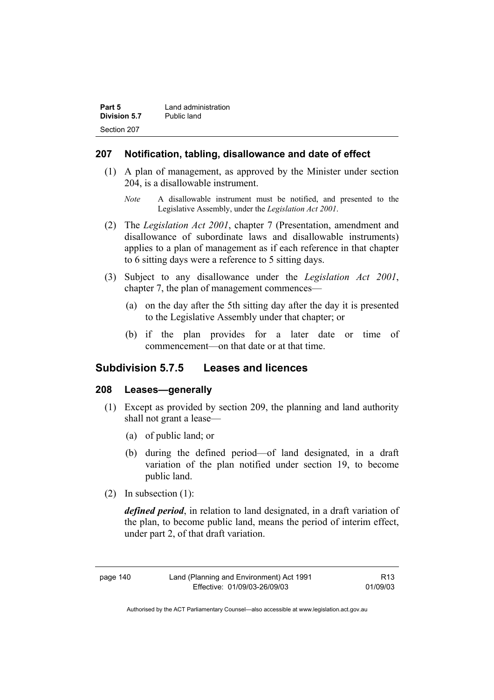| Part 5       | Land administration |
|--------------|---------------------|
| Division 5.7 | Public land         |
| Section 207  |                     |

### **207 Notification, tabling, disallowance and date of effect**

- (1) A plan of management, as approved by the Minister under section 204, is a disallowable instrument.
	- *Note* A disallowable instrument must be notified, and presented to the Legislative Assembly, under the *Legislation Act 2001*.
- (2) The *Legislation Act 2001*, chapter 7 (Presentation, amendment and disallowance of subordinate laws and disallowable instruments) applies to a plan of management as if each reference in that chapter to 6 sitting days were a reference to 5 sitting days.
- (3) Subject to any disallowance under the *Legislation Act 2001*, chapter 7, the plan of management commences—
	- (a) on the day after the 5th sitting day after the day it is presented to the Legislative Assembly under that chapter; or
	- (b) if the plan provides for a later date or time of commencement—on that date or at that time.

### **Subdivision 5.7.5 Leases and licences**

### **208 Leases—generally**

- (1) Except as provided by section 209, the planning and land authority shall not grant a lease—
	- (a) of public land; or
	- (b) during the defined period—of land designated, in a draft variation of the plan notified under section 19, to become public land.
- (2) In subsection (1):

*defined period*, in relation to land designated, in a draft variation of the plan, to become public land, means the period of interim effect, under part 2, of that draft variation.

| page | 140 |
|------|-----|
|------|-----|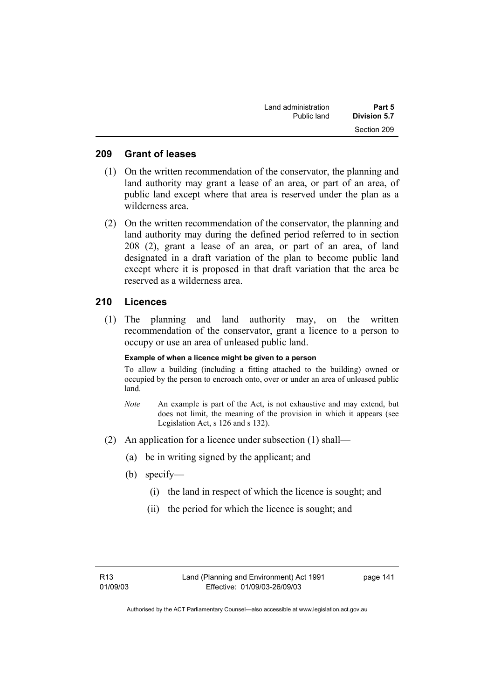| Land administration | Part 5       |
|---------------------|--------------|
| Public land         | Division 5.7 |
|                     | Section 209  |

### **209 Grant of leases**

- (1) On the written recommendation of the conservator, the planning and land authority may grant a lease of an area, or part of an area, of public land except where that area is reserved under the plan as a wilderness area.
- (2) On the written recommendation of the conservator, the planning and land authority may during the defined period referred to in section 208 (2), grant a lease of an area, or part of an area, of land designated in a draft variation of the plan to become public land except where it is proposed in that draft variation that the area be reserved as a wilderness area.

### **210 Licences**

 (1) The planning and land authority may, on the written recommendation of the conservator, grant a licence to a person to occupy or use an area of unleased public land.

#### **Example of when a licence might be given to a person**

To allow a building (including a fitting attached to the building) owned or occupied by the person to encroach onto, over or under an area of unleased public land.

- *Note* An example is part of the Act, is not exhaustive and may extend, but does not limit, the meaning of the provision in which it appears (see Legislation Act, s 126 and s 132).
- (2) An application for a licence under subsection (1) shall—
	- (a) be in writing signed by the applicant; and
	- (b) specify—
		- (i) the land in respect of which the licence is sought; and
		- (ii) the period for which the licence is sought; and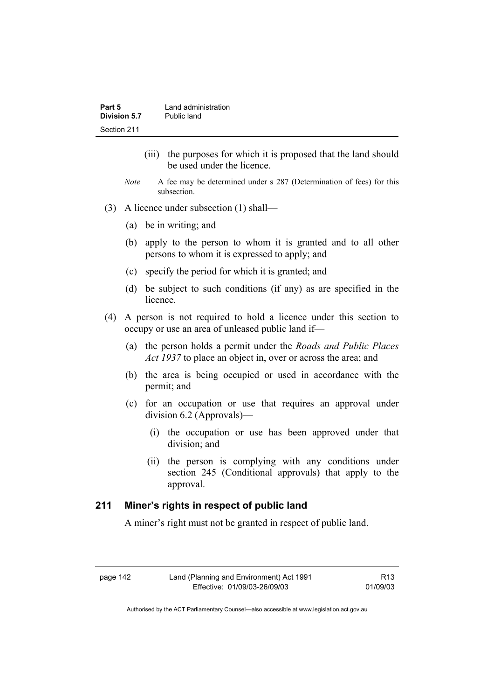| Part 5       | Land administration |
|--------------|---------------------|
| Division 5.7 | Public land         |
| Section 211  |                     |

- (iii) the purposes for which it is proposed that the land should be used under the licence.
- *Note* A fee may be determined under s 287 (Determination of fees) for this subsection.
- (3) A licence under subsection (1) shall—
	- (a) be in writing; and
	- (b) apply to the person to whom it is granted and to all other persons to whom it is expressed to apply; and
	- (c) specify the period for which it is granted; and
	- (d) be subject to such conditions (if any) as are specified in the licence.
- (4) A person is not required to hold a licence under this section to occupy or use an area of unleased public land if—
	- (a) the person holds a permit under the *Roads and Public Places Act 1937* to place an object in, over or across the area; and
	- (b) the area is being occupied or used in accordance with the permit; and
	- (c) for an occupation or use that requires an approval under division 6.2 (Approvals)—
		- (i) the occupation or use has been approved under that division; and
		- (ii) the person is complying with any conditions under section 245 (Conditional approvals) that apply to the approval.

### **211 Miner's rights in respect of public land**

A miner's right must not be granted in respect of public land.

R13 01/09/03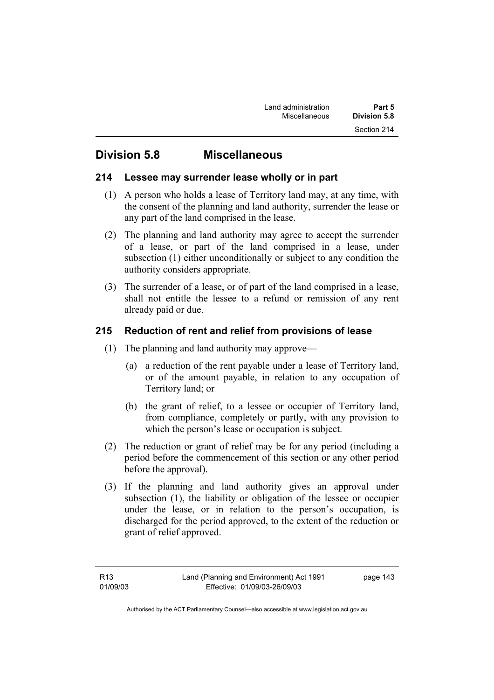# **Division 5.8 Miscellaneous**

# **214 Lessee may surrender lease wholly or in part**

- (1) A person who holds a lease of Territory land may, at any time, with the consent of the planning and land authority, surrender the lease or any part of the land comprised in the lease.
- (2) The planning and land authority may agree to accept the surrender of a lease, or part of the land comprised in a lease, under subsection (1) either unconditionally or subject to any condition the authority considers appropriate.
- (3) The surrender of a lease, or of part of the land comprised in a lease, shall not entitle the lessee to a refund or remission of any rent already paid or due.

# **215 Reduction of rent and relief from provisions of lease**

- (1) The planning and land authority may approve—
	- (a) a reduction of the rent payable under a lease of Territory land, or of the amount payable, in relation to any occupation of Territory land; or
	- (b) the grant of relief, to a lessee or occupier of Territory land, from compliance, completely or partly, with any provision to which the person's lease or occupation is subject.
- (2) The reduction or grant of relief may be for any period (including a period before the commencement of this section or any other period before the approval).
- (3) If the planning and land authority gives an approval under subsection (1), the liability or obligation of the lessee or occupier under the lease, or in relation to the person's occupation, is discharged for the period approved, to the extent of the reduction or grant of relief approved.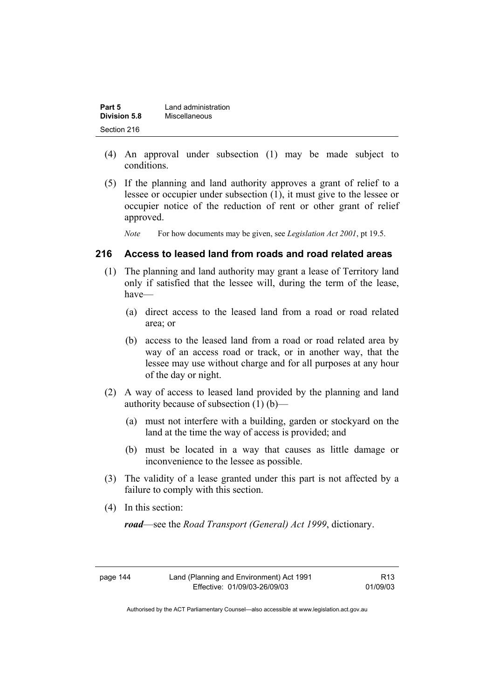| Part 5       | Land administration |
|--------------|---------------------|
| Division 5.8 | Miscellaneous       |
| Section 216  |                     |

- (4) An approval under subsection (1) may be made subject to conditions.
- (5) If the planning and land authority approves a grant of relief to a lessee or occupier under subsection (1), it must give to the lessee or occupier notice of the reduction of rent or other grant of relief approved.

*Note* For how documents may be given, see *Legislation Act 2001*, pt 19.5.

### **216 Access to leased land from roads and road related areas**

- (1) The planning and land authority may grant a lease of Territory land only if satisfied that the lessee will, during the term of the lease, have—
	- (a) direct access to the leased land from a road or road related area; or
	- (b) access to the leased land from a road or road related area by way of an access road or track, or in another way, that the lessee may use without charge and for all purposes at any hour of the day or night.
- (2) A way of access to leased land provided by the planning and land authority because of subsection (1) (b)—
	- (a) must not interfere with a building, garden or stockyard on the land at the time the way of access is provided; and
	- (b) must be located in a way that causes as little damage or inconvenience to the lessee as possible.
- (3) The validity of a lease granted under this part is not affected by a failure to comply with this section.
- (4) In this section:

*road*—see the *Road Transport (General) Act 1999*, dictionary.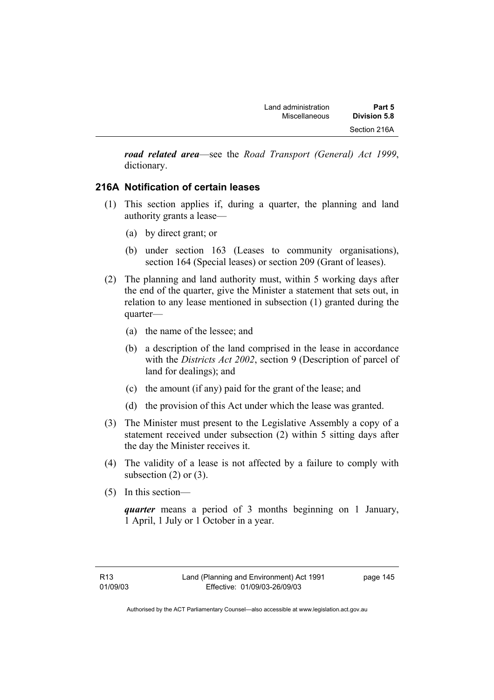*road related area*—see the *Road Transport (General) Act 1999*, dictionary.

# **216A Notification of certain leases**

- (1) This section applies if, during a quarter, the planning and land authority grants a lease—
	- (a) by direct grant; or
	- (b) under section 163 (Leases to community organisations), section 164 (Special leases) or section 209 (Grant of leases).
- (2) The planning and land authority must, within 5 working days after the end of the quarter, give the Minister a statement that sets out, in relation to any lease mentioned in subsection (1) granted during the quarter—
	- (a) the name of the lessee; and
	- (b) a description of the land comprised in the lease in accordance with the *Districts Act 2002*, section 9 (Description of parcel of land for dealings); and
	- (c) the amount (if any) paid for the grant of the lease; and
	- (d) the provision of this Act under which the lease was granted.
- (3) The Minister must present to the Legislative Assembly a copy of a statement received under subsection (2) within 5 sitting days after the day the Minister receives it.
- (4) The validity of a lease is not affected by a failure to comply with subsection  $(2)$  or  $(3)$ .
- (5) In this section—

*quarter* means a period of 3 months beginning on 1 January, 1 April, 1 July or 1 October in a year.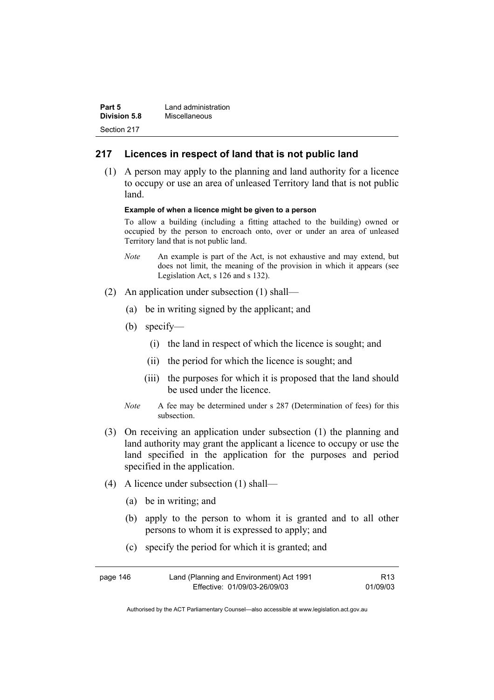| Part 5              | Land administration |
|---------------------|---------------------|
| <b>Division 5.8</b> | Miscellaneous       |
| Section 217         |                     |

### **217 Licences in respect of land that is not public land**

 (1) A person may apply to the planning and land authority for a licence to occupy or use an area of unleased Territory land that is not public land.

#### **Example of when a licence might be given to a person**

To allow a building (including a fitting attached to the building) owned or occupied by the person to encroach onto, over or under an area of unleased Territory land that is not public land.

- *Note* An example is part of the Act, is not exhaustive and may extend, but does not limit, the meaning of the provision in which it appears (see Legislation Act, s 126 and s 132).
- (2) An application under subsection (1) shall—
	- (a) be in writing signed by the applicant; and
	- (b) specify—
		- (i) the land in respect of which the licence is sought; and
		- (ii) the period for which the licence is sought; and
		- (iii) the purposes for which it is proposed that the land should be used under the licence.
	- *Note* A fee may be determined under s 287 (Determination of fees) for this subsection.
- (3) On receiving an application under subsection (1) the planning and land authority may grant the applicant a licence to occupy or use the land specified in the application for the purposes and period specified in the application.
- (4) A licence under subsection (1) shall—
	- (a) be in writing; and
	- (b) apply to the person to whom it is granted and to all other persons to whom it is expressed to apply; and
	- (c) specify the period for which it is granted; and

| page 146 | Land (Planning and Environment) Act 1991 | R13      |
|----------|------------------------------------------|----------|
|          | Effective: 01/09/03-26/09/03             | 01/09/03 |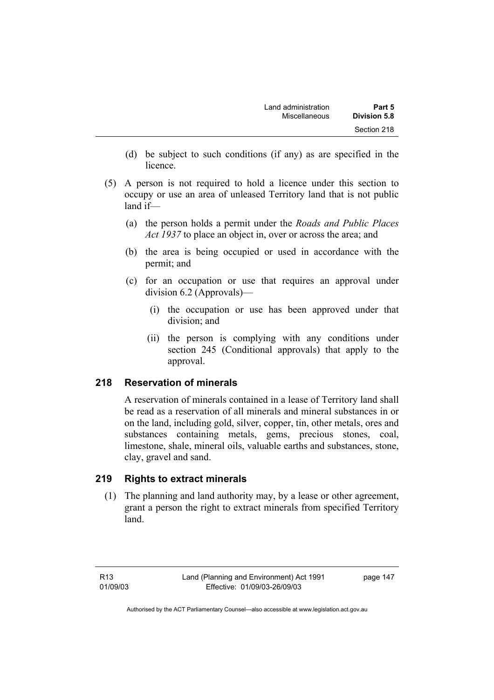- (d) be subject to such conditions (if any) as are specified in the licence.
- (5) A person is not required to hold a licence under this section to occupy or use an area of unleased Territory land that is not public land if—
	- (a) the person holds a permit under the *Roads and Public Places Act 1937* to place an object in, over or across the area; and
	- (b) the area is being occupied or used in accordance with the permit; and
	- (c) for an occupation or use that requires an approval under division 6.2 (Approvals)—
		- (i) the occupation or use has been approved under that division; and
		- (ii) the person is complying with any conditions under section 245 (Conditional approvals) that apply to the approval.

# **218 Reservation of minerals**

A reservation of minerals contained in a lease of Territory land shall be read as a reservation of all minerals and mineral substances in or on the land, including gold, silver, copper, tin, other metals, ores and substances containing metals, gems, precious stones, coal, limestone, shale, mineral oils, valuable earths and substances, stone, clay, gravel and sand.

# **219 Rights to extract minerals**

 (1) The planning and land authority may, by a lease or other agreement, grant a person the right to extract minerals from specified Territory land.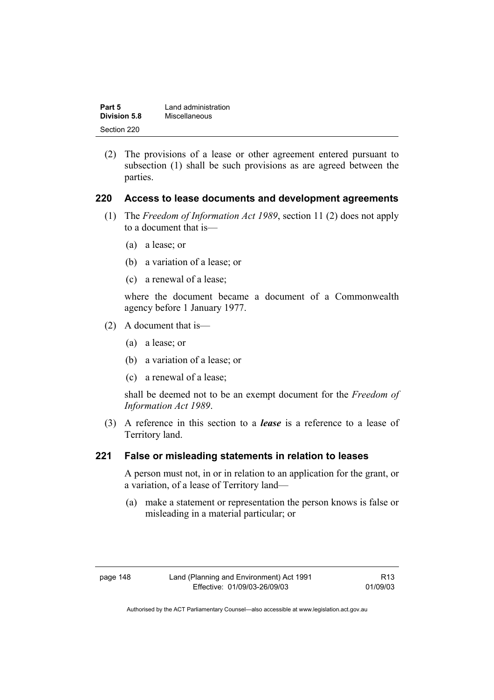| Part 5       | Land administration |
|--------------|---------------------|
| Division 5.8 | Miscellaneous       |
| Section 220  |                     |

 (2) The provisions of a lease or other agreement entered pursuant to subsection (1) shall be such provisions as are agreed between the parties.

### **220 Access to lease documents and development agreements**

- (1) The *Freedom of Information Act 1989*, section 11 (2) does not apply to a document that is—
	- (a) a lease; or
	- (b) a variation of a lease; or
	- (c) a renewal of a lease;

where the document became a document of a Commonwealth agency before 1 January 1977.

- (2) A document that is—
	- (a) a lease; or
	- (b) a variation of a lease; or
	- (c) a renewal of a lease;

shall be deemed not to be an exempt document for the *Freedom of Information Act 1989*.

 (3) A reference in this section to a *lease* is a reference to a lease of Territory land.

### **221 False or misleading statements in relation to leases**

A person must not, in or in relation to an application for the grant, or a variation, of a lease of Territory land—

 (a) make a statement or representation the person knows is false or misleading in a material particular; or

| page 148 |  |
|----------|--|
|----------|--|

R13 01/09/03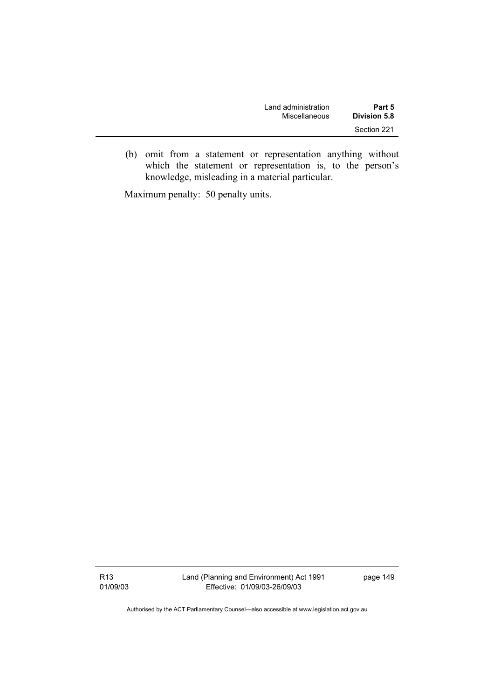| Land administration | Part 5              |  |
|---------------------|---------------------|--|
| Miscellaneous       | <b>Division 5.8</b> |  |
|                     | Section 221         |  |

 (b) omit from a statement or representation anything without which the statement or representation is, to the person's knowledge, misleading in a material particular.

Maximum penalty: 50 penalty units.

R13 01/09/03 Land (Planning and Environment) Act 1991 Effective: 01/09/03-26/09/03

page 149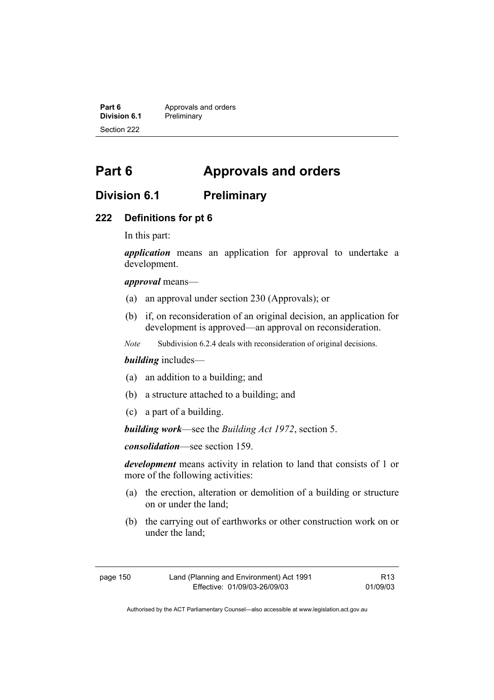**Part 6 Approvals and orders**<br>**Division 6.1 Preliminary Division 6.1** Preliminary Section 222

# **Part 6 Approvals and orders**

# **Division 6.1 Preliminary**

### **222 Definitions for pt 6**

In this part:

*application* means an application for approval to undertake a development.

*approval* means—

- (a) an approval under section 230 (Approvals); or
- (b) if, on reconsideration of an original decision, an application for development is approved—an approval on reconsideration.
- *Note* Subdivision 6.2.4 deals with reconsideration of original decisions.

### *building* includes—

- (a) an addition to a building; and
- (b) a structure attached to a building; and
- (c) a part of a building.

*building work*—see the *Building Act 1972*, section 5.

*consolidation*—see section 159.

*development* means activity in relation to land that consists of 1 or more of the following activities:

- (a) the erection, alteration or demolition of a building or structure on or under the land;
- (b) the carrying out of earthworks or other construction work on or under the land;

| page 150 | Land (Planning and Environment) Act 1991 | R <sub>13</sub> |
|----------|------------------------------------------|-----------------|
|          | Effective: 01/09/03-26/09/03             | 01/09/03        |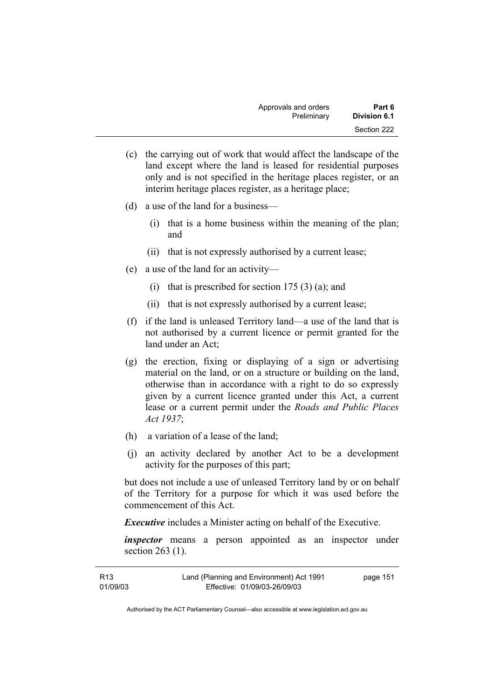| Approvals and orders | Part 6              |
|----------------------|---------------------|
| Preliminary          | <b>Division 6.1</b> |
|                      | Section 222         |

- (c) the carrying out of work that would affect the landscape of the land except where the land is leased for residential purposes only and is not specified in the heritage places register, or an interim heritage places register, as a heritage place;
- (d) a use of the land for a business—
	- (i) that is a home business within the meaning of the plan; and
	- (ii) that is not expressly authorised by a current lease;
- (e) a use of the land for an activity—
	- (i) that is prescribed for section  $175(3)(a)$ ; and
	- (ii) that is not expressly authorised by a current lease;
- (f) if the land is unleased Territory land—a use of the land that is not authorised by a current licence or permit granted for the land under an Act;
- (g) the erection, fixing or displaying of a sign or advertising material on the land, or on a structure or building on the land, otherwise than in accordance with a right to do so expressly given by a current licence granted under this Act, a current lease or a current permit under the *Roads and Public Places Act 1937*;
- (h) a variation of a lease of the land;
- (j) an activity declared by another Act to be a development activity for the purposes of this part;

but does not include a use of unleased Territory land by or on behalf of the Territory for a purpose for which it was used before the commencement of this Act.

*Executive* includes a Minister acting on behalf of the Executive.

*inspector* means a person appointed as an inspector under section 263 (1).

| R13      | Land (Planning and Environment) Act 1991 | page 151 |
|----------|------------------------------------------|----------|
| 01/09/03 | Effective: 01/09/03-26/09/03             |          |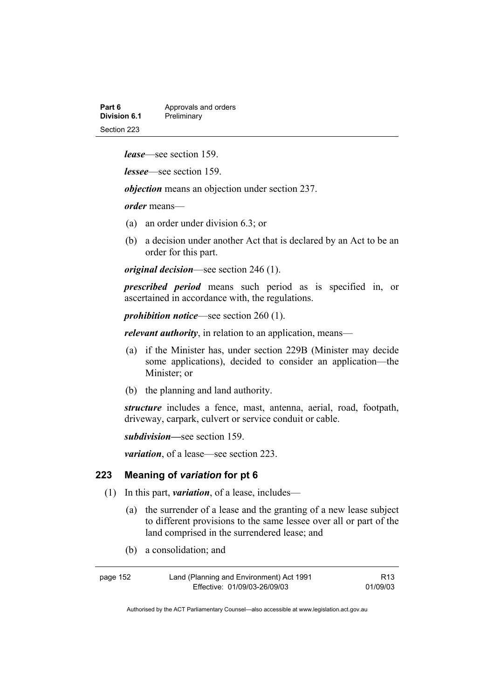| Part 6       | Approvals and orders |
|--------------|----------------------|
| Division 6.1 | Preliminary          |
| Section 223  |                      |

*lease*—see section 159.

*lessee*—see section 159.

*objection* means an objection under section 237.

*order* means—

- (a) an order under division 6.3; or
- (b) a decision under another Act that is declared by an Act to be an order for this part.

*original decision*—see section 246 (1).

*prescribed period* means such period as is specified in, or ascertained in accordance with, the regulations.

*prohibition notice*—see section 260 (1).

*relevant authority*, in relation to an application, means—

- (a) if the Minister has, under section 229B (Minister may decide some applications), decided to consider an application—the Minister; or
- (b) the planning and land authority.

*structure* includes a fence, mast, antenna, aerial, road, footpath, driveway, carpark, culvert or service conduit or cable.

*subdivision—*see section 159.

*variation*, of a lease—see section 223.

#### **223 Meaning of** *variation* **for pt 6**

- (1) In this part, *variation*, of a lease, includes—
	- (a) the surrender of a lease and the granting of a new lease subject to different provisions to the same lessee over all or part of the land comprised in the surrendered lease; and
	- (b) a consolidation; and

| page 152 | Land (Planning and Environment) Act 1991 | R13      |
|----------|------------------------------------------|----------|
|          | Effective: 01/09/03-26/09/03             | 01/09/03 |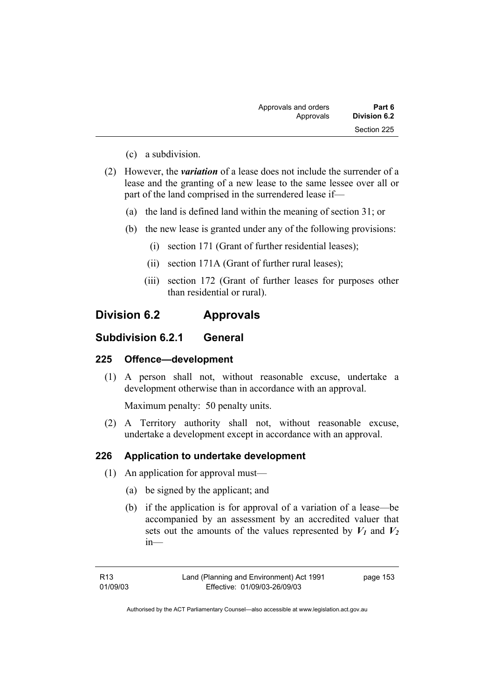| Part 6       | Approvals and orders |  |
|--------------|----------------------|--|
| Division 6.2 | Approvals            |  |
| Section 225  |                      |  |

- (c) a subdivision.
- (2) However, the *variation* of a lease does not include the surrender of a lease and the granting of a new lease to the same lessee over all or part of the land comprised in the surrendered lease if—
	- (a) the land is defined land within the meaning of section 31; or
	- (b) the new lease is granted under any of the following provisions:
		- (i) section 171 (Grant of further residential leases);
		- (ii) section 171A (Grant of further rural leases);
		- (iii) section 172 (Grant of further leases for purposes other than residential or rural).

# **Division 6.2 Approvals**

# **Subdivision 6.2.1 General**

# **225 Offence—development**

 (1) A person shall not, without reasonable excuse, undertake a development otherwise than in accordance with an approval.

Maximum penalty: 50 penalty units.

 (2) A Territory authority shall not, without reasonable excuse, undertake a development except in accordance with an approval.

### **226 Application to undertake development**

- (1) An application for approval must—
	- (a) be signed by the applicant; and
	- (b) if the application is for approval of a variation of a lease—be accompanied by an assessment by an accredited valuer that sets out the amounts of the values represented by  $V_1$  and  $V_2$ in—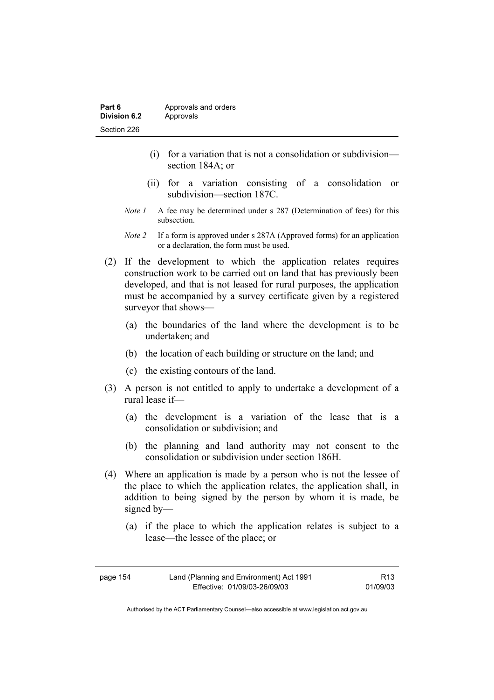- (i) for a variation that is not a consolidation or subdivision section 184A; or
- (ii) for a variation consisting of a consolidation or subdivision—section 187C.
- *Note 1* A fee may be determined under s 287 (Determination of fees) for this subsection.
- *Note 2* If a form is approved under s 287A (Approved forms) for an application or a declaration, the form must be used.
- (2) If the development to which the application relates requires construction work to be carried out on land that has previously been developed, and that is not leased for rural purposes, the application must be accompanied by a survey certificate given by a registered surveyor that shows—
	- (a) the boundaries of the land where the development is to be undertaken; and
	- (b) the location of each building or structure on the land; and
	- (c) the existing contours of the land.
- (3) A person is not entitled to apply to undertake a development of a rural lease if—
	- (a) the development is a variation of the lease that is a consolidation or subdivision; and
	- (b) the planning and land authority may not consent to the consolidation or subdivision under section 186H.
- (4) Where an application is made by a person who is not the lessee of the place to which the application relates, the application shall, in addition to being signed by the person by whom it is made, be signed by—
	- (a) if the place to which the application relates is subject to a lease—the lessee of the place; or

| page 154 | Land (Planning and Environment) Act 1991 | R <sub>13</sub> |
|----------|------------------------------------------|-----------------|
|          | Effective: 01/09/03-26/09/03             | 01/09/03        |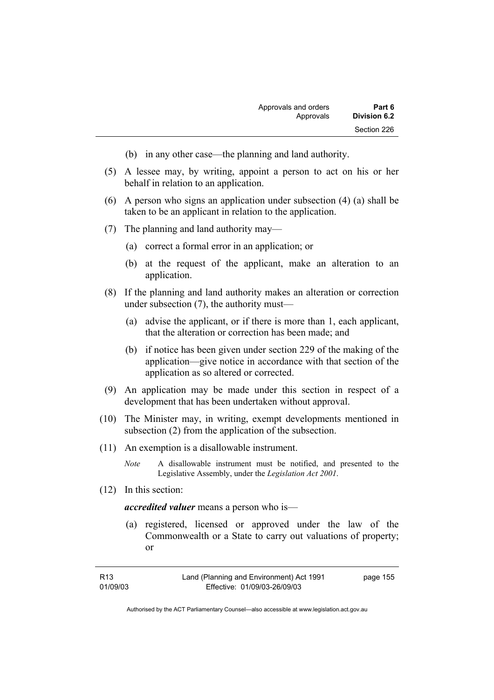- (b) in any other case—the planning and land authority.
- (5) A lessee may, by writing, appoint a person to act on his or her behalf in relation to an application.
- (6) A person who signs an application under subsection (4) (a) shall be taken to be an applicant in relation to the application.
- (7) The planning and land authority may—
	- (a) correct a formal error in an application; or
	- (b) at the request of the applicant, make an alteration to an application.
- (8) If the planning and land authority makes an alteration or correction under subsection (7), the authority must—
	- (a) advise the applicant, or if there is more than 1, each applicant, that the alteration or correction has been made; and
	- (b) if notice has been given under section 229 of the making of the application—give notice in accordance with that section of the application as so altered or corrected.
- (9) An application may be made under this section in respect of a development that has been undertaken without approval.
- (10) The Minister may, in writing, exempt developments mentioned in subsection (2) from the application of the subsection.
- (11) An exemption is a disallowable instrument.
	- *Note* A disallowable instrument must be notified, and presented to the Legislative Assembly, under the *Legislation Act 2001*.
- (12) In this section:

*accredited valuer* means a person who is—

 (a) registered, licensed or approved under the law of the Commonwealth or a State to carry out valuations of property; or

| R <sub>13</sub> | Land (Planning and Environment) Act 1991 | page 155 |
|-----------------|------------------------------------------|----------|
| 01/09/03        | Effective: 01/09/03-26/09/03             |          |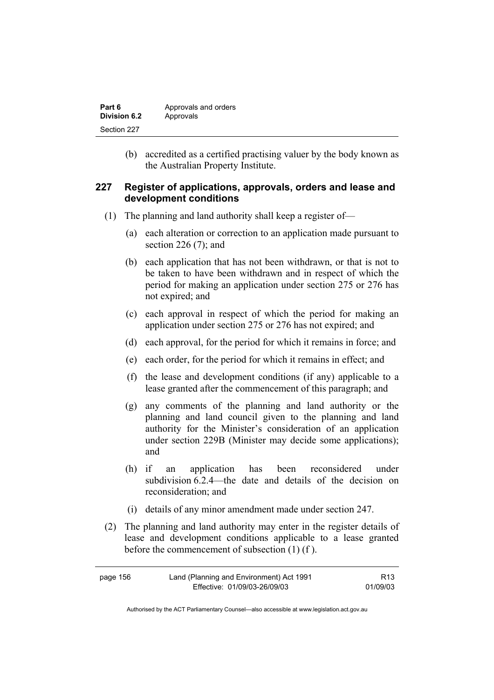| Part 6       | Approvals and orders |
|--------------|----------------------|
| Division 6.2 | Approvals            |
| Section 227  |                      |

 (b) accredited as a certified practising valuer by the body known as the Australian Property Institute.

### **227 Register of applications, approvals, orders and lease and development conditions**

- (1) The planning and land authority shall keep a register of—
	- (a) each alteration or correction to an application made pursuant to section 226 (7); and
	- (b) each application that has not been withdrawn, or that is not to be taken to have been withdrawn and in respect of which the period for making an application under section 275 or 276 has not expired; and
	- (c) each approval in respect of which the period for making an application under section 275 or 276 has not expired; and
	- (d) each approval, for the period for which it remains in force; and
	- (e) each order, for the period for which it remains in effect; and
	- (f) the lease and development conditions (if any) applicable to a lease granted after the commencement of this paragraph; and
	- (g) any comments of the planning and land authority or the planning and land council given to the planning and land authority for the Minister's consideration of an application under section 229B (Minister may decide some applications); and
	- (h) if an application has been reconsidered under subdivision 6.2.4—the date and details of the decision on reconsideration; and
	- (i) details of any minor amendment made under section 247.
- (2) The planning and land authority may enter in the register details of lease and development conditions applicable to a lease granted before the commencement of subsection (1) (f ).

| page 156 | Land (Planning and Environment) Act 1991 | R <sub>13</sub> |
|----------|------------------------------------------|-----------------|
|          | Effective: 01/09/03-26/09/03             | 01/09/03        |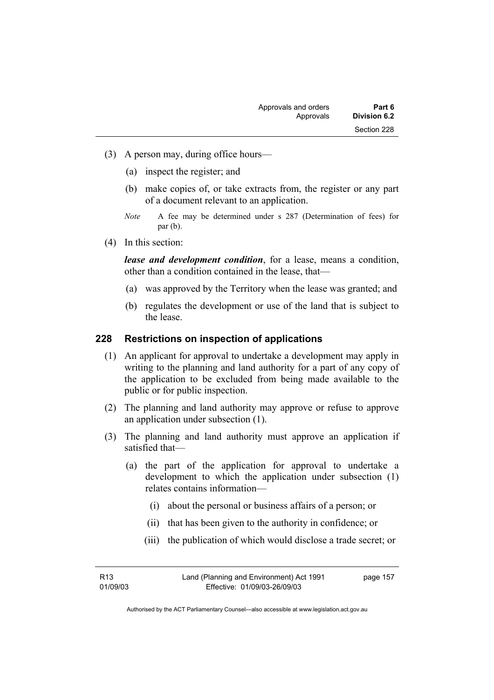- (3) A person may, during office hours—
	- (a) inspect the register; and
	- (b) make copies of, or take extracts from, the register or any part of a document relevant to an application.
	- *Note* A fee may be determined under s 287 (Determination of fees) for par (b).
- (4) In this section:

*lease and development condition*, for a lease, means a condition, other than a condition contained in the lease, that—

- (a) was approved by the Territory when the lease was granted; and
- (b) regulates the development or use of the land that is subject to the lease.

#### **228 Restrictions on inspection of applications**

- (1) An applicant for approval to undertake a development may apply in writing to the planning and land authority for a part of any copy of the application to be excluded from being made available to the public or for public inspection.
- (2) The planning and land authority may approve or refuse to approve an application under subsection (1).
- (3) The planning and land authority must approve an application if satisfied that—
	- (a) the part of the application for approval to undertake a development to which the application under subsection (1) relates contains information—
		- (i) about the personal or business affairs of a person; or
		- (ii) that has been given to the authority in confidence; or
		- (iii) the publication of which would disclose a trade secret; or

157

| R <sub>13</sub> | Land (Planning and Environment) Act 1991 | page |
|-----------------|------------------------------------------|------|
| 01/09/03        | Effective: 01/09/03-26/09/03             |      |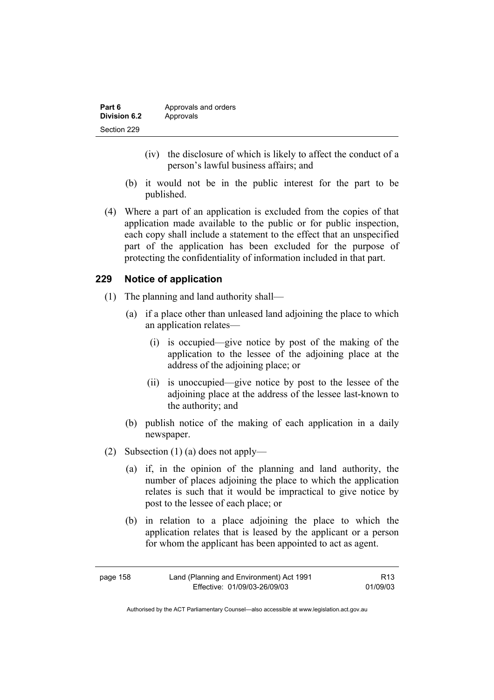| Part 6       | Approvals and orders |
|--------------|----------------------|
| Division 6.2 | Approvals            |
| Section 229  |                      |

- (iv) the disclosure of which is likely to affect the conduct of a person's lawful business affairs; and
- (b) it would not be in the public interest for the part to be published.
- (4) Where a part of an application is excluded from the copies of that application made available to the public or for public inspection, each copy shall include a statement to the effect that an unspecified part of the application has been excluded for the purpose of protecting the confidentiality of information included in that part.

### **229 Notice of application**

- (1) The planning and land authority shall—
	- (a) if a place other than unleased land adjoining the place to which an application relates—
		- (i) is occupied—give notice by post of the making of the application to the lessee of the adjoining place at the address of the adjoining place; or
		- (ii) is unoccupied—give notice by post to the lessee of the adjoining place at the address of the lessee last-known to the authority; and
	- (b) publish notice of the making of each application in a daily newspaper.
- (2) Subsection (1) (a) does not apply—
	- (a) if, in the opinion of the planning and land authority, the number of places adjoining the place to which the application relates is such that it would be impractical to give notice by post to the lessee of each place; or
	- (b) in relation to a place adjoining the place to which the application relates that is leased by the applicant or a person for whom the applicant has been appointed to act as agent.

| page 158 | Land (Planning and Environment) Act 1991 | R13      |
|----------|------------------------------------------|----------|
|          | Effective: 01/09/03-26/09/03             | 01/09/03 |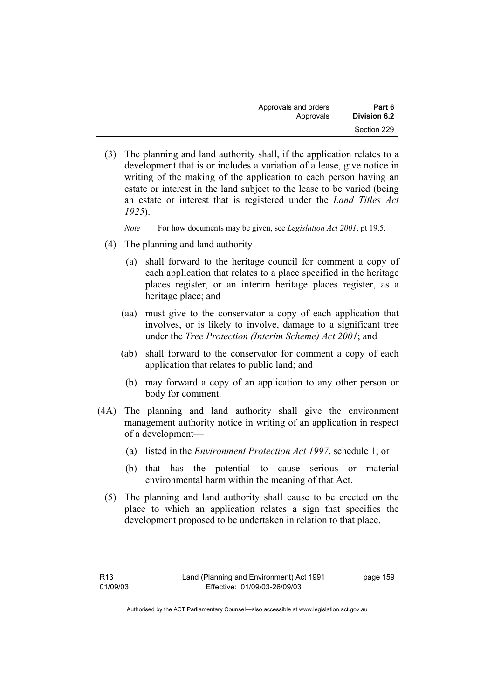| Approvals and orders | Part 6       |
|----------------------|--------------|
| Approvals            | Division 6.2 |
|                      | Section 229  |

 (3) The planning and land authority shall, if the application relates to a development that is or includes a variation of a lease, give notice in writing of the making of the application to each person having an estate or interest in the land subject to the lease to be varied (being an estate or interest that is registered under the *Land Titles Act 1925*).

*Note* For how documents may be given, see *Legislation Act 2001*, pt 19.5.

- (4) The planning and land authority
	- (a) shall forward to the heritage council for comment a copy of each application that relates to a place specified in the heritage places register, or an interim heritage places register, as a heritage place; and
	- (aa) must give to the conservator a copy of each application that involves, or is likely to involve, damage to a significant tree under the *Tree Protection (Interim Scheme) Act 2001*; and
	- (ab) shall forward to the conservator for comment a copy of each application that relates to public land; and
		- (b) may forward a copy of an application to any other person or body for comment.
- (4A) The planning and land authority shall give the environment management authority notice in writing of an application in respect of a development—
	- (a) listed in the *Environment Protection Act 1997*, schedule 1; or
	- (b) that has the potential to cause serious or material environmental harm within the meaning of that Act.
	- (5) The planning and land authority shall cause to be erected on the place to which an application relates a sign that specifies the development proposed to be undertaken in relation to that place.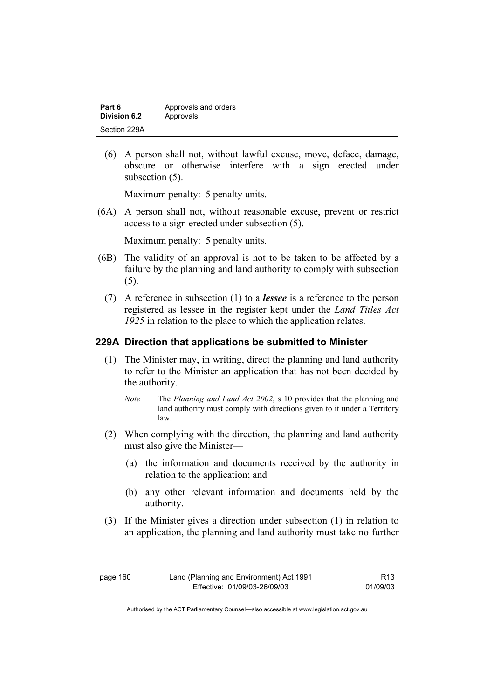| Part 6       | Approvals and orders |
|--------------|----------------------|
| Division 6.2 | Approvals            |
| Section 229A |                      |

 (6) A person shall not, without lawful excuse, move, deface, damage, obscure or otherwise interfere with a sign erected under subsection  $(5)$ .

Maximum penalty: 5 penalty units.

 (6A) A person shall not, without reasonable excuse, prevent or restrict access to a sign erected under subsection (5).

Maximum penalty: 5 penalty units.

- (6B) The validity of an approval is not to be taken to be affected by a failure by the planning and land authority to comply with subsection (5).
	- (7) A reference in subsection (1) to a *lessee* is a reference to the person registered as lessee in the register kept under the *Land Titles Act 1925* in relation to the place to which the application relates.

# **229A Direction that applications be submitted to Minister**

- (1) The Minister may, in writing, direct the planning and land authority to refer to the Minister an application that has not been decided by the authority.
	- *Note* The *Planning and Land Act 2002*, s 10 provides that the planning and land authority must comply with directions given to it under a Territory law.
- (2) When complying with the direction, the planning and land authority must also give the Minister—
	- (a) the information and documents received by the authority in relation to the application; and
	- (b) any other relevant information and documents held by the authority.
- (3) If the Minister gives a direction under subsection (1) in relation to an application, the planning and land authority must take no further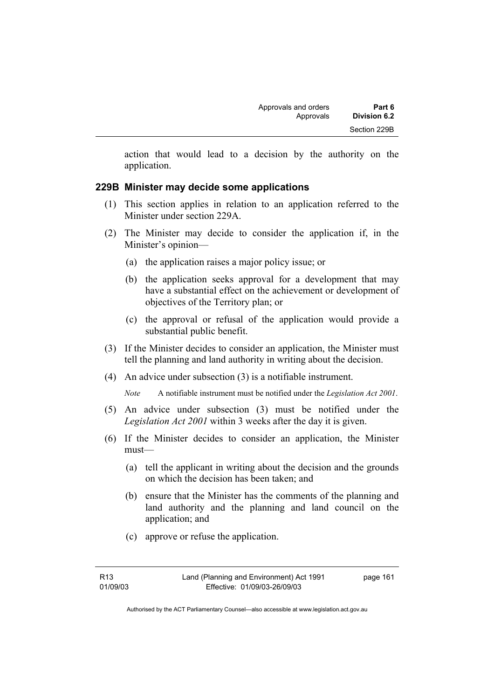action that would lead to a decision by the authority on the application.

# **229B Minister may decide some applications**

- (1) This section applies in relation to an application referred to the Minister under section 229A.
- (2) The Minister may decide to consider the application if, in the Minister's opinion—
	- (a) the application raises a major policy issue; or
	- (b) the application seeks approval for a development that may have a substantial effect on the achievement or development of objectives of the Territory plan; or
	- (c) the approval or refusal of the application would provide a substantial public benefit.
- (3) If the Minister decides to consider an application, the Minister must tell the planning and land authority in writing about the decision.
- (4) An advice under subsection (3) is a notifiable instrument.

*Note* A notifiable instrument must be notified under the *Legislation Act 2001*.

- (5) An advice under subsection (3) must be notified under the *Legislation Act 2001* within 3 weeks after the day it is given.
- (6) If the Minister decides to consider an application, the Minister must—
	- (a) tell the applicant in writing about the decision and the grounds on which the decision has been taken; and
	- (b) ensure that the Minister has the comments of the planning and land authority and the planning and land council on the application; and
	- (c) approve or refuse the application.

page 161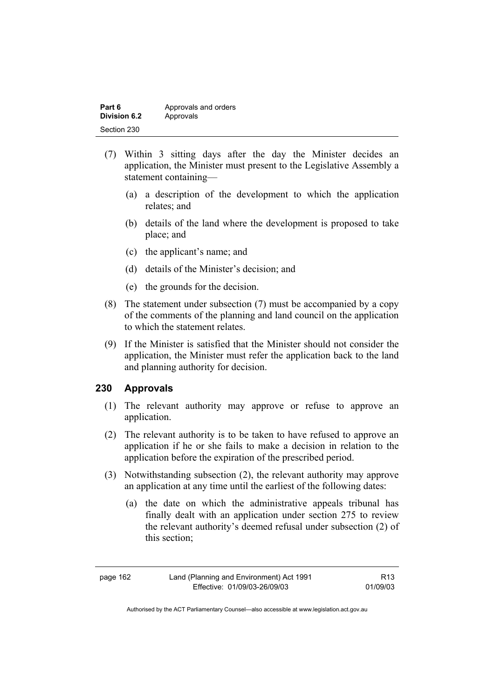| Part 6       | Approvals and orders |
|--------------|----------------------|
| Division 6.2 | Approvals            |
| Section 230  |                      |

- (7) Within 3 sitting days after the day the Minister decides an application, the Minister must present to the Legislative Assembly a statement containing—
	- (a) a description of the development to which the application relates; and
	- (b) details of the land where the development is proposed to take place; and
	- (c) the applicant's name; and
	- (d) details of the Minister's decision; and
	- (e) the grounds for the decision.
- (8) The statement under subsection (7) must be accompanied by a copy of the comments of the planning and land council on the application to which the statement relates.
- (9) If the Minister is satisfied that the Minister should not consider the application, the Minister must refer the application back to the land and planning authority for decision.

# **230 Approvals**

- (1) The relevant authority may approve or refuse to approve an application.
- (2) The relevant authority is to be taken to have refused to approve an application if he or she fails to make a decision in relation to the application before the expiration of the prescribed period.
- (3) Notwithstanding subsection (2), the relevant authority may approve an application at any time until the earliest of the following dates:
	- (a) the date on which the administrative appeals tribunal has finally dealt with an application under section 275 to review the relevant authority's deemed refusal under subsection (2) of this section;

R13 01/09/03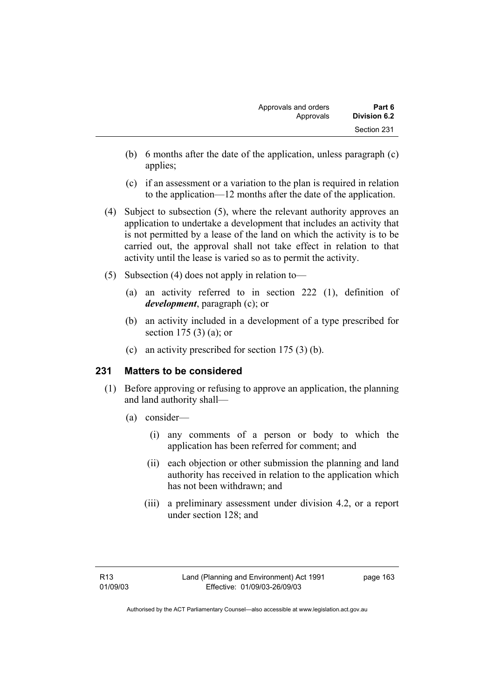- (b) 6 months after the date of the application, unless paragraph (c) applies;
- (c) if an assessment or a variation to the plan is required in relation to the application—12 months after the date of the application.
- (4) Subject to subsection (5), where the relevant authority approves an application to undertake a development that includes an activity that is not permitted by a lease of the land on which the activity is to be carried out, the approval shall not take effect in relation to that activity until the lease is varied so as to permit the activity.
- (5) Subsection (4) does not apply in relation to—
	- (a) an activity referred to in section 222 (1), definition of *development*, paragraph (c); or
	- (b) an activity included in a development of a type prescribed for section 175 (3) (a); or
	- (c) an activity prescribed for section 175 (3) (b).

# **231 Matters to be considered**

- (1) Before approving or refusing to approve an application, the planning and land authority shall—
	- (a) consider—
		- (i) any comments of a person or body to which the application has been referred for comment; and
		- (ii) each objection or other submission the planning and land authority has received in relation to the application which has not been withdrawn; and
		- (iii) a preliminary assessment under division 4.2, or a report under section 128; and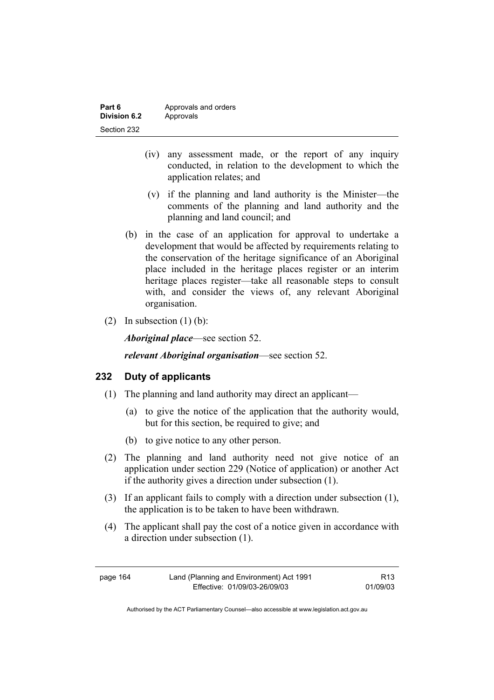| Part 6       | Approvals and orders |
|--------------|----------------------|
| Division 6.2 | Approvals            |
| Section 232  |                      |

- (iv) any assessment made, or the report of any inquiry conducted, in relation to the development to which the application relates; and
- (v) if the planning and land authority is the Minister—the comments of the planning and land authority and the planning and land council; and
- (b) in the case of an application for approval to undertake a development that would be affected by requirements relating to the conservation of the heritage significance of an Aboriginal place included in the heritage places register or an interim heritage places register—take all reasonable steps to consult with, and consider the views of, any relevant Aboriginal organisation.
- (2) In subsection  $(1)$  (b):

*Aboriginal place*—see section 52.

*relevant Aboriginal organisation*—see section 52.

### **232 Duty of applicants**

- (1) The planning and land authority may direct an applicant—
	- (a) to give the notice of the application that the authority would, but for this section, be required to give; and
	- (b) to give notice to any other person.
- (2) The planning and land authority need not give notice of an application under section 229 (Notice of application) or another Act if the authority gives a direction under subsection (1).
- (3) If an applicant fails to comply with a direction under subsection (1), the application is to be taken to have been withdrawn.
- (4) The applicant shall pay the cost of a notice given in accordance with a direction under subsection (1).

| page 164 | Land (Planning and Environment) Act 1991 | R <sub>13</sub> |
|----------|------------------------------------------|-----------------|
|          | Effective: 01/09/03-26/09/03             | 01/09/03        |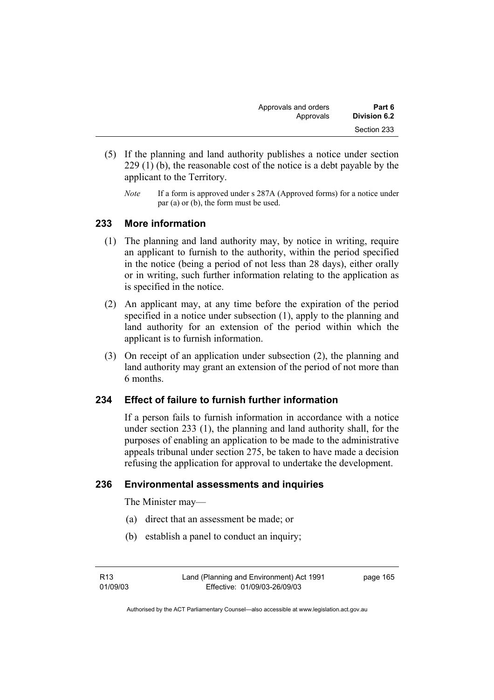| Approvals and orders | Part 6       |
|----------------------|--------------|
| Approvals            | Division 6.2 |
|                      | Section 233  |

- (5) If the planning and land authority publishes a notice under section 229 (1) (b), the reasonable cost of the notice is a debt payable by the applicant to the Territory.
	- *Note* If a form is approved under s 287A (Approved forms) for a notice under par (a) or (b), the form must be used.

## **233 More information**

- (1) The planning and land authority may, by notice in writing, require an applicant to furnish to the authority, within the period specified in the notice (being a period of not less than 28 days), either orally or in writing, such further information relating to the application as is specified in the notice.
- (2) An applicant may, at any time before the expiration of the period specified in a notice under subsection (1), apply to the planning and land authority for an extension of the period within which the applicant is to furnish information.
- (3) On receipt of an application under subsection (2), the planning and land authority may grant an extension of the period of not more than 6 months.

# **234 Effect of failure to furnish further information**

If a person fails to furnish information in accordance with a notice under section 233 (1), the planning and land authority shall, for the purposes of enabling an application to be made to the administrative appeals tribunal under section 275, be taken to have made a decision refusing the application for approval to undertake the development.

### **236 Environmental assessments and inquiries**

The Minister may—

- (a) direct that an assessment be made; or
- (b) establish a panel to conduct an inquiry;

R13 01/09/03 page 165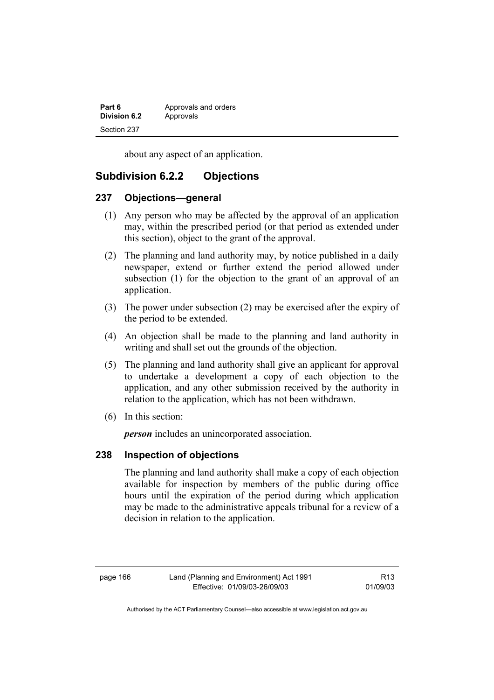| Part 6       | Approvals and orders |
|--------------|----------------------|
| Division 6.2 | Approvals            |
| Section 237  |                      |

about any aspect of an application.

# **Subdivision 6.2.2 Objections**

### **237 Objections—general**

- (1) Any person who may be affected by the approval of an application may, within the prescribed period (or that period as extended under this section), object to the grant of the approval.
- (2) The planning and land authority may, by notice published in a daily newspaper, extend or further extend the period allowed under subsection (1) for the objection to the grant of an approval of an application.
- (3) The power under subsection (2) may be exercised after the expiry of the period to be extended.
- (4) An objection shall be made to the planning and land authority in writing and shall set out the grounds of the objection.
- (5) The planning and land authority shall give an applicant for approval to undertake a development a copy of each objection to the application, and any other submission received by the authority in relation to the application, which has not been withdrawn.
- (6) In this section:

*person* includes an unincorporated association.

### **238 Inspection of objections**

The planning and land authority shall make a copy of each objection available for inspection by members of the public during office hours until the expiration of the period during which application may be made to the administrative appeals tribunal for a review of a decision in relation to the application.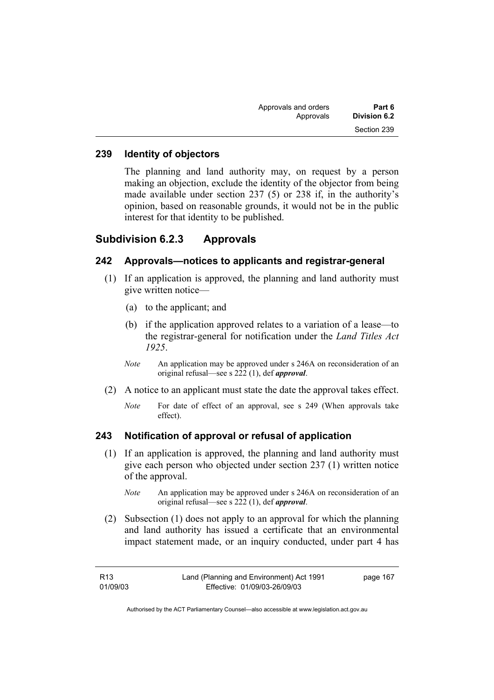| Part 6       | Approvals and orders |  |
|--------------|----------------------|--|
| Division 6.2 | Approvals            |  |
| Section 239  |                      |  |

### **239 Identity of objectors**

The planning and land authority may, on request by a person making an objection, exclude the identity of the objector from being made available under section 237 (5) or 238 if, in the authority's opinion, based on reasonable grounds, it would not be in the public interest for that identity to be published.

## **Subdivision 6.2.3 Approvals**

### **242 Approvals—notices to applicants and registrar-general**

- (1) If an application is approved, the planning and land authority must give written notice—
	- (a) to the applicant; and
	- (b) if the application approved relates to a variation of a lease—to the registrar-general for notification under the *Land Titles Act 1925*.
	- *Note* An application may be approved under s 246A on reconsideration of an original refusal—see s 222 (1), def *approval*.
- (2) A notice to an applicant must state the date the approval takes effect.
	- *Note* For date of effect of an approval, see s 249 (When approvals take effect).

### **243 Notification of approval or refusal of application**

- (1) If an application is approved, the planning and land authority must give each person who objected under section 237 (1) written notice of the approval.
	- *Note* An application may be approved under s 246A on reconsideration of an original refusal—see s 222 (1), def *approval*.
- (2) Subsection (1) does not apply to an approval for which the planning and land authority has issued a certificate that an environmental impact statement made, or an inquiry conducted, under part 4 has

| R13      | Land (Planning and Environment) Act 1991 | page 167 |
|----------|------------------------------------------|----------|
| 01/09/03 | Effective: 01/09/03-26/09/03             |          |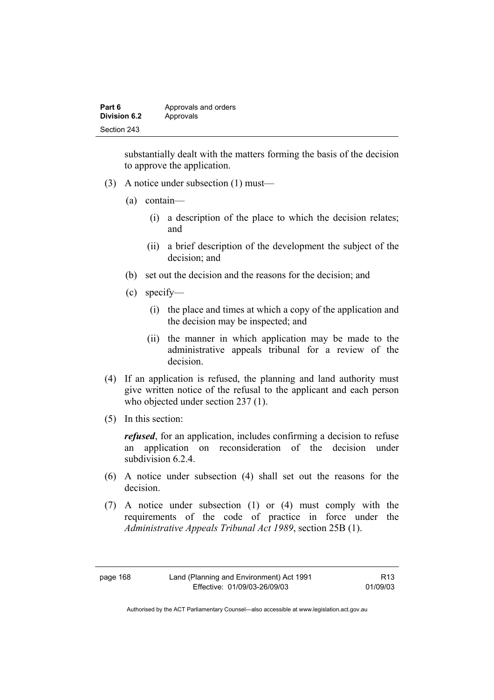| Part 6       | Approvals and orders |
|--------------|----------------------|
| Division 6.2 | Approvals            |
| Section 243  |                      |

substantially dealt with the matters forming the basis of the decision to approve the application.

- (3) A notice under subsection (1) must—
	- (a) contain—
		- (i) a description of the place to which the decision relates; and
		- (ii) a brief description of the development the subject of the decision; and
	- (b) set out the decision and the reasons for the decision; and
	- (c) specify—
		- (i) the place and times at which a copy of the application and the decision may be inspected; and
		- (ii) the manner in which application may be made to the administrative appeals tribunal for a review of the decision.
- (4) If an application is refused, the planning and land authority must give written notice of the refusal to the applicant and each person who objected under section 237 (1).
- (5) In this section:

*refused*, for an application, includes confirming a decision to refuse an application on reconsideration of the decision under subdivision 6.2.4.

- (6) A notice under subsection (4) shall set out the reasons for the decision.
- (7) A notice under subsection (1) or (4) must comply with the requirements of the code of practice in force under the *Administrative Appeals Tribunal Act 1989*, section 25B (1).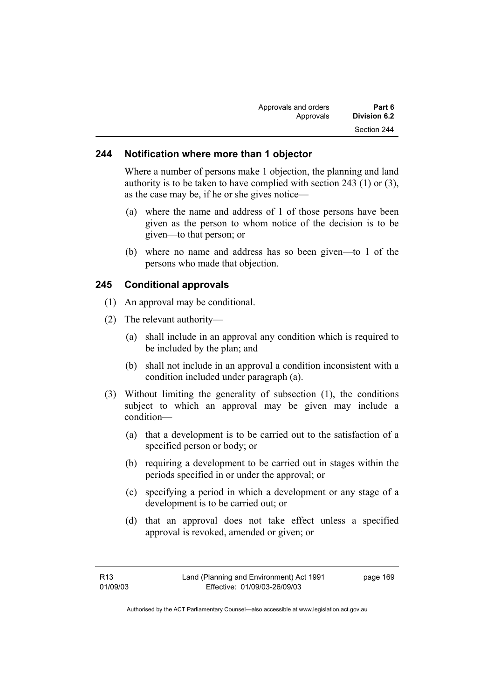| Approvals and orders | Part 6       |
|----------------------|--------------|
| Approvals            | Division 6.2 |
|                      | Section 244  |

### **244 Notification where more than 1 objector**

Where a number of persons make 1 objection, the planning and land authority is to be taken to have complied with section 243 (1) or (3), as the case may be, if he or she gives notice—

- (a) where the name and address of 1 of those persons have been given as the person to whom notice of the decision is to be given—to that person; or
- (b) where no name and address has so been given—to 1 of the persons who made that objection.

# **245 Conditional approvals**

- (1) An approval may be conditional.
- (2) The relevant authority—
	- (a) shall include in an approval any condition which is required to be included by the plan; and
	- (b) shall not include in an approval a condition inconsistent with a condition included under paragraph (a).
- (3) Without limiting the generality of subsection (1), the conditions subject to which an approval may be given may include a condition—
	- (a) that a development is to be carried out to the satisfaction of a specified person or body; or
	- (b) requiring a development to be carried out in stages within the periods specified in or under the approval; or
	- (c) specifying a period in which a development or any stage of a development is to be carried out; or
	- (d) that an approval does not take effect unless a specified approval is revoked, amended or given; or

page 169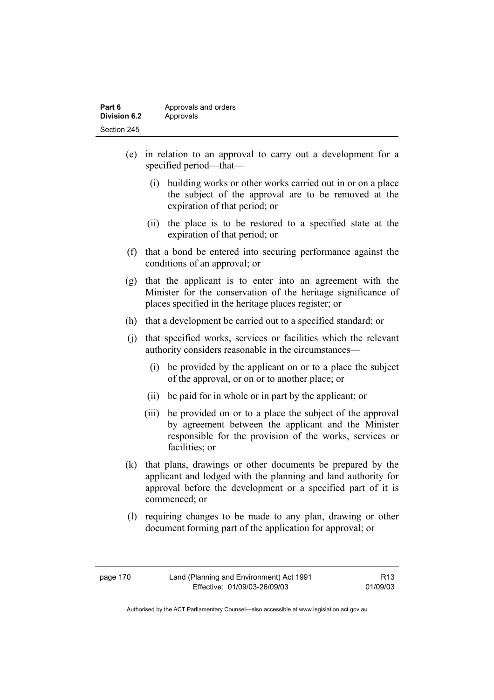| Part 6       | Approvals and orders |
|--------------|----------------------|
| Division 6.2 | Approvals            |
| Section 245  |                      |

- (e) in relation to an approval to carry out a development for a specified period—that—
	- (i) building works or other works carried out in or on a place the subject of the approval are to be removed at the expiration of that period; or
	- (ii) the place is to be restored to a specified state at the expiration of that period; or
- (f) that a bond be entered into securing performance against the conditions of an approval; or
- (g) that the applicant is to enter into an agreement with the Minister for the conservation of the heritage significance of places specified in the heritage places register; or
- (h) that a development be carried out to a specified standard; or
- (j) that specified works, services or facilities which the relevant authority considers reasonable in the circumstances—
	- (i) be provided by the applicant on or to a place the subject of the approval, or on or to another place; or
	- (ii) be paid for in whole or in part by the applicant; or
	- (iii) be provided on or to a place the subject of the approval by agreement between the applicant and the Minister responsible for the provision of the works, services or facilities; or
- (k) that plans, drawings or other documents be prepared by the applicant and lodged with the planning and land authority for approval before the development or a specified part of it is commenced; or
- (l) requiring changes to be made to any plan, drawing or other document forming part of the application for approval; or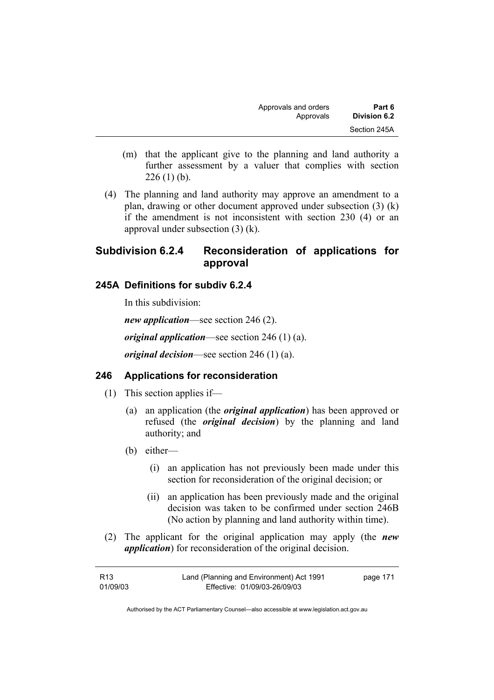| Approvals and orders | Part 6       |
|----------------------|--------------|
| Approvals            | Division 6.2 |
|                      | Section 245A |

- (m) that the applicant give to the planning and land authority a further assessment by a valuer that complies with section  $226(1)$  (b).
- (4) The planning and land authority may approve an amendment to a plan, drawing or other document approved under subsection (3) (k) if the amendment is not inconsistent with section 230 (4) or an approval under subsection (3) (k).

# **Subdivision 6.2.4 Reconsideration of applications for approval**

#### **245A Definitions for subdiv 6.2.4**

In this subdivision:

*new application*—see section 246 (2). *original application*—see section 246 (1) (a).

*original decision*—see section 246 (1) (a).

### **246 Applications for reconsideration**

- (1) This section applies if—
	- (a) an application (the *original application*) has been approved or refused (the *original decision*) by the planning and land authority; and
	- (b) either—
		- (i) an application has not previously been made under this section for reconsideration of the original decision; or
		- (ii) an application has been previously made and the original decision was taken to be confirmed under section 246B (No action by planning and land authority within time).
- (2) The applicant for the original application may apply (the *new application*) for reconsideration of the original decision.

| R13      | Land (Planning and Environment) Act 1991 | page 171 |
|----------|------------------------------------------|----------|
| 01/09/03 | Effective: 01/09/03-26/09/03             |          |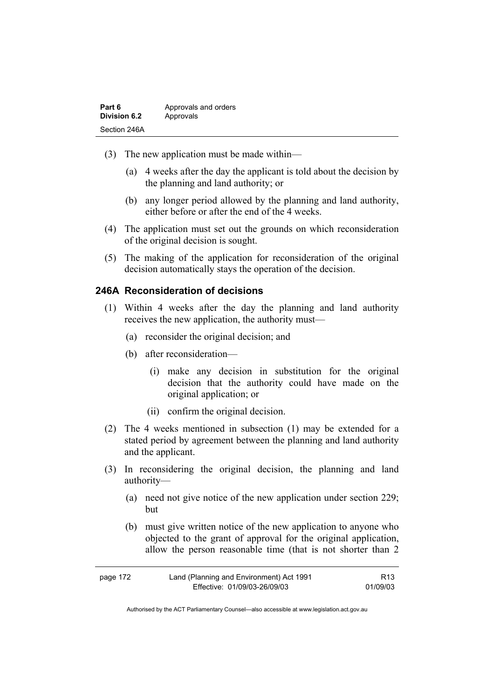| Part 6              | Approvals and orders |
|---------------------|----------------------|
| <b>Division 6.2</b> | Approvals            |
| Section 246A        |                      |

- (3) The new application must be made within—
	- (a) 4 weeks after the day the applicant is told about the decision by the planning and land authority; or
	- (b) any longer period allowed by the planning and land authority, either before or after the end of the 4 weeks.
- (4) The application must set out the grounds on which reconsideration of the original decision is sought.
- (5) The making of the application for reconsideration of the original decision automatically stays the operation of the decision.

## **246A Reconsideration of decisions**

- (1) Within 4 weeks after the day the planning and land authority receives the new application, the authority must—
	- (a) reconsider the original decision; and
	- (b) after reconsideration—
		- (i) make any decision in substitution for the original decision that the authority could have made on the original application; or
		- (ii) confirm the original decision.
- (2) The 4 weeks mentioned in subsection (1) may be extended for a stated period by agreement between the planning and land authority and the applicant.
- (3) In reconsidering the original decision, the planning and land authority—
	- (a) need not give notice of the new application under section 229; but
	- (b) must give written notice of the new application to anyone who objected to the grant of approval for the original application, allow the person reasonable time (that is not shorter than 2

| page 172 | Land (Planning and Environment) Act 1991 | R <sub>13</sub> |
|----------|------------------------------------------|-----------------|
|          | Effective: 01/09/03-26/09/03             | 01/09/03        |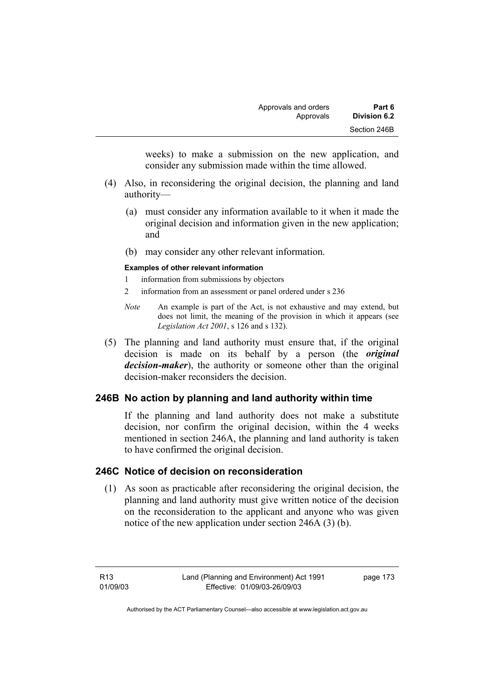weeks) to make a submission on the new application, and consider any submission made within the time allowed.

- (4) Also, in reconsidering the original decision, the planning and land authority—
	- (a) must consider any information available to it when it made the original decision and information given in the new application; and
	- (b) may consider any other relevant information.

#### **Examples of other relevant information**

- 1 information from submissions by objectors
- 2 information from an assessment or panel ordered under s 236
- *Note* An example is part of the Act, is not exhaustive and may extend, but does not limit, the meaning of the provision in which it appears (see *Legislation Act 2001*, s 126 and s 132).
- (5) The planning and land authority must ensure that, if the original decision is made on its behalf by a person (the *original decision-maker*), the authority or someone other than the original decision-maker reconsiders the decision.

# **246B No action by planning and land authority within time**

If the planning and land authority does not make a substitute decision, nor confirm the original decision, within the 4 weeks mentioned in section 246A, the planning and land authority is taken to have confirmed the original decision.

## **246C Notice of decision on reconsideration**

 (1) As soon as practicable after reconsidering the original decision, the planning and land authority must give written notice of the decision on the reconsideration to the applicant and anyone who was given notice of the new application under section 246A (3) (b).

R13 01/09/03 page 173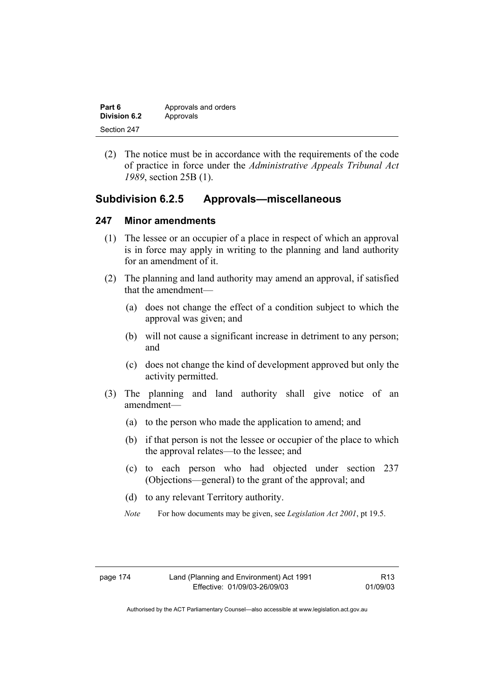| Part 6              | Approvals and orders |
|---------------------|----------------------|
| <b>Division 6.2</b> | Approvals            |
| Section 247         |                      |

 (2) The notice must be in accordance with the requirements of the code of practice in force under the *Administrative Appeals Tribunal Act 1989*, section 25B (1).

## **Subdivision 6.2.5 Approvals—miscellaneous**

#### **247 Minor amendments**

- (1) The lessee or an occupier of a place in respect of which an approval is in force may apply in writing to the planning and land authority for an amendment of it.
- (2) The planning and land authority may amend an approval, if satisfied that the amendment—
	- (a) does not change the effect of a condition subject to which the approval was given; and
	- (b) will not cause a significant increase in detriment to any person; and
	- (c) does not change the kind of development approved but only the activity permitted.
- (3) The planning and land authority shall give notice of an amendment—
	- (a) to the person who made the application to amend; and
	- (b) if that person is not the lessee or occupier of the place to which the approval relates—to the lessee; and
	- (c) to each person who had objected under section 237 (Objections—general) to the grant of the approval; and
	- (d) to any relevant Territory authority.
	- *Note* For how documents may be given, see *Legislation Act 2001*, pt 19.5.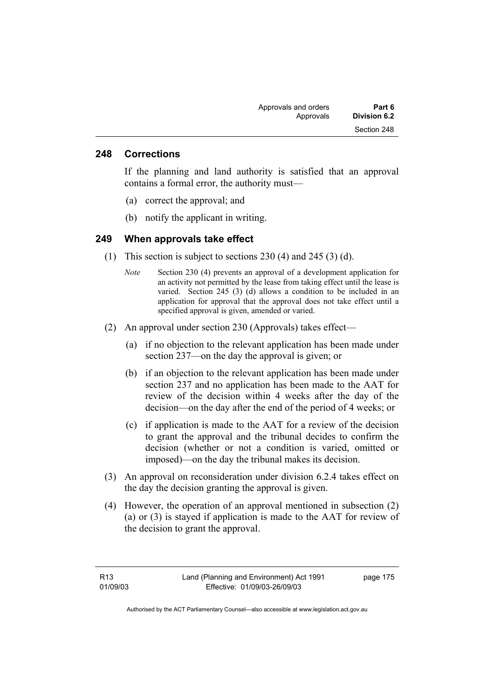#### **248 Corrections**

If the planning and land authority is satisfied that an approval contains a formal error, the authority must—

- (a) correct the approval; and
- (b) notify the applicant in writing.

#### **249 When approvals take effect**

- (1) This section is subject to sections 230 (4) and 245 (3) (d).
	- *Note* Section 230 (4) prevents an approval of a development application for an activity not permitted by the lease from taking effect until the lease is varied. Section 245 (3) (d) allows a condition to be included in an application for approval that the approval does not take effect until a specified approval is given, amended or varied.
- (2) An approval under section 230 (Approvals) takes effect—
	- (a) if no objection to the relevant application has been made under section 237—on the day the approval is given; or
	- (b) if an objection to the relevant application has been made under section 237 and no application has been made to the AAT for review of the decision within 4 weeks after the day of the decision—on the day after the end of the period of 4 weeks; or
	- (c) if application is made to the AAT for a review of the decision to grant the approval and the tribunal decides to confirm the decision (whether or not a condition is varied, omitted or imposed)—on the day the tribunal makes its decision.
- (3) An approval on reconsideration under division 6.2.4 takes effect on the day the decision granting the approval is given.
- (4) However, the operation of an approval mentioned in subsection (2) (a) or (3) is stayed if application is made to the AAT for review of the decision to grant the approval.

page 175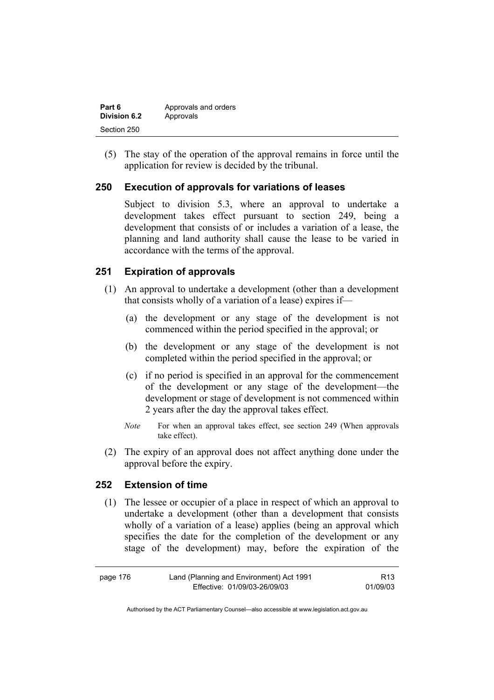| Part 6       | Approvals and orders |
|--------------|----------------------|
| Division 6.2 | Approvals            |
| Section 250  |                      |

 (5) The stay of the operation of the approval remains in force until the application for review is decided by the tribunal.

### **250 Execution of approvals for variations of leases**

Subject to division 5.3, where an approval to undertake a development takes effect pursuant to section 249, being a development that consists of or includes a variation of a lease, the planning and land authority shall cause the lease to be varied in accordance with the terms of the approval.

## **251 Expiration of approvals**

- (1) An approval to undertake a development (other than a development that consists wholly of a variation of a lease) expires if—
	- (a) the development or any stage of the development is not commenced within the period specified in the approval; or
	- (b) the development or any stage of the development is not completed within the period specified in the approval; or
	- (c) if no period is specified in an approval for the commencement of the development or any stage of the development—the development or stage of development is not commenced within 2 years after the day the approval takes effect.
	- *Note* For when an approval takes effect, see section 249 (When approvals take effect).
- (2) The expiry of an approval does not affect anything done under the approval before the expiry.

# **252 Extension of time**

 (1) The lessee or occupier of a place in respect of which an approval to undertake a development (other than a development that consists wholly of a variation of a lease) applies (being an approval which specifies the date for the completion of the development or any stage of the development) may, before the expiration of the

| page 176 | Land (Planning and Environment) Act 1991 | R13      |
|----------|------------------------------------------|----------|
|          | Effective: 01/09/03-26/09/03             | 01/09/03 |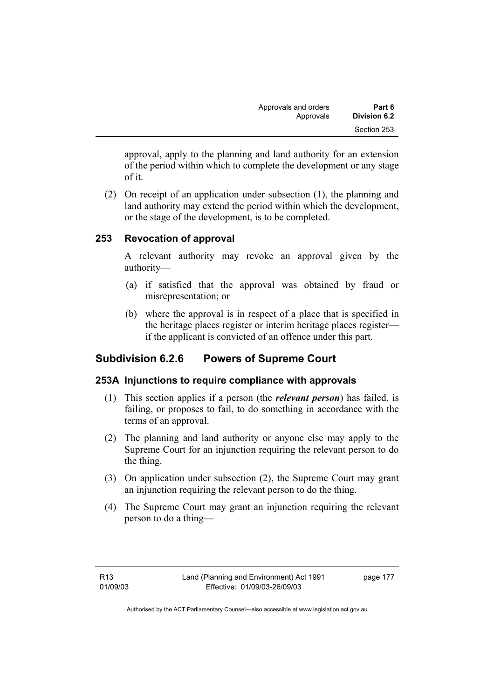| Approvals and orders | Part 6       |
|----------------------|--------------|
| Approvals            | Division 6.2 |
|                      | Section 253  |

approval, apply to the planning and land authority for an extension of the period within which to complete the development or any stage of it.

 (2) On receipt of an application under subsection (1), the planning and land authority may extend the period within which the development, or the stage of the development, is to be completed.

## **253 Revocation of approval**

A relevant authority may revoke an approval given by the authority—

- (a) if satisfied that the approval was obtained by fraud or misrepresentation; or
- (b) where the approval is in respect of a place that is specified in the heritage places register or interim heritage places register if the applicant is convicted of an offence under this part.

# **Subdivision 6.2.6 Powers of Supreme Court**

### **253A Injunctions to require compliance with approvals**

- (1) This section applies if a person (the *relevant person*) has failed, is failing, or proposes to fail, to do something in accordance with the terms of an approval.
- (2) The planning and land authority or anyone else may apply to the Supreme Court for an injunction requiring the relevant person to do the thing.
- (3) On application under subsection (2), the Supreme Court may grant an injunction requiring the relevant person to do the thing.
- (4) The Supreme Court may grant an injunction requiring the relevant person to do a thing—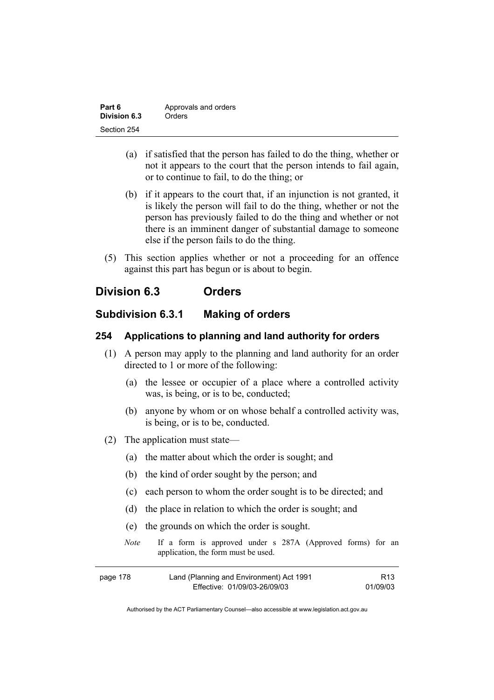| Part 6       | Approvals and orders |
|--------------|----------------------|
| Division 6.3 | Orders               |
| Section 254  |                      |

- (a) if satisfied that the person has failed to do the thing, whether or not it appears to the court that the person intends to fail again, or to continue to fail, to do the thing; or
- (b) if it appears to the court that, if an injunction is not granted, it is likely the person will fail to do the thing, whether or not the person has previously failed to do the thing and whether or not there is an imminent danger of substantial damage to someone else if the person fails to do the thing.
- (5) This section applies whether or not a proceeding for an offence against this part has begun or is about to begin.

# **Division 6.3 Orders**

# **Subdivision 6.3.1 Making of orders**

#### **254 Applications to planning and land authority for orders**

- (1) A person may apply to the planning and land authority for an order directed to 1 or more of the following:
	- (a) the lessee or occupier of a place where a controlled activity was, is being, or is to be, conducted;
	- (b) anyone by whom or on whose behalf a controlled activity was, is being, or is to be, conducted.
- (2) The application must state—
	- (a) the matter about which the order is sought; and
	- (b) the kind of order sought by the person; and
	- (c) each person to whom the order sought is to be directed; and
	- (d) the place in relation to which the order is sought; and
	- (e) the grounds on which the order is sought.
	- *Note* If a form is approved under s 287A (Approved forms) for an application, the form must be used.

| page 178 | Land (Planning and Environment) Act 1991 | R <sub>13</sub> |
|----------|------------------------------------------|-----------------|
|          | Effective: 01/09/03-26/09/03             | 01/09/03        |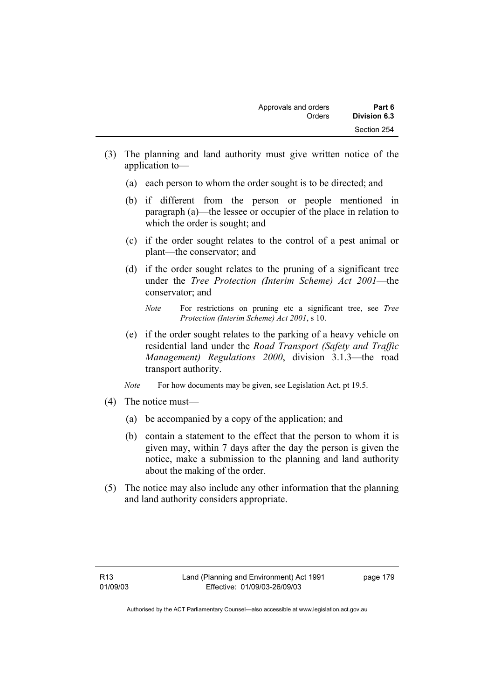- (3) The planning and land authority must give written notice of the application to—
	- (a) each person to whom the order sought is to be directed; and
	- (b) if different from the person or people mentioned in paragraph (a)—the lessee or occupier of the place in relation to which the order is sought; and
	- (c) if the order sought relates to the control of a pest animal or plant—the conservator; and
	- (d) if the order sought relates to the pruning of a significant tree under the *Tree Protection (Interim Scheme) Act 2001*—the conservator; and

- (e) if the order sought relates to the parking of a heavy vehicle on residential land under the *Road Transport (Safety and Traffic Management) Regulations 2000*, division 3.1.3—the road transport authority.
- *Note* For how documents may be given, see Legislation Act, pt 19.5.
- (4) The notice must—
	- (a) be accompanied by a copy of the application; and
	- (b) contain a statement to the effect that the person to whom it is given may, within 7 days after the day the person is given the notice, make a submission to the planning and land authority about the making of the order.
- (5) The notice may also include any other information that the planning and land authority considers appropriate.

*Note* For restrictions on pruning etc a significant tree, see *Tree Protection (Interim Scheme) Act 2001*, s 10.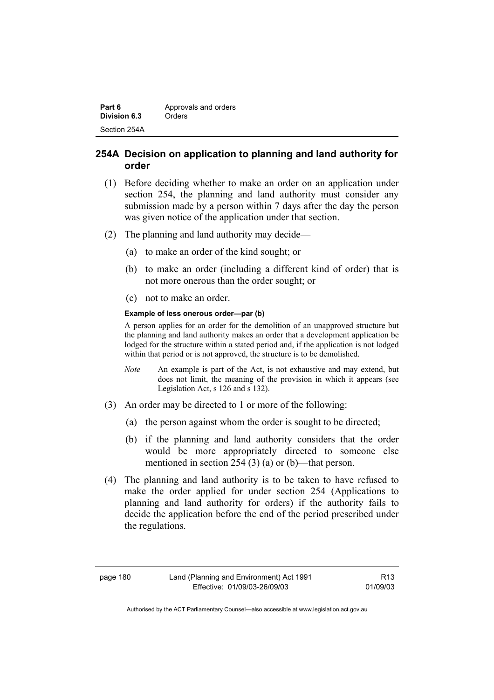| Part 6       | Approvals and orders |
|--------------|----------------------|
| Division 6.3 | Orders               |
| Section 254A |                      |

## **254A Decision on application to planning and land authority for order**

- (1) Before deciding whether to make an order on an application under section 254, the planning and land authority must consider any submission made by a person within 7 days after the day the person was given notice of the application under that section.
- (2) The planning and land authority may decide—
	- (a) to make an order of the kind sought; or
	- (b) to make an order (including a different kind of order) that is not more onerous than the order sought; or
	- (c) not to make an order.

#### **Example of less onerous order—par (b)**

A person applies for an order for the demolition of an unapproved structure but the planning and land authority makes an order that a development application be lodged for the structure within a stated period and, if the application is not lodged within that period or is not approved, the structure is to be demolished.

- *Note* An example is part of the Act, is not exhaustive and may extend, but does not limit, the meaning of the provision in which it appears (see Legislation Act, s 126 and s 132).
- (3) An order may be directed to 1 or more of the following:
	- (a) the person against whom the order is sought to be directed;
	- (b) if the planning and land authority considers that the order would be more appropriately directed to someone else mentioned in section 254 (3) (a) or (b)—that person.
- (4) The planning and land authority is to be taken to have refused to make the order applied for under section 254 (Applications to planning and land authority for orders) if the authority fails to decide the application before the end of the period prescribed under the regulations.

R13 01/09/03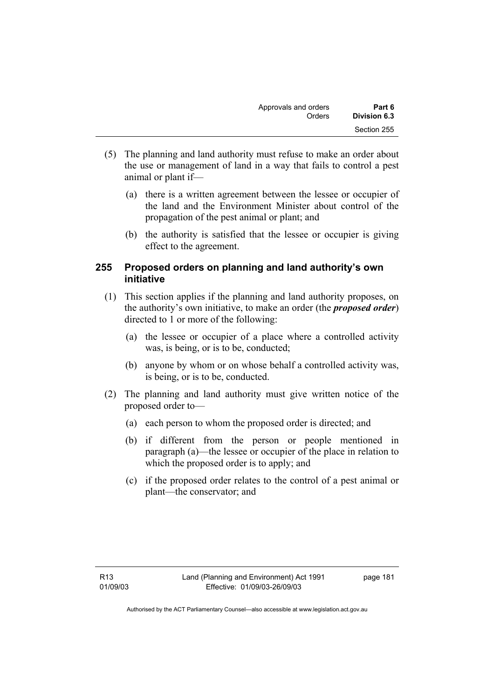| Approvals and orders | Part 6       |
|----------------------|--------------|
| Orders               | Division 6.3 |
|                      | Section 255  |

- (5) The planning and land authority must refuse to make an order about the use or management of land in a way that fails to control a pest animal or plant if—
	- (a) there is a written agreement between the lessee or occupier of the land and the Environment Minister about control of the propagation of the pest animal or plant; and
	- (b) the authority is satisfied that the lessee or occupier is giving effect to the agreement.

## **255 Proposed orders on planning and land authority's own initiative**

- (1) This section applies if the planning and land authority proposes, on the authority's own initiative, to make an order (the *proposed order*) directed to 1 or more of the following:
	- (a) the lessee or occupier of a place where a controlled activity was, is being, or is to be, conducted;
	- (b) anyone by whom or on whose behalf a controlled activity was, is being, or is to be, conducted.
- (2) The planning and land authority must give written notice of the proposed order to—
	- (a) each person to whom the proposed order is directed; and
	- (b) if different from the person or people mentioned in paragraph (a)—the lessee or occupier of the place in relation to which the proposed order is to apply; and
	- (c) if the proposed order relates to the control of a pest animal or plant—the conservator; and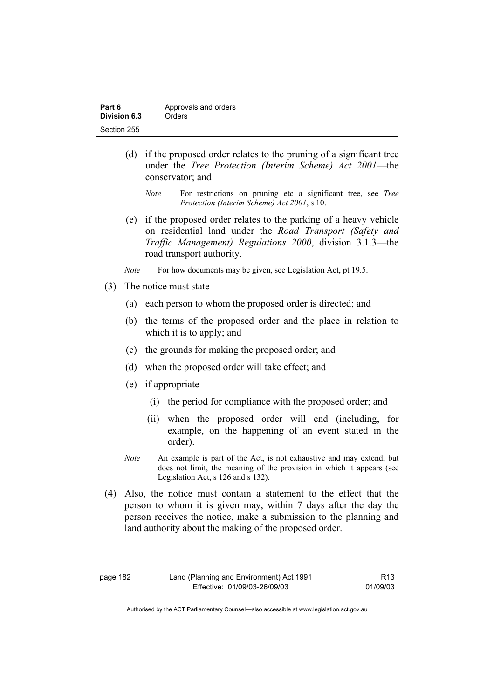| Part 6       | Approvals and orders |
|--------------|----------------------|
| Division 6.3 | Orders               |
| Section 255  |                      |

- (d) if the proposed order relates to the pruning of a significant tree under the *Tree Protection (Interim Scheme) Act 2001*—the conservator; and
	- *Note* For restrictions on pruning etc a significant tree, see *Tree Protection (Interim Scheme) Act 2001*, s 10.
- (e) if the proposed order relates to the parking of a heavy vehicle on residential land under the *Road Transport (Safety and Traffic Management) Regulations 2000*, division 3.1.3—the road transport authority.
- *Note* For how documents may be given, see Legislation Act, pt 19.5.
- (3) The notice must state—
	- (a) each person to whom the proposed order is directed; and
	- (b) the terms of the proposed order and the place in relation to which it is to apply; and
	- (c) the grounds for making the proposed order; and
	- (d) when the proposed order will take effect; and
	- (e) if appropriate—
		- (i) the period for compliance with the proposed order; and
		- (ii) when the proposed order will end (including, for example, on the happening of an event stated in the order).
	- *Note* An example is part of the Act, is not exhaustive and may extend, but does not limit, the meaning of the provision in which it appears (see Legislation Act, s 126 and s 132).
- (4) Also, the notice must contain a statement to the effect that the person to whom it is given may, within 7 days after the day the person receives the notice, make a submission to the planning and land authority about the making of the proposed order.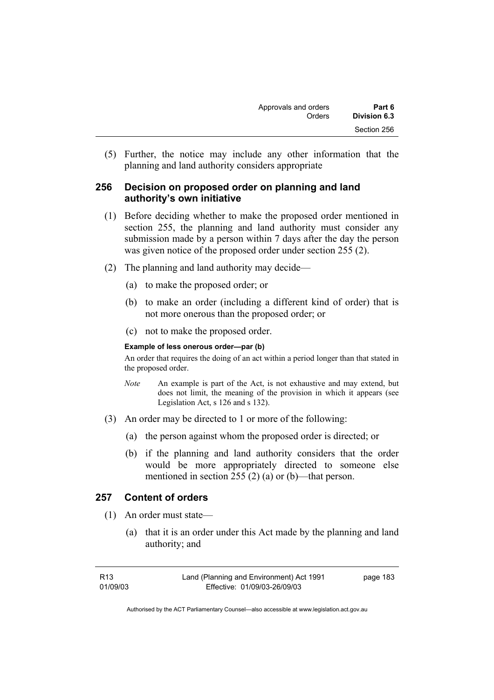(5) Further, the notice may include any other information that the planning and land authority considers appropriate

## **256 Decision on proposed order on planning and land authority's own initiative**

- (1) Before deciding whether to make the proposed order mentioned in section 255, the planning and land authority must consider any submission made by a person within 7 days after the day the person was given notice of the proposed order under section 255 (2).
- (2) The planning and land authority may decide—
	- (a) to make the proposed order; or
	- (b) to make an order (including a different kind of order) that is not more onerous than the proposed order; or
	- (c) not to make the proposed order.

#### **Example of less onerous order—par (b)**

An order that requires the doing of an act within a period longer than that stated in the proposed order.

- *Note* An example is part of the Act, is not exhaustive and may extend, but does not limit, the meaning of the provision in which it appears (see Legislation Act, s 126 and s 132).
- (3) An order may be directed to 1 or more of the following:
	- (a) the person against whom the proposed order is directed; or
	- (b) if the planning and land authority considers that the order would be more appropriately directed to someone else mentioned in section 255 (2) (a) or (b)—that person.

### **257 Content of orders**

- (1) An order must state—
	- (a) that it is an order under this Act made by the planning and land authority; and

| R13      | Land (Planning and Environment) Act 1991 | page 183 |
|----------|------------------------------------------|----------|
| 01/09/03 | Effective: 01/09/03-26/09/03             |          |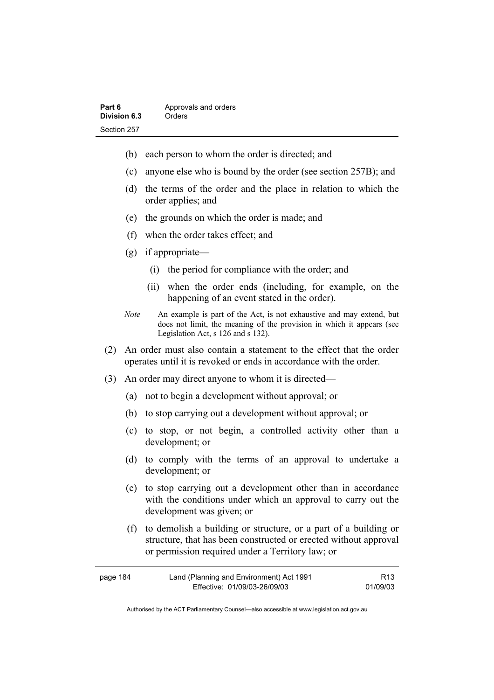| Part 6       | Approvals and orders |
|--------------|----------------------|
| Division 6.3 | Orders               |
| Section 257  |                      |

- (b) each person to whom the order is directed; and
- (c) anyone else who is bound by the order (see section 257B); and
- (d) the terms of the order and the place in relation to which the order applies; and
- (e) the grounds on which the order is made; and
- (f) when the order takes effect; and
- (g) if appropriate—
	- (i) the period for compliance with the order; and
	- (ii) when the order ends (including, for example, on the happening of an event stated in the order).
- *Note* An example is part of the Act, is not exhaustive and may extend, but does not limit, the meaning of the provision in which it appears (see Legislation Act, s 126 and s 132).
- (2) An order must also contain a statement to the effect that the order operates until it is revoked or ends in accordance with the order.
- (3) An order may direct anyone to whom it is directed—
	- (a) not to begin a development without approval; or
	- (b) to stop carrying out a development without approval; or
	- (c) to stop, or not begin, a controlled activity other than a development; or
	- (d) to comply with the terms of an approval to undertake a development; or
	- (e) to stop carrying out a development other than in accordance with the conditions under which an approval to carry out the development was given; or
	- (f) to demolish a building or structure, or a part of a building or structure, that has been constructed or erected without approval or permission required under a Territory law; or

| page 184 | Land (Planning and Environment) Act 1991 | R <sub>13</sub> |
|----------|------------------------------------------|-----------------|
|          | Effective: 01/09/03-26/09/03             | 01/09/03        |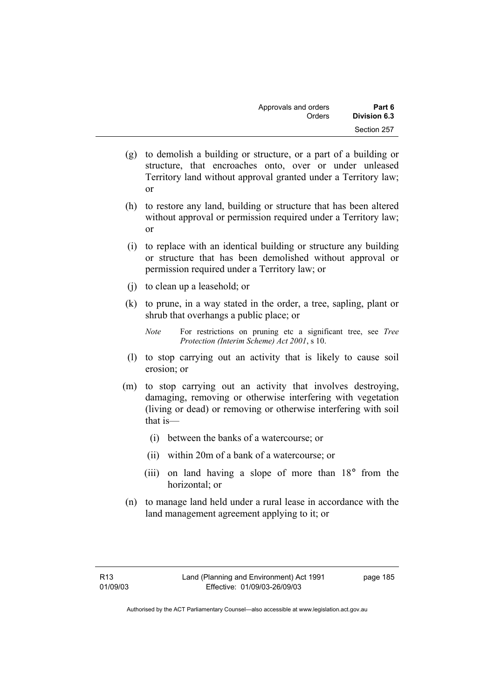| Approvals and orders | Part 6       |
|----------------------|--------------|
| Orders               | Division 6.3 |
|                      | Section 257  |

- (g) to demolish a building or structure, or a part of a building or structure, that encroaches onto, over or under unleased Territory land without approval granted under a Territory law; or
- (h) to restore any land, building or structure that has been altered without approval or permission required under a Territory law; or
- (i) to replace with an identical building or structure any building or structure that has been demolished without approval or permission required under a Territory law; or
- (j) to clean up a leasehold; or
- (k) to prune, in a way stated in the order, a tree, sapling, plant or shrub that overhangs a public place; or
	- *Note* For restrictions on pruning etc a significant tree, see *Tree Protection (Interim Scheme) Act 2001*, s 10.
- (l) to stop carrying out an activity that is likely to cause soil erosion; or
- (m) to stop carrying out an activity that involves destroying, damaging, removing or otherwise interfering with vegetation (living or dead) or removing or otherwise interfering with soil that is—
	- (i) between the banks of a watercourse; or
	- (ii) within 20m of a bank of a watercourse; or
	- (iii) on land having a slope of more than 18° from the horizontal; or
- (n) to manage land held under a rural lease in accordance with the land management agreement applying to it; or

page 185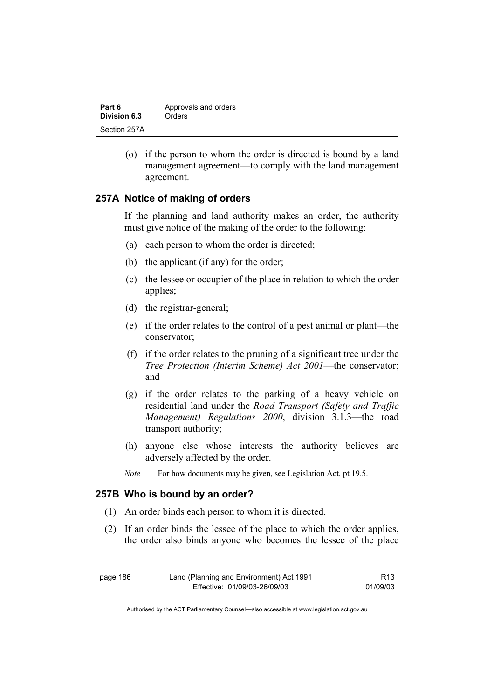| Part 6       | Approvals and orders |
|--------------|----------------------|
| Division 6.3 | Orders               |
| Section 257A |                      |

 (o) if the person to whom the order is directed is bound by a land management agreement—to comply with the land management agreement.

### **257A Notice of making of orders**

If the planning and land authority makes an order, the authority must give notice of the making of the order to the following:

- (a) each person to whom the order is directed;
- (b) the applicant (if any) for the order;
- (c) the lessee or occupier of the place in relation to which the order applies;
- (d) the registrar-general;
- (e) if the order relates to the control of a pest animal or plant—the conservator;
- (f) if the order relates to the pruning of a significant tree under the *Tree Protection (Interim Scheme) Act 2001*—the conservator; and
- (g) if the order relates to the parking of a heavy vehicle on residential land under the *Road Transport (Safety and Traffic Management) Regulations 2000*, division 3.1.3—the road transport authority;
- (h) anyone else whose interests the authority believes are adversely affected by the order.
- *Note* For how documents may be given, see Legislation Act, pt 19.5.

#### **257B Who is bound by an order?**

- (1) An order binds each person to whom it is directed.
- (2) If an order binds the lessee of the place to which the order applies, the order also binds anyone who becomes the lessee of the place

| page 186 | Land (Planning and Environment) Act 1991 | R <sub>13</sub> |
|----------|------------------------------------------|-----------------|
|          | Effective: 01/09/03-26/09/03             | 01/09/03        |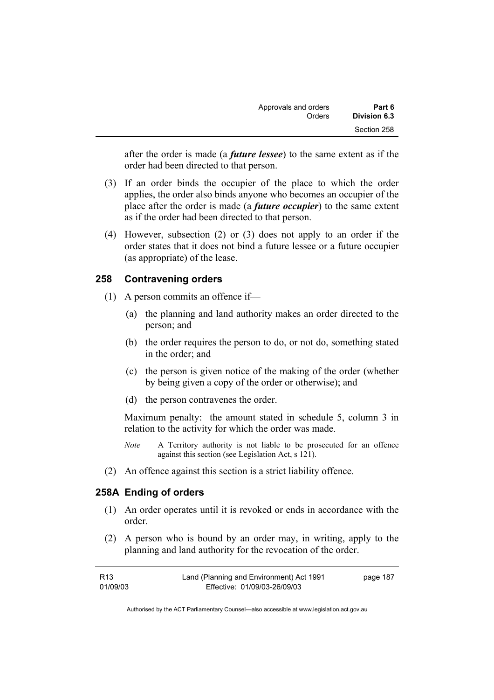| Approvals and orders | Part 6       |
|----------------------|--------------|
| Orders               | Division 6.3 |
|                      | Section 258  |

after the order is made (a *future lessee*) to the same extent as if the order had been directed to that person.

- (3) If an order binds the occupier of the place to which the order applies, the order also binds anyone who becomes an occupier of the place after the order is made (a *future occupier*) to the same extent as if the order had been directed to that person.
- (4) However, subsection (2) or (3) does not apply to an order if the order states that it does not bind a future lessee or a future occupier (as appropriate) of the lease.

### **258 Contravening orders**

- (1) A person commits an offence if—
	- (a) the planning and land authority makes an order directed to the person; and
	- (b) the order requires the person to do, or not do, something stated in the order; and
	- (c) the person is given notice of the making of the order (whether by being given a copy of the order or otherwise); and
	- (d) the person contravenes the order.

Maximum penalty: the amount stated in schedule 5, column 3 in relation to the activity for which the order was made.

- *Note* A Territory authority is not liable to be prosecuted for an offence against this section (see Legislation Act, s 121).
- (2) An offence against this section is a strict liability offence.

#### **258A Ending of orders**

- (1) An order operates until it is revoked or ends in accordance with the order.
- (2) A person who is bound by an order may, in writing, apply to the planning and land authority for the revocation of the order.

| R13      | Land (Planning and Environment) Act 1991 | page 187 |
|----------|------------------------------------------|----------|
| 01/09/03 | Effective: 01/09/03-26/09/03             |          |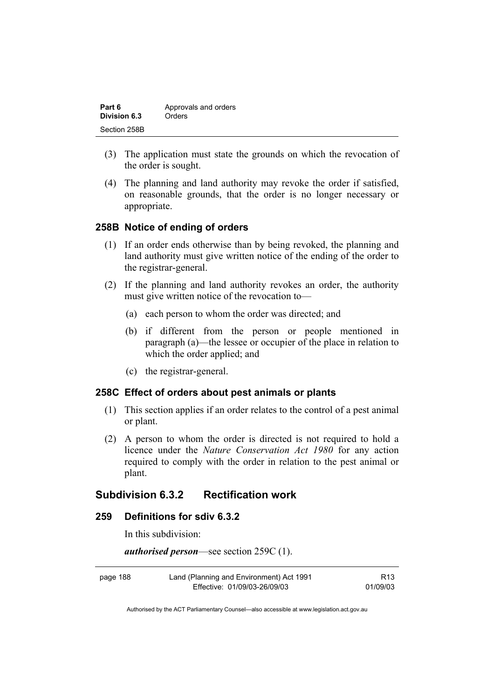| Part 6       | Approvals and orders |
|--------------|----------------------|
| Division 6.3 | Orders               |
| Section 258B |                      |

- (3) The application must state the grounds on which the revocation of the order is sought.
- (4) The planning and land authority may revoke the order if satisfied, on reasonable grounds, that the order is no longer necessary or appropriate.

### **258B Notice of ending of orders**

- (1) If an order ends otherwise than by being revoked, the planning and land authority must give written notice of the ending of the order to the registrar-general.
- (2) If the planning and land authority revokes an order, the authority must give written notice of the revocation to—
	- (a) each person to whom the order was directed; and
	- (b) if different from the person or people mentioned in paragraph (a)—the lessee or occupier of the place in relation to which the order applied; and
	- (c) the registrar-general.

#### **258C Effect of orders about pest animals or plants**

- (1) This section applies if an order relates to the control of a pest animal or plant.
- (2) A person to whom the order is directed is not required to hold a licence under the *Nature Conservation Act 1980* for any action required to comply with the order in relation to the pest animal or plant.

### **Subdivision 6.3.2 Rectification work**

#### **259 Definitions for sdiv 6.3.2**

In this subdivision:

*authorised person*—see section 259C (1).

| page 188 | Land (Planning and Environment) Act 1991 | R13      |
|----------|------------------------------------------|----------|
|          | Effective: 01/09/03-26/09/03             | 01/09/03 |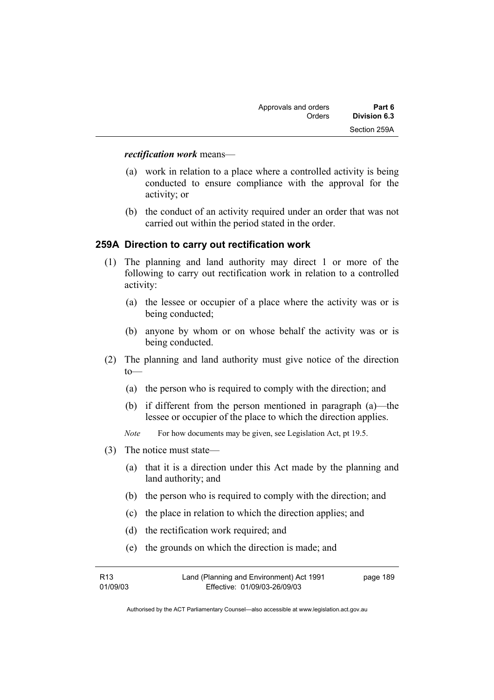#### *rectification work* means—

- (a) work in relation to a place where a controlled activity is being conducted to ensure compliance with the approval for the activity; or
- (b) the conduct of an activity required under an order that was not carried out within the period stated in the order.

### **259A Direction to carry out rectification work**

- (1) The planning and land authority may direct 1 or more of the following to carry out rectification work in relation to a controlled activity:
	- (a) the lessee or occupier of a place where the activity was or is being conducted;
	- (b) anyone by whom or on whose behalf the activity was or is being conducted.
- (2) The planning and land authority must give notice of the direction  $to$ —
	- (a) the person who is required to comply with the direction; and
	- (b) if different from the person mentioned in paragraph (a)—the lessee or occupier of the place to which the direction applies.
	- *Note* For how documents may be given, see Legislation Act, pt 19.5.
- (3) The notice must state—
	- (a) that it is a direction under this Act made by the planning and land authority; and
	- (b) the person who is required to comply with the direction; and
	- (c) the place in relation to which the direction applies; and
	- (d) the rectification work required; and
	- (e) the grounds on which the direction is made; and

| R13      | Land (Planning and Environment) Act 1991 | page 189 |
|----------|------------------------------------------|----------|
| 01/09/03 | Effective: 01/09/03-26/09/03             |          |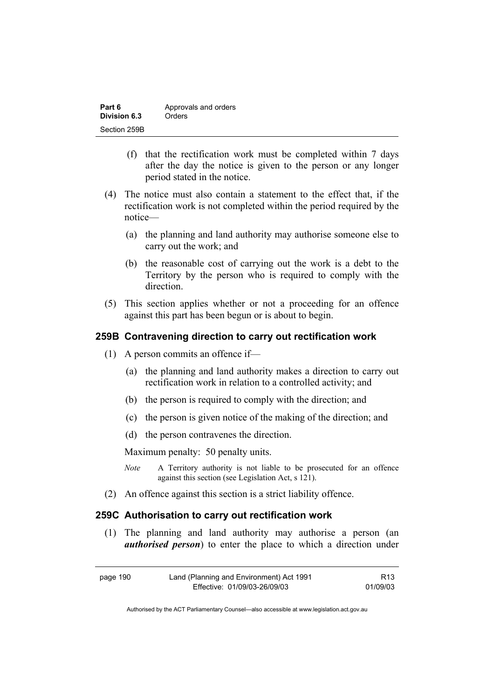| Part 6       | Approvals and orders |
|--------------|----------------------|
| Division 6.3 | Orders               |
| Section 259B |                      |

- (f) that the rectification work must be completed within 7 days after the day the notice is given to the person or any longer period stated in the notice.
- (4) The notice must also contain a statement to the effect that, if the rectification work is not completed within the period required by the notice—
	- (a) the planning and land authority may authorise someone else to carry out the work; and
	- (b) the reasonable cost of carrying out the work is a debt to the Territory by the person who is required to comply with the direction.
- (5) This section applies whether or not a proceeding for an offence against this part has been begun or is about to begin.

#### **259B Contravening direction to carry out rectification work**

- (1) A person commits an offence if—
	- (a) the planning and land authority makes a direction to carry out rectification work in relation to a controlled activity; and
	- (b) the person is required to comply with the direction; and
	- (c) the person is given notice of the making of the direction; and
	- (d) the person contravenes the direction.

Maximum penalty: 50 penalty units.

- *Note* A Territory authority is not liable to be prosecuted for an offence against this section (see Legislation Act, s 121).
- (2) An offence against this section is a strict liability offence.

#### **259C Authorisation to carry out rectification work**

 (1) The planning and land authority may authorise a person (an *authorised person*) to enter the place to which a direction under

| page 190 | Land (Planning and Environment) Act 1991 | R13      |
|----------|------------------------------------------|----------|
|          | Effective: 01/09/03-26/09/03             | 01/09/03 |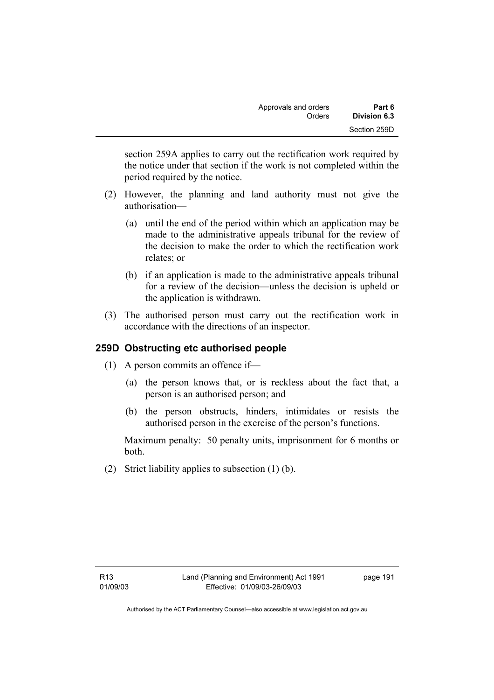section 259A applies to carry out the rectification work required by the notice under that section if the work is not completed within the period required by the notice.

- (2) However, the planning and land authority must not give the authorisation—
	- (a) until the end of the period within which an application may be made to the administrative appeals tribunal for the review of the decision to make the order to which the rectification work relates; or
	- (b) if an application is made to the administrative appeals tribunal for a review of the decision—unless the decision is upheld or the application is withdrawn.
- (3) The authorised person must carry out the rectification work in accordance with the directions of an inspector.

# **259D Obstructing etc authorised people**

- (1) A person commits an offence if—
	- (a) the person knows that, or is reckless about the fact that, a person is an authorised person; and
	- (b) the person obstructs, hinders, intimidates or resists the authorised person in the exercise of the person's functions.

Maximum penalty: 50 penalty units, imprisonment for 6 months or both.

(2) Strict liability applies to subsection (1) (b).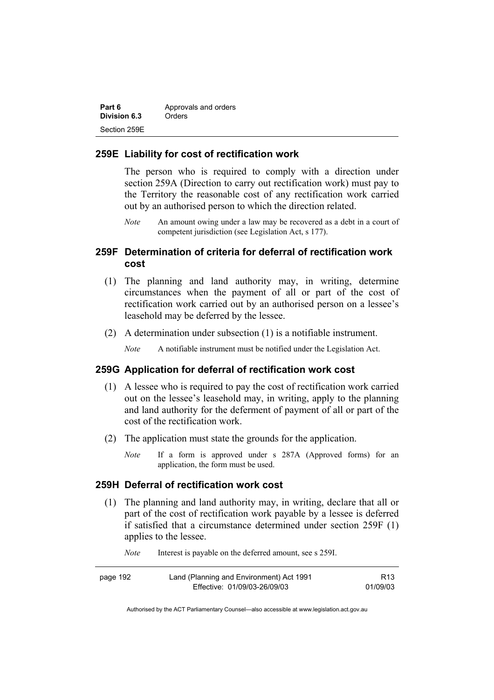| Part 6       | Approvals and orders |
|--------------|----------------------|
| Division 6.3 | Orders               |
| Section 259E |                      |

#### **259E Liability for cost of rectification work**

The person who is required to comply with a direction under section 259A (Direction to carry out rectification work) must pay to the Territory the reasonable cost of any rectification work carried out by an authorised person to which the direction related.

*Note* An amount owing under a law may be recovered as a debt in a court of competent jurisdiction (see Legislation Act, s 177).

## **259F Determination of criteria for deferral of rectification work cost**

- (1) The planning and land authority may, in writing, determine circumstances when the payment of all or part of the cost of rectification work carried out by an authorised person on a lessee's leasehold may be deferred by the lessee.
- (2) A determination under subsection (1) is a notifiable instrument.

*Note* A notifiable instrument must be notified under the Legislation Act.

#### **259G Application for deferral of rectification work cost**

- (1) A lessee who is required to pay the cost of rectification work carried out on the lessee's leasehold may, in writing, apply to the planning and land authority for the deferment of payment of all or part of the cost of the rectification work.
- (2) The application must state the grounds for the application.
	- *Note* If a form is approved under s 287A (Approved forms) for an application, the form must be used.

#### **259H Deferral of rectification work cost**

 (1) The planning and land authority may, in writing, declare that all or part of the cost of rectification work payable by a lessee is deferred if satisfied that a circumstance determined under section 259F (1) applies to the lessee.

*Note* Interest is payable on the deferred amount, see s 259I.

| page 192 | Land (Planning and Environment) Act 1991 | R13      |
|----------|------------------------------------------|----------|
|          | Effective: 01/09/03-26/09/03             | 01/09/03 |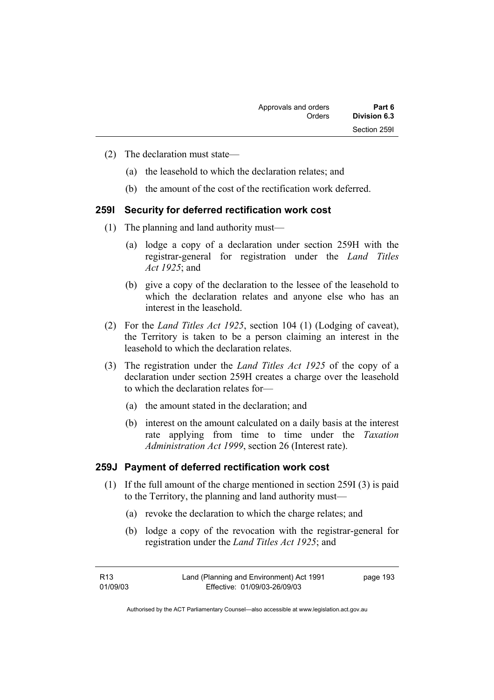- (2) The declaration must state—
	- (a) the leasehold to which the declaration relates; and
	- (b) the amount of the cost of the rectification work deferred.

### **259I Security for deferred rectification work cost**

- (1) The planning and land authority must—
	- (a) lodge a copy of a declaration under section 259H with the registrar-general for registration under the *Land Titles Act 1925*; and
	- (b) give a copy of the declaration to the lessee of the leasehold to which the declaration relates and anyone else who has an interest in the leasehold.
- (2) For the *Land Titles Act 1925*, section 104 (1) (Lodging of caveat), the Territory is taken to be a person claiming an interest in the leasehold to which the declaration relates.
- (3) The registration under the *Land Titles Act 1925* of the copy of a declaration under section 259H creates a charge over the leasehold to which the declaration relates for—
	- (a) the amount stated in the declaration; and
	- (b) interest on the amount calculated on a daily basis at the interest rate applying from time to time under the *Taxation Administration Act 1999*, section 26 (Interest rate).

#### **259J Payment of deferred rectification work cost**

- (1) If the full amount of the charge mentioned in section 259I (3) is paid to the Territory, the planning and land authority must—
	- (a) revoke the declaration to which the charge relates; and
	- (b) lodge a copy of the revocation with the registrar-general for registration under the *Land Titles Act 1925*; and

| R13      | Land (Planning and Environment) Act 1991 | page 193 |
|----------|------------------------------------------|----------|
| 01/09/03 | Effective: 01/09/03-26/09/03             |          |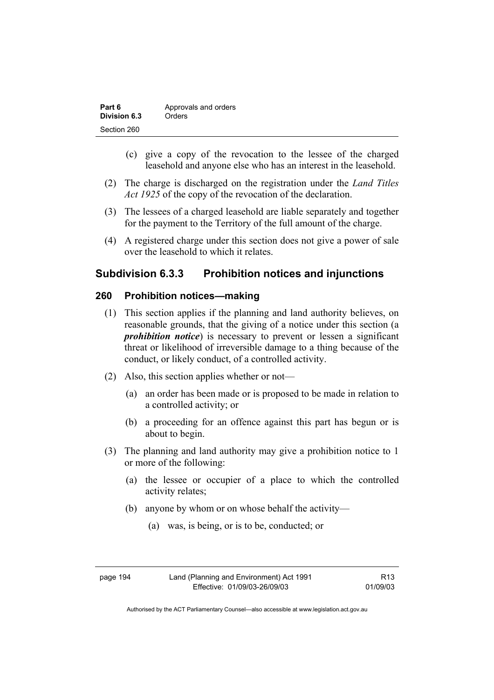| Part 6       | Approvals and orders |
|--------------|----------------------|
| Division 6.3 | Orders               |
| Section 260  |                      |

- (c) give a copy of the revocation to the lessee of the charged leasehold and anyone else who has an interest in the leasehold.
- (2) The charge is discharged on the registration under the *Land Titles Act 1925* of the copy of the revocation of the declaration.
- (3) The lessees of a charged leasehold are liable separately and together for the payment to the Territory of the full amount of the charge.
- (4) A registered charge under this section does not give a power of sale over the leasehold to which it relates.

## **Subdivision 6.3.3 Prohibition notices and injunctions**

### **260 Prohibition notices—making**

- (1) This section applies if the planning and land authority believes, on reasonable grounds, that the giving of a notice under this section (a *prohibition notice*) is necessary to prevent or lessen a significant threat or likelihood of irreversible damage to a thing because of the conduct, or likely conduct, of a controlled activity.
- (2) Also, this section applies whether or not—
	- (a) an order has been made or is proposed to be made in relation to a controlled activity; or
	- (b) a proceeding for an offence against this part has begun or is about to begin.
- (3) The planning and land authority may give a prohibition notice to 1 or more of the following:
	- (a) the lessee or occupier of a place to which the controlled activity relates;
	- (b) anyone by whom or on whose behalf the activity—
		- (a) was, is being, or is to be, conducted; or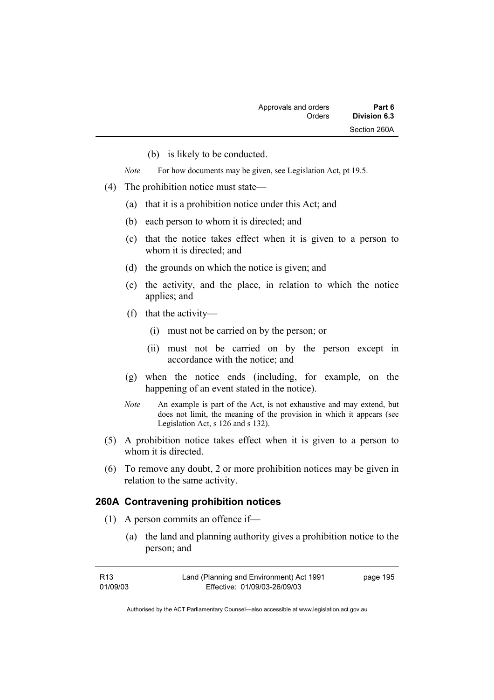(b) is likely to be conducted.

*Note* For how documents may be given, see Legislation Act, pt 19.5.

- (4) The prohibition notice must state—
	- (a) that it is a prohibition notice under this Act; and
	- (b) each person to whom it is directed; and
	- (c) that the notice takes effect when it is given to a person to whom it is directed; and
	- (d) the grounds on which the notice is given; and
	- (e) the activity, and the place, in relation to which the notice applies; and
	- (f) that the activity—
		- (i) must not be carried on by the person; or
		- (ii) must not be carried on by the person except in accordance with the notice; and
	- (g) when the notice ends (including, for example, on the happening of an event stated in the notice).
	- *Note* An example is part of the Act, is not exhaustive and may extend, but does not limit, the meaning of the provision in which it appears (see Legislation Act, s 126 and s 132).
- (5) A prohibition notice takes effect when it is given to a person to whom it is directed.
- (6) To remove any doubt, 2 or more prohibition notices may be given in relation to the same activity.

#### **260A Contravening prohibition notices**

- (1) A person commits an offence if—
	- (a) the land and planning authority gives a prohibition notice to the person; and

| R13      | Land (Planning and Environment) Act 1991 | page 195 |
|----------|------------------------------------------|----------|
| 01/09/03 | Effective: 01/09/03-26/09/03             |          |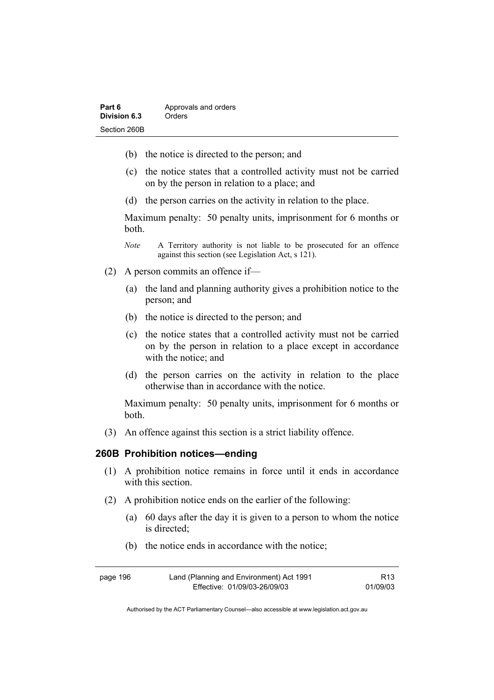| Part 6       | Approvals and orders |
|--------------|----------------------|
| Division 6.3 | Orders               |
| Section 260B |                      |

- (b) the notice is directed to the person; and
- (c) the notice states that a controlled activity must not be carried on by the person in relation to a place; and
- (d) the person carries on the activity in relation to the place.

Maximum penalty: 50 penalty units, imprisonment for 6 months or both.

- *Note* A Territory authority is not liable to be prosecuted for an offence against this section (see Legislation Act, s 121).
- (2) A person commits an offence if—
	- (a) the land and planning authority gives a prohibition notice to the person; and
	- (b) the notice is directed to the person; and
	- (c) the notice states that a controlled activity must not be carried on by the person in relation to a place except in accordance with the notice; and
	- (d) the person carries on the activity in relation to the place otherwise than in accordance with the notice.

Maximum penalty: 50 penalty units, imprisonment for 6 months or both.

(3) An offence against this section is a strict liability offence.

#### **260B Prohibition notices—ending**

- (1) A prohibition notice remains in force until it ends in accordance with this section
- (2) A prohibition notice ends on the earlier of the following:
	- (a) 60 days after the day it is given to a person to whom the notice is directed;
	- (b) the notice ends in accordance with the notice;

| page 196 | Land (Planning and Environment) Act 1991 | R <sub>13</sub> |
|----------|------------------------------------------|-----------------|
|          | Effective: 01/09/03-26/09/03             | 01/09/03        |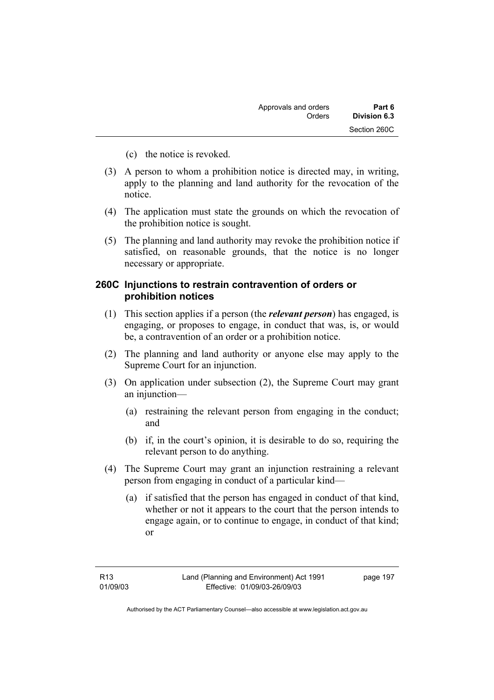- (c) the notice is revoked.
- (3) A person to whom a prohibition notice is directed may, in writing, apply to the planning and land authority for the revocation of the notice.
- (4) The application must state the grounds on which the revocation of the prohibition notice is sought.
- (5) The planning and land authority may revoke the prohibition notice if satisfied, on reasonable grounds, that the notice is no longer necessary or appropriate.

### **260C Injunctions to restrain contravention of orders or prohibition notices**

- (1) This section applies if a person (the *relevant person*) has engaged, is engaging, or proposes to engage, in conduct that was, is, or would be, a contravention of an order or a prohibition notice.
- (2) The planning and land authority or anyone else may apply to the Supreme Court for an injunction.
- (3) On application under subsection (2), the Supreme Court may grant an injunction—
	- (a) restraining the relevant person from engaging in the conduct; and
	- (b) if, in the court's opinion, it is desirable to do so, requiring the relevant person to do anything.
- (4) The Supreme Court may grant an injunction restraining a relevant person from engaging in conduct of a particular kind—
	- (a) if satisfied that the person has engaged in conduct of that kind, whether or not it appears to the court that the person intends to engage again, or to continue to engage, in conduct of that kind; or

page 197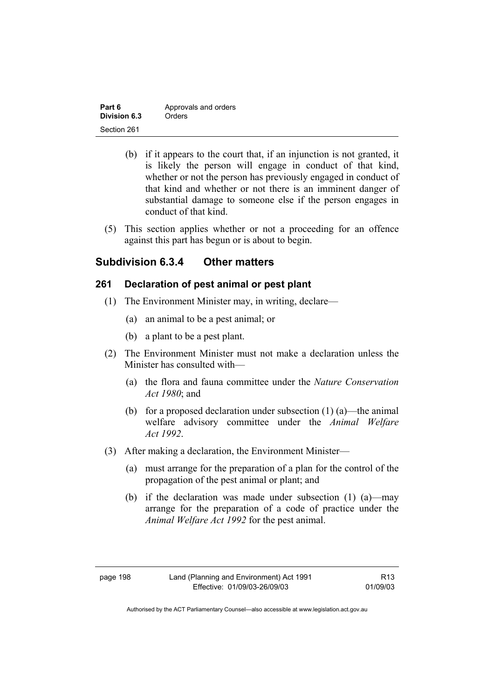| Part 6       | Approvals and orders |
|--------------|----------------------|
| Division 6.3 | Orders               |
| Section 261  |                      |

- (b) if it appears to the court that, if an injunction is not granted, it is likely the person will engage in conduct of that kind, whether or not the person has previously engaged in conduct of that kind and whether or not there is an imminent danger of substantial damage to someone else if the person engages in conduct of that kind.
- (5) This section applies whether or not a proceeding for an offence against this part has begun or is about to begin.

## **Subdivision 6.3.4 Other matters**

### **261 Declaration of pest animal or pest plant**

- (1) The Environment Minister may, in writing, declare—
	- (a) an animal to be a pest animal; or
	- (b) a plant to be a pest plant.
- (2) The Environment Minister must not make a declaration unless the Minister has consulted with—
	- (a) the flora and fauna committee under the *Nature Conservation Act 1980*; and
	- (b) for a proposed declaration under subsection  $(1)$  (a)—the animal welfare advisory committee under the *Animal Welfare Act 1992*.
- (3) After making a declaration, the Environment Minister—
	- (a) must arrange for the preparation of a plan for the control of the propagation of the pest animal or plant; and
	- (b) if the declaration was made under subsection (1) (a)—may arrange for the preparation of a code of practice under the *Animal Welfare Act 1992* for the pest animal.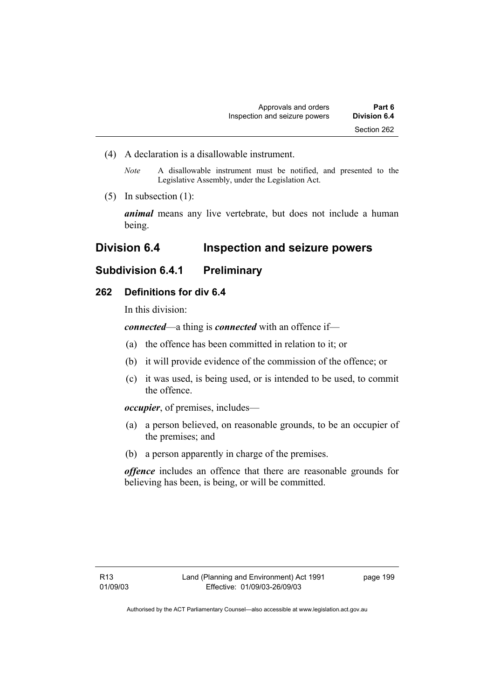(4) A declaration is a disallowable instrument.

*Note* A disallowable instrument must be notified, and presented to the Legislative Assembly, under the Legislation Act.

(5) In subsection (1):

*animal* means any live vertebrate, but does not include a human being.

# **Division 6.4 Inspection and seizure powers**

# **Subdivision 6.4.1 Preliminary**

### **262 Definitions for div 6.4**

In this division:

*connected*—a thing is *connected* with an offence if—

- (a) the offence has been committed in relation to it; or
- (b) it will provide evidence of the commission of the offence; or
- (c) it was used, is being used, or is intended to be used, to commit the offence.

*occupier*, of premises, includes—

- (a) a person believed, on reasonable grounds, to be an occupier of the premises; and
- (b) a person apparently in charge of the premises.

*offence* includes an offence that there are reasonable grounds for believing has been, is being, or will be committed.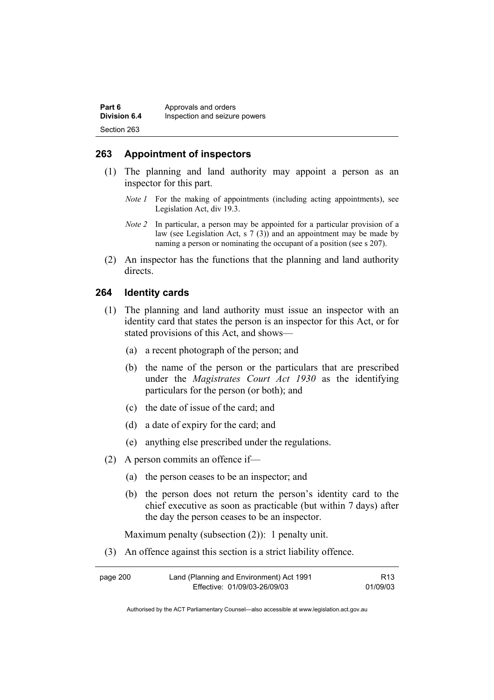| Part 6              | Approvals and orders          |
|---------------------|-------------------------------|
| <b>Division 6.4</b> | Inspection and seizure powers |
| Section 263         |                               |

### **263 Appointment of inspectors**

- (1) The planning and land authority may appoint a person as an inspector for this part.
	- *Note 1* For the making of appointments (including acting appointments), see Legislation Act, div 19.3.
	- *Note 2* In particular, a person may be appointed for a particular provision of a law (see Legislation Act, s 7 (3)) and an appointment may be made by naming a person or nominating the occupant of a position (see s 207).
- (2) An inspector has the functions that the planning and land authority directs.

#### **264 Identity cards**

- (1) The planning and land authority must issue an inspector with an identity card that states the person is an inspector for this Act, or for stated provisions of this Act, and shows—
	- (a) a recent photograph of the person; and
	- (b) the name of the person or the particulars that are prescribed under the *Magistrates Court Act 1930* as the identifying particulars for the person (or both); and
	- (c) the date of issue of the card; and
	- (d) a date of expiry for the card; and
	- (e) anything else prescribed under the regulations.
- (2) A person commits an offence if—
	- (a) the person ceases to be an inspector; and
	- (b) the person does not return the person's identity card to the chief executive as soon as practicable (but within 7 days) after the day the person ceases to be an inspector.

Maximum penalty (subsection (2)): 1 penalty unit.

(3) An offence against this section is a strict liability offence.

| page 200 | Land (Planning and Environment) Act 1991 | R13      |
|----------|------------------------------------------|----------|
|          | Effective: 01/09/03-26/09/03             | 01/09/03 |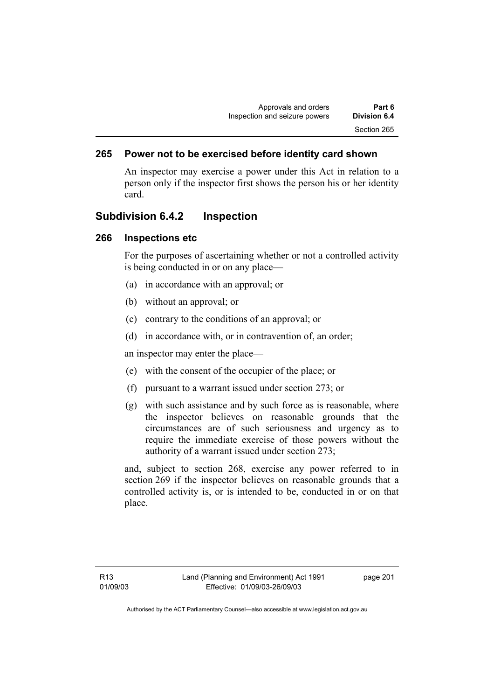### **265 Power not to be exercised before identity card shown**

An inspector may exercise a power under this Act in relation to a person only if the inspector first shows the person his or her identity card.

### **Subdivision 6.4.2 Inspection**

#### **266 Inspections etc**

For the purposes of ascertaining whether or not a controlled activity is being conducted in or on any place—

- (a) in accordance with an approval; or
- (b) without an approval; or
- (c) contrary to the conditions of an approval; or
- (d) in accordance with, or in contravention of, an order;

an inspector may enter the place—

- (e) with the consent of the occupier of the place; or
- (f) pursuant to a warrant issued under section 273; or
- (g) with such assistance and by such force as is reasonable, where the inspector believes on reasonable grounds that the circumstances are of such seriousness and urgency as to require the immediate exercise of those powers without the authority of a warrant issued under section 273;

and, subject to section 268, exercise any power referred to in section 269 if the inspector believes on reasonable grounds that a controlled activity is, or is intended to be, conducted in or on that place.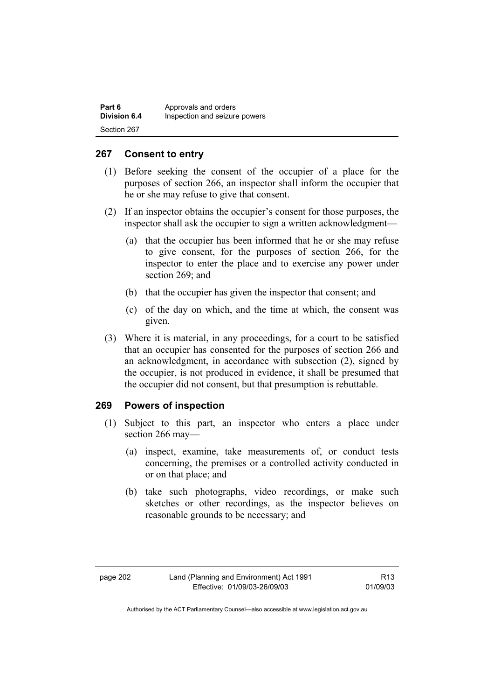| Part 6              | Approvals and orders          |
|---------------------|-------------------------------|
| <b>Division 6.4</b> | Inspection and seizure powers |
| Section 267         |                               |

#### **267 Consent to entry**

- (1) Before seeking the consent of the occupier of a place for the purposes of section 266, an inspector shall inform the occupier that he or she may refuse to give that consent.
- (2) If an inspector obtains the occupier's consent for those purposes, the inspector shall ask the occupier to sign a written acknowledgment—
	- (a) that the occupier has been informed that he or she may refuse to give consent, for the purposes of section 266, for the inspector to enter the place and to exercise any power under section 269; and
	- (b) that the occupier has given the inspector that consent; and
	- (c) of the day on which, and the time at which, the consent was given.
- (3) Where it is material, in any proceedings, for a court to be satisfied that an occupier has consented for the purposes of section 266 and an acknowledgment, in accordance with subsection (2), signed by the occupier, is not produced in evidence, it shall be presumed that the occupier did not consent, but that presumption is rebuttable.

### **269 Powers of inspection**

- (1) Subject to this part, an inspector who enters a place under section 266 may—
	- (a) inspect, examine, take measurements of, or conduct tests concerning, the premises or a controlled activity conducted in or on that place; and
	- (b) take such photographs, video recordings, or make such sketches or other recordings, as the inspector believes on reasonable grounds to be necessary; and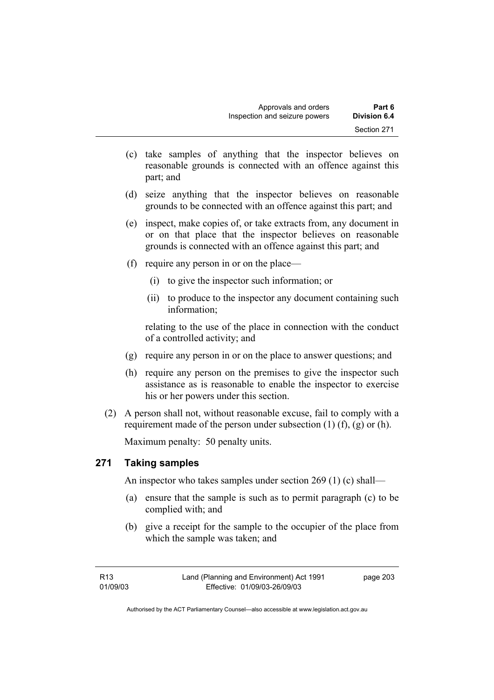- (c) take samples of anything that the inspector believes on reasonable grounds is connected with an offence against this part; and
- (d) seize anything that the inspector believes on reasonable grounds to be connected with an offence against this part; and
- (e) inspect, make copies of, or take extracts from, any document in or on that place that the inspector believes on reasonable grounds is connected with an offence against this part; and
- (f) require any person in or on the place—
	- (i) to give the inspector such information; or
	- (ii) to produce to the inspector any document containing such information;

relating to the use of the place in connection with the conduct of a controlled activity; and

- (g) require any person in or on the place to answer questions; and
- (h) require any person on the premises to give the inspector such assistance as is reasonable to enable the inspector to exercise his or her powers under this section.
- (2) A person shall not, without reasonable excuse, fail to comply with a requirement made of the person under subsection  $(1)$   $(f)$ ,  $(g)$  or  $(h)$ .

Maximum penalty: 50 penalty units.

### **271 Taking samples**

An inspector who takes samples under section 269 (1) (c) shall—

- (a) ensure that the sample is such as to permit paragraph (c) to be complied with; and
- (b) give a receipt for the sample to the occupier of the place from which the sample was taken; and

page 203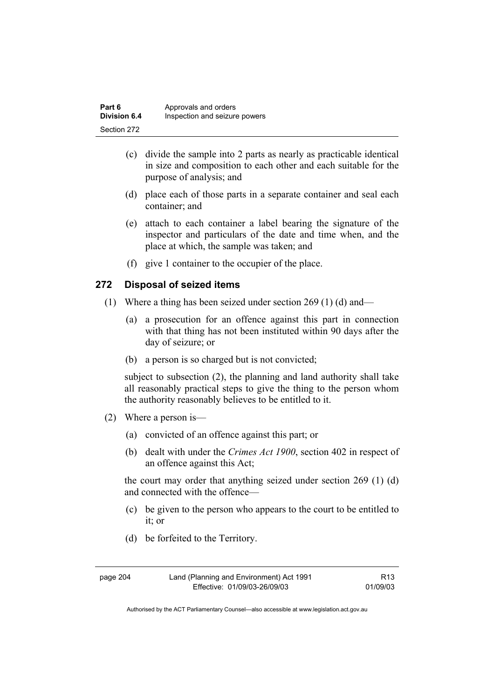| Part 6              | Approvals and orders          |
|---------------------|-------------------------------|
| <b>Division 6.4</b> | Inspection and seizure powers |
| Section 272         |                               |

- (c) divide the sample into 2 parts as nearly as practicable identical in size and composition to each other and each suitable for the purpose of analysis; and
- (d) place each of those parts in a separate container and seal each container; and
- (e) attach to each container a label bearing the signature of the inspector and particulars of the date and time when, and the place at which, the sample was taken; and
- (f) give 1 container to the occupier of the place.

#### **272 Disposal of seized items**

- (1) Where a thing has been seized under section 269 (1) (d) and—
	- (a) a prosecution for an offence against this part in connection with that thing has not been instituted within 90 days after the day of seizure; or
	- (b) a person is so charged but is not convicted;

subject to subsection (2), the planning and land authority shall take all reasonably practical steps to give the thing to the person whom the authority reasonably believes to be entitled to it.

- (2) Where a person is—
	- (a) convicted of an offence against this part; or
	- (b) dealt with under the *Crimes Act 1900*, section 402 in respect of an offence against this Act;

the court may order that anything seized under section 269 (1) (d) and connected with the offence—

- (c) be given to the person who appears to the court to be entitled to it; or
- (d) be forfeited to the Territory.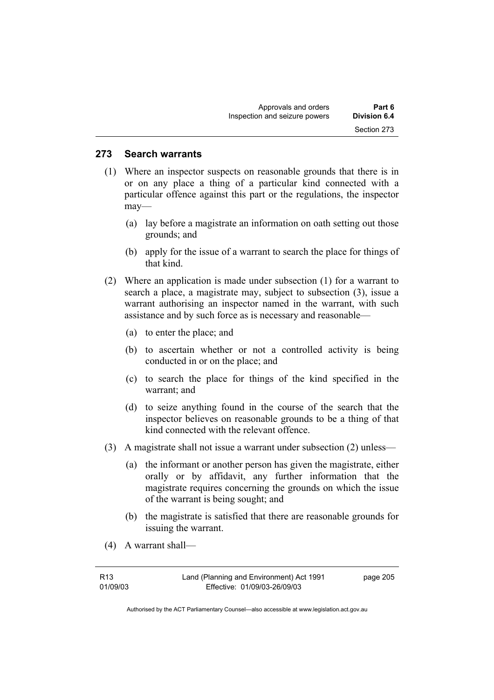#### **273 Search warrants**

- (1) Where an inspector suspects on reasonable grounds that there is in or on any place a thing of a particular kind connected with a particular offence against this part or the regulations, the inspector may—
	- (a) lay before a magistrate an information on oath setting out those grounds; and
	- (b) apply for the issue of a warrant to search the place for things of that kind.
- (2) Where an application is made under subsection (1) for a warrant to search a place, a magistrate may, subject to subsection (3), issue a warrant authorising an inspector named in the warrant, with such assistance and by such force as is necessary and reasonable—
	- (a) to enter the place; and
	- (b) to ascertain whether or not a controlled activity is being conducted in or on the place; and
	- (c) to search the place for things of the kind specified in the warrant; and
	- (d) to seize anything found in the course of the search that the inspector believes on reasonable grounds to be a thing of that kind connected with the relevant offence.
- (3) A magistrate shall not issue a warrant under subsection (2) unless—
	- (a) the informant or another person has given the magistrate, either orally or by affidavit, any further information that the magistrate requires concerning the grounds on which the issue of the warrant is being sought; and
	- (b) the magistrate is satisfied that there are reasonable grounds for issuing the warrant.
- (4) A warrant shall—

| R <sub>13</sub> | Land (Planning and Environment) Act 1991 | page 205 |
|-----------------|------------------------------------------|----------|
| 01/09/03        | Effective: 01/09/03-26/09/03             |          |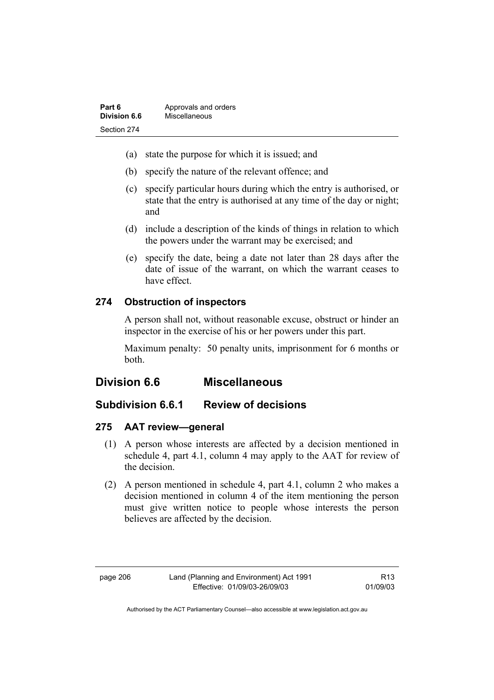| Part 6       | Approvals and orders |
|--------------|----------------------|
| Division 6.6 | Miscellaneous        |
| Section 274  |                      |

- (a) state the purpose for which it is issued; and
- (b) specify the nature of the relevant offence; and
- (c) specify particular hours during which the entry is authorised, or state that the entry is authorised at any time of the day or night; and
- (d) include a description of the kinds of things in relation to which the powers under the warrant may be exercised; and
- (e) specify the date, being a date not later than 28 days after the date of issue of the warrant, on which the warrant ceases to have effect.

### **274 Obstruction of inspectors**

A person shall not, without reasonable excuse, obstruct or hinder an inspector in the exercise of his or her powers under this part.

Maximum penalty: 50 penalty units, imprisonment for 6 months or both.

# **Division 6.6 Miscellaneous**

### **Subdivision 6.6.1 Review of decisions**

#### **275 AAT review—general**

- (1) A person whose interests are affected by a decision mentioned in schedule 4, part 4.1, column 4 may apply to the AAT for review of the decision.
- (2) A person mentioned in schedule 4, part 4.1, column 2 who makes a decision mentioned in column 4 of the item mentioning the person must give written notice to people whose interests the person believes are affected by the decision.

R13 01/09/03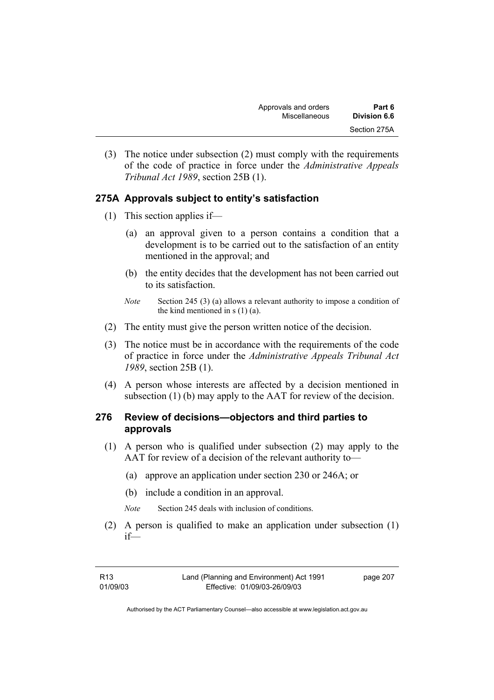(3) The notice under subsection (2) must comply with the requirements of the code of practice in force under the *Administrative Appeals Tribunal Act 1989*, section 25B (1).

# **275A Approvals subject to entity's satisfaction**

- (1) This section applies if—
	- (a) an approval given to a person contains a condition that a development is to be carried out to the satisfaction of an entity mentioned in the approval; and
	- (b) the entity decides that the development has not been carried out to its satisfaction.
	- *Note* Section 245 (3) (a) allows a relevant authority to impose a condition of the kind mentioned in  $s(1)(a)$ .
- (2) The entity must give the person written notice of the decision.
- (3) The notice must be in accordance with the requirements of the code of practice in force under the *Administrative Appeals Tribunal Act 1989*, section 25B (1).
- (4) A person whose interests are affected by a decision mentioned in subsection (1) (b) may apply to the AAT for review of the decision.

### **276 Review of decisions—objectors and third parties to approvals**

- (1) A person who is qualified under subsection (2) may apply to the AAT for review of a decision of the relevant authority to—
	- (a) approve an application under section 230 or 246A; or
	- (b) include a condition in an approval.
	- *Note* Section 245 deals with inclusion of conditions.
- (2) A person is qualified to make an application under subsection (1) if—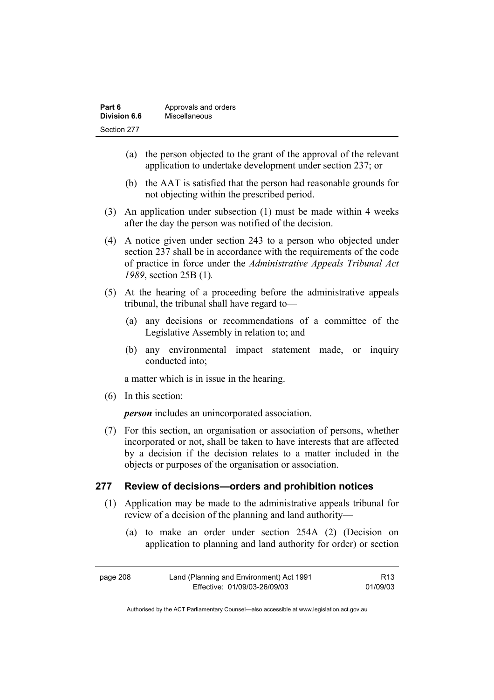| Part 6       | Approvals and orders |
|--------------|----------------------|
| Division 6.6 | Miscellaneous        |
| Section 277  |                      |

- (a) the person objected to the grant of the approval of the relevant application to undertake development under section 237; or
- (b) the AAT is satisfied that the person had reasonable grounds for not objecting within the prescribed period.
- (3) An application under subsection (1) must be made within 4 weeks after the day the person was notified of the decision.
- (4) A notice given under section 243 to a person who objected under section 237 shall be in accordance with the requirements of the code of practice in force under the *Administrative Appeals Tribunal Act 1989*, section 25B (1)*.*
- (5) At the hearing of a proceeding before the administrative appeals tribunal, the tribunal shall have regard to—
	- (a) any decisions or recommendations of a committee of the Legislative Assembly in relation to; and
	- (b) any environmental impact statement made, or inquiry conducted into;

a matter which is in issue in the hearing.

(6) In this section:

*person* includes an unincorporated association.

 (7) For this section, an organisation or association of persons, whether incorporated or not, shall be taken to have interests that are affected by a decision if the decision relates to a matter included in the objects or purposes of the organisation or association.

#### **277 Review of decisions—orders and prohibition notices**

- (1) Application may be made to the administrative appeals tribunal for review of a decision of the planning and land authority—
	- (a) to make an order under section 254A (2) (Decision on application to planning and land authority for order) or section

| page 208 | Land (Planning and Environment) Act 1991 | R <sub>13</sub> |
|----------|------------------------------------------|-----------------|
|          | Effective: 01/09/03-26/09/03             | 01/09/03        |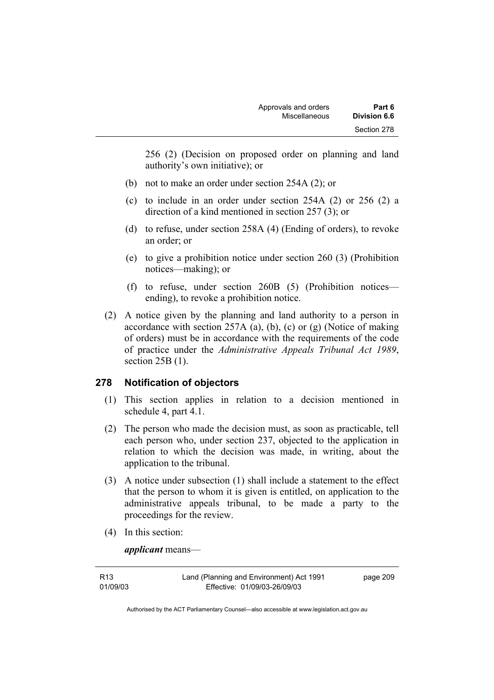256 (2) (Decision on proposed order on planning and land authority's own initiative); or

- (b) not to make an order under section 254A (2); or
- (c) to include in an order under section 254A (2) or 256 (2) a direction of a kind mentioned in section 257 (3); or
- (d) to refuse, under section 258A (4) (Ending of orders), to revoke an order; or
- (e) to give a prohibition notice under section 260 (3) (Prohibition notices—making); or
- (f) to refuse, under section 260B (5) (Prohibition notices ending), to revoke a prohibition notice.
- (2) A notice given by the planning and land authority to a person in accordance with section 257A (a), (b), (c) or (g) (Notice of making of orders) must be in accordance with the requirements of the code of practice under the *Administrative Appeals Tribunal Act 1989*, section 25B (1).

### **278 Notification of objectors**

- (1) This section applies in relation to a decision mentioned in schedule 4, part 4.1.
- (2) The person who made the decision must, as soon as practicable, tell each person who, under section 237, objected to the application in relation to which the decision was made, in writing, about the application to the tribunal.
- (3) A notice under subsection (1) shall include a statement to the effect that the person to whom it is given is entitled, on application to the administrative appeals tribunal, to be made a party to the proceedings for the review.
- (4) In this section:

*applicant* means—

| R13      | Land (Planning and Environment) Act 1991 | page 209 |
|----------|------------------------------------------|----------|
| 01/09/03 | Effective: 01/09/03-26/09/03             |          |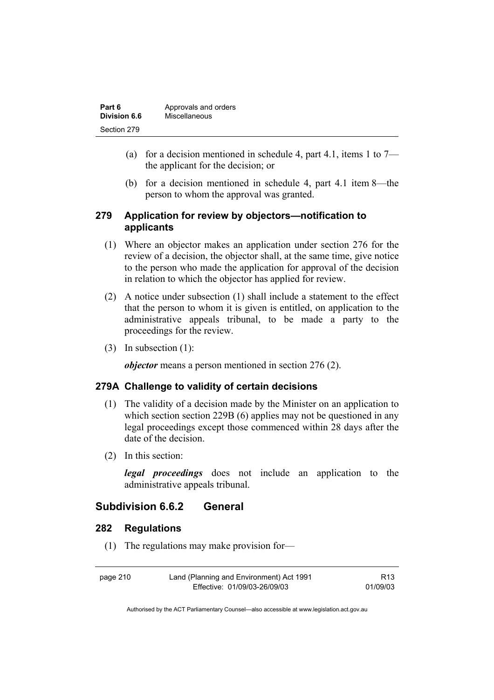| Part 6       | Approvals and orders |  |
|--------------|----------------------|--|
| Division 6.6 | Miscellaneous        |  |
| Section 279  |                      |  |

- (a) for a decision mentioned in schedule 4, part 4.1, items 1 to  $7$ the applicant for the decision; or
- (b) for a decision mentioned in schedule 4, part 4.1 item 8—the person to whom the approval was granted.

### **279 Application for review by objectors—notification to applicants**

- (1) Where an objector makes an application under section 276 for the review of a decision, the objector shall, at the same time, give notice to the person who made the application for approval of the decision in relation to which the objector has applied for review.
- (2) A notice under subsection (1) shall include a statement to the effect that the person to whom it is given is entitled, on application to the administrative appeals tribunal, to be made a party to the proceedings for the review.
- (3) In subsection (1):

*objector* means a person mentioned in section 276 (2).

#### **279A Challenge to validity of certain decisions**

- (1) The validity of a decision made by the Minister on an application to which section section 229B (6) applies may not be questioned in any legal proceedings except those commenced within 28 days after the date of the decision.
- (2) In this section:

*legal proceedings* does not include an application to the administrative appeals tribunal.

### **Subdivision 6.6.2 General**

#### **282 Regulations**

(1) The regulations may make provision for—

| page 210 | Land (Planning and Environment) Act 1991 | R <sub>13</sub> |
|----------|------------------------------------------|-----------------|
|          | Effective: 01/09/03-26/09/03             | 01/09/03        |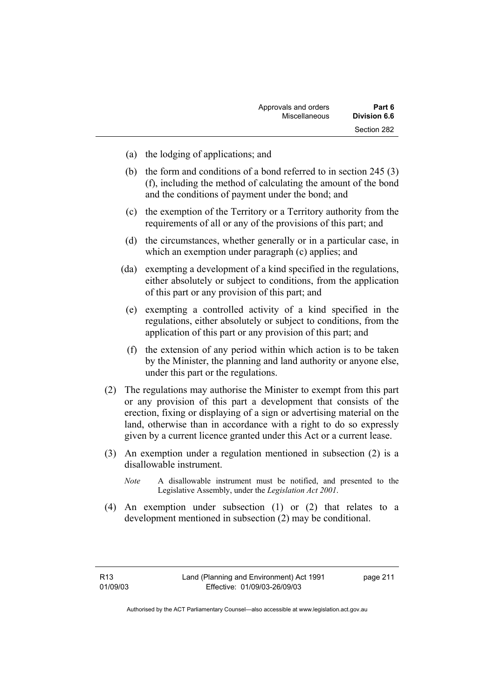| Approvals and orders | Part 6              |
|----------------------|---------------------|
| Miscellaneous        | <b>Division 6.6</b> |
|                      | Section 282         |

- (a) the lodging of applications; and
- (b) the form and conditions of a bond referred to in section 245 (3) (f), including the method of calculating the amount of the bond and the conditions of payment under the bond; and
- (c) the exemption of the Territory or a Territory authority from the requirements of all or any of the provisions of this part; and
- (d) the circumstances, whether generally or in a particular case, in which an exemption under paragraph (c) applies; and
- (da) exempting a development of a kind specified in the regulations, either absolutely or subject to conditions, from the application of this part or any provision of this part; and
- (e) exempting a controlled activity of a kind specified in the regulations, either absolutely or subject to conditions, from the application of this part or any provision of this part; and
- (f) the extension of any period within which action is to be taken by the Minister, the planning and land authority or anyone else, under this part or the regulations.
- (2) The regulations may authorise the Minister to exempt from this part or any provision of this part a development that consists of the erection, fixing or displaying of a sign or advertising material on the land, otherwise than in accordance with a right to do so expressly given by a current licence granted under this Act or a current lease.
- (3) An exemption under a regulation mentioned in subsection (2) is a disallowable instrument.
	- *Note* A disallowable instrument must be notified, and presented to the Legislative Assembly, under the *Legislation Act 2001*.
- (4) An exemption under subsection (1) or (2) that relates to a development mentioned in subsection (2) may be conditional.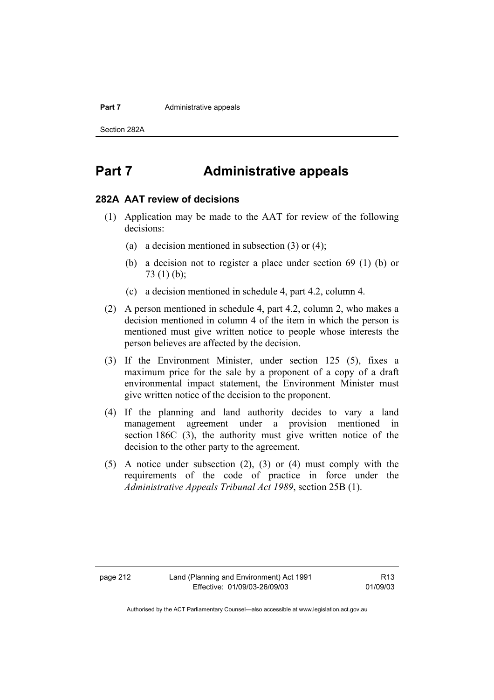#### **Part 7 Administrative appeals**

Section 282A

# **Part 7 Administrative appeals**

#### **282A AAT review of decisions**

- (1) Application may be made to the AAT for review of the following decisions:
	- (a) a decision mentioned in subsection (3) or (4);
	- (b) a decision not to register a place under section 69 (1) (b) or 73 (1) (b);
	- (c) a decision mentioned in schedule 4, part 4.2, column 4.
- (2) A person mentioned in schedule 4, part 4.2, column 2, who makes a decision mentioned in column 4 of the item in which the person is mentioned must give written notice to people whose interests the person believes are affected by the decision.
- (3) If the Environment Minister, under section 125 (5), fixes a maximum price for the sale by a proponent of a copy of a draft environmental impact statement, the Environment Minister must give written notice of the decision to the proponent.
- (4) If the planning and land authority decides to vary a land management agreement under a provision mentioned in section 186C (3), the authority must give written notice of the decision to the other party to the agreement.
- (5) A notice under subsection (2), (3) or (4) must comply with the requirements of the code of practice in force under the *Administrative Appeals Tribunal Act 1989*, section 25B (1).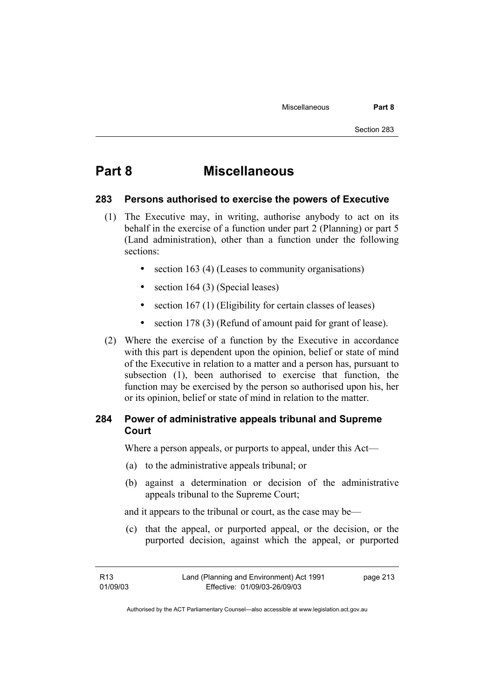# **Part 8 Miscellaneous**

#### **283 Persons authorised to exercise the powers of Executive**

- (1) The Executive may, in writing, authorise anybody to act on its behalf in the exercise of a function under part 2 (Planning) or part 5 (Land administration), other than a function under the following sections:
	- section 163 (4) (Leases to community organisations)
	- section 164 (3) (Special leases)
	- section 167 (1) (Eligibility for certain classes of leases)
	- section 178 (3) (Refund of amount paid for grant of lease).
- (2) Where the exercise of a function by the Executive in accordance with this part is dependent upon the opinion, belief or state of mind of the Executive in relation to a matter and a person has, pursuant to subsection (1), been authorised to exercise that function, the function may be exercised by the person so authorised upon his, her or its opinion, belief or state of mind in relation to the matter.

### **284 Power of administrative appeals tribunal and Supreme Court**

Where a person appeals, or purports to appeal, under this Act—

- (a) to the administrative appeals tribunal; or
- (b) against a determination or decision of the administrative appeals tribunal to the Supreme Court;

and it appears to the tribunal or court, as the case may be—

 (c) that the appeal, or purported appeal, or the decision, or the purported decision, against which the appeal, or purported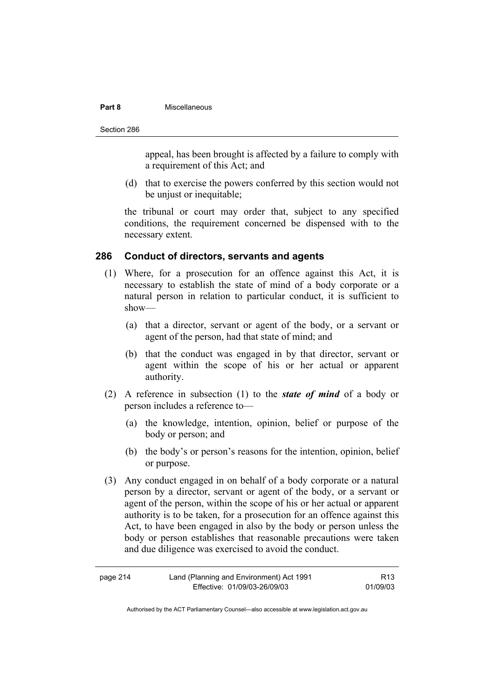#### **Part 8** Miscellaneous

Section 286

appeal, has been brought is affected by a failure to comply with a requirement of this Act; and

 (d) that to exercise the powers conferred by this section would not be unjust or inequitable;

the tribunal or court may order that, subject to any specified conditions, the requirement concerned be dispensed with to the necessary extent.

#### **286 Conduct of directors, servants and agents**

- (1) Where, for a prosecution for an offence against this Act, it is necessary to establish the state of mind of a body corporate or a natural person in relation to particular conduct, it is sufficient to show—
	- (a) that a director, servant or agent of the body, or a servant or agent of the person, had that state of mind; and
	- (b) that the conduct was engaged in by that director, servant or agent within the scope of his or her actual or apparent authority.
- (2) A reference in subsection (1) to the *state of mind* of a body or person includes a reference to—
	- (a) the knowledge, intention, opinion, belief or purpose of the body or person; and
	- (b) the body's or person's reasons for the intention, opinion, belief or purpose.
- (3) Any conduct engaged in on behalf of a body corporate or a natural person by a director, servant or agent of the body, or a servant or agent of the person, within the scope of his or her actual or apparent authority is to be taken, for a prosecution for an offence against this Act, to have been engaged in also by the body or person unless the body or person establishes that reasonable precautions were taken and due diligence was exercised to avoid the conduct.

| page 214 | Land (Planning and Environment) Act 1991 | R <sub>13</sub> |
|----------|------------------------------------------|-----------------|
|          | Effective: 01/09/03-26/09/03             | 01/09/03        |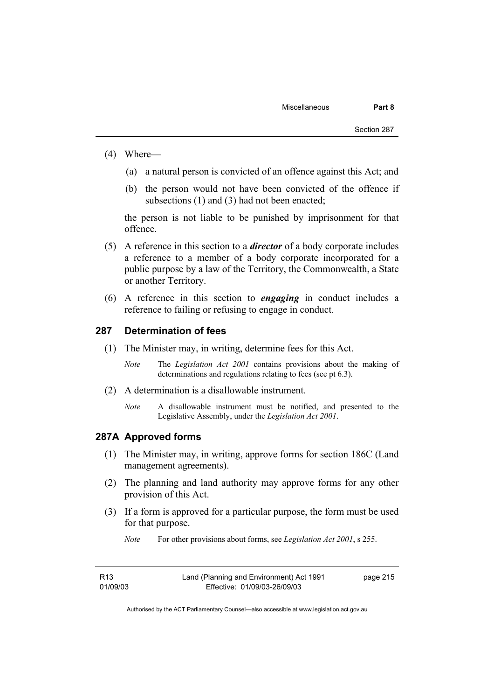- (4) Where—
	- (a) a natural person is convicted of an offence against this Act; and
	- (b) the person would not have been convicted of the offence if subsections (1) and (3) had not been enacted:

the person is not liable to be punished by imprisonment for that offence.

- (5) A reference in this section to a *director* of a body corporate includes a reference to a member of a body corporate incorporated for a public purpose by a law of the Territory, the Commonwealth, a State or another Territory.
- (6) A reference in this section to *engaging* in conduct includes a reference to failing or refusing to engage in conduct.

#### **287 Determination of fees**

- (1) The Minister may, in writing, determine fees for this Act.
	- *Note* The *Legislation Act 2001* contains provisions about the making of determinations and regulations relating to fees (see pt 6.3).
- (2) A determination is a disallowable instrument.
	- *Note* A disallowable instrument must be notified, and presented to the Legislative Assembly, under the *Legislation Act 2001*.

#### **287A Approved forms**

- (1) The Minister may, in writing, approve forms for section 186C (Land management agreements).
- (2) The planning and land authority may approve forms for any other provision of this Act.
- (3) If a form is approved for a particular purpose, the form must be used for that purpose.
	- *Note* For other provisions about forms, see *Legislation Act 2001*, s 255.

| R13      | Land (Planning and Environment) Act 1991 | page 215 |
|----------|------------------------------------------|----------|
| 01/09/03 | Effective: 01/09/03-26/09/03             |          |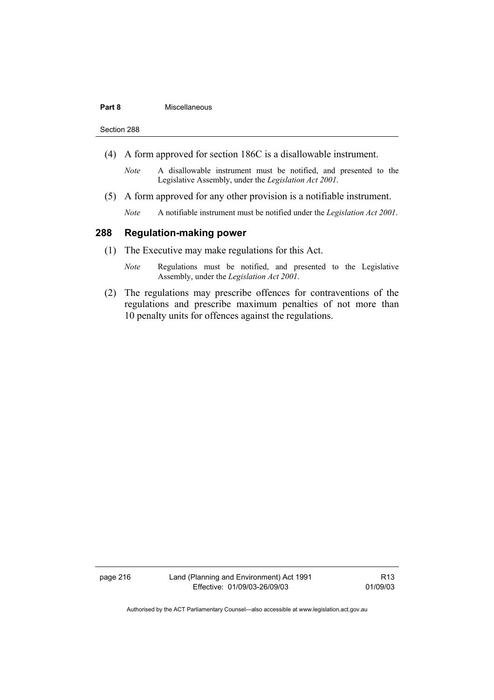#### **Part 8** Miscellaneous

Section 288

- (4) A form approved for section 186C is a disallowable instrument.
	- *Note* A disallowable instrument must be notified, and presented to the Legislative Assembly, under the *Legislation Act 2001*.
- (5) A form approved for any other provision is a notifiable instrument.
	- *Note* A notifiable instrument must be notified under the *Legislation Act 2001*.

#### **288 Regulation-making power**

- (1) The Executive may make regulations for this Act.
	- *Note* Regulations must be notified, and presented to the Legislative Assembly, under the *Legislation Act 2001*.
- (2) The regulations may prescribe offences for contraventions of the regulations and prescribe maximum penalties of not more than 10 penalty units for offences against the regulations.

page 216 Land (Planning and Environment) Act 1991 Effective: 01/09/03-26/09/03

R13 01/09/03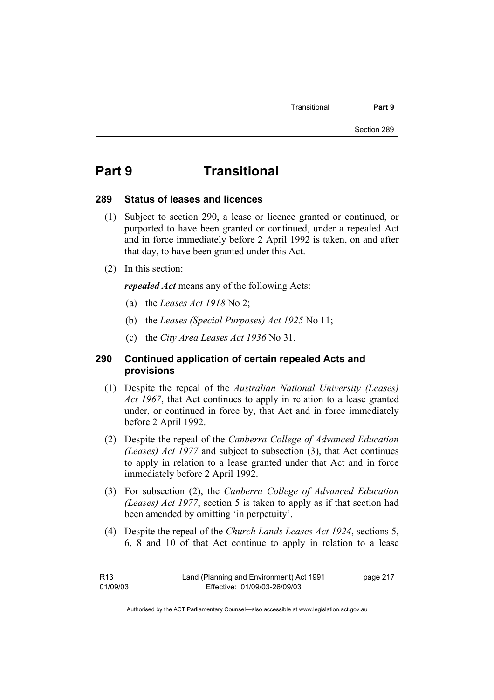# **Part 9 Transitional**

#### **289 Status of leases and licences**

- (1) Subject to section 290, a lease or licence granted or continued, or purported to have been granted or continued, under a repealed Act and in force immediately before 2 April 1992 is taken, on and after that day, to have been granted under this Act.
- (2) In this section:

*repealed Act* means any of the following Acts:

- (a) the *Leases Act 1918* No 2;
- (b) the *Leases (Special Purposes) Act 1925* No 11;
- (c) the *City Area Leases Act 1936* No 31.

#### **290 Continued application of certain repealed Acts and provisions**

- (1) Despite the repeal of the *Australian National University (Leases) Act 1967*, that Act continues to apply in relation to a lease granted under, or continued in force by, that Act and in force immediately before 2 April 1992.
- (2) Despite the repeal of the *Canberra College of Advanced Education (Leases) Act 1977* and subject to subsection (3), that Act continues to apply in relation to a lease granted under that Act and in force immediately before 2 April 1992.
- (3) For subsection (2), the *Canberra College of Advanced Education (Leases) Act 1977*, section 5 is taken to apply as if that section had been amended by omitting 'in perpetuity'.
- (4) Despite the repeal of the *Church Lands Leases Act 1924*, sections 5, 6, 8 and 10 of that Act continue to apply in relation to a lease

| R13      | Land (Planning and Environment) Act 1991 | page 217 |
|----------|------------------------------------------|----------|
| 01/09/03 | Effective: 01/09/03-26/09/03             |          |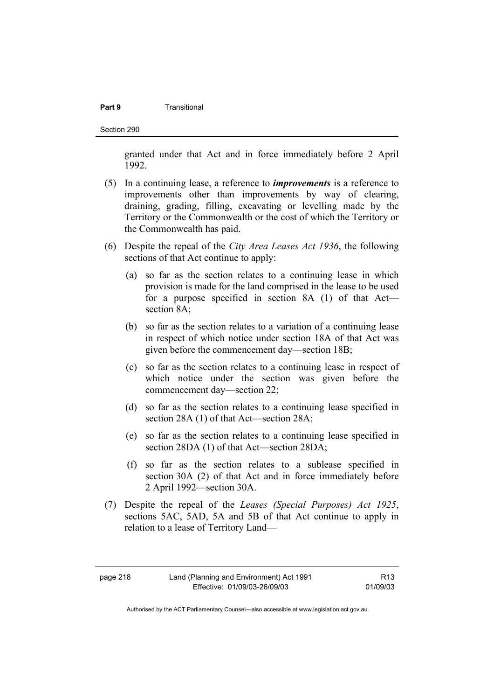#### **Part 9 Transitional**

Section 290

granted under that Act and in force immediately before 2 April 1992.

- (5) In a continuing lease, a reference to *improvements* is a reference to improvements other than improvements by way of clearing, draining, grading, filling, excavating or levelling made by the Territory or the Commonwealth or the cost of which the Territory or the Commonwealth has paid.
- (6) Despite the repeal of the *City Area Leases Act 1936*, the following sections of that Act continue to apply:
	- (a) so far as the section relates to a continuing lease in which provision is made for the land comprised in the lease to be used for a purpose specified in section 8A (1) of that Act section 8A;
	- (b) so far as the section relates to a variation of a continuing lease in respect of which notice under section 18A of that Act was given before the commencement day—section 18B;
	- (c) so far as the section relates to a continuing lease in respect of which notice under the section was given before the commencement day—section 22;
	- (d) so far as the section relates to a continuing lease specified in section 28A (1) of that Act—section 28A;
	- (e) so far as the section relates to a continuing lease specified in section 28DA (1) of that Act—section 28DA;
	- (f) so far as the section relates to a sublease specified in section 30A (2) of that Act and in force immediately before 2 April 1992—section 30A.
- (7) Despite the repeal of the *Leases (Special Purposes) Act 1925*, sections 5AC, 5AD, 5A and 5B of that Act continue to apply in relation to a lease of Territory Land—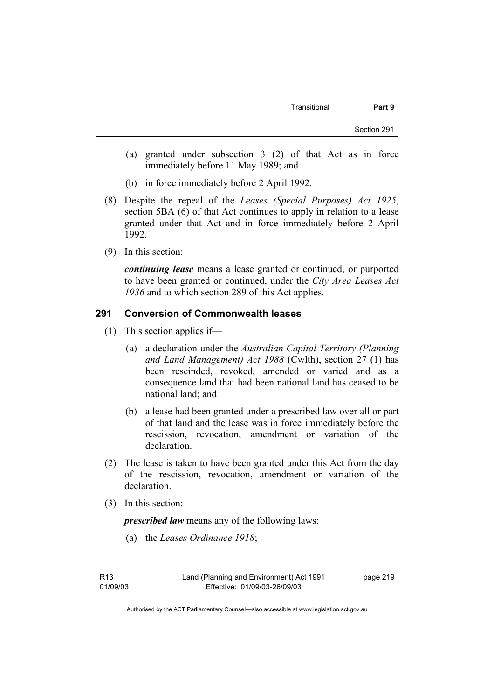- (a) granted under subsection 3 (2) of that Act as in force immediately before 11 May 1989; and
- (b) in force immediately before 2 April 1992.
- (8) Despite the repeal of the *Leases (Special Purposes) Act 1925*, section 5BA (6) of that Act continues to apply in relation to a lease granted under that Act and in force immediately before 2 April 1992.
- (9) In this section:

*continuing lease* means a lease granted or continued, or purported to have been granted or continued, under the *City Area Leases Act 1936* and to which section 289 of this Act applies.

#### **291 Conversion of Commonwealth leases**

- (1) This section applies if—
	- (a) a declaration under the *Australian Capital Territory (Planning and Land Management) Act 1988* (Cwlth), section 27 (1) has been rescinded, revoked, amended or varied and as a consequence land that had been national land has ceased to be national land; and
	- (b) a lease had been granted under a prescribed law over all or part of that land and the lease was in force immediately before the rescission, revocation, amendment or variation of the declaration.
- (2) The lease is taken to have been granted under this Act from the day of the rescission, revocation, amendment or variation of the declaration.
- (3) In this section:

*prescribed law* means any of the following laws:

(a) the *Leases Ordinance 1918*;

R13 01/09/03 page 219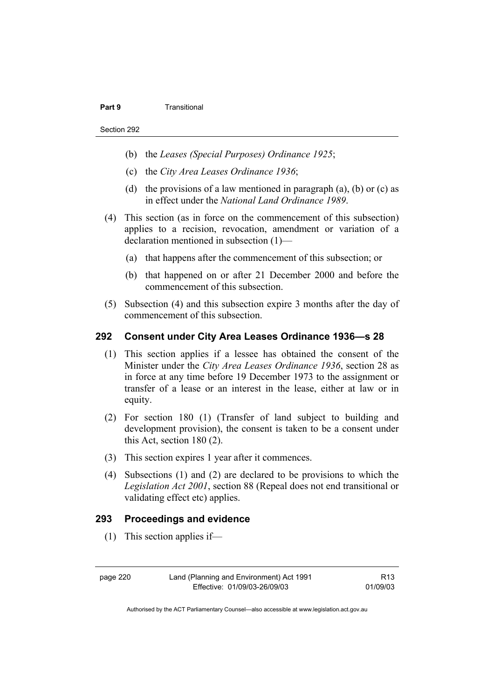#### **Part 9 Transitional**

- (b) the *Leases (Special Purposes) Ordinance 1925*;
- (c) the *City Area Leases Ordinance 1936*;
- (d) the provisions of a law mentioned in paragraph  $(a)$ ,  $(b)$  or  $(c)$  as in effect under the *National Land Ordinance 1989*.
- (4) This section (as in force on the commencement of this subsection) applies to a recision, revocation, amendment or variation of a declaration mentioned in subsection (1)—
	- (a) that happens after the commencement of this subsection; or
	- (b) that happened on or after 21 December 2000 and before the commencement of this subsection.
- (5) Subsection (4) and this subsection expire 3 months after the day of commencement of this subsection.

#### **292 Consent under City Area Leases Ordinance 1936—s 28**

- (1) This section applies if a lessee has obtained the consent of the Minister under the *City Area Leases Ordinance 1936*, section 28 as in force at any time before 19 December 1973 to the assignment or transfer of a lease or an interest in the lease, either at law or in equity.
- (2) For section 180 (1) (Transfer of land subject to building and development provision), the consent is taken to be a consent under this Act, section 180 (2).
- (3) This section expires 1 year after it commences.
- (4) Subsections (1) and (2) are declared to be provisions to which the *Legislation Act 2001*, section 88 (Repeal does not end transitional or validating effect etc) applies.

#### **293 Proceedings and evidence**

(1) This section applies if—

page 220 Land (Planning and Environment) Act 1991 Effective: 01/09/03-26/09/03

R13 01/09/03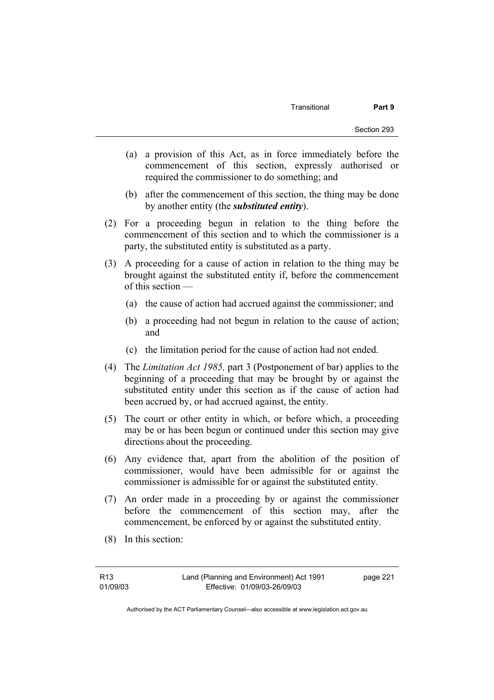- (a) a provision of this Act, as in force immediately before the commencement of this section, expressly authorised or required the commissioner to do something; and
- (b) after the commencement of this section, the thing may be done by another entity (the *substituted entity*).
- (2) For a proceeding begun in relation to the thing before the commencement of this section and to which the commissioner is a party, the substituted entity is substituted as a party.
- (3) A proceeding for a cause of action in relation to the thing may be brought against the substituted entity if, before the commencement of this section —
	- (a) the cause of action had accrued against the commissioner; and
	- (b) a proceeding had not begun in relation to the cause of action; and
	- (c) the limitation period for the cause of action had not ended.
- (4) The *Limitation Act 1985,* part 3 (Postponement of bar) applies to the beginning of a proceeding that may be brought by or against the substituted entity under this section as if the cause of action had been accrued by, or had accrued against, the entity.
- (5) The court or other entity in which, or before which, a proceeding may be or has been begun or continued under this section may give directions about the proceeding.
- (6) Any evidence that, apart from the abolition of the position of commissioner, would have been admissible for or against the commissioner is admissible for or against the substituted entity.
- (7) An order made in a proceeding by or against the commissioner before the commencement of this section may, after the commencement, be enforced by or against the substituted entity.
- (8) In this section: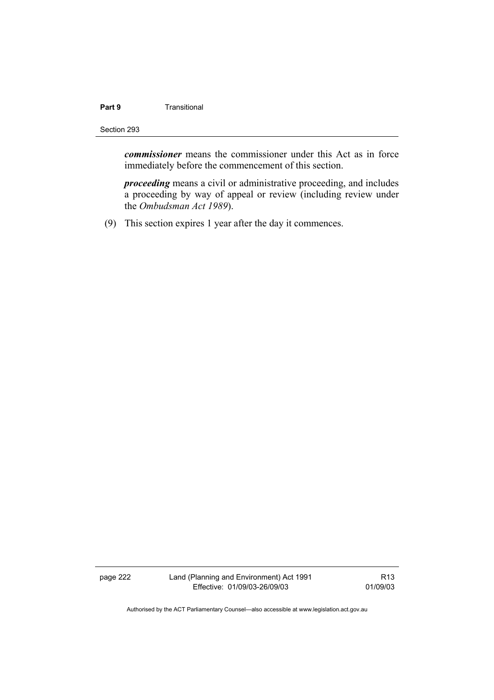# **Part 9 Transitional**

#### Section 293

*commissioner* means the commissioner under this Act as in force immediately before the commencement of this section.

*proceeding* means a civil or administrative proceeding, and includes a proceeding by way of appeal or review (including review under the *Ombudsman Act 1989*).

(9) This section expires 1 year after the day it commences.

page 222 Land (Planning and Environment) Act 1991 Effective: 01/09/03-26/09/03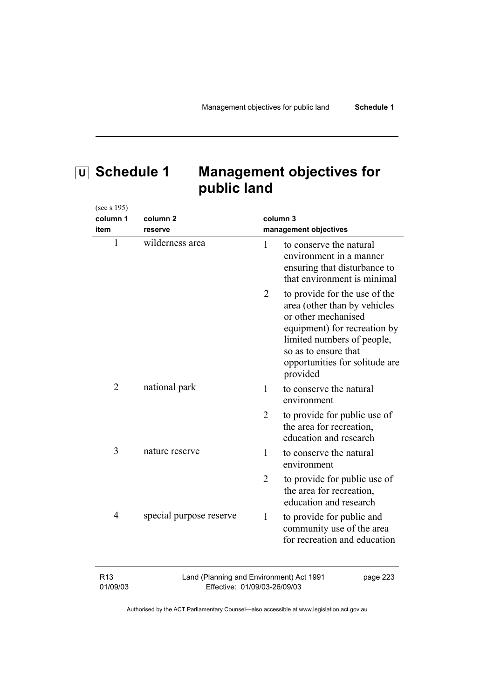(see s 195)

# **U Schedule 1 Management objectives for public land**

| column 1                    | column <sub>2</sub>                                                      | column 3       |                                                                                                                                                                                                                          |
|-----------------------------|--------------------------------------------------------------------------|----------------|--------------------------------------------------------------------------------------------------------------------------------------------------------------------------------------------------------------------------|
| item                        | reserve                                                                  |                | management objectives                                                                                                                                                                                                    |
| $\mathbf{1}$                | wilderness area                                                          | 1              | to conserve the natural<br>environment in a manner<br>ensuring that disturbance to<br>that environment is minimal                                                                                                        |
|                             |                                                                          | 2              | to provide for the use of the<br>area (other than by vehicles<br>or other mechanised<br>equipment) for recreation by<br>limited numbers of people,<br>so as to ensure that<br>opportunities for solitude are<br>provided |
| $\overline{2}$              | national park                                                            | 1              | to conserve the natural<br>environment                                                                                                                                                                                   |
|                             |                                                                          | $\overline{2}$ | to provide for public use of<br>the area for recreation,<br>education and research                                                                                                                                       |
| 3                           | nature reserve                                                           | 1              | to conserve the natural<br>environment                                                                                                                                                                                   |
|                             |                                                                          | $\overline{2}$ | to provide for public use of<br>the area for recreation,<br>education and research                                                                                                                                       |
| $\overline{4}$              | special purpose reserve                                                  | $\mathbf{1}$   | to provide for public and<br>community use of the area<br>for recreation and education                                                                                                                                   |
| R <sub>13</sub><br>01/09/03 | Land (Planning and Environment) Act 1991<br>Effective: 01/09/03-26/09/03 |                | page 223                                                                                                                                                                                                                 |

Effective: 01/09/03-26/09/03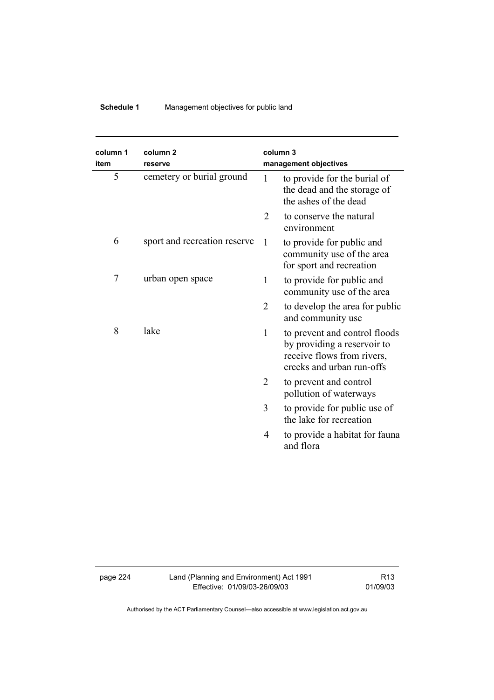# **Schedule 1** Management objectives for public land

| column 1<br>item | column <sub>2</sub>          |                | column 3                                                                                                                |
|------------------|------------------------------|----------------|-------------------------------------------------------------------------------------------------------------------------|
|                  | reserve                      |                | management objectives                                                                                                   |
| 5                | cemetery or burial ground    | 1              | to provide for the burial of<br>the dead and the storage of<br>the ashes of the dead                                    |
|                  |                              | 2              | to conserve the natural<br>environment                                                                                  |
| 6                | sport and recreation reserve | $\mathbf{1}$   | to provide for public and<br>community use of the area<br>for sport and recreation                                      |
| 7                | urban open space             | $\mathbf{1}$   | to provide for public and<br>community use of the area                                                                  |
|                  |                              | $\overline{2}$ | to develop the area for public<br>and community use                                                                     |
| 8                | lake                         | $\mathbf{1}$   | to prevent and control floods<br>by providing a reservoir to<br>receive flows from rivers,<br>creeks and urban run-offs |
|                  |                              | $\overline{2}$ | to prevent and control<br>pollution of waterways                                                                        |
|                  |                              | 3              | to provide for public use of<br>the lake for recreation                                                                 |
|                  |                              | 4              | to provide a habitat for fauna<br>and flora                                                                             |

page 224 Land (Planning and Environment) Act 1991 Effective: 01/09/03-26/09/03

R13 01/09/03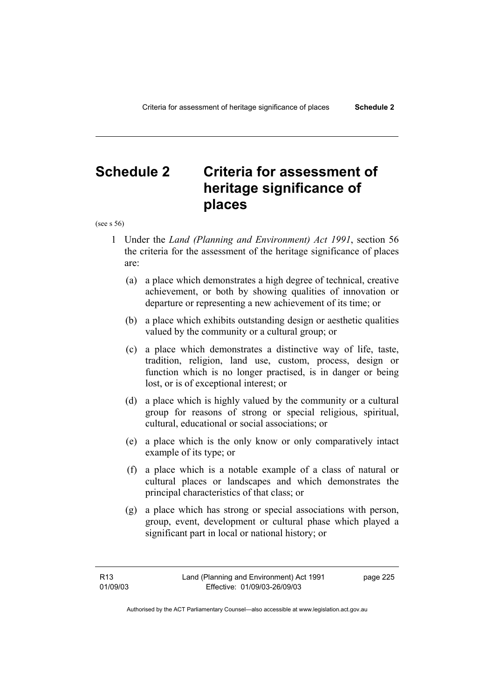# **Schedule 2 Criteria for assessment of heritage significance of places**

(see s 56)

- 1 Under the *Land (Planning and Environment) Act 1991*, section 56 the criteria for the assessment of the heritage significance of places are:
	- (a) a place which demonstrates a high degree of technical, creative achievement, or both by showing qualities of innovation or departure or representing a new achievement of its time; or
	- (b) a place which exhibits outstanding design or aesthetic qualities valued by the community or a cultural group; or
	- (c) a place which demonstrates a distinctive way of life, taste, tradition, religion, land use, custom, process, design or function which is no longer practised, is in danger or being lost, or is of exceptional interest; or
	- (d) a place which is highly valued by the community or a cultural group for reasons of strong or special religious, spiritual, cultural, educational or social associations; or
	- (e) a place which is the only know or only comparatively intact example of its type; or
	- (f) a place which is a notable example of a class of natural or cultural places or landscapes and which demonstrates the principal characteristics of that class; or
	- (g) a place which has strong or special associations with person, group, event, development or cultural phase which played a significant part in local or national history; or

page 225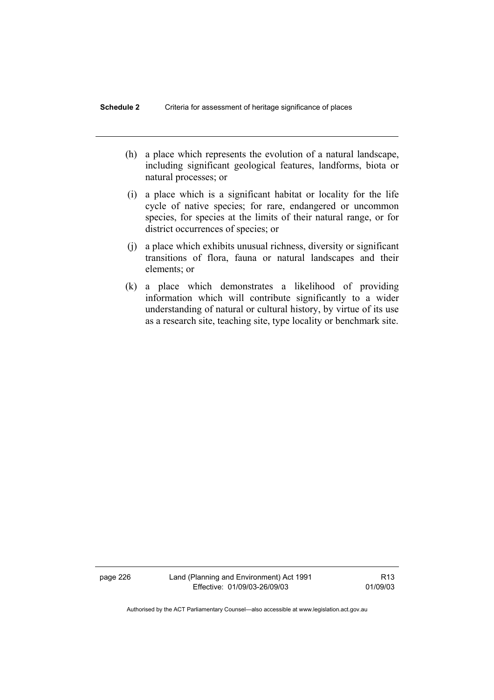- (h) a place which represents the evolution of a natural landscape, including significant geological features, landforms, biota or natural processes; or
- (i) a place which is a significant habitat or locality for the life cycle of native species; for rare, endangered or uncommon species, for species at the limits of their natural range, or for district occurrences of species; or
- (j) a place which exhibits unusual richness, diversity or significant transitions of flora, fauna or natural landscapes and their elements; or
- (k) a place which demonstrates a likelihood of providing information which will contribute significantly to a wider understanding of natural or cultural history, by virtue of its use as a research site, teaching site, type locality or benchmark site.

page 226 Land (Planning and Environment) Act 1991 Effective: 01/09/03-26/09/03

R13 01/09/03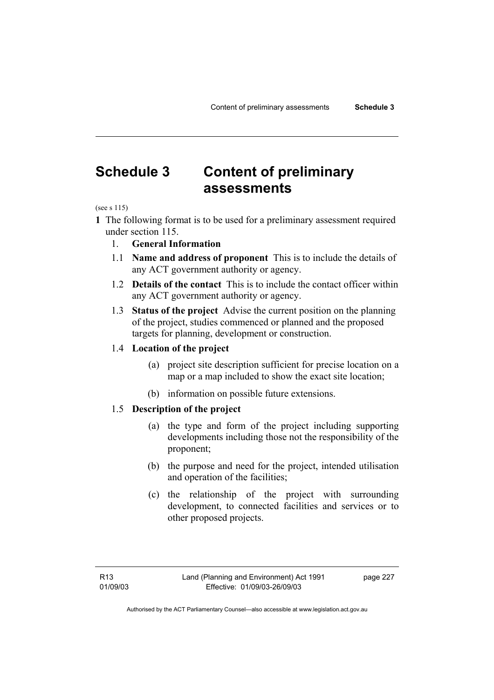# **Schedule 3 Content of preliminary assessments**

#### (see s 115)

- **1** The following format is to be used for a preliminary assessment required under section 115.
	- 1. **General Information**
	- 1.1 **Name and address of proponent** This is to include the details of any ACT government authority or agency.
	- 1.2 **Details of the contact** This is to include the contact officer within any ACT government authority or agency.
	- 1.3 **Status of the project** Advise the current position on the planning of the project, studies commenced or planned and the proposed targets for planning, development or construction.

#### 1.4 **Location of the project**

- (a) project site description sufficient for precise location on a map or a map included to show the exact site location;
- (b) information on possible future extensions.

#### 1.5 **Description of the project**

- (a) the type and form of the project including supporting developments including those not the responsibility of the proponent;
- (b) the purpose and need for the project, intended utilisation and operation of the facilities;
- (c) the relationship of the project with surrounding development, to connected facilities and services or to other proposed projects.

page 227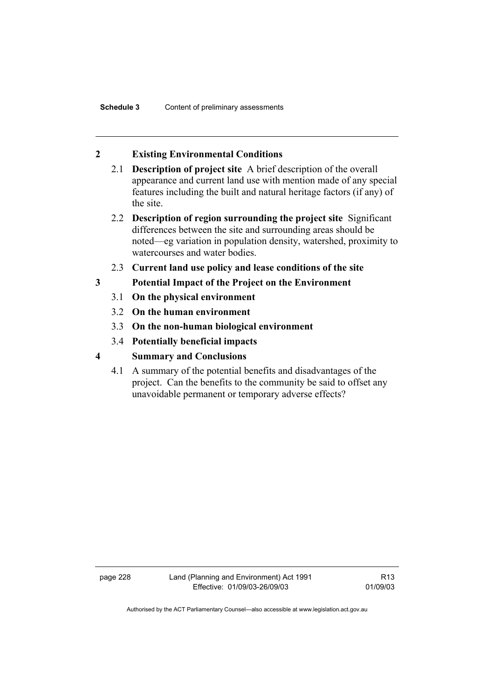#### **2 Existing Environmental Conditions**

- 2.1 **Description of project site** A brief description of the overall appearance and current land use with mention made of any special features including the built and natural heritage factors (if any) of the site.
- 2.2 **Description of region surrounding the project site** Significant differences between the site and surrounding areas should be noted—eg variation in population density, watershed, proximity to watercourses and water bodies.
- 2.3 **Current land use policy and lease conditions of the site**
- **3 Potential Impact of the Project on the Environment** 
	- 3.1 **On the physical environment**
	- 3.2 **On the human environment**
	- 3.3 **On the non-human biological environment**
	- 3.4 **Potentially beneficial impacts**
- **4 Summary and Conclusions** 
	- 4.1 A summary of the potential benefits and disadvantages of the project. Can the benefits to the community be said to offset any unavoidable permanent or temporary adverse effects?

page 228 Land (Planning and Environment) Act 1991 Effective: 01/09/03-26/09/03

R13 01/09/03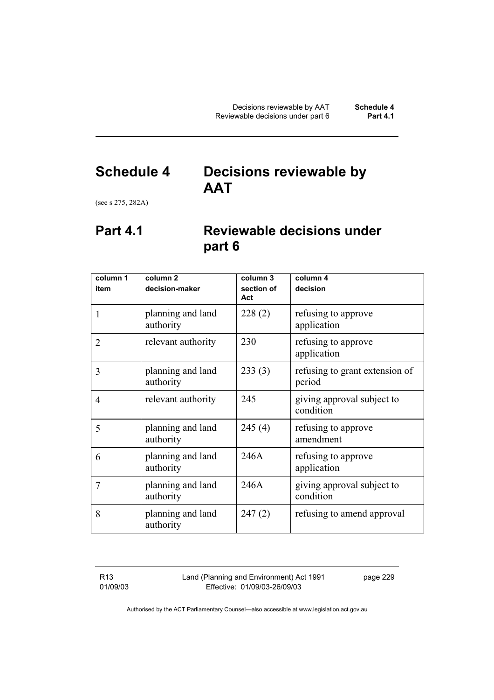# **Schedule 4 Decisions reviewable by AAT**

(see s 275, 282A)

# **Part 4.1 Reviewable decisions under part 6**

| column 1       | column <sub>2</sub>            | column 3          | column 4                                 |
|----------------|--------------------------------|-------------------|------------------------------------------|
| item           | decision-maker                 | section of<br>Act | decision                                 |
| 1              | planning and land<br>authority | 228(2)            | refusing to approve<br>application       |
| $\overline{2}$ | relevant authority             | 230               | refusing to approve<br>application       |
| 3              | planning and land<br>authority | 233(3)            | refusing to grant extension of<br>period |
| $\overline{4}$ | relevant authority             | 245               | giving approval subject to<br>condition  |
| 5              | planning and land<br>authority | 245(4)            | refusing to approve<br>amendment         |
| 6              | planning and land<br>authority | 246A              | refusing to approve<br>application       |
| 7              | planning and land<br>authority | 246A              | giving approval subject to<br>condition  |
| 8              | planning and land<br>authority | 247(2)            | refusing to amend approval               |

R13 01/09/03 Land (Planning and Environment) Act 1991 Effective: 01/09/03-26/09/03

page 229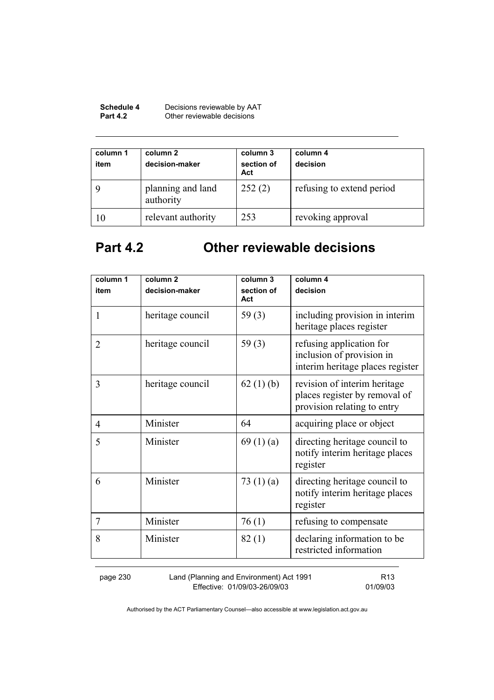| <b>Schedule 4</b> | Decisions reviewable by AAT |
|-------------------|-----------------------------|
| <b>Part 4.2</b>   | Other reviewable decisions  |

| column 1<br>item | column 2<br>decision-maker     | column 3<br>section of<br>Act | column 4<br>decision      |
|------------------|--------------------------------|-------------------------------|---------------------------|
|                  | planning and land<br>authority | 252(2)                        | refusing to extend period |
| 10               | relevant authority             | 253                           | revoking approval         |

# **Part 4.2 Other reviewable decisions**

| column 1<br>item | column <sub>2</sub><br>decision-maker | column 3<br>section of | column 4<br>decision                                                                         |
|------------------|---------------------------------------|------------------------|----------------------------------------------------------------------------------------------|
| 1                | heritage council                      | Act<br>59 $(3)$        | including provision in interim<br>heritage places register                                   |
| $\overline{2}$   | heritage council                      | 59 $(3)$               | refusing application for<br>inclusion of provision in<br>interim heritage places register    |
| 3                | heritage council                      | 62 $(1)$ (b)           | revision of interim heritage<br>places register by removal of<br>provision relating to entry |
| 4                | Minister                              | 64                     | acquiring place or object                                                                    |
| 5                | Minister                              | 69 $(1)(a)$            | directing heritage council to<br>notify interim heritage places<br>register                  |
| 6                | Minister                              | 73 $(1)(a)$            | directing heritage council to<br>notify interim heritage places<br>register                  |
| 7                | Minister                              | 76(1)                  | refusing to compensate                                                                       |
| 8                | Minister                              | 82(1)                  | declaring information to be<br>restricted information                                        |

page 230 Land (Planning and Environment) Act 1991 Effective: 01/09/03-26/09/03

R13 01/09/03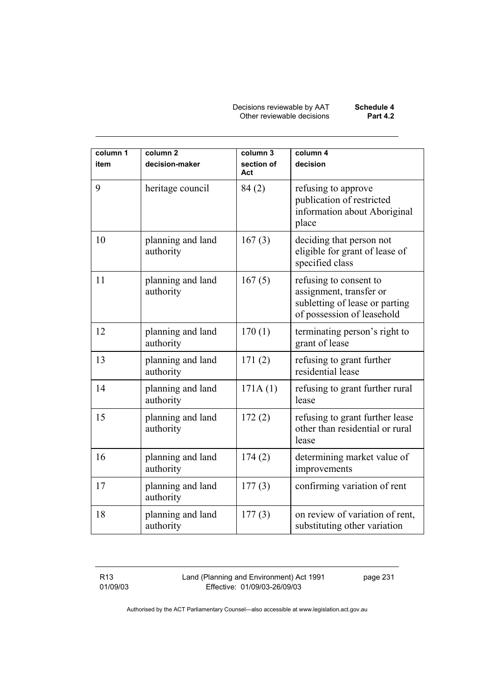Decisions reviewable by AAT **Schedule 4**  Other reviewable decisions **Part 4.2** 

| column 1<br>item | column <sub>2</sub><br>decision-maker | column 3<br>section of<br>Act | column 4<br>decision                                                                                              |
|------------------|---------------------------------------|-------------------------------|-------------------------------------------------------------------------------------------------------------------|
| 9                | heritage council                      | 84(2)                         | refusing to approve<br>publication of restricted<br>information about Aboriginal<br>place                         |
| 10               | planning and land<br>authority        | 167(3)                        | deciding that person not<br>eligible for grant of lease of<br>specified class                                     |
| 11               | planning and land<br>authority        | 167(5)                        | refusing to consent to<br>assignment, transfer or<br>subletting of lease or parting<br>of possession of leasehold |
| 12               | planning and land<br>authority        | 170(1)                        | terminating person's right to<br>grant of lease                                                                   |
| 13               | planning and land<br>authority        | 171(2)                        | refusing to grant further<br>residential lease                                                                    |
| 14               | planning and land<br>authority        | 171A(1)                       | refusing to grant further rural<br>lease                                                                          |
| 15               | planning and land<br>authority        | 172(2)                        | refusing to grant further lease<br>other than residential or rural<br>lease                                       |
| 16               | planning and land<br>authority        | 174(2)                        | determining market value of<br>improvements                                                                       |
| 17               | planning and land<br>authority        | 177(3)                        | confirming variation of rent                                                                                      |
| 18               | planning and land<br>authority        | 177(3)                        | on review of variation of rent,<br>substituting other variation                                                   |

R13 01/09/03 Land (Planning and Environment) Act 1991 Effective: 01/09/03-26/09/03

page 231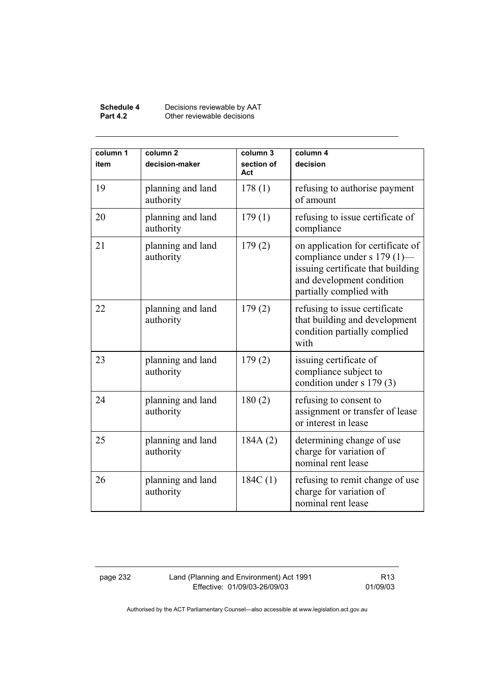#### **Schedule 4** Decisions reviewable by AAT **Part 4.2 Other reviewable decisions**

| column 1<br>item | column <sub>2</sub><br>decision-maker | column 3<br>section of<br>Act | column 4<br>decision                                                                                                                                          |
|------------------|---------------------------------------|-------------------------------|---------------------------------------------------------------------------------------------------------------------------------------------------------------|
| 19               | planning and land<br>authority        | 178(1)                        | refusing to authorise payment<br>of amount                                                                                                                    |
| 20               | planning and land<br>authority        | 179(1)                        | refusing to issue certificate of<br>compliance                                                                                                                |
| 21               | planning and land<br>authority        | 179(2)                        | on application for certificate of<br>compliance under s 179 (1)-<br>issuing certificate that building<br>and development condition<br>partially complied with |
| 22               | planning and land<br>authority        | 179(2)                        | refusing to issue certificate<br>that building and development<br>condition partially complied<br>with                                                        |
| 23               | planning and land<br>authority        | 179(2)                        | issuing certificate of<br>compliance subject to<br>condition under s 179 (3)                                                                                  |
| 24               | planning and land<br>authority        | 180(2)                        | refusing to consent to<br>assignment or transfer of lease<br>or interest in lease                                                                             |
| 25               | planning and land<br>authority        | 184A(2)                       | determining change of use<br>charge for variation of<br>nominal rent lease                                                                                    |
| 26               | planning and land<br>authority        | 184C(1)                       | refusing to remit change of use<br>charge for variation of<br>nominal rent lease                                                                              |

page 232 Land (Planning and Environment) Act 1991 Effective: 01/09/03-26/09/03

R13 01/09/03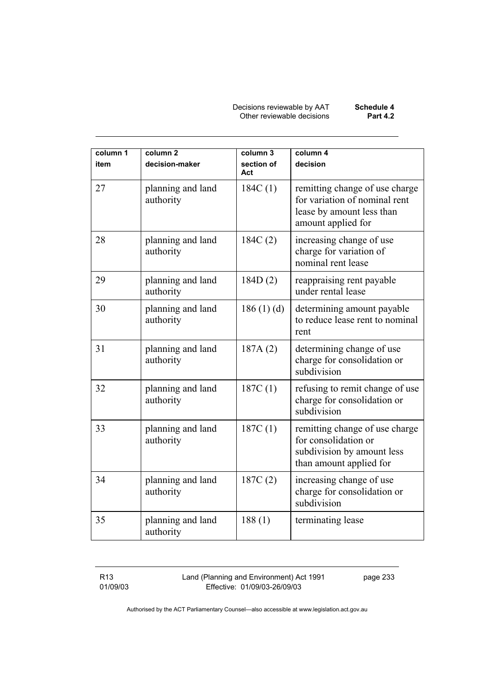Decisions reviewable by AAT **Schedule 4**  Other reviewable decisions **Part 4.2** 

| column 1<br>item | column <sub>2</sub><br>decision-maker | column 3<br>section of<br>Act | column 4<br>decision                                                                                               |
|------------------|---------------------------------------|-------------------------------|--------------------------------------------------------------------------------------------------------------------|
| 27               | planning and land<br>authority        | 184C(1)                       | remitting change of use charge<br>for variation of nominal rent<br>lease by amount less than<br>amount applied for |
| 28               | planning and land<br>authority        | 184C(2)                       | increasing change of use<br>charge for variation of<br>nominal rent lease                                          |
| 29               | planning and land<br>authority        | 184D(2)                       | reappraising rent payable<br>under rental lease                                                                    |
| 30               | planning and land<br>authority        | 186(1)(d)                     | determining amount payable<br>to reduce lease rent to nominal<br>rent                                              |
| 31               | planning and land<br>authority        | 187A(2)                       | determining change of use<br>charge for consolidation or<br>subdivision                                            |
| 32               | planning and land<br>authority        | 187C(1)                       | refusing to remit change of use<br>charge for consolidation or<br>subdivision                                      |
| 33               | planning and land<br>authority        | 187C(1)                       | remitting change of use charge<br>for consolidation or<br>subdivision by amount less<br>than amount applied for    |
| 34               | planning and land<br>authority        | 187C(2)                       | increasing change of use<br>charge for consolidation or<br>subdivision                                             |
| 35               | planning and land<br>authority        | 188(1)                        | terminating lease                                                                                                  |

R13 01/09/03 Land (Planning and Environment) Act 1991 Effective: 01/09/03-26/09/03

page 233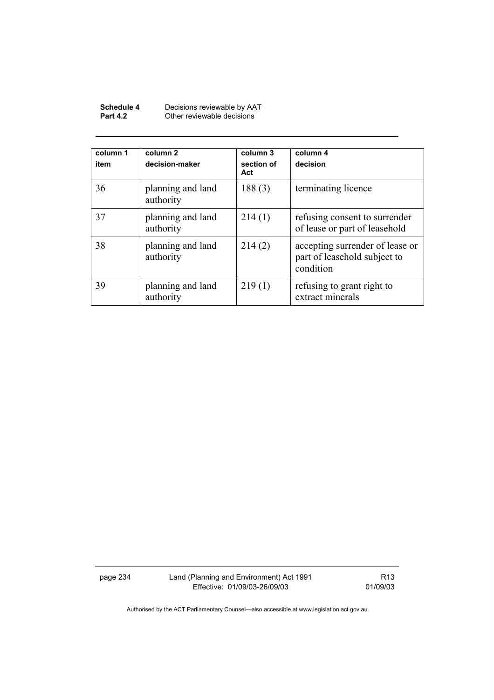| Schedule 4      | Decisions reviewable by AAT |
|-----------------|-----------------------------|
| <b>Part 4.2</b> | Other reviewable decisions  |

| column 1<br>item | column <sub>2</sub><br>decision-maker | column 3<br>section of<br>Act | column 4<br>decision                                                         |
|------------------|---------------------------------------|-------------------------------|------------------------------------------------------------------------------|
| 36               | planning and land<br>authority        | 188(3)                        | terminating licence                                                          |
| 37               | planning and land<br>authority        | 214(1)                        | refusing consent to surrender<br>of lease or part of leasehold               |
| 38               | planning and land<br>authority        | 214(2)                        | accepting surrender of lease or<br>part of leasehold subject to<br>condition |
| 39               | planning and land<br>authority        | 219(1)                        | refusing to grant right to<br>extract minerals                               |

page 234 Land (Planning and Environment) Act 1991 Effective: 01/09/03-26/09/03

R13 01/09/03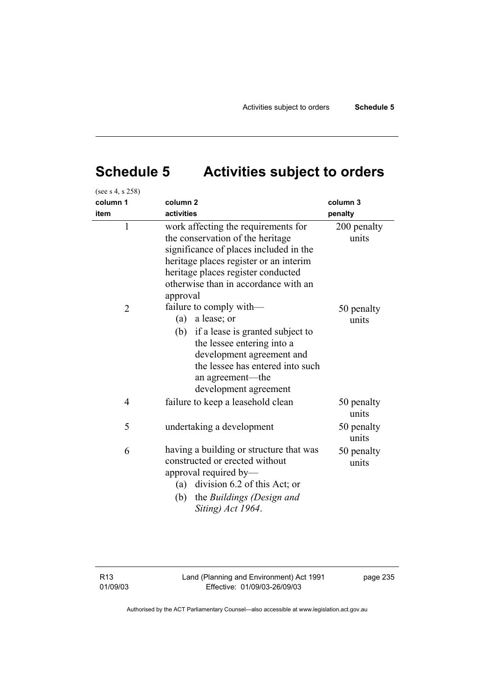# **Schedule 5 Activities subject to orders**

| (see s 4, s 258) |                                                                                                                                                                                                                                                       |                      |
|------------------|-------------------------------------------------------------------------------------------------------------------------------------------------------------------------------------------------------------------------------------------------------|----------------------|
| column 1         | column <sub>2</sub>                                                                                                                                                                                                                                   | column 3             |
| item             | activities                                                                                                                                                                                                                                            | penalty              |
| $\mathbf{1}$     | work affecting the requirements for<br>the conservation of the heritage<br>significance of places included in the<br>heritage places register or an interim<br>heritage places register conducted<br>otherwise than in accordance with an<br>approval | 200 penalty<br>units |
| $\overline{2}$   | failure to comply with—<br>a lease; or<br>(a)<br>(b) if a lease is granted subject to<br>the lessee entering into a<br>development agreement and<br>the lessee has entered into such<br>an agreement—the<br>development agreement                     | 50 penalty<br>units  |
| 4                | failure to keep a leasehold clean                                                                                                                                                                                                                     | 50 penalty<br>units  |
| 5                | undertaking a development                                                                                                                                                                                                                             | 50 penalty<br>units  |
| 6                | having a building or structure that was<br>constructed or erected without<br>approval required by—<br>(a) division 6.2 of this Act; or<br>the Buildings (Design and<br>(b)<br>Siting) Act 1964.                                                       | 50 penalty<br>units  |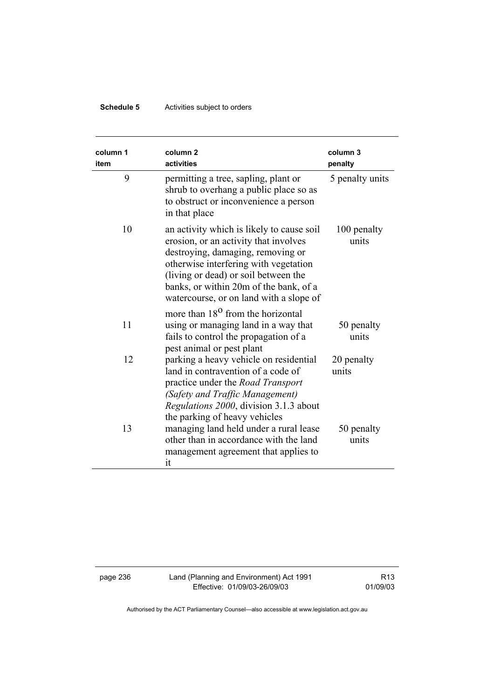# **Schedule 5** Activities subject to orders

| column 1<br>item | column <sub>2</sub><br>activities                                                                                                                                                                                                                                                             | column 3<br>penalty  |
|------------------|-----------------------------------------------------------------------------------------------------------------------------------------------------------------------------------------------------------------------------------------------------------------------------------------------|----------------------|
| 9                | permitting a tree, sapling, plant or<br>shrub to overhang a public place so as<br>to obstruct or inconvenience a person<br>in that place                                                                                                                                                      | 5 penalty units      |
| 10               | an activity which is likely to cause soil<br>erosion, or an activity that involves<br>destroying, damaging, removing or<br>otherwise interfering with vegetation<br>(living or dead) or soil between the<br>banks, or within 20m of the bank, of a<br>watercourse, or on land with a slope of | 100 penalty<br>units |
| 11               | more than 18 <sup>0</sup> from the horizontal<br>using or managing land in a way that<br>fails to control the propagation of a<br>pest animal or pest plant                                                                                                                                   | 50 penalty<br>units  |
| 12               | parking a heavy vehicle on residential<br>land in contravention of a code of<br>practice under the <i>Road Transport</i><br>(Safety and Traffic Management)<br>Regulations 2000, division 3.1.3 about<br>the parking of heavy vehicles                                                        | 20 penalty<br>units  |
| 13               | managing land held under a rural lease<br>other than in accordance with the land<br>management agreement that applies to<br>it                                                                                                                                                                | 50 penalty<br>units  |

page 236 Land (Planning and Environment) Act 1991 Effective: 01/09/03-26/09/03

R13 01/09/03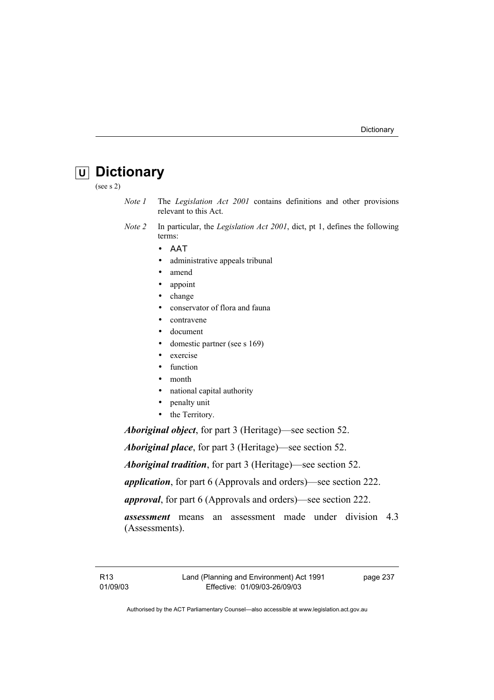# **U Dictionary**

(see s 2)

- *Note 1* The *Legislation Act 2001* contains definitions and other provisions relevant to this Act.
- *Note 2* In particular, the *Legislation Act 2001*, dict, pt 1, defines the following terms:
	- ΑΑΤ
	- administrative appeals tribunal
	- amend
	- appoint
	- change
	- conservator of flora and fauna
	- contravene
	- document
	- domestic partner (see s 169)
	- exercise
	- function
	- month
	- national capital authority
	- penalty unit
	- the Territory.

*Aboriginal object*, for part 3 (Heritage)—see section 52.

*Aboriginal place*, for part 3 (Heritage)—see section 52.

*Aboriginal tradition*, for part 3 (Heritage)—see section 52.

*application*, for part 6 (Approvals and orders)—see section 222.

*approval*, for part 6 (Approvals and orders)—see section 222.

*assessment* means an assessment made under division 4.3 (Assessments).

page 237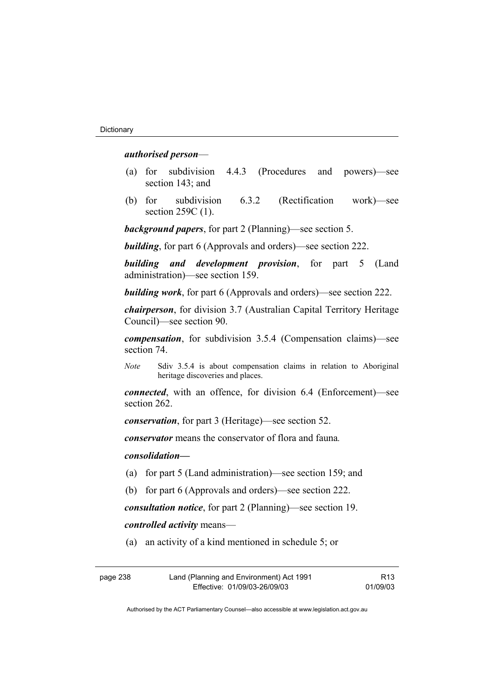## *authorised person*—

- (a) for subdivision 4.4.3 (Procedures and powers)—see section 143; and
- (b) for subdivision 6.3.2 (Rectification work)—see section 259C (1).

*background papers*, for part 2 (Planning)—see section 5.

*building*, for part 6 (Approvals and orders)—see section 222.

*building and development provision*, for part 5 (Land administration)—see section 159.

*building work*, for part 6 (Approvals and orders)—see section 222.

*chairperson*, for division 3.7 (Australian Capital Territory Heritage Council)—see section 90.

*compensation*, for subdivision 3.5.4 (Compensation claims)—see section 74.

*Note* Sdiv 3.5.4 is about compensation claims in relation to Aboriginal heritage discoveries and places.

*connected*, with an offence, for division 6.4 (Enforcement)—see section 262.

*conservation*, for part 3 (Heritage)—see section 52.

*conservator* means the conservator of flora and fauna*.*

*consolidation—*

- (a) for part 5 (Land administration)—see section 159; and
- (b) for part 6 (Approvals and orders)—see section 222.

*consultation notice*, for part 2 (Planning)—see section 19.

*controlled activity* means—

(a) an activity of a kind mentioned in schedule 5; or

| page 238 | Land (Planning and Environment) Act 1991 | R <sub>13</sub> |
|----------|------------------------------------------|-----------------|
|          | Effective: 01/09/03-26/09/03             | 01/09/03        |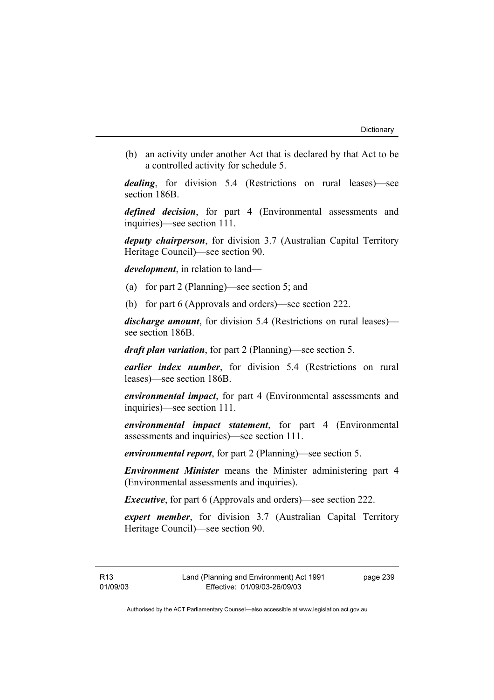(b) an activity under another Act that is declared by that Act to be a controlled activity for schedule 5.

*dealing*, for division 5.4 (Restrictions on rural leases)—see section 186B.

*defined decision*, for part 4 (Environmental assessments and inquiries)—see section 111.

*deputy chairperson*, for division 3.7 (Australian Capital Territory Heritage Council)—see section 90.

*development*, in relation to land—

- (a) for part 2 (Planning)—see section 5; and
- (b) for part 6 (Approvals and orders)—see section 222.

*discharge amount*, for division 5.4 (Restrictions on rural leases) see section 186B.

*draft plan variation*, for part 2 (Planning)—see section 5.

*earlier index number*, for division 5.4 (Restrictions on rural leases)—see section 186B.

*environmental impact*, for part 4 (Environmental assessments and inquiries)—see section 111.

*environmental impact statement*, for part 4 (Environmental assessments and inquiries)—see section 111.

*environmental report*, for part 2 (Planning)—see section 5.

*Environment Minister* means the Minister administering part 4 (Environmental assessments and inquiries).

*Executive*, for part 6 (Approvals and orders)—see section 222.

*expert member*, for division 3.7 (Australian Capital Territory Heritage Council)—see section 90.

page 239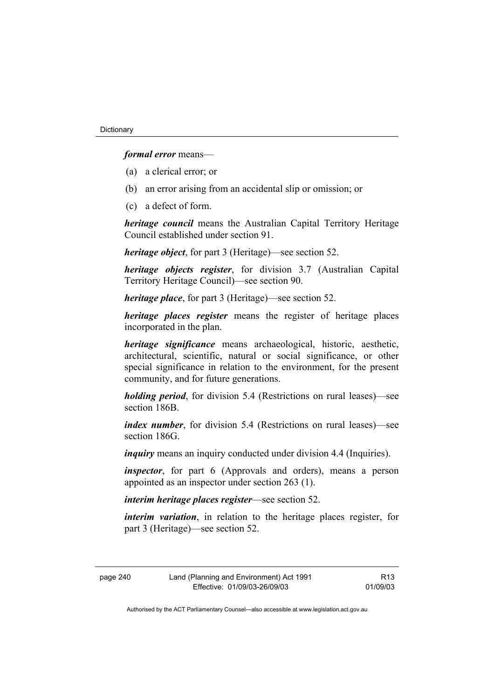## *formal error* means—

- (a) a clerical error; or
- (b) an error arising from an accidental slip or omission; or
- (c) a defect of form.

*heritage council* means the Australian Capital Territory Heritage Council established under section 91.

*heritage object*, for part 3 (Heritage)—see section 52.

*heritage objects register*, for division 3.7 (Australian Capital Territory Heritage Council)—see section 90.

*heritage place*, for part 3 (Heritage)—see section 52.

*heritage places register* means the register of heritage places incorporated in the plan.

*heritage significance* means archaeological, historic, aesthetic, architectural, scientific, natural or social significance, or other special significance in relation to the environment, for the present community, and for future generations.

*holding period*, for division 5.4 (Restrictions on rural leases)—see section 186B.

*index number*, for division 5.4 (Restrictions on rural leases)—see section 186G.

*inquiry* means an inquiry conducted under division 4.4 (Inquiries).

*inspector*, for part 6 (Approvals and orders), means a person appointed as an inspector under section 263 (1).

*interim heritage places register*—see section 52.

*interim variation*, in relation to the heritage places register, for part 3 (Heritage)—see section 52.

| page 240 |  |
|----------|--|
|----------|--|

R13 01/09/03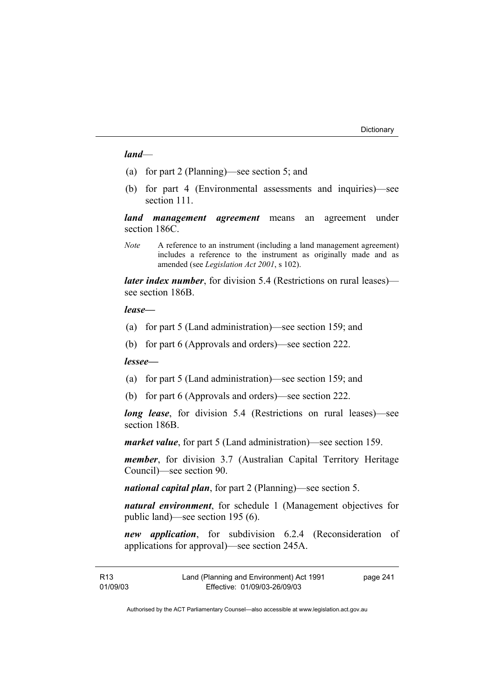### *land*—

- (a) for part 2 (Planning)—see section 5; and
- (b) for part 4 (Environmental assessments and inquiries)—see section 111

*land management agreement* means an agreement under section 186C.

*Note* A reference to an instrument (including a land management agreement) includes a reference to the instrument as originally made and as amended (see *Legislation Act 2001*, s 102).

*later index number*, for division 5.4 (Restrictions on rural leases) see section 186B.

#### *lease—*

- (a) for part 5 (Land administration)—see section 159; and
- (b) for part 6 (Approvals and orders)—see section 222.

*lessee—*

- (a) for part 5 (Land administration)—see section 159; and
- (b) for part 6 (Approvals and orders)—see section 222.

*long lease*, for division 5.4 (Restrictions on rural leases)—see section 186B.

*market value*, for part 5 (Land administration)—see section 159.

*member*, for division 3.7 (Australian Capital Territory Heritage Council)—see section 90.

*national capital plan*, for part 2 (Planning)—see section 5.

*natural environment*, for schedule 1 (Management objectives for public land)—see section 195 (6).

*new application*, for subdivision 6.2.4 (Reconsideration of applications for approval)—see section 245A.

| R13      | Land (Planning and Environment) Act 1991 | page 241 |
|----------|------------------------------------------|----------|
| 01/09/03 | Effective: 01/09/03-26/09/03             |          |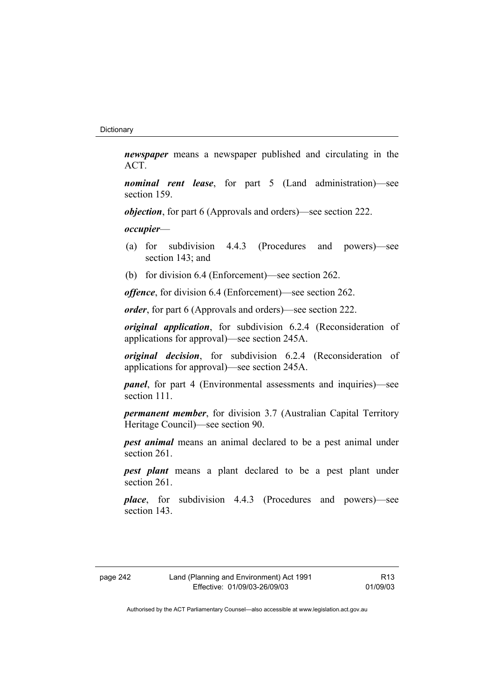*newspaper* means a newspaper published and circulating in the ACT.

*nominal rent lease*, for part 5 (Land administration)—see section 159.

*objection*, for part 6 (Approvals and orders)—see section 222.

*occupier*—

- (a) for subdivision 4.4.3 (Procedures and powers)—see section 143; and
- (b) for division 6.4 (Enforcement)—see section 262.

*offence*, for division 6.4 (Enforcement)—see section 262.

*order*, for part 6 (Approvals and orders)—see section 222.

*original application*, for subdivision 6.2.4 (Reconsideration of applications for approval)—see section 245A.

*original decision*, for subdivision 6.2.4 (Reconsideration of applications for approval)—see section 245A.

*panel*, for part 4 (Environmental assessments and inquiries)—see section 111.

*permanent member*, for division 3.7 (Australian Capital Territory Heritage Council)—see section 90.

*pest animal* means an animal declared to be a pest animal under section 261.

*pest plant* means a plant declared to be a pest plant under section 261.

*place*, for subdivision 4.4.3 (Procedures and powers)—see section 143.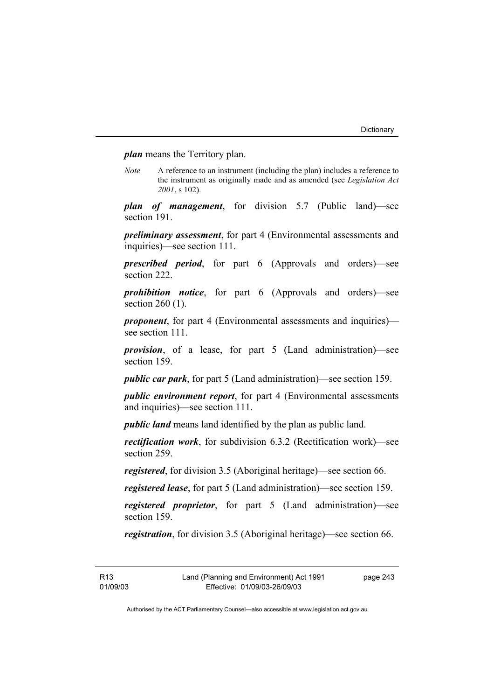*plan* means the Territory plan.

*Note* A reference to an instrument (including the plan) includes a reference to the instrument as originally made and as amended (see *Legislation Act 2001*, s 102).

*plan of management*, for division 5.7 (Public land)—see section 191.

*preliminary assessment*, for part 4 (Environmental assessments and inquiries)—see section 111.

*prescribed period*, for part 6 (Approvals and orders)—see section 222.

*prohibition notice*, for part 6 (Approvals and orders)—see section 260 (1).

*proponent*, for part 4 (Environmental assessments and inquiries) see section 111.

*provision*, of a lease, for part 5 (Land administration)—see section 159.

*public car park*, for part 5 (Land administration)—see section 159.

*public environment report*, for part 4 (Environmental assessments and inquiries)—see section 111.

*public land* means land identified by the plan as public land.

*rectification work*, for subdivision 6.3.2 (Rectification work)—see section 259.

*registered*, for division 3.5 (Aboriginal heritage)—see section 66.

*registered lease*, for part 5 (Land administration)—see section 159.

*registered proprietor*, for part 5 (Land administration)—see section 159.

*registration*, for division 3.5 (Aboriginal heritage)—see section 66.

R13 01/09/03 page 243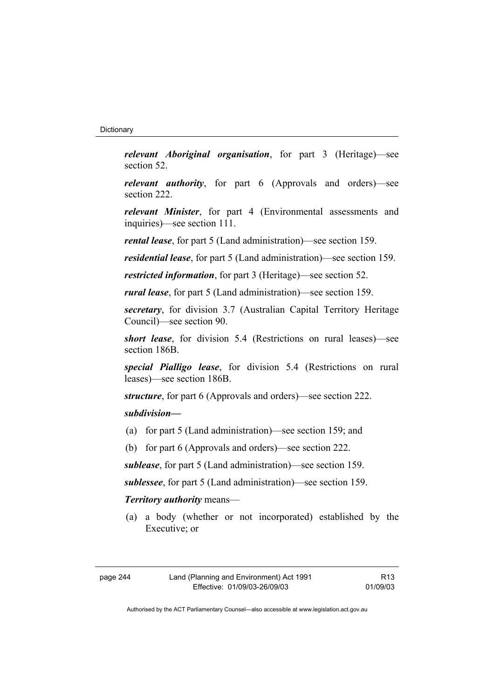*relevant Aboriginal organisation*, for part 3 (Heritage)—see section 52.

*relevant authority*, for part 6 (Approvals and orders)—see section 222.

*relevant Minister*, for part 4 (Environmental assessments and inquiries)—see section 111.

*rental lease*, for part 5 (Land administration)—see section 159.

*residential lease*, for part 5 (Land administration)—see section 159.

*restricted information*, for part 3 (Heritage)—see section 52.

*rural lease*, for part 5 (Land administration)—see section 159.

*secretary*, for division 3.7 (Australian Capital Territory Heritage Council)—see section 90.

*short lease*, for division 5.4 (Restrictions on rural leases)—see section 186B.

*special Pialligo lease*, for division 5.4 (Restrictions on rural leases)—see section 186B.

*structure*, for part 6 (Approvals and orders)—see section 222.

## *subdivision—*

- (a) for part 5 (Land administration)—see section 159; and
- (b) for part 6 (Approvals and orders)—see section 222.

*sublease*, for part 5 (Land administration)—see section 159.

*sublessee*, for part 5 (Land administration)—see section 159.

# *Territory authority* means—

 (a) a body (whether or not incorporated) established by the Executive; or

| page 244 |  |
|----------|--|
|----------|--|

R13 01/09/03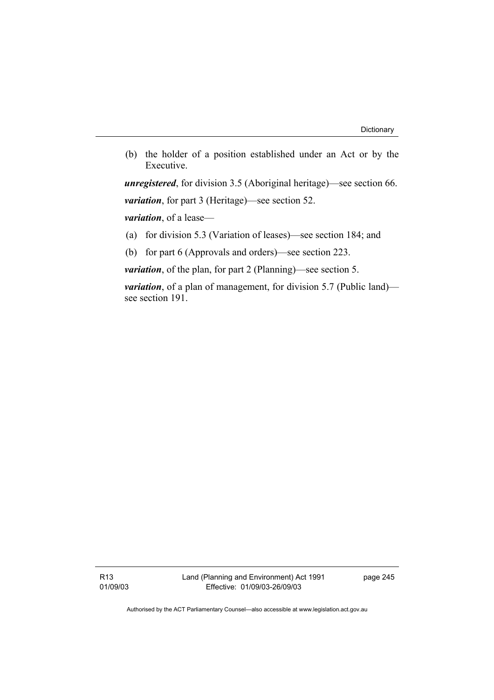(b) the holder of a position established under an Act or by the Executive.

*unregistered*, for division 3.5 (Aboriginal heritage)—see section 66. *variation*, for part 3 (Heritage)—see section 52.

*variation*, of a lease—

(a) for division 5.3 (Variation of leases)—see section 184; and

(b) for part 6 (Approvals and orders)—see section 223.

*variation*, of the plan, for part 2 (Planning)—see section 5.

*variation*, of a plan of management, for division 5.7 (Public land) see section 191.

R13 01/09/03 Land (Planning and Environment) Act 1991 Effective: 01/09/03-26/09/03

page 245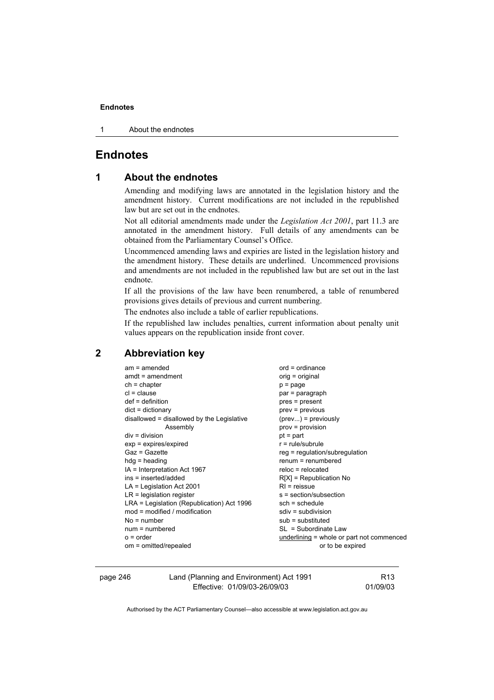1 About the endnotes

# **Endnotes**

# **1 About the endnotes**

Amending and modifying laws are annotated in the legislation history and the amendment history. Current modifications are not included in the republished law but are set out in the endnotes.

Not all editorial amendments made under the *Legislation Act 2001*, part 11.3 are annotated in the amendment history. Full details of any amendments can be obtained from the Parliamentary Counsel's Office.

Uncommenced amending laws and expiries are listed in the legislation history and the amendment history. These details are underlined. Uncommenced provisions and amendments are not included in the republished law but are set out in the last endnote.

If all the provisions of the law have been renumbered, a table of renumbered provisions gives details of previous and current numbering.

The endnotes also include a table of earlier republications.

If the republished law includes penalties, current information about penalty unit values appears on the republication inside front cover.

# **2 Abbreviation key**

| $am = amended$                             | $ord = ordinance$                         |
|--------------------------------------------|-------------------------------------------|
| $amdt = amendment$                         | orig = original                           |
| $ch = chapter$                             | $p = page$                                |
| $cl = clause$                              | par = paragraph                           |
| $def = definition$                         | pres = present                            |
| $dict = dictionary$                        | $prev = previous$                         |
| disallowed = disallowed by the Legislative | $(\text{prev})$ = previously              |
| Assembly                                   | $prov = provision$                        |
| $div =$ division                           | $pt = part$                               |
| $exp = expires/expired$                    | $r = rule/subrule$                        |
| Gaz = Gazette                              | reg = regulation/subregulation            |
| $hdg =$ heading                            | $renum = renumbered$                      |
| $IA = Interpretation Act 1967$             | $reloc = relocated$                       |
| ins = inserted/added                       | $R[X]$ = Republication No                 |
| $LA =$ Legislation Act 2001                | $RI = reissue$                            |
| $LR =$ legislation register                | s = section/subsection                    |
| LRA = Legislation (Republication) Act 1996 | $sch = schedule$                          |
| $mod = modified / modified$                | $sdiv = subdivision$                      |
| $No = number$                              | $sub =$ substituted                       |
| $num = numbered$                           | $SL = Subordinate Law$                    |
| $o = order$                                | underlining = whole or part not commenced |
| om = omitted/repealed                      | or to be expired                          |
|                                            |                                           |

| page 246 | Land (Planning and Environment) Act 1991 | R13      |
|----------|------------------------------------------|----------|
|          | Effective: 01/09/03-26/09/03             | 01/09/03 |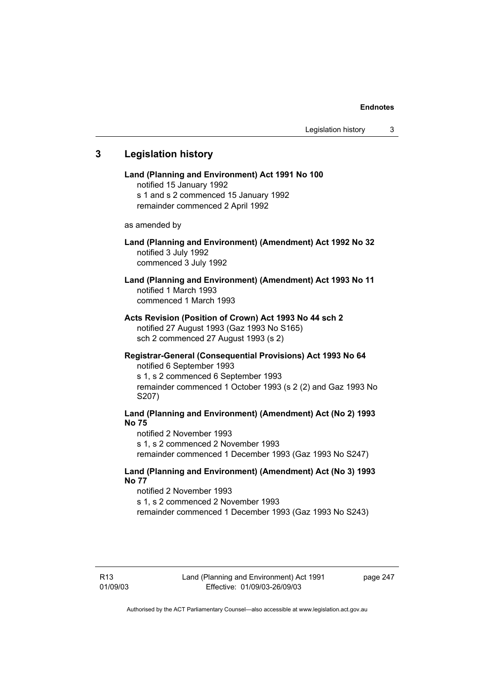# **3 Legislation history**

**Land (Planning and Environment) Act 1991 No 100**  notified 15 January 1992 s 1 and s 2 commenced 15 January 1992 remainder commenced 2 April 1992 as amended by **Land (Planning and Environment) (Amendment) Act 1992 No 32**  notified 3 July 1992 commenced 3 July 1992 **Land (Planning and Environment) (Amendment) Act 1993 No 11**  notified 1 March 1993 commenced 1 March 1993 **Acts Revision (Position of Crown) Act 1993 No 44 sch 2**  notified 27 August 1993 (Gaz 1993 No S165) sch 2 commenced 27 August 1993 (s 2) **Registrar-General (Consequential Provisions) Act 1993 No 64**  notified 6 September 1993 s 1, s 2 commenced 6 September 1993 remainder commenced 1 October 1993 (s 2 (2) and Gaz 1993 No S207) **Land (Planning and Environment) (Amendment) Act (No 2) 1993 No 75**  notified 2 November 1993 s 1, s 2 commenced 2 November 1993 remainder commenced 1 December 1993 (Gaz 1993 No S247) **Land (Planning and Environment) (Amendment) Act (No 3) 1993 No 77** 

notified 2 November 1993 s 1, s 2 commenced 2 November 1993

remainder commenced 1 December 1993 (Gaz 1993 No S243)

page 247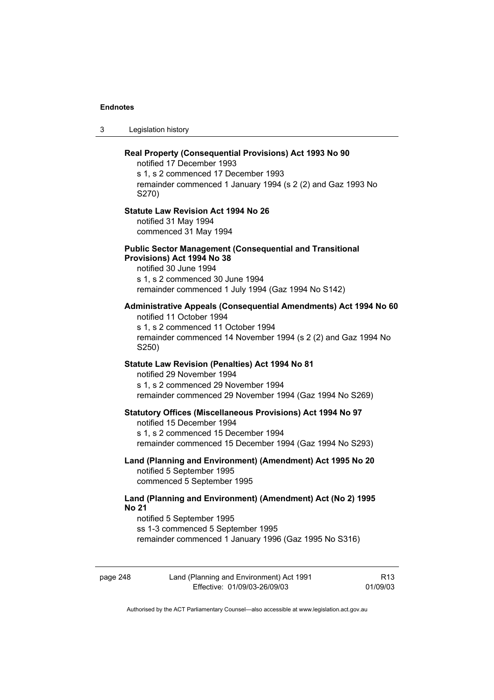3 Legislation history

|          | Real Property (Consequential Provisions) Act 1993 No 90<br>notified 17 December 1993                                                                                                                            |                 |
|----------|-----------------------------------------------------------------------------------------------------------------------------------------------------------------------------------------------------------------|-----------------|
|          | s 1, s 2 commenced 17 December 1993<br>remainder commenced 1 January 1994 (s 2 (2) and Gaz 1993 No<br>S270)                                                                                                     |                 |
|          | <b>Statute Law Revision Act 1994 No 26</b><br>notified 31 May 1994<br>commenced 31 May 1994                                                                                                                     |                 |
|          | <b>Public Sector Management (Consequential and Transitional</b><br>Provisions) Act 1994 No 38<br>notified 30 June 1994<br>s 1, s 2 commenced 30 June 1994<br>remainder commenced 1 July 1994 (Gaz 1994 No S142) |                 |
|          | Administrative Appeals (Consequential Amendments) Act 1994 No 60<br>notified 11 October 1994<br>s 1, s 2 commenced 11 October 1994<br>remainder commenced 14 November 1994 (s 2 (2) and Gaz 1994 No<br>S250)    |                 |
|          | Statute Law Revision (Penalties) Act 1994 No 81<br>notified 29 November 1994<br>s 1, s 2 commenced 29 November 1994<br>remainder commenced 29 November 1994 (Gaz 1994 No S269)                                  |                 |
|          | <b>Statutory Offices (Miscellaneous Provisions) Act 1994 No 97</b><br>notified 15 December 1994<br>s 1, s 2 commenced 15 December 1994<br>remainder commenced 15 December 1994 (Gaz 1994 No S293)               |                 |
|          | Land (Planning and Environment) (Amendment) Act 1995 No 20<br>notified 5 September 1995<br>commenced 5 September 1995                                                                                           |                 |
|          | Land (Planning and Environment) (Amendment) Act (No 2) 1995<br><b>No 21</b><br>notified 5 September 1995<br>ss 1-3 commenced 5 September 1995<br>remainder commenced 1 January 1996 (Gaz 1995 No S316)          |                 |
| page 248 | Land (Planning and Environment) Act 1991                                                                                                                                                                        | R <sub>13</sub> |

Authorised by the ACT Parliamentary Counsel—also accessible at www.legislation.act.gov.au

Effective: 01/09/03-26/09/03

01/09/03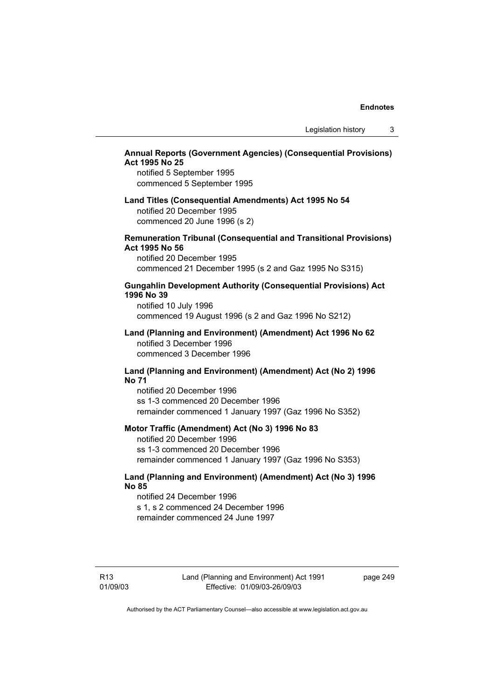# **Annual Reports (Government Agencies) (Consequential Provisions) Act 1995 No 25**

notified 5 September 1995 commenced 5 September 1995

### **Land Titles (Consequential Amendments) Act 1995 No 54**  notified 20 December 1995 commenced 20 June 1996 (s 2)

#### **Remuneration Tribunal (Consequential and Transitional Provisions) Act 1995 No 56**

notified 20 December 1995 commenced 21 December 1995 (s 2 and Gaz 1995 No S315)

#### **Gungahlin Development Authority (Consequential Provisions) Act 1996 No 39**

notified 10 July 1996 commenced 19 August 1996 (s 2 and Gaz 1996 No S212)

#### **Land (Planning and Environment) (Amendment) Act 1996 No 62**  notified 3 December 1996 commenced 3 December 1996

## **Land (Planning and Environment) (Amendment) Act (No 2) 1996 No 71**

notified 20 December 1996 ss 1-3 commenced 20 December 1996 remainder commenced 1 January 1997 (Gaz 1996 No S352)

#### **Motor Traffic (Amendment) Act (No 3) 1996 No 83**

notified 20 December 1996 ss 1-3 commenced 20 December 1996 remainder commenced 1 January 1997 (Gaz 1996 No S353)

## **Land (Planning and Environment) (Amendment) Act (No 3) 1996 No 85**

notified 24 December 1996 s 1, s 2 commenced 24 December 1996 remainder commenced 24 June 1997

R13 01/09/03 Land (Planning and Environment) Act 1991 Effective: 01/09/03-26/09/03

page 249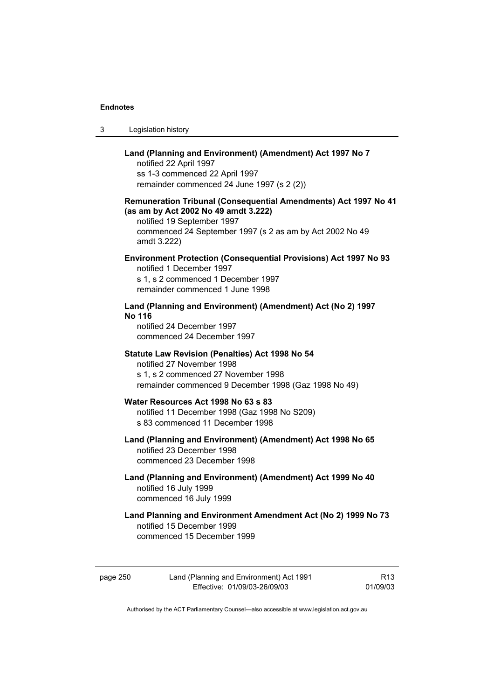| -3 | Legislation history |
|----|---------------------|
|----|---------------------|

# **Land (Planning and Environment) (Amendment) Act 1997 No 7**  notified 22 April 1997 ss 1-3 commenced 22 April 1997 remainder commenced 24 June 1997 (s 2 (2)) **Remuneration Tribunal (Consequential Amendments) Act 1997 No 41 (as am by Act 2002 No 49 amdt 3.222)**  notified 19 September 1997 commenced 24 September 1997 (s 2 as am by Act 2002 No 49 amdt 3.222) **Environment Protection (Consequential Provisions) Act 1997 No 93**  notified 1 December 1997 s 1, s 2 commenced 1 December 1997 remainder commenced 1 June 1998 **Land (Planning and Environment) (Amendment) Act (No 2) 1997 No 116**  notified 24 December 1997 commenced 24 December 1997 **Statute Law Revision (Penalties) Act 1998 No 54**  notified 27 November 1998 s 1, s 2 commenced 27 November 1998 remainder commenced 9 December 1998 (Gaz 1998 No 49) **Water Resources Act 1998 No 63 s 83**  notified 11 December 1998 (Gaz 1998 No S209) s 83 commenced 11 December 1998 **Land (Planning and Environment) (Amendment) Act 1998 No 65**  notified 23 December 1998 commenced 23 December 1998 **Land (Planning and Environment) (Amendment) Act 1999 No 40**  notified 16 July 1999 commenced 16 July 1999 **Land Planning and Environment Amendment Act (No 2) 1999 No 73**  notified 15 December 1999

commenced 15 December 1999

page 250 Land (Planning and Environment) Act 1991 Effective: 01/09/03-26/09/03

R13 01/09/03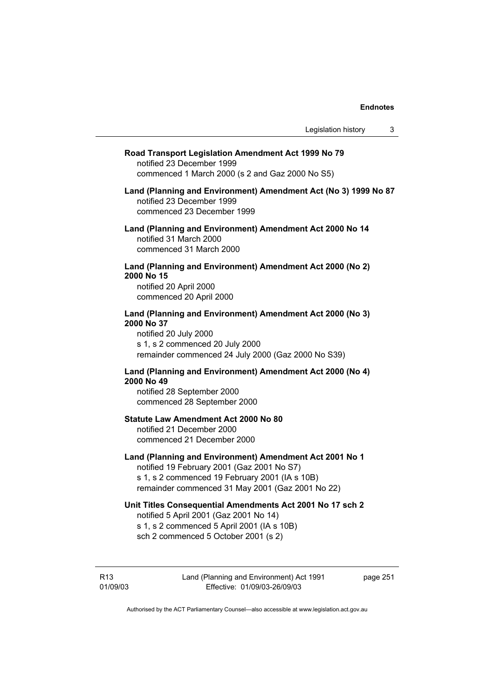| Road Transport Legislation Amendment Act 1999 No 79<br>notified 23 December 1999<br>commenced 1 March 2000 (s 2 and Gaz 2000 No S5)                                                                         |  |
|-------------------------------------------------------------------------------------------------------------------------------------------------------------------------------------------------------------|--|
| Land (Planning and Environment) Amendment Act (No 3) 1999 No 87<br>notified 23 December 1999<br>commenced 23 December 1999                                                                                  |  |
| Land (Planning and Environment) Amendment Act 2000 No 14<br>notified 31 March 2000<br>commenced 31 March 2000                                                                                               |  |
| Land (Planning and Environment) Amendment Act 2000 (No 2)<br>2000 No 15<br>notified 20 April 2000<br>commenced 20 April 2000                                                                                |  |
| Land (Planning and Environment) Amendment Act 2000 (No 3)<br>2000 No 37<br>notified 20 July 2000<br>s 1, s 2 commenced 20 July 2000<br>remainder commenced 24 July 2000 (Gaz 2000 No S39)                   |  |
| Land (Planning and Environment) Amendment Act 2000 (No 4)<br>2000 No 49<br>notified 28 September 2000<br>commenced 28 September 2000                                                                        |  |
| <b>Statute Law Amendment Act 2000 No 80</b><br>notified 21 December 2000<br>commenced 21 December 2000                                                                                                      |  |
| Land (Planning and Environment) Amendment Act 2001 No 1<br>notified 19 February 2001 (Gaz 2001 No S7)<br>s 1, s 2 commenced 19 February 2001 (IA s 10B)<br>remainder commenced 31 May 2001 (Gaz 2001 No 22) |  |
| Unit Titles Consequential Amendments Act 2001 No 17 sch 2<br>notified 5 April 2001 (Gaz 2001 No 14)<br>s 1, s 2 commenced 5 April 2001 (IA s 10B)<br>sch 2 commenced 5 October 2001 (s 2)                   |  |
|                                                                                                                                                                                                             |  |

R13 01/09/03 Land (Planning and Environment) Act 1991 Effective: 01/09/03-26/09/03

page 251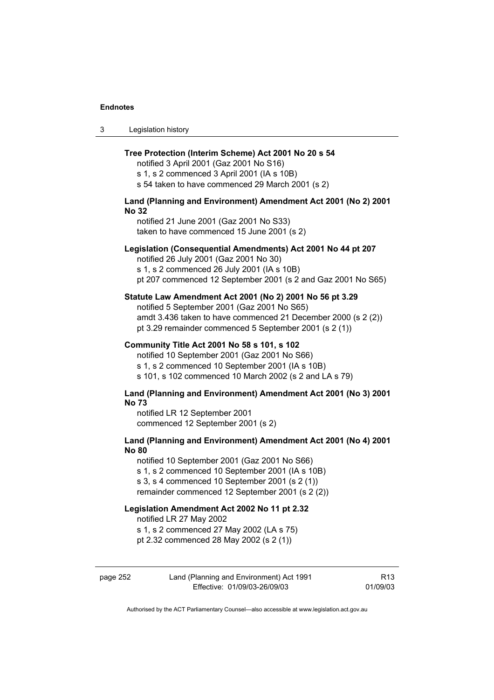3 Legislation history

#### **Tree Protection (Interim Scheme) Act 2001 No 20 s 54**

notified 3 April 2001 (Gaz 2001 No S16) s 1, s 2 commenced 3 April 2001 (IA s 10B) s 54 taken to have commenced 29 March 2001 (s 2)

### **Land (Planning and Environment) Amendment Act 2001 (No 2) 2001 No 32**

notified 21 June 2001 (Gaz 2001 No S33) taken to have commenced 15 June 2001 (s 2)

#### **Legislation (Consequential Amendments) Act 2001 No 44 pt 207**

notified 26 July 2001 (Gaz 2001 No 30)

s 1, s 2 commenced 26 July 2001 (IA s 10B) pt 207 commenced 12 September 2001 (s 2 and Gaz 2001 No S65)

#### **Statute Law Amendment Act 2001 (No 2) 2001 No 56 pt 3.29**

notified 5 September 2001 (Gaz 2001 No S65) amdt 3.436 taken to have commenced 21 December 2000 (s 2 (2)) pt 3.29 remainder commenced 5 September 2001 (s 2 (1))

#### **Community Title Act 2001 No 58 s 101, s 102**

notified 10 September 2001 (Gaz 2001 No S66) s 1, s 2 commenced 10 September 2001 (IA s 10B) s 101, s 102 commenced 10 March 2002 (s 2 and LA s 79)

#### **Land (Planning and Environment) Amendment Act 2001 (No 3) 2001 No 73**

notified LR 12 September 2001 commenced 12 September 2001 (s 2)

### **Land (Planning and Environment) Amendment Act 2001 (No 4) 2001 No 80**

notified 10 September 2001 (Gaz 2001 No S66) s 1, s 2 commenced 10 September 2001 (IA s 10B) s 3, s 4 commenced 10 September 2001 (s 2 (1)) remainder commenced 12 September 2001 (s 2 (2))

#### **Legislation Amendment Act 2002 No 11 pt 2.32**

notified LR 27 May 2002

s 1, s 2 commenced 27 May 2002 (LA s 75)

pt 2.32 commenced 28 May 2002 (s 2 (1))

| page 252 | Land (Planning and Environment) Act 1991 | R <sub>13</sub> |
|----------|------------------------------------------|-----------------|
|          | Effective: 01/09/03-26/09/03             | 01/09/03        |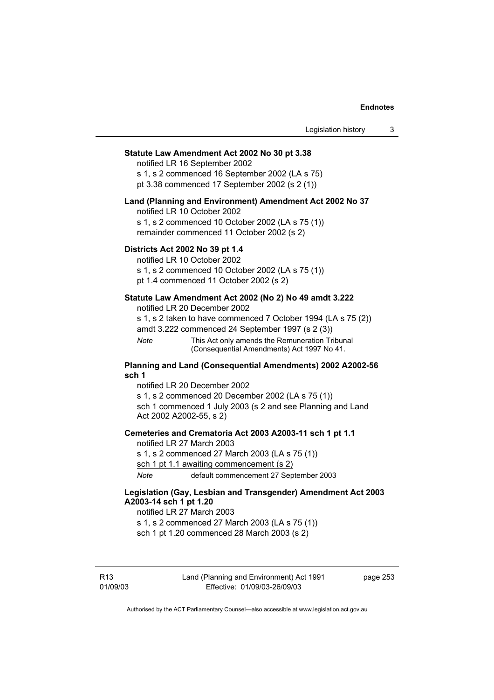#### **Statute Law Amendment Act 2002 No 30 pt 3.38**

notified LR 16 September 2002 s 1, s 2 commenced 16 September 2002 (LA s 75)

pt 3.38 commenced 17 September 2002 (s 2 (1))

#### **Land (Planning and Environment) Amendment Act 2002 No 37**

notified LR 10 October 2002

s 1, s 2 commenced 10 October 2002 (LA s 75 (1)) remainder commenced 11 October 2002 (s 2)

#### **Districts Act 2002 No 39 pt 1.4**

notified LR 10 October 2002

s 1, s 2 commenced 10 October 2002 (LA s 75 (1))

pt 1.4 commenced 11 October 2002 (s 2)

# **Statute Law Amendment Act 2002 (No 2) No 49 amdt 3.222**

notified LR 20 December 2002

s 1, s 2 taken to have commenced 7 October 1994 (LA s 75 (2)) amdt 3.222 commenced 24 September 1997 (s 2 (3))

*Note* This Act only amends the Remuneration Tribunal (Consequential Amendments) Act 1997 No 41.

#### **Planning and Land (Consequential Amendments) 2002 A2002-56 sch 1**

notified LR 20 December 2002 s 1, s 2 commenced 20 December 2002 (LA s 75 (1)) sch 1 commenced 1 July 2003 (s 2 and see Planning and Land Act 2002 A2002-55, s 2)

#### **Cemeteries and Crematoria Act 2003 A2003-11 sch 1 pt 1.1**

notified LR 27 March 2003 s 1, s 2 commenced 27 March 2003 (LA s 75 (1)) sch 1 pt 1.1 awaiting commencement (s 2) *Note* default commencement 27 September 2003

#### **Legislation (Gay, Lesbian and Transgender) Amendment Act 2003 A2003-14 sch 1 pt 1.20**

#### notified LR 27 March 2003

s 1, s 2 commenced 27 March 2003 (LA s 75 (1)) sch 1 pt 1.20 commenced 28 March 2003 (s 2)

R13 01/09/03 Land (Planning and Environment) Act 1991 Effective: 01/09/03-26/09/03

page 253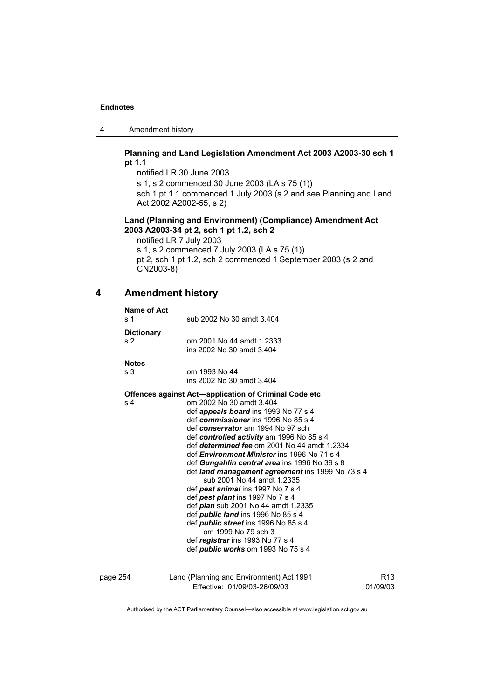4 Amendment history

## **Planning and Land Legislation Amendment Act 2003 A2003-30 sch 1 pt 1.1**

notified LR 30 June 2003 s 1, s 2 commenced 30 June 2003 (LA s 75 (1)) sch 1 pt 1.1 commenced 1 July 2003 (s 2 and see Planning and Land Act 2002 A2002-55, s 2)

## **Land (Planning and Environment) (Compliance) Amendment Act 2003 A2003-34 pt 2, sch 1 pt 1.2, sch 2**

notified LR 7 July 2003 s 1, s 2 commenced 7 July 2003 (LA s 75 (1)) pt 2, sch 1 pt 1.2, sch 2 commenced 1 September 2003 (s 2 and CN2003-8)

# **4 Amendment history**

| <b>Name of Act</b><br>s <sub>1</sub> | sub 2002 No 30 amdt 3.404                                                                                                                                                                                                                                                                                                                                                                                                                                                                                                                                                                                                                                                                                                                                                                                                     |                             |
|--------------------------------------|-------------------------------------------------------------------------------------------------------------------------------------------------------------------------------------------------------------------------------------------------------------------------------------------------------------------------------------------------------------------------------------------------------------------------------------------------------------------------------------------------------------------------------------------------------------------------------------------------------------------------------------------------------------------------------------------------------------------------------------------------------------------------------------------------------------------------------|-----------------------------|
| <b>Dictionary</b><br>s <sub>2</sub>  | om 2001 No 44 amdt 1.2333<br>ins 2002 No 30 amdt 3.404                                                                                                                                                                                                                                                                                                                                                                                                                                                                                                                                                                                                                                                                                                                                                                        |                             |
| <b>Notes</b><br>s <sub>3</sub>       | om 1993 No 44<br>ins 2002 No 30 amdt 3.404                                                                                                                                                                                                                                                                                                                                                                                                                                                                                                                                                                                                                                                                                                                                                                                    |                             |
| s <sub>4</sub>                       | Offences against Act-application of Criminal Code etc<br>om 2002 No 30 amdt 3.404<br>def <i>appeals board</i> ins 1993 No 77 s 4<br>def commissioner ins 1996 No 85 s 4<br>def conservator am 1994 No 97 sch<br>def controlled activity am 1996 No 85 s 4<br>def determined fee om 2001 No 44 amdt 1.2334<br>def <i>Environment Minister</i> ins 1996 No 71 s 4<br>def Gungahlin central area ins 1996 No 39 s 8<br>def land management agreement ins 1999 No 73 s 4<br>sub 2001 No 44 amdt 1.2335<br>def pest animal ins 1997 No 7 s 4<br>def pest plant ins 1997 No 7 s 4<br>def <i>plan</i> sub 2001 No 44 amdt 1.2335<br>def <i>public land</i> ins 1996 No 85 s 4<br>def <i>public</i> street ins 1996 No 85 s 4<br>om 1999 No 79 sch 3<br>def registrar ins 1993 No 77 s 4<br>def <i>public</i> works om 1993 No 75 s 4 |                             |
| page 254                             | Land (Planning and Environment) Act 1991<br>Effective: 01/09/03-26/09/03                                                                                                                                                                                                                                                                                                                                                                                                                                                                                                                                                                                                                                                                                                                                                      | R <sub>13</sub><br>01/09/03 |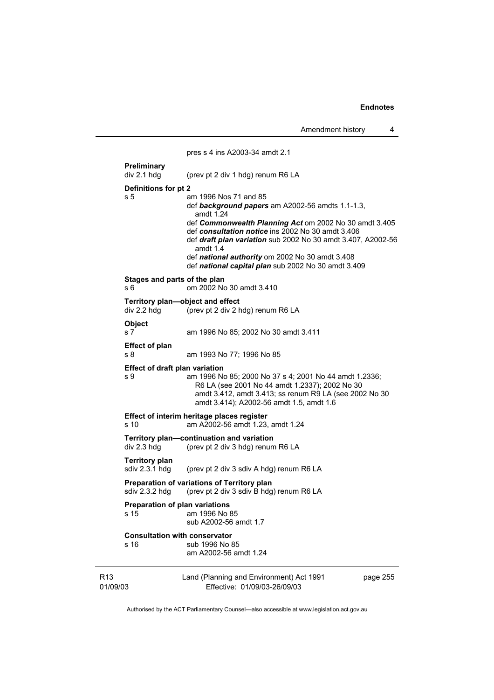Amendment history 4

|                             |                                                 | pres s 4 ins A2003-34 amdt 2.1                                                                                                                                                                                                                                                                                                                                                                     |          |
|-----------------------------|-------------------------------------------------|----------------------------------------------------------------------------------------------------------------------------------------------------------------------------------------------------------------------------------------------------------------------------------------------------------------------------------------------------------------------------------------------------|----------|
|                             | Preliminary<br>div 2.1 hdg                      | (prev pt 2 div 1 hdg) renum R6 LA                                                                                                                                                                                                                                                                                                                                                                  |          |
|                             | Definitions for pt 2<br>s 5                     | am 1996 Nos 71 and 85<br>def background papers am A2002-56 amdts 1.1-1.3,<br>amdt 1.24<br>def Commonwealth Planning Act om 2002 No 30 amdt 3.405<br>def consultation notice ins 2002 No 30 amdt 3.406<br>def <i>draft plan variation</i> sub 2002 No 30 amdt 3.407, A2002-56<br>amdt 1.4<br>def national authority om 2002 No 30 amdt 3.408<br>def national capital plan sub 2002 No 30 amdt 3.409 |          |
|                             | Stages and parts of the plan<br>s 6             | om 2002 No 30 amdt 3.410                                                                                                                                                                                                                                                                                                                                                                           |          |
|                             | Territory plan-object and effect<br>div 2.2 hdg | (prev pt 2 div 2 hdg) renum R6 LA                                                                                                                                                                                                                                                                                                                                                                  |          |
|                             | Object<br>s 7                                   | am 1996 No 85; 2002 No 30 amdt 3.411                                                                                                                                                                                                                                                                                                                                                               |          |
|                             | <b>Effect of plan</b><br>s 8                    | am 1993 No 77; 1996 No 85                                                                                                                                                                                                                                                                                                                                                                          |          |
|                             | <b>Effect of draft plan variation</b><br>s 9    | am 1996 No 85; 2000 No 37 s 4; 2001 No 44 amdt 1.2336;<br>R6 LA (see 2001 No 44 amdt 1.2337); 2002 No 30<br>amdt 3.412, amdt 3.413; ss renum R9 LA (see 2002 No 30<br>amdt 3.414); A2002-56 amdt 1.5, amdt 1.6                                                                                                                                                                                     |          |
|                             | s 10                                            | Effect of interim heritage places register<br>am A2002-56 amdt 1.23, amdt 1.24                                                                                                                                                                                                                                                                                                                     |          |
|                             | div 2.3 hdg                                     | Territory plan-continuation and variation<br>(prev pt 2 div 3 hdg) renum R6 LA                                                                                                                                                                                                                                                                                                                     |          |
|                             | <b>Territory plan</b><br>sdiv 2.3.1 hdg         | (prev pt 2 div 3 sdiv A hdg) renum R6 LA                                                                                                                                                                                                                                                                                                                                                           |          |
|                             | sdiv 2.3.2 hdg                                  | Preparation of variations of Territory plan<br>(prev pt 2 div 3 sdiv B hdg) renum R6 LA                                                                                                                                                                                                                                                                                                            |          |
|                             | <b>Preparation of plan variations</b><br>s 15   | am 1996 No 85<br>sub A2002-56 amdt 1.7                                                                                                                                                                                                                                                                                                                                                             |          |
|                             | <b>Consultation with conservator</b><br>s 16    | sub 1996 No 85<br>am A2002-56 amdt 1.24                                                                                                                                                                                                                                                                                                                                                            |          |
| R <sub>13</sub><br>01/09/03 |                                                 | Land (Planning and Environment) Act 1991<br>Effective: 01/09/03-26/09/03                                                                                                                                                                                                                                                                                                                           | page 255 |

Authorised by the ACT Parliamentary Counsel—also accessible at www.legislation.act.gov.au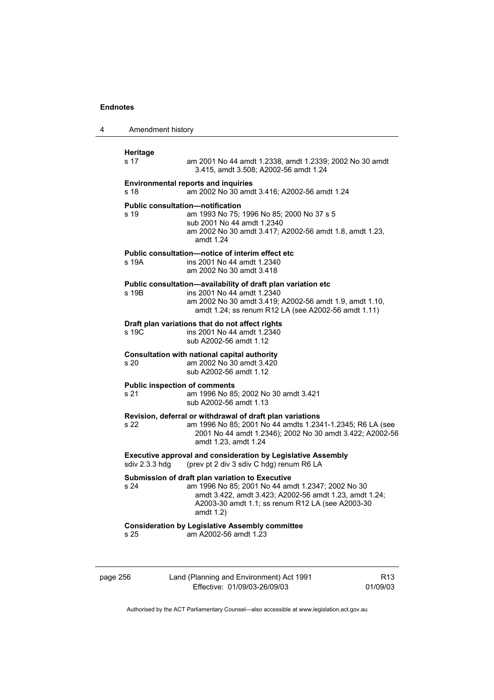| 4        | Amendment history                            |                                                                                                                                                                                                                                    |                 |
|----------|----------------------------------------------|------------------------------------------------------------------------------------------------------------------------------------------------------------------------------------------------------------------------------------|-----------------|
|          | <b>Heritage</b><br>s 17                      | am 2001 No 44 amdt 1.2338, amdt 1.2339; 2002 No 30 amdt<br>3.415, amdt 3.508; A2002-56 amdt 1.24                                                                                                                                   |                 |
|          | s 18                                         | <b>Environmental reports and inquiries</b><br>am 2002 No 30 amdt 3.416; A2002-56 amdt 1.24                                                                                                                                         |                 |
|          | s 19                                         | <b>Public consultation—notification</b><br>am 1993 No 75; 1996 No 85; 2000 No 37 s 5<br>sub 2001 No 44 amdt 1.2340<br>am 2002 No 30 amdt 3.417; A2002-56 amdt 1.8, amdt 1.23,<br>amdt 1.24                                         |                 |
|          | s 19A                                        | Public consultation—notice of interim effect etc<br>ins 2001 No 44 amdt 1.2340<br>am 2002 No 30 amdt 3.418                                                                                                                         |                 |
|          | s 19B                                        | Public consultation-availability of draft plan variation etc<br>ins 2001 No 44 amdt 1.2340<br>am 2002 No 30 amdt 3.419; A2002-56 amdt 1.9, amdt 1.10,<br>amdt 1.24; ss renum R12 LA (see A2002-56 amdt 1.11)                       |                 |
|          | s 19C                                        | Draft plan variations that do not affect rights<br>ins 2001 No 44 amdt 1.2340<br>sub A2002-56 amdt 1.12                                                                                                                            |                 |
|          | s 20                                         | Consultation with national capital authority<br>am 2002 No 30 amdt 3.420<br>sub A2002-56 amdt 1.12                                                                                                                                 |                 |
|          | <b>Public inspection of comments</b><br>s 21 | am 1996 No 85; 2002 No 30 amdt 3.421<br>sub A2002-56 amdt 1.13                                                                                                                                                                     |                 |
|          | s 22                                         | Revision, deferral or withdrawal of draft plan variations<br>am 1996 No 85; 2001 No 44 amdts 1.2341-1.2345; R6 LA (see<br>2001 No 44 amdt 1.2346); 2002 No 30 amdt 3.422; A2002-56<br>amdt 1.23, amdt 1.24                         |                 |
|          | sdiv 2.3.3 hdg                               | <b>Executive approval and consideration by Legislative Assembly</b><br>(prev pt 2 div 3 sdiv C hdg) renum R6 LA                                                                                                                    |                 |
|          | s 24                                         | Submission of draft plan variation to Executive<br>am 1996 No 85; 2001 No 44 amdt 1.2347; 2002 No 30<br>amdt 3.422, amdt 3.423; A2002-56 amdt 1.23, amdt 1.24;<br>A2003-30 amdt 1.1; ss renum R12 LA (see A2003-30<br>amdt $1.2$ ) |                 |
|          | s 25                                         | <b>Consideration by Legislative Assembly committee</b><br>am A2002-56 amdt 1.23                                                                                                                                                    |                 |
| page 256 |                                              | Land (Planning and Environment) Act 1991                                                                                                                                                                                           | R <sub>13</sub> |

Authorised by the ACT Parliamentary Counsel—also accessible at www.legislation.act.gov.au

01/09/03

Effective: 01/09/03-26/09/03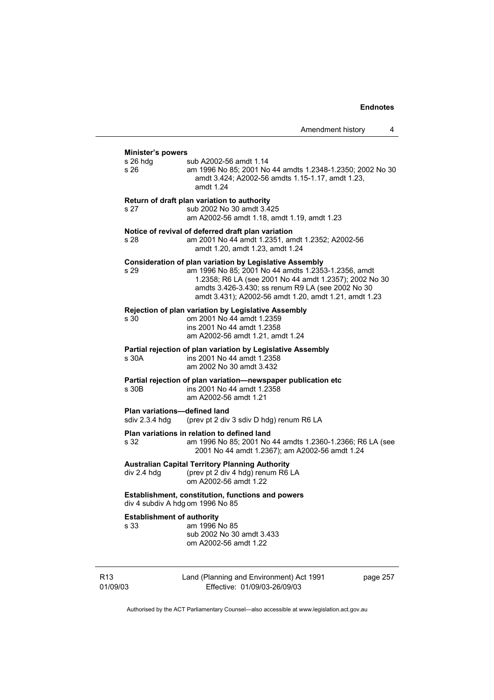| <b>Minister's powers</b>                       |                                                                                                                                                                                                                                                                                               |
|------------------------------------------------|-----------------------------------------------------------------------------------------------------------------------------------------------------------------------------------------------------------------------------------------------------------------------------------------------|
| s 26 hdq<br>s 26                               | sub A2002-56 amdt 1.14<br>am 1996 No 85; 2001 No 44 amdts 1.2348-1.2350; 2002 No 30<br>amdt 3.424; A2002-56 amdts 1.15-1.17, amdt 1.23,<br>amdt 1.24                                                                                                                                          |
| s 27                                           | Return of draft plan variation to authority<br>sub 2002 No 30 amdt 3.425<br>am A2002-56 amdt 1.18, amdt 1.19, amdt 1.23                                                                                                                                                                       |
| s 28                                           | Notice of revival of deferred draft plan variation<br>am 2001 No 44 amdt 1.2351, amdt 1.2352; A2002-56<br>amdt 1.20, amdt 1.23, amdt 1.24                                                                                                                                                     |
| s 29                                           | <b>Consideration of plan variation by Legislative Assembly</b><br>am 1996 No 85; 2001 No 44 amdts 1.2353-1.2356, amdt<br>1.2358; R6 LA (see 2001 No 44 amdt 1.2357); 2002 No 30<br>amdts 3.426-3.430; ss renum R9 LA (see 2002 No 30<br>amdt 3.431); A2002-56 amdt 1.20, amdt 1.21, amdt 1.23 |
| s 30                                           | Rejection of plan variation by Legislative Assembly<br>om 2001 No 44 amdt 1.2359<br>ins 2001 No 44 amdt 1.2358<br>am A2002-56 amdt 1.21, amdt 1.24                                                                                                                                            |
| s 30A                                          | Partial rejection of plan variation by Legislative Assembly<br>ins 2001 No 44 amdt 1.2358<br>am 2002 No 30 amdt 3.432                                                                                                                                                                         |
| s 30B                                          | Partial rejection of plan variation-newspaper publication etc<br>ins 2001 No 44 amdt 1.2358<br>am A2002-56 amdt 1.21                                                                                                                                                                          |
| Plan variations-defined land<br>sdiv 2.3.4 hdg | (prev pt 2 div 3 sdiv D hdg) renum R6 LA                                                                                                                                                                                                                                                      |
| s 32                                           | Plan variations in relation to defined land<br>am 1996 No 85; 2001 No 44 amdts 1.2360-1.2366; R6 LA (see<br>2001 No 44 amdt 1.2367); am A2002-56 amdt 1.24                                                                                                                                    |
| div 2.4 hdg                                    | <b>Australian Capital Territory Planning Authority</b><br>(prev pt 2 div 4 hdg) renum R6 LA<br>om A2002-56 amdt 1.22                                                                                                                                                                          |
| div 4 subdiv A hdg om 1996 No 85               | Establishment, constitution, functions and powers                                                                                                                                                                                                                                             |
| <b>Establishment of authority</b><br>s 33      | am 1996 No 85<br>sub 2002 No 30 amdt 3.433<br>om A2002-56 amdt 1.22                                                                                                                                                                                                                           |

R13 01/09/03 Land (Planning and Environment) Act 1991 Effective: 01/09/03-26/09/03

page 257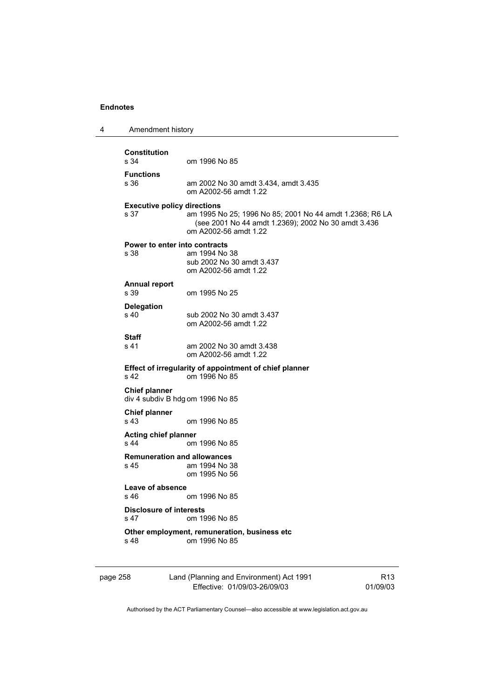| 4        | Amendment history                          |                                                                                                                                          |                 |
|----------|--------------------------------------------|------------------------------------------------------------------------------------------------------------------------------------------|-----------------|
|          | <b>Constitution</b>                        |                                                                                                                                          |                 |
|          | s 34                                       | om 1996 No 85                                                                                                                            |                 |
|          | <b>Functions</b><br>s 36                   | am 2002 No 30 amdt 3.434, amdt 3.435<br>om A2002-56 amdt 1.22                                                                            |                 |
|          | <b>Executive policy directions</b><br>s 37 | am 1995 No 25; 1996 No 85; 2001 No 44 amdt 1.2368; R6 LA<br>(see 2001 No 44 amdt 1.2369); 2002 No 30 amdt 3.436<br>om A2002-56 amdt 1.22 |                 |
|          | s 38                                       | Power to enter into contracts<br>am 1994 No 38<br>sub 2002 No 30 amdt 3.437<br>om A2002-56 amdt 1.22                                     |                 |
|          | <b>Annual report</b><br>s 39               | om 1995 No 25                                                                                                                            |                 |
|          | <b>Delegation</b><br>s <sub>40</sub>       | sub 2002 No 30 amdt 3.437<br>om A2002-56 amdt 1.22                                                                                       |                 |
|          | <b>Staff</b><br>s 41                       | am 2002 No 30 amdt 3.438<br>om A2002-56 amdt 1.22                                                                                        |                 |
|          | s 42                                       | Effect of irregularity of appointment of chief planner<br>om 1996 No 85                                                                  |                 |
|          | <b>Chief planner</b>                       | div 4 subdiv B hdg om 1996 No 85                                                                                                         |                 |
|          | <b>Chief planner</b><br>s 43               | om 1996 No 85                                                                                                                            |                 |
|          | <b>Acting chief planner</b><br>s 44        | om 1996 No 85                                                                                                                            |                 |
|          | s 45                                       | <b>Remuneration and allowances</b><br>am 1994 No 38<br>om 1995 No 56                                                                     |                 |
|          | Leave of absence<br>s 46.                  | om 1996 No 85                                                                                                                            |                 |
|          | <b>Disclosure of interests</b><br>s 47     | om 1996 No 85                                                                                                                            |                 |
|          | s 48                                       | Other employment, remuneration, business etc<br>om 1996 No 85                                                                            |                 |
| page 258 |                                            | Land (Planning and Environment) Act 1991                                                                                                 | R <sub>13</sub> |

Authorised by the ACT Parliamentary Counsel—also accessible at www.legislation.act.gov.au

Effective: 01/09/03-26/09/03

01/09/03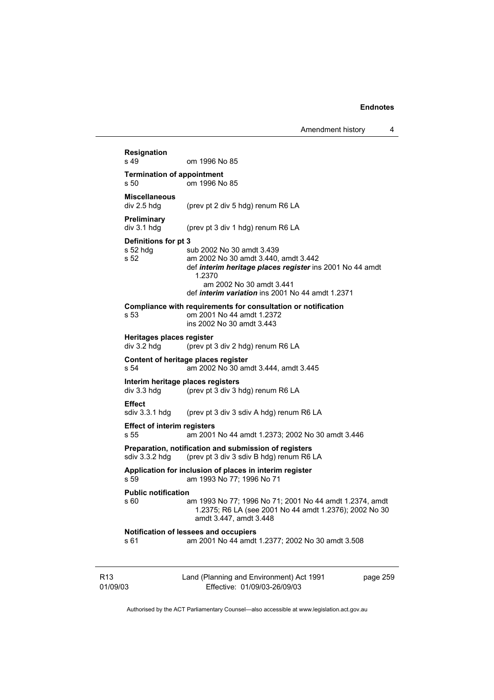|                             | Resignation<br>s 49                              | om 1996 No 85                                                                                                                                                                                                                  |          |
|-----------------------------|--------------------------------------------------|--------------------------------------------------------------------------------------------------------------------------------------------------------------------------------------------------------------------------------|----------|
|                             | <b>Termination of appointment</b>                |                                                                                                                                                                                                                                |          |
|                             | s 50                                             | om 1996 No 85                                                                                                                                                                                                                  |          |
|                             | <b>Miscellaneous</b><br>div 2.5 hdg              | (prev pt 2 div 5 hdg) renum R6 LA                                                                                                                                                                                              |          |
|                             | Preliminary<br>div 3.1 hdg                       | (prev pt 3 div 1 hdg) renum R6 LA                                                                                                                                                                                              |          |
|                             | Definitions for pt 3<br>$s52$ hdg<br>s 52        | sub 2002 No 30 amdt 3.439<br>am 2002 No 30 amdt 3.440, amdt 3.442<br>def interim heritage places register ins 2001 No 44 amdt<br>1.2370<br>am 2002 No 30 amdt 3.441<br>def <i>interim variation</i> ins 2001 No 44 amdt 1.2371 |          |
|                             | s 53                                             | Compliance with requirements for consultation or notification<br>om 2001 No 44 amdt 1.2372<br>ins 2002 No 30 amdt 3.443                                                                                                        |          |
|                             | Heritages places register<br>div 3.2 hdg         | (prev pt 3 div 2 hdg) renum R6 LA                                                                                                                                                                                              |          |
|                             | s 54                                             | Content of heritage places register<br>am 2002 No 30 amdt 3.444, amdt 3.445                                                                                                                                                    |          |
|                             | Interim heritage places registers<br>div 3.3 hdg | (prev pt 3 div 3 hdg) renum R6 LA                                                                                                                                                                                              |          |
|                             | <b>Effect</b><br>sdiv 3.3.1 hdg                  | (prev pt 3 div 3 sdiv A hdg) renum R6 LA                                                                                                                                                                                       |          |
|                             | <b>Effect of interim registers</b><br>s 55       | am 2001 No 44 amdt 1.2373; 2002 No 30 amdt 3.446                                                                                                                                                                               |          |
|                             | sdiv 3.3.2 hdg                                   | Preparation, notification and submission of registers<br>(prev pt 3 div 3 sdiv B hdg) renum R6 LA                                                                                                                              |          |
|                             | s 59                                             | Application for inclusion of places in interim register<br>am 1993 No 77; 1996 No 71                                                                                                                                           |          |
|                             | <b>Public notification</b><br>s 60               | am 1993 No 77; 1996 No 71; 2001 No 44 amdt 1.2374, amdt<br>1.2375; R6 LA (see 2001 No 44 amdt 1.2376); 2002 No 30<br>amdt 3.447, amdt 3.448                                                                                    |          |
|                             | s 61                                             | Notification of lessees and occupiers<br>am 2001 No 44 amdt 1.2377; 2002 No 30 amdt 3.508                                                                                                                                      |          |
| R <sub>13</sub><br>01/09/03 |                                                  | Land (Planning and Environment) Act 1991<br>Effective: 01/09/03-26/09/03                                                                                                                                                       | page 259 |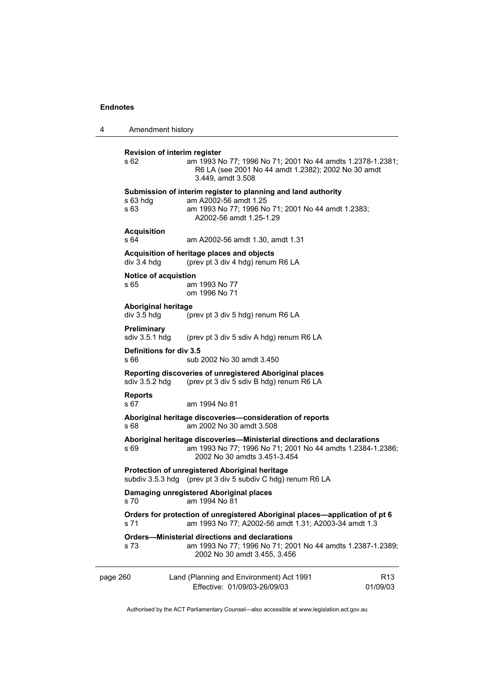| 4                                                            | Amendment history                                                                              |                                                                                                                                                                         |                             |
|--------------------------------------------------------------|------------------------------------------------------------------------------------------------|-------------------------------------------------------------------------------------------------------------------------------------------------------------------------|-----------------------------|
|                                                              | Revision of interim register<br>s 62                                                           | am 1993 No 77; 1996 No 71; 2001 No 44 amdts 1.2378-1.2381;<br>R6 LA (see 2001 No 44 amdt 1.2382); 2002 No 30 amdt<br>3.449, amdt 3.508                                  |                             |
|                                                              | s 63 hda<br>s 63                                                                               | Submission of interim register to planning and land authority<br>am A2002-56 amdt 1.25<br>am 1993 No 77; 1996 No 71; 2001 No 44 amdt 1.2383;<br>A2002-56 amdt 1.25-1.29 |                             |
|                                                              | <b>Acquisition</b><br>s 64                                                                     | am A2002-56 amdt 1.30, amdt 1.31                                                                                                                                        |                             |
|                                                              | Acquisition of heritage places and objects<br>div 3.4 hdg<br>(prev pt 3 div 4 hdg) renum R6 LA |                                                                                                                                                                         |                             |
|                                                              | Notice of acquistion<br>s 65                                                                   | am 1993 No 77<br>om 1996 No 71                                                                                                                                          |                             |
|                                                              | <b>Aboriginal heritage</b><br>div 3.5 hdg                                                      | (prev pt 3 div 5 hdg) renum R6 LA                                                                                                                                       |                             |
|                                                              | Preliminary<br>sdiv 3.5.1 hdg                                                                  | (prev pt 3 div 5 sdiv A hdg) renum R6 LA                                                                                                                                |                             |
| Definitions for div 3.5<br>s 66<br>sub 2002 No 30 amdt 3.450 |                                                                                                |                                                                                                                                                                         |                             |
| sdiv $3.5.2$ hdg                                             |                                                                                                | Reporting discoveries of unregistered Aboriginal places<br>(prev pt 3 div 5 sdiv B hdg) renum R6 LA                                                                     |                             |
|                                                              | <b>Reports</b><br>s 67                                                                         | am 1994 No 81                                                                                                                                                           |                             |
|                                                              | s 68                                                                                           | Aboriginal heritage discoveries-consideration of reports<br>am 2002 No 30 amdt 3.508                                                                                    |                             |
|                                                              | s 69                                                                                           | Aboriginal heritage discoveries-Ministerial directions and declarations<br>am 1993 No 77; 1996 No 71; 2001 No 44 amdts 1.2384-1.2386;<br>2002 No 30 amdts 3.451-3.454   |                             |
|                                                              |                                                                                                | Protection of unregistered Aboriginal heritage<br>subdiv 3.5.3 hdg (prev pt 3 div 5 subdiv C hdg) renum R6 LA                                                           |                             |
|                                                              | s 70                                                                                           | Damaging unregistered Aboriginal places<br>am 1994 No 81                                                                                                                |                             |
|                                                              | s 71                                                                                           | Orders for protection of unregistered Aboriginal places—application of pt 6<br>am 1993 No 77; A2002-56 amdt 1.31; A2003-34 amdt 1.3                                     |                             |
|                                                              | s 73                                                                                           | <b>Orders-Ministerial directions and declarations</b><br>am 1993 No 77; 1996 No 71; 2001 No 44 amdts 1.2387-1.2389;<br>2002 No 30 amdt 3.455, 3.456                     |                             |
| page 260                                                     |                                                                                                | Land (Planning and Environment) Act 1991<br>Effective: 01/09/03-26/09/03                                                                                                | R <sub>13</sub><br>01/09/03 |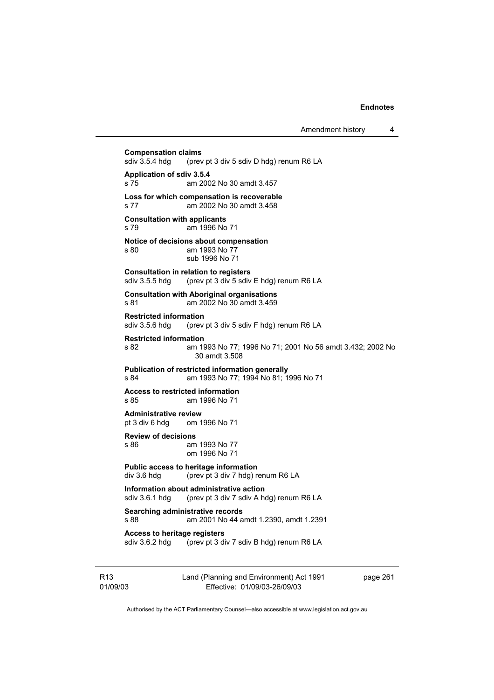**Compensation claims**<br>sdiv 3.5.4 hdg (prev (prev pt 3 div 5 sdiv D hdg) renum R6 LA **Application of sdiv 3.5.4**  s 75 am 2002 No 30 amdt 3.457 **Loss for which compensation is recoverable**  s 77 am 2002 No 30 amdt 3.458 **Consultation with applicants**  s 79 am 1996 No 71 **Notice of decisions about compensation**  s 80 am 1993 No 77 sub 1996 No 71 **Consultation in relation to registers**  sdiv 3.5.5 hdg (prev pt 3 div 5 sdiv E hdg) renum R6 LA **Consultation with Aboriginal organisations**  s 81 am 2002 No 30 amdt 3.459 **Restricted information**<br>sdiv 3.5.6 hdg (prev (prev pt 3 div 5 sdiv F hdg) renum R6 LA **Restricted information**  s 82 am 1993 No 77; 1996 No 71; 2001 No 56 amdt 3.432; 2002 No 30 amdt 3.508 **Publication of restricted information generally**  s 84 am 1993 No 77; 1994 No 81; 1996 No 71 **Access to restricted information**  s 85 am 1996 No 71 **Administrative review** pt 3 div 6 hdq om 1 om 1996 No 71 **Review of decisions**  s 86 am 1993 No 77 om 1996 No 71 **Public access to heritage information**  div 3.6 hdg (prev pt 3 div 7 hdg) renum R6 LA **Information about administrative action**<br>sdiv 3.6.1 hdg (prev pt 3 div 7 sdiv A ho (prev pt 3 div 7 sdiv A hdg) renum R6 LA **Searching administrative records**  s 88 am 2001 No 44 amdt 1.2390, amdt 1.2391 **Access to heritage registers**  sdiv 3.6.2 hdg (prev pt 3 div 7 sdiv B hdg) renum R6 LA

R13 01/09/03 Land (Planning and Environment) Act 1991 Effective: 01/09/03-26/09/03

page 261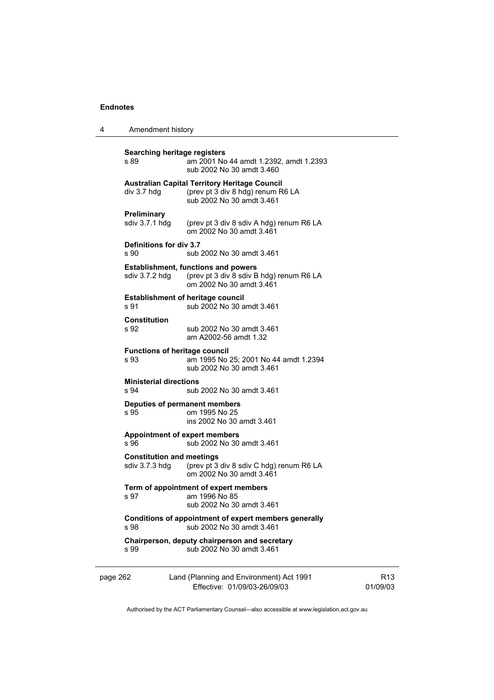| 4        | Amendment history                                                                           |                                                                                                                        |  |  |
|----------|---------------------------------------------------------------------------------------------|------------------------------------------------------------------------------------------------------------------------|--|--|
|          | Searching heritage registers<br>s 89                                                        | am 2001 No 44 amdt 1.2392, amdt 1.2393<br>sub 2002 No 30 amdt 3.460                                                    |  |  |
|          | div 3.7 hdg                                                                                 | <b>Australian Capital Territory Heritage Council</b><br>(prev pt 3 div 8 hdg) renum R6 LA<br>sub 2002 No 30 amdt 3.461 |  |  |
|          | Preliminary<br>sdiv 3.7.1 hdg                                                               | (prev pt 3 div 8 sdiv A hdg) renum R6 LA<br>om 2002 No 30 amdt 3.461                                                   |  |  |
|          | Definitions for div 3.7<br>s 90                                                             | sub 2002 No 30 amdt 3.461                                                                                              |  |  |
|          | sdiv $3.7.2$ hdg                                                                            | <b>Establishment, functions and powers</b><br>(prev pt 3 div 8 sdiv B hdg) renum R6 LA<br>om 2002 No 30 amdt 3.461     |  |  |
|          | <b>Establishment of heritage council</b><br>sub 2002 No 30 amdt 3.461<br>s 91               |                                                                                                                        |  |  |
|          | <b>Constitution</b><br>s 92                                                                 | sub 2002 No 30 amdt 3.461<br>am A2002-56 amdt 1.32                                                                     |  |  |
|          | <b>Functions of heritage council</b><br>s 93                                                | am 1995 No 25: 2001 No 44 amdt 1.2394<br>sub 2002 No 30 amdt 3.461                                                     |  |  |
|          | <b>Ministerial directions</b><br>s 94                                                       | sub 2002 No 30 amdt 3.461                                                                                              |  |  |
|          | Deputies of permanent members<br>s 95                                                       | om 1995 No 25<br>ins 2002 No 30 amdt 3.461                                                                             |  |  |
|          | <b>Appointment of expert members</b><br>s 96<br>sub 2002 No 30 amdt 3.461                   |                                                                                                                        |  |  |
|          | <b>Constitution and meetings</b><br>sdiv $3.7.3$ hdg                                        | (prev pt 3 div 8 sdiv C hdg) renum R6 LA<br>om 2002 No 30 amdt 3.461                                                   |  |  |
|          | Term of appointment of expert members<br>s 97<br>am 1996 No 85<br>sub 2002 No 30 amdt 3.461 |                                                                                                                        |  |  |
|          | s 98                                                                                        | Conditions of appointment of expert members generally<br>sub 2002 No 30 amdt 3.461                                     |  |  |
|          | s 99                                                                                        | Chairperson, deputy chairperson and secretary<br>sub 2002 No 30 amdt 3.461                                             |  |  |
| page 262 |                                                                                             | Land (Planning and Environment) Act 1991<br>Effective: 01/09/03-26/09/03                                               |  |  |

R13 01/09/03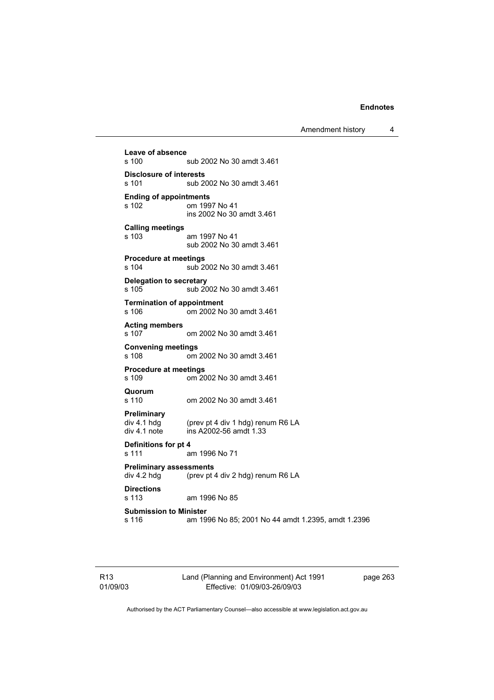Amendment history 4

**Leave of absence**  sub 2002 No 30 amdt 3.461 **Disclosure of interests**  sub 2002 No 30 amdt 3.461 **Ending of appointments**  om 1997 No 41 ins 2002 No 30 amdt 3.461 **Calling meetings**  s 103 am 1997 No 41 sub 2002 No 30 amdt 3.461 **Procedure at meetings**  sub 2002 No 30 amdt 3.461 **Delegation to secretary**  s 105 sub 2002 No 30 amdt 3.461 **Termination of appointment**  s 106 om 2002 No 30 amdt 3.461 **Acting members**  om 2002 No 30 amdt 3.461 **Convening meetings**  om 2002 No 30 amdt 3.461 **Procedure at meetings**  om 2002 No 30 amdt 3.461 **Quorum**  s 110 om 2002 No 30 amdt 3.461 **Preliminary**  (prev pt 4 div 1 hdg) renum R6 LA div 4.1 note ins A2002-56 amdt 1.33 **Definitions for pt 4**  s 111 am 1996 No 71 **Preliminary assessments**  div 4.2 hdg (prev pt 4 div 2 hdg) renum R6 LA **Directions**  am 1996 No 85 **Submission to Minister**  s 116 am 1996 No 85; 2001 No 44 amdt 1.2395, amdt 1.2396

R13 01/09/03 Land (Planning and Environment) Act 1991 Effective: 01/09/03-26/09/03

page 263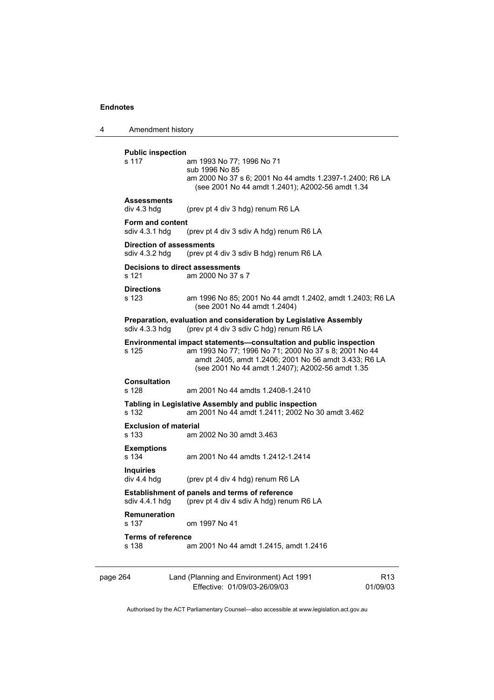4 Amendment history

**Public inspection**  s 117 am 1993 No 77; 1996 No 71 sub 1996 No 85 am 2000 No 37 s 6; 2001 No 44 amdts 1.2397-1.2400; R6 LA (see 2001 No 44 amdt 1.2401); A2002-56 amdt 1.34 **Assessments**  div 4.3 hdg (prev pt 4 div 3 hdg) renum R6 LA **Form and content**<br>sdiv 4.3.1 hdg (prev pt 4 div 3 sdiv A hdg) renum R6 LA **Direction of assessments**  sdiv 4.3.2 hdg (prev pt 4 div 3 sdiv B hdg) renum R6 LA **Decisions to direct assessments**  s 121 am 2000 No 37 s 7 **Directions**  s 123 am 1996 No 85; 2001 No 44 amdt 1.2402, amdt 1.2403; R6 LA (see 2001 No 44 amdt 1.2404) **Preparation, evaluation and consideration by Legislative Assembly**  sdiv 4.3.3 hdg (prev pt 4 div 3 sdiv C hdg) renum R6 LA **Environmental impact statements—consultation and public inspection**  am 1993 No 77; 1996 No 71; 2000 No 37 s 8; 2001 No 44 amdt .2405, amdt 1.2406; 2001 No 56 amdt 3.433; R6 LA (see 2001 No 44 amdt 1.2407); A2002-56 amdt 1.35 **Consultation**  s 128 am 2001 No 44 amdts 1.2408-1.2410 **Tabling in Legislative Assembly and public inspection**  s 132 am 2001 No 44 amdt 1.2411; 2002 No 30 amdt 3.462 **Exclusion of material**  s 133 am 2002 No 30 amdt 3.463 **Exemptions**  s 134 am 2001 No 44 amdts 1.2412-1.2414 **Inquiries**  (prev pt 4 div 4 hdg) renum R6 LA **Establishment of panels and terms of reference**  sdiv 4.4.1 hdg (prev pt 4 div 4 sdiv A hdg) renum R6 LA **Remuneration**  om 1997 No 41 **Terms of reference**  s 138 am 2001 No 44 amdt 1.2415, amdt 1.2416

| page 264 | Land (Planning and Environment) Act 1991 | R <sub>13</sub> |
|----------|------------------------------------------|-----------------|
|          | Effective: 01/09/03-26/09/03             | 01/09/03        |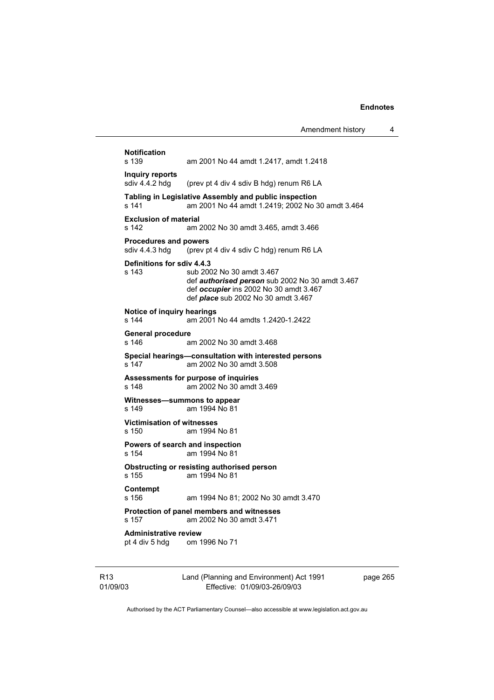| <b>Notification</b><br>s 139                                 | am 2001 No 44 amdt 1.2417, amdt 1.2418                                                                                                                                      |
|--------------------------------------------------------------|-----------------------------------------------------------------------------------------------------------------------------------------------------------------------------|
| Inquiry reports<br>sdiv 4.4.2 hdg                            | (prev pt 4 div 4 sdiv B hdg) renum R6 LA                                                                                                                                    |
| s 141                                                        | Tabling in Legislative Assembly and public inspection<br>am 2001 No 44 amdt 1.2419; 2002 No 30 amdt 3.464                                                                   |
| <b>Exclusion of material</b><br>s 142                        | am 2002 No 30 amdt 3.465, amdt 3.466                                                                                                                                        |
| <b>Procedures and powers</b><br>sdiv 4.4.3 hdg               | (prev pt 4 div 4 sdiv C hdg) renum R6 LA                                                                                                                                    |
| Definitions for sdiv 4.4.3<br>s 143                          | sub 2002 No 30 amdt 3.467<br>def <i>authorised person</i> sub 2002 No 30 amdt 3.467<br>def occupier ins 2002 No 30 amdt 3.467<br>def <i>place</i> sub 2002 No 30 amdt 3.467 |
| Notice of inquiry hearings<br>s 144                          | am 2001 No 44 amdts 1.2420-1.2422                                                                                                                                           |
| <b>General procedure</b><br>s 146                            | am 2002 No 30 amdt 3.468                                                                                                                                                    |
| s 147                                                        | Special hearings-consultation with interested persons<br>am 2002 No 30 amdt 3.508                                                                                           |
| s 148                                                        | Assessments for purpose of inquiries<br>am 2002 No 30 amdt 3.469                                                                                                            |
| s 149                                                        | Witnesses-summons to appear<br>am 1994 No 81                                                                                                                                |
| <b>Victimisation of witnesses</b><br>s 150                   | am 1994 No 81                                                                                                                                                               |
| s 154                                                        | Powers of search and inspection<br>am 1994 No 81                                                                                                                            |
| s 155                                                        | Obstructing or resisting authorised person<br>am 1994 No 81                                                                                                                 |
| Contempt<br>s 156                                            | am 1994 No 81; 2002 No 30 amdt 3.470                                                                                                                                        |
| s 157                                                        | Protection of panel members and witnesses<br>am 2002 No 30 amdt 3.471                                                                                                       |
| <b>Administrative review</b><br>pt 4 div 5 hdg om 1996 No 71 |                                                                                                                                                                             |
|                                                              |                                                                                                                                                                             |

R13 01/09/03 Land (Planning and Environment) Act 1991 Effective: 01/09/03-26/09/03

page 265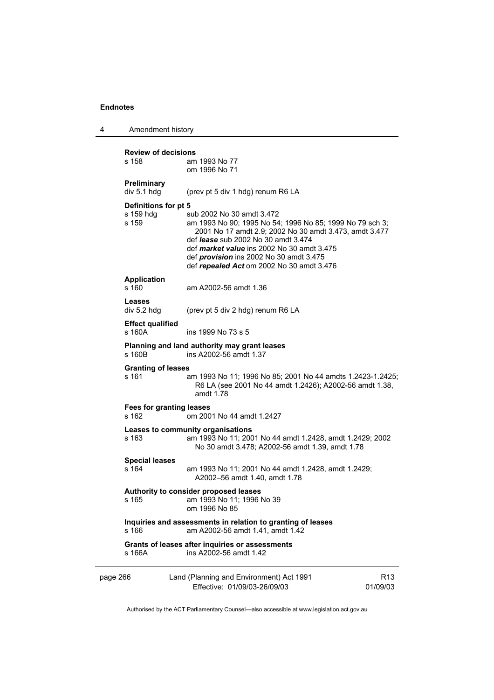| Amendment history<br>-4 |
|-------------------------|
|-------------------------|

| <b>Review of decisions</b><br>s 158        | am 1993 No 77<br>om 1996 No 71                                                                                                                                                                                                                                                                                                                    |                             |  |  |
|--------------------------------------------|---------------------------------------------------------------------------------------------------------------------------------------------------------------------------------------------------------------------------------------------------------------------------------------------------------------------------------------------------|-----------------------------|--|--|
| Preliminary<br>div 5.1 hdg                 | (prev pt 5 div 1 hdg) renum R6 LA                                                                                                                                                                                                                                                                                                                 |                             |  |  |
| Definitions for pt 5<br>s 159 hdg<br>s 159 | sub 2002 No 30 amdt 3.472<br>am 1993 No 90; 1995 No 54; 1996 No 85; 1999 No 79 sch 3;<br>2001 No 17 amdt 2.9; 2002 No 30 amdt 3.473, amdt 3.477<br>def <i>lease</i> sub 2002 No 30 amdt 3.474<br>def <i>market value</i> ins 2002 No 30 amdt 3.475<br>def <i>provision</i> ins 2002 No 30 amdt 3.475<br>def repealed Act om 2002 No 30 amdt 3.476 |                             |  |  |
| <b>Application</b><br>s 160                | am A2002-56 amdt 1.36                                                                                                                                                                                                                                                                                                                             |                             |  |  |
| Leases<br>div 5.2 hdg                      | (prev pt 5 div 2 hdg) renum R6 LA                                                                                                                                                                                                                                                                                                                 |                             |  |  |
| <b>Effect qualified</b><br>s 160A          | ins 1999 No 73 s 5                                                                                                                                                                                                                                                                                                                                |                             |  |  |
| s 160B                                     | Planning and land authority may grant leases<br>ins A2002-56 amdt 1.37                                                                                                                                                                                                                                                                            |                             |  |  |
| <b>Granting of leases</b><br>s 161         | am 1993 No 11; 1996 No 85; 2001 No 44 amdts 1.2423-1.2425;<br>R6 LA (see 2001 No 44 amdt 1.2426); A2002-56 amdt 1.38,<br>amdt 1.78                                                                                                                                                                                                                |                             |  |  |
| <b>Fees for granting leases</b><br>s 162   | om 2001 No 44 amdt 1.2427                                                                                                                                                                                                                                                                                                                         |                             |  |  |
| s 163                                      | Leases to community organisations<br>am 1993 No 11; 2001 No 44 amdt 1.2428, amdt 1.2429; 2002<br>No 30 amdt 3.478; A2002-56 amdt 1.39, amdt 1.78                                                                                                                                                                                                  |                             |  |  |
| <b>Special leases</b><br>s 164             | am 1993 No 11; 2001 No 44 amdt 1.2428, amdt 1.2429;<br>A2002-56 amdt 1.40, amdt 1.78                                                                                                                                                                                                                                                              |                             |  |  |
| s 165                                      | Authority to consider proposed leases<br>am 1993 No 11; 1996 No 39<br>om 1996 No 85                                                                                                                                                                                                                                                               |                             |  |  |
| s 166                                      | Inquiries and assessments in relation to granting of leases<br>am A2002-56 amdt 1.41, amdt 1.42                                                                                                                                                                                                                                                   |                             |  |  |
| s 166A                                     | Grants of leases after inquiries or assessments<br>ins A2002-56 amdt 1.42                                                                                                                                                                                                                                                                         |                             |  |  |
| page 266                                   | Land (Planning and Environment) Act 1991<br>Effective: 01/09/03-26/09/03                                                                                                                                                                                                                                                                          | R <sub>13</sub><br>01/09/03 |  |  |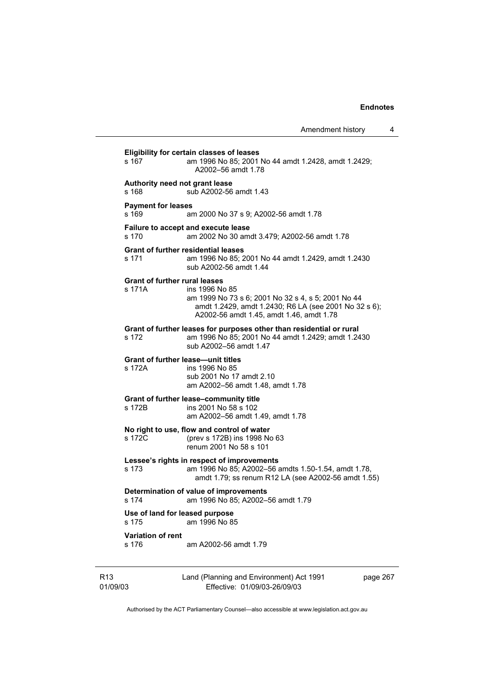| Amendment history |  |
|-------------------|--|
|-------------------|--|

**Eligibility for certain classes of leases**  s 167 am 1996 No 85; 2001 No 44 amdt 1.2428, amdt 1.2429; A2002–56 amdt 1.78 **Authority need not grant lease**  s 168 sub A2002-56 amdt 1.43 **Payment for leases**  s 169 am 2000 No 37 s 9; A2002-56 amdt 1.78 **Failure to accept and execute lease**  s 170 am 2002 No 30 amdt 3.479; A2002-56 amdt 1.78 **Grant of further residential leases**  s 171 am 1996 No 85; 2001 No 44 amdt 1.2429, amdt 1.2430 sub A2002-56 amdt 1.44 **Grant of further rural leases**  s 171A ins 1996 No 85 am 1999 No 73 s 6; 2001 No 32 s 4, s 5; 2001 No 44 amdt 1.2429, amdt 1.2430; R6 LA (see 2001 No 32 s 6); A2002-56 amdt 1.45, amdt 1.46, amdt 1.78 **Grant of further leases for purposes other than residential or rural**  s 172 am 1996 No 85; 2001 No 44 amdt 1.2429; amdt 1.2430 sub A2002–56 amdt 1.47 **Grant of further lease—unit titles**  s 172A ins 1996 No 85 sub 2001 No 17 amdt 2.10 am A2002–56 amdt 1.48, amdt 1.78 **Grant of further lease–community title**  s 172B ins 2001 No 58 s 102 am A2002–56 amdt 1.49, amdt 1.78 **No right to use, flow and control of water**  s 172C (prev s 172B) ins 1998 No 63 renum 2001 No 58 s 101 **Lessee's rights in respect of improvements**  s 173 am 1996 No 85; A2002–56 amdts 1.50-1.54, amdt 1.78, amdt 1.79; ss renum R12 LA (see A2002-56 amdt 1.55) **Determination of value of improvements**  s 174 am 1996 No 85; A2002–56 amdt 1.79 **Use of land for leased purpose**  s 175 am 1996 No 85 **Variation of rent**  s 176 am A2002-56 amdt 1.79

R13 01/09/03 Land (Planning and Environment) Act 1991 Effective: 01/09/03-26/09/03

page 267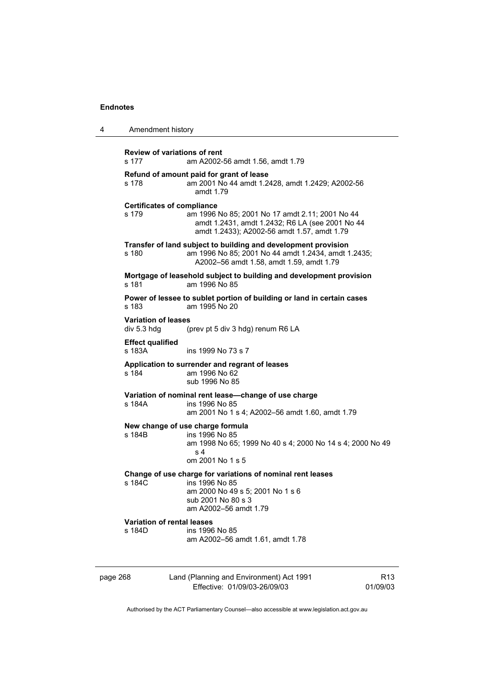4 Amendment history

| s 177                                     | <b>Review of variations of rent</b><br>am A2002-56 amdt 1.56, amdt 1.79                                                                                                                |                 |
|-------------------------------------------|----------------------------------------------------------------------------------------------------------------------------------------------------------------------------------------|-----------------|
| s 178                                     | Refund of amount paid for grant of lease<br>am 2001 No 44 amdt 1.2428, amdt 1.2429; A2002-56<br>amdt 1.79                                                                              |                 |
| s 179                                     | <b>Certificates of compliance</b><br>am 1996 No 85; 2001 No 17 amdt 2.11; 2001 No 44<br>amdt 1.2431, amdt 1.2432; R6 LA (see 2001 No 44<br>amdt 1.2433); A2002-56 amdt 1.57, amdt 1.79 |                 |
| s 180                                     | Transfer of land subject to building and development provision<br>am 1996 No 85; 2001 No 44 amdt 1.2434, amdt 1.2435;<br>A2002-56 amdt 1.58, amdt 1.59, amdt 1.79                      |                 |
| s 181                                     | Mortgage of leasehold subject to building and development provision<br>am 1996 No 85                                                                                                   |                 |
| s 183                                     | Power of lessee to sublet portion of building or land in certain cases<br>am 1995 No 20                                                                                                |                 |
| <b>Variation of leases</b><br>div 5.3 hdg | (prev pt 5 div 3 hdg) renum R6 LA                                                                                                                                                      |                 |
| <b>Effect qualified</b><br>s 183A         | ins 1999 No 73 s 7                                                                                                                                                                     |                 |
| s 184                                     | Application to surrender and regrant of leases<br>am 1996 No 62<br>sub 1996 No 85                                                                                                      |                 |
| s 184A                                    | Variation of nominal rent lease-change of use charge<br>ins 1996 No 85<br>am 2001 No 1 s 4; A2002-56 amdt 1.60, amdt 1.79                                                              |                 |
| s 184B                                    | New change of use charge formula<br>ins 1996 No 85<br>am 1998 No 65; 1999 No 40 s 4; 2000 No 14 s 4; 2000 No 49<br>s 4<br>om 2001 No 1 s 5                                             |                 |
| s 184C                                    | Change of use charge for variations of nominal rent leases<br>ins 1996 No 85<br>am 2000 No 49 s 5; 2001 No 1 s 6<br>sub 2001 No 80 s 3<br>am A2002-56 amdt 1.79                        |                 |
| s 184D                                    | <b>Variation of rental leases</b><br>ins 1996 No 85<br>am A2002-56 amdt 1.61, amdt 1.78                                                                                                |                 |
| page 268                                  | Land (Planning and Environment) Act 1991                                                                                                                                               | R <sub>13</sub> |

Authorised by the ACT Parliamentary Counsel—also accessible at www.legislation.act.gov.au

Effective: 01/09/03-26/09/03

01/09/03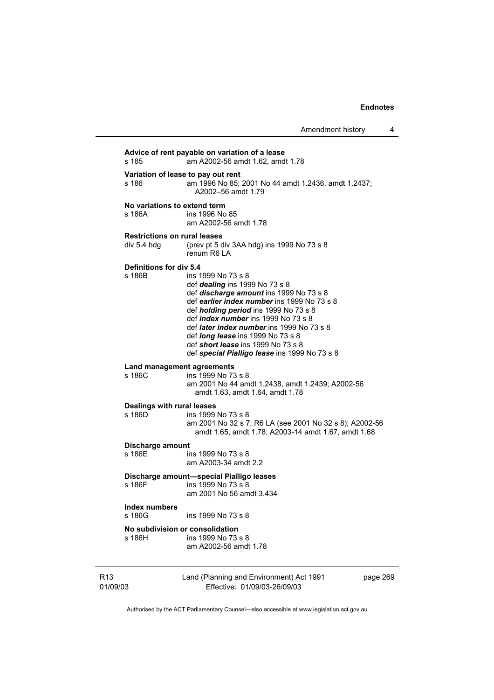**Advice of rent payable on variation of a lease**  s 185 am A2002-56 amdt 1.62, amdt 1.78 **Variation of lease to pay out rent**  s 186 am 1996 No 85; 2001 No 44 amdt 1.2436, amdt 1.2437; A2002–56 amdt 1.79 **No variations to extend term**  s 186A ins 1996 No 85 am A2002-56 amdt 1.78 **Restrictions on rural leases**  div 5.4 hdg (prev pt 5 div 3AA hdg) ins 1999 No 73 s 8 renum R6 LA **Definitions for div 5.4**  ins 1999 No 73 s 8 def *dealing* ins 1999 No 73 s 8 def *discharge amount* ins 1999 No 73 s 8 def *earlier index number* ins 1999 No 73 s 8 def *holding period* ins 1999 No 73 s 8 def *index number* ins 1999 No 73 s 8 def *later index number* ins 1999 No 73 s 8 def *long lease* ins 1999 No 73 s 8 def *short lease* ins 1999 No 73 s 8 def *special Pialligo lease* ins 1999 No 73 s 8 **Land management agreements**  s 186C ins 1999 No 73 s 8 am 2001 No 44 amdt 1.2438, amdt 1.2439; A2002-56 amdt 1.63, amdt 1.64, amdt 1.78 **Dealings with rural leases**  ins 1999 No 73 s 8 am 2001 No 32 s 7; R6 LA (see 2001 No 32 s 8); A2002-56 amdt 1.65, amdt 1.78; A2003-14 amdt 1.67, amdt 1.68 **Discharge amount**  s 186E ins 1999 No 73 s 8 am A2003-34 amdt 2.2 **Discharge amount—special Pialligo leases**  s 186F ins 1999 No 73 s 8 am 2001 No 56 amdt 3.434 **Index numbers**  ins 1999 No 73 s 8 **No subdivision or consolidation**  ins 1999 No 73 s 8 am A2002-56 amdt 1.78

R13 01/09/03 Land (Planning and Environment) Act 1991 Effective: 01/09/03-26/09/03 page 269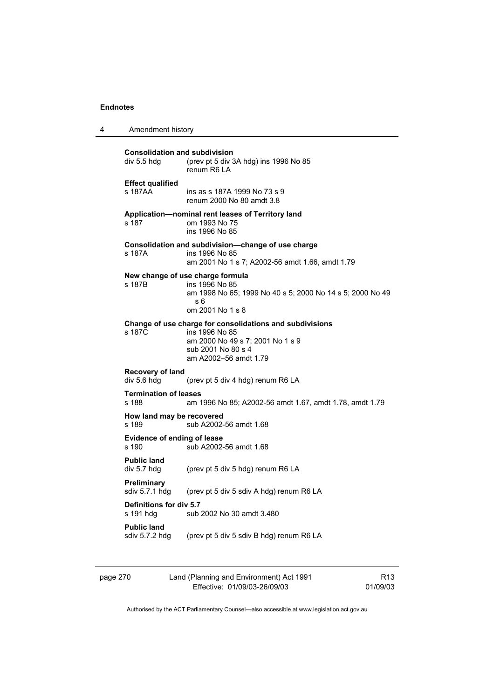| $\boldsymbol{4}$ | Amendment history |
|------------------|-------------------|
|------------------|-------------------|

| <b>Consolidation and subdivision</b><br>div 5.5 hdg | (prev pt 5 div 3A hdg) ins 1996 No 85<br>renum R6 LA                                                                                                          |
|-----------------------------------------------------|---------------------------------------------------------------------------------------------------------------------------------------------------------------|
| <b>Effect qualified</b><br>s 187AA                  | ins as s 187A 1999 No 73 s 9<br>renum 2000 No 80 amdt 3.8                                                                                                     |
| s 187                                               | Application-nominal rent leases of Territory land<br>om 1993 No 75<br>ins 1996 No 85                                                                          |
| s 187A                                              | Consolidation and subdivision—change of use charge<br>ins 1996 No 85<br>am 2001 No 1 s 7; A2002-56 amdt 1.66, amdt 1.79                                       |
| s 187B                                              | New change of use charge formula<br>ins 1996 No 85<br>am 1998 No 65; 1999 No 40 s 5; 2000 No 14 s 5; 2000 No 49<br>s 6<br>om 2001 No 1 s 8                    |
| s 187C                                              | Change of use charge for consolidations and subdivisions<br>ins 1996 No 85<br>am 2000 No 49 s 7; 2001 No 1 s 9<br>sub 2001 No 80 s 4<br>am A2002-56 amdt 1.79 |
| Recovery of land<br>div 5.6 hdg                     | (prev pt 5 div 4 hdg) renum R6 LA                                                                                                                             |
| <b>Termination of leases</b><br>s 188               | am 1996 No 85; A2002-56 amdt 1.67, amdt 1.78, amdt 1.79                                                                                                       |
| How land may be recovered<br>s 189                  | sub A2002-56 amdt 1.68                                                                                                                                        |
| Evidence of ending of lease<br>s 190                | sub A2002-56 amdt 1.68                                                                                                                                        |
| <b>Public land</b><br>div 5.7 hdg                   | (prev pt 5 div 5 hdg) renum R6 LA                                                                                                                             |
| <b>Preliminary</b><br>sdiv 5.7.1 hdg                | (prev pt 5 div 5 sdiv A hdg) renum R6 LA                                                                                                                      |
| Definitions for div 5.7<br>s 191 hdg                | sub 2002 No 30 amdt 3.480                                                                                                                                     |
| <b>Public land</b><br>sdiv 5.7.2 hdg                | (prev pt 5 div 5 sdiv B hdg) renum R6 LA                                                                                                                      |

| page 270 | Land (Planning and Environment) Act 1991 | R <sub>13</sub> |
|----------|------------------------------------------|-----------------|
|          | Effective: 01/09/03-26/09/03             | 01/09/03        |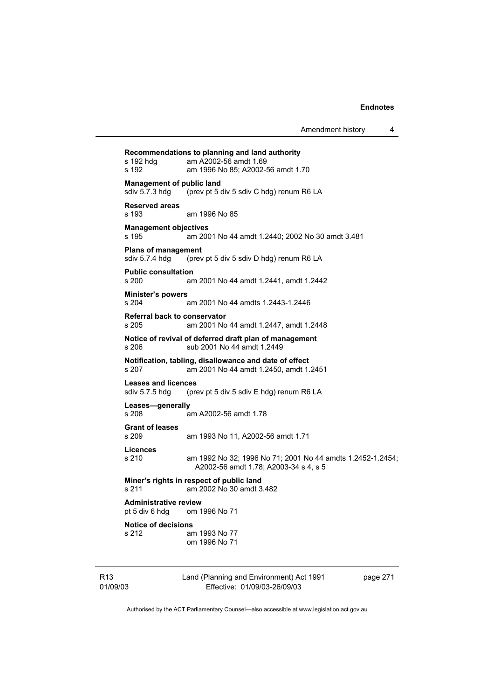Land (Planning and Environment) Act 1991 **Recommendations to planning and land authority**  s 192 hdg am A2002-56 amdt 1.69 s 192 am 1996 No 85; A2002-56 amdt 1.70 **Management of public land<br>sdiv 5.7.3 hdg** (prev pt 5 d (prev pt 5 div 5 sdiv C hdg) renum R6 LA **Reserved areas**  s 193 am 1996 No 85 **Management objectives**  s 195 am 2001 No 44 amdt 1.2440; 2002 No 30 amdt 3.481 **Plans of management**  sdiv 5.7.4 hdg (prev pt 5 div 5 sdiv D hdg) renum R6 LA **Public consultation**  s 200 am 2001 No 44 amdt 1.2441, amdt 1.2442 **Minister's powers**  s 204 am 2001 No 44 amdts 1.2443-1.2446 **Referral back to conservator**  s 205 am 2001 No 44 amdt 1.2447, amdt 1.2448 **Notice of revival of deferred draft plan of management**  s 206 sub 2001 No 44 amdt 1.2449 **Notification, tabling, disallowance and date of effect**  s 207 am 2001 No 44 amdt 1.2450, amdt 1.2451 **Leases and licences**  sdiv 5.7.5 hdg (prev pt 5 div 5 sdiv E hdg) renum R6 LA **Leases—generally**  s 208 am A2002-56 amdt 1.78 **Grant of leases**  s 209 am 1993 No 11, A2002-56 amdt 1.71 **Licences**  s 210 am 1992 No 32; 1996 No 71; 2001 No 44 amdts 1.2452-1.2454; A2002-56 amdt 1.78; A2003-34 s 4, s 5 **Miner's rights in respect of public land**  s 211 am 2002 No 30 amdt 3.482 **Administrative review**  pt 5 div 6 hdg om 1996 No 71 **Notice of decisions**  s 212 am 1993 No 77 om 1996 No 71

R13 01/09/03

Effective: 01/09/03-26/09/03

page 271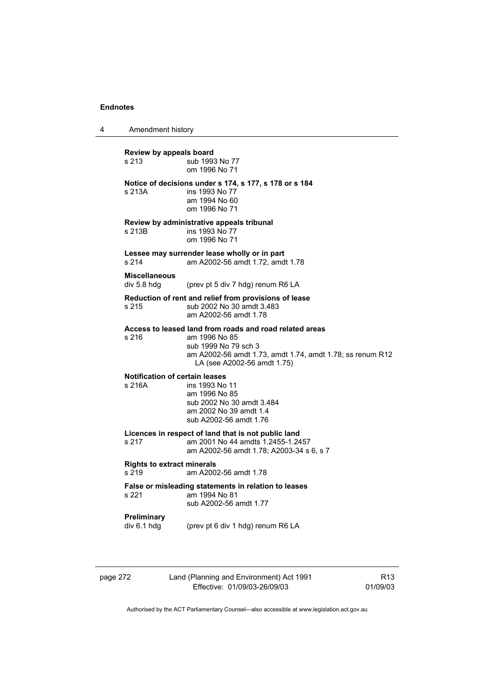4 Amendment history

**Review by appeals board**  s 213 **Sub 1993** No 77 om 1996 No 71 **Notice of decisions under s 174, s 177, s 178 or s 184**  s 213A ins 1993 No 77 am 1994 No 60 om 1996 No 71 **Review by administrative appeals tribunal**  s 213B ins 1993 No 77 om 1996 No 71 **Lessee may surrender lease wholly or in part**  s 214 am A2002-56 amdt 1.72, amdt 1.78 **Miscellaneous**  div 5.8 hdg (prev pt 5 div 7 hdg) renum R6 LA **Reduction of rent and relief from provisions of lease**  s 215 sub 2002 No 30 amdt 3.483 am A2002-56 amdt 1.78 **Access to leased land from roads and road related areas**  s 216 am 1996 No 85 sub 1999 No 79 sch 3 am A2002-56 amdt 1.73, amdt 1.74, amdt 1.78; ss renum R12 LA (see A2002-56 amdt 1.75) **Notification of certain leases**  s 216A ins 1993 No 11 am 1996 No 85 sub 2002 No 30 amdt 3.484 am 2002 No 39 amdt 1.4 sub A2002-56 amdt 1.76 **Licences in respect of land that is not public land**  am 2001 No 44 amdts 1.2455-1.2457 am A2002-56 amdt 1.78; A2003-34 s 6, s 7 **Rights to extract minerals**  s 219 am A2002-56 amdt 1.78 **False or misleading statements in relation to leases**  am 1994 No 81 sub A2002-56 amdt 1.77 **Preliminary**  div 6.1 hdg (prev pt 6 div 1 hdg) renum R6 LA

|--|

Land (Planning and Environment) Act 1991 Effective: 01/09/03-26/09/03

R13 01/09/03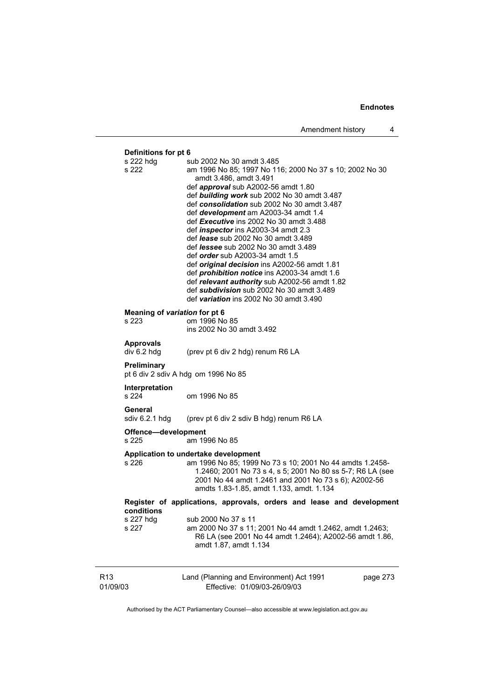01/09/03 Land (Planning and Environment) Act 1991 Effective: 01/09/03-26/09/03 page 273 **Definitions for pt 6** s 222 hdg s sub 2002 No 30 amdt 3.485 s 222 am 1996 No 85; 1997 No 116; 2000 No 37 s 10; 2002 No 30 amdt 3.486, amdt 3.491 def *approval* sub A2002-56 amdt 1.80 def *building work* sub 2002 No 30 amdt 3.487 def *consolidation* sub 2002 No 30 amdt 3.487 def *development* am A2003-34 amdt 1.4 def *Executive* ins 2002 No 30 amdt 3.488 def *inspector* ins A2003-34 amdt 2.3 def *lease* sub 2002 No 30 amdt 3.489 def *lessee* sub 2002 No 30 amdt 3.489 def *order* sub A2003-34 amdt 1.5 def *original decision* ins A2002-56 amdt 1.81 def *prohibition notice* ins A2003-34 amdt 1.6 def *relevant authority* sub A2002-56 amdt 1.82 def *subdivision* sub 2002 No 30 amdt 3.489 def *variation* ins 2002 No 30 amdt 3.490 **Meaning of** *variation* **for pt 6**  s 223 om 1996 No 85 ins 2002 No 30 amdt 3.492 **Approvals**  div 6.2 hdg (prev pt 6 div 2 hdg) renum R6 LA **Preliminary**  pt 6 div 2 sdiv A hdg om 1996 No 85 **Interpretation**  s 224 om 1996 No 85 **General**  sdiv 6.2.1 hdg (prev pt 6 div 2 sdiv B hdg) renum R6 LA **Offence—development**  s 225 am 1996 No 85 **Application to undertake development**  s 226 am 1996 No 85; 1999 No 73 s 10; 2001 No 44 amdts 1.2458- 1.2460; 2001 No 73 s 4, s 5; 2001 No 80 ss 5-7; R6 LA (see 2001 No 44 amdt 1.2461 and 2001 No 73 s 6); A2002-56 amdts 1.83-1.85, amdt 1.133, amdt. 1.134 **Register of applications, approvals, orders and lease and development conditions**  s 227 hdg sub 2000 No 37 s 11<br>s 227 am 2000 No 37 s 11: am 2000 No 37 s 11; 2001 No 44 amdt 1.2462, amdt 1.2463: R6 LA (see 2001 No 44 amdt 1.2464); A2002-56 amdt 1.86, amdt 1.87, amdt 1.134

Authorised by the ACT Parliamentary Counsel—also accessible at www.legislation.act.gov.au

R13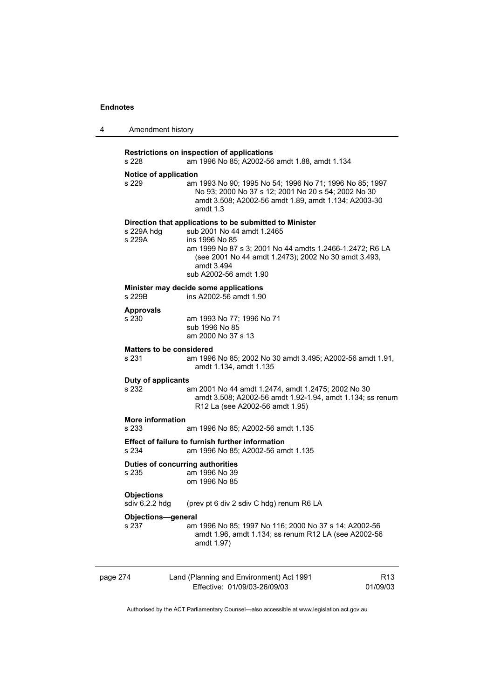| 4        | Amendment history                   |                                                                                                                                                                                                                                                                     |                             |
|----------|-------------------------------------|---------------------------------------------------------------------------------------------------------------------------------------------------------------------------------------------------------------------------------------------------------------------|-----------------------------|
|          | s 228                               | Restrictions on inspection of applications<br>am 1996 No 85; A2002-56 amdt 1.88, amdt 1.134                                                                                                                                                                         |                             |
|          | Notice of application<br>s 229      | am 1993 No 90; 1995 No 54; 1996 No 71; 1996 No 85; 1997<br>No 93; 2000 No 37 s 12; 2001 No 20 s 54; 2002 No 30<br>amdt 3.508; A2002-56 amdt 1.89, amdt 1.134; A2003-30<br>amdt $1.3$                                                                                |                             |
|          | s 229A hdg<br>s 229A                | Direction that applications to be submitted to Minister<br>sub 2001 No 44 amdt 1.2465<br>ins 1996 No 85<br>am 1999 No 87 s 3; 2001 No 44 amdts 1.2466-1.2472; R6 LA<br>(see 2001 No 44 amdt 1.2473); 2002 No 30 amdt 3.493,<br>amdt 3.494<br>sub A2002-56 amdt 1.90 |                             |
|          | s 229B                              | Minister may decide some applications<br>ins A2002-56 amdt 1.90                                                                                                                                                                                                     |                             |
|          | <b>Approvals</b><br>s 230           | am 1993 No 77; 1996 No 71<br>sub 1996 No 85<br>am 2000 No 37 s 13                                                                                                                                                                                                   |                             |
|          | s 231                               | <b>Matters to be considered</b><br>am 1996 No 85; 2002 No 30 amdt 3.495; A2002-56 amdt 1.91,<br>amdt 1.134, amdt 1.135                                                                                                                                              |                             |
|          | Duty of applicants<br>s 232         | am 2001 No 44 amdt 1.2474, amdt 1.2475; 2002 No 30<br>amdt 3.508; A2002-56 amdt 1.92-1.94, amdt 1.134; ss renum<br>R12 La (see A2002-56 amdt 1.95)                                                                                                                  |                             |
|          | <b>More information</b><br>s 233    | am 1996 No 85; A2002-56 amdt 1.135                                                                                                                                                                                                                                  |                             |
|          | s 234                               | Effect of failure to furnish further information<br>am 1996 No 85; A2002-56 amdt 1.135                                                                                                                                                                              |                             |
|          | s 235                               | Duties of concurring authorities<br>am 1996 No 39<br>om 1996 No 85                                                                                                                                                                                                  |                             |
|          | <b>Objections</b><br>sdiv 6.2.2 hdg | (prev pt 6 div 2 sdiv C hdg) renum R6 LA                                                                                                                                                                                                                            |                             |
|          | <b>Objections-general</b><br>s 237  | am 1996 No 85; 1997 No 116; 2000 No 37 s 14; A2002-56<br>amdt 1.96, amdt 1.134; ss renum R12 LA (see A2002-56<br>amdt 1.97)                                                                                                                                         |                             |
| page 274 |                                     | Land (Planning and Environment) Act 1991<br>Effective: 01/09/03-26/09/03                                                                                                                                                                                            | R <sub>13</sub><br>01/09/03 |
|          |                                     | Authorised by the ACT Parliamentary Counsel—also accessible at www.legislation.act.gov.au                                                                                                                                                                           |                             |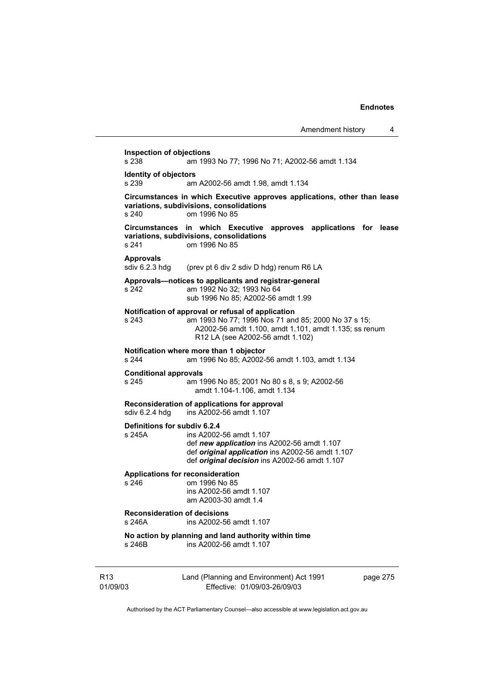R13 01/09/03 Land (Planning and Environment) Act 1991 Effective: 01/09/03-26/09/03 page 275 **Inspection of objections**  s 238 am 1993 No 77; 1996 No 71; A2002-56 amdt 1.134 **Identity of objectors**<br>s 239 am am A2002-56 amdt 1.98, amdt 1.134 **Circumstances in which Executive approves applications, other than lease variations, subdivisions, consolidations**  s 240 om 1996 No 85 **Circumstances in which Executive approves applications for lease variations, subdivisions, consolidations**  s 241 om 1996 No 85 Approvals<br>sdiv 6.2.3 hdg (prev pt 6 div 2 sdiv D hdg) renum R6 LA **Approvals—notices to applicants and registrar-general**  s 242 am 1992 No 32; 1993 No 64 sub 1996 No 85; A2002-56 amdt 1.99 **Notification of approval or refusal of application**  s 243 am 1993 No 77; 1996 Nos 71 and 85; 2000 No 37 s 15; A2002-56 amdt 1.100, amdt 1.101, amdt 1.135; ss renum R12 LA (see A2002-56 amdt 1.102) **Notification where more than 1 objector**  am 1996 No 85; A2002-56 amdt 1.103, amdt 1.134 **Conditional approvals**  s 245 am 1996 No 85; 2001 No 80 s 8, s 9; A2002-56 amdt 1.104-1.106, amdt 1.134 **Reconsideration of applications for approval**  sdiv 6.2.4 hdg ins A2002-56 amdt 1.107 **Definitions for subdiv 6.2.4**  ins A2002-56 amdt 1.107 def *new application* ins A2002-56 amdt 1.107 def *original application* ins A2002-56 amdt 1.107 def *original decision* ins A2002-56 amdt 1.107 **Applications for reconsideration**  s 246 om 1996 No 85 ins A2002-56 amdt 1.107 am A2003-30 amdt 1.4 **Reconsideration of decisions**  s 246A ins A2002-56 amdt 1.107 **No action by planning and land authority within time**  s 246B ins A2002-56 amdt 1.107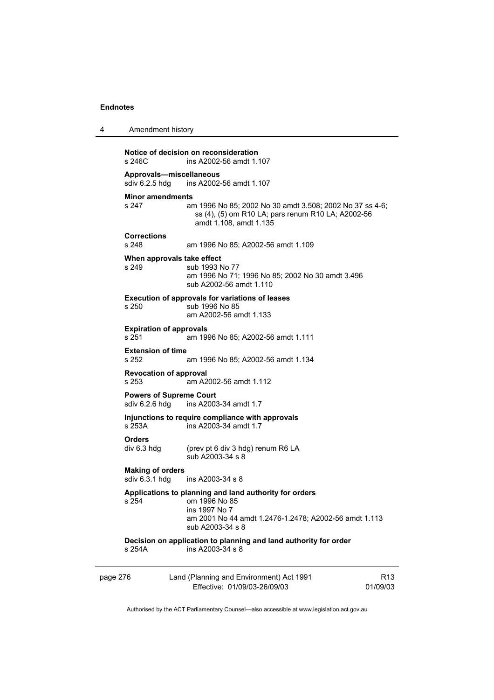| Notice of decision on reconsideration |                         |  |
|---------------------------------------|-------------------------|--|
| s 246C                                | ins A2002-56 amdt 1.107 |  |

4 Amendment history

**Approvals—miscellaneous** 

sdiv 6.2.5 hdg ins A2002-56 amdt 1.107

# **Minor amendments**<br>s 247 am

am 1996 No 85; 2002 No 30 amdt 3.508; 2002 No 37 ss 4-6; ss (4), (5) om R10 LA; pars renum R10 LA; A2002-56 amdt 1.108, amdt 1.135

# **Corrections**

s 248 am 1996 No 85; A2002-56 amdt 1.109

## **When approvals take effect**

s 249 sub 1993 No 77 am 1996 No 71; 1996 No 85; 2002 No 30 amdt 3.496 sub A2002-56 amdt 1.110

#### **Execution of approvals for variations of leases**  s 250 sub 1996 No 85

am A2002-56 amdt 1.133

## **Expiration of approvals**

s 251 am 1996 No 85; A2002-56 amdt 1.111

# **Extension of time**<br>s 252

am 1996 No 85; A2002-56 amdt 1.134

## **Revocation of approval**

s 253 am A2002-56 amdt 1.112

# **Powers of Supreme Court**<br>sdiv 6.2.6 hdg ins A2003

ins A2003-34 amdt 1.7

# **Injunctions to require compliance with approvals**

s 253A ins A2003-34 amdt 1.7

#### **Orders**

div 6.3 hdg (prev pt 6 div 3 hdg) renum R6 LA sub A2003-34 s 8

# **Making of orders**

ins A2003-34 s 8

## **Applications to planning and land authority for orders**

s 254 om 1996 No 85 ins 1997 No 7 am 2001 No 44 amdt 1.2476-1.2478; A2002-56 amdt 1.113 sub A2003-34 s 8

#### **Decision on application to planning and land authority for order**  s 254A ins A2003-34 s 8

| page 276 | Land (Planning and Environment) Act 1991 | R <sub>13</sub> |
|----------|------------------------------------------|-----------------|
|          | Effective: 01/09/03-26/09/03             | 01/09/03        |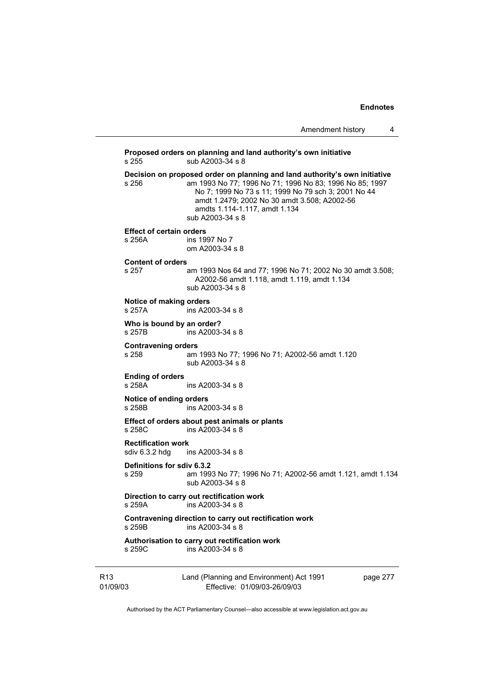Amendment history 4

Land (Planning and Environment) Act 1991 page 277 **Proposed orders on planning and land authority's own initiative**  s 255 sub A2003-34 s 8 **Decision on proposed order on planning and land authority's own initiative**<br>s 256 am 1993 No 77: 1996 No 71: 1996 No 83: 1996 No 85: 1997 am 1993 No 77; 1996 No 71; 1996 No 83; 1996 No 85; 1997 No 7; 1999 No 73 s 11; 1999 No 79 sch 3; 2001 No 44 amdt 1.2479; 2002 No 30 amdt 3.508; A2002-56 amdts 1.114-1.117, amdt 1.134 sub A2003-34 s 8 **Effect of certain orders**  s 256A ins 1997 No 7 om A2003-34 s 8 **Content of orders**  s 257 am 1993 Nos 64 and 77; 1996 No 71; 2002 No 30 amdt 3.508; A2002-56 amdt 1.118, amdt 1.119, amdt 1.134 sub A2003-34 s 8 **Notice of making orders**  s 257A ins A2003-34 s 8 **Who is bound by an order?**<br>s 257B ins A2003ins A2003-34 s 8 **Contravening orders**  s 258 am 1993 No 77; 1996 No 71; A2002-56 amdt 1.120 sub A2003-34 s 8 **Ending of orders**  s 258A ins A2003-34 s 8 **Notice of ending orders**  ins A2003-34 s 8 **Effect of orders about pest animals or plants**  s 258C ins A2003-34 s 8 **Rectification work**  sdiv 6.3.2 hdg ins A2003-34 s 8 **Definitions for sdiv 6.3.2**  s 259 am 1993 No 77; 1996 No 71; A2002-56 amdt 1.121, amdt 1.134 sub A2003-34 s 8 **Direction to carry out rectification work**  ins A2003-34 s 8 **Contravening direction to carry out rectification work**  s 259B ins A2003-34 s 8 **Authorisation to carry out rectification work**  s 259C ins A2003-34 s 8

R13 01/09/03 Effective: 01/09/03-26/09/03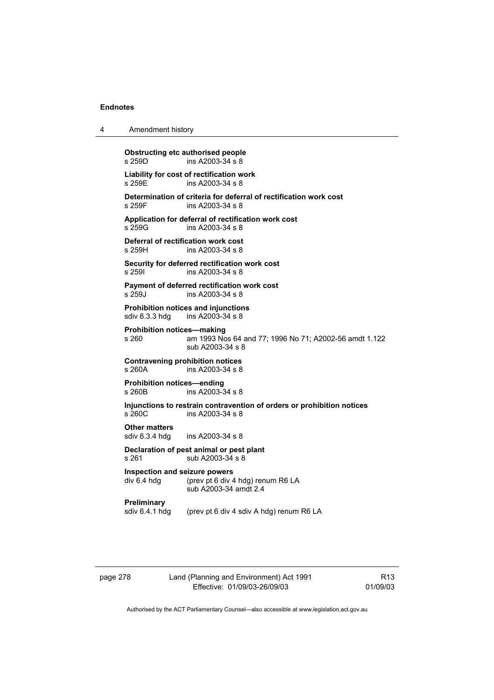| 4 | Amendment history |  |
|---|-------------------|--|
|---|-------------------|--|

**Obstructing etc authorised people**<br>s 259D ins A2003-34 s 8  $ins A2003-34 s 8$ **Liability for cost of rectification work**  ins A2003-34 s 8 **Determination of criteria for deferral of rectification work cost**  ins A2003-34 s 8 **Application for deferral of rectification work cost**  s 259G ins A2003-34 s 8 **Deferral of rectification work cost**  ins A2003-34 s 8 **Security for deferred rectification work cost**  s 259I ins A2003-34 s 8 **Payment of deferred rectification work cost**  s 259J ins A2003-34 s 8 **Prohibition notices and injunctions**  sdiv 6.3.3 hdg ins A2003-34 s 8 **Prohibition notices—making**  s 260 am 1993 Nos 64 and 77; 1996 No 71; A2002-56 amdt 1.122 sub A2003-34 s 8 **Contravening prohibition notices**  ins A2003-34 s 8 **Prohibition notices—ending**  s 260B ins A2003-34 s 8 **Injunctions to restrain contravention of orders or prohibition notices**  ins A2003-34 s 8 **Other matters**  sdiv 6.3.4 hdg ins A2003-34 s 8 **Declaration of pest animal or pest plant**  s 261 sub A2003-34 s 8 **Inspection and seizure powers**  div 6.4 hdg (prev pt 6 div 4 hdg) renum R6 LA sub A2003-34 amdt 2.4 **Preliminary**  sdiv 6.4.1 hdg (prev pt 6 div 4 sdiv A hdg) renum R6 LA

page 278 Land (Planning and Environment) Act 1991 Effective: 01/09/03-26/09/03

R13 01/09/03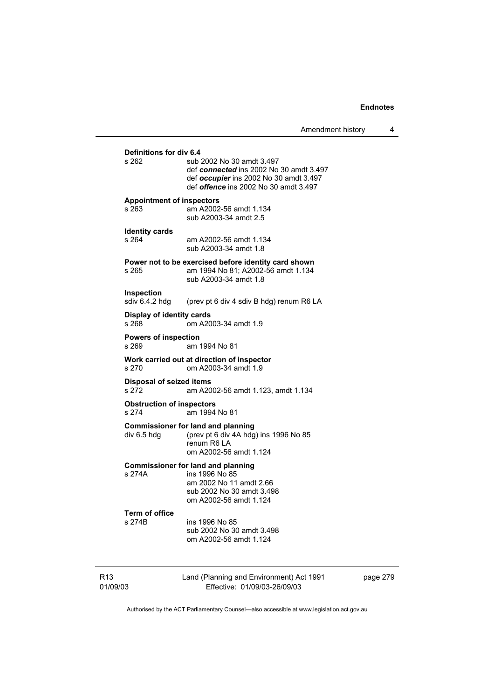Amendment history 4

# R13 Land (Planning and Environment) Act 1991 **Definitions for div 6.4**  sub 2002 No 30 amdt 3.497 def *connected* ins 2002 No 30 amdt 3.497 def *occupier* ins 2002 No 30 amdt 3.497 def *offence* ins 2002 No 30 amdt 3.497 **Appointment of inspectors**  s 263 am A2002-56 amdt 1.134 sub A2003-34 amdt 2.5 **Identity cards**  s 264 am A2002-56 amdt 1.134 sub A2003-34 amdt 1.8 **Power not to be exercised before identity card shown**  s 265 am 1994 No 81; A2002-56 amdt 1.134 sub A2003-34 amdt 1.8 **Inspection**  sdiv 6.4.2 hdg (prev pt 6 div 4 sdiv B hdg) renum R6 LA **Display of identity cards**  s 268 om A2003-34 amdt 1.9 **Powers of inspection**  s 269 am 1994 No 81 **Work carried out at direction of inspector**  s 270 om A2003-34 amdt 1.9 **Disposal of seized items**  s 272 am A2002-56 amdt 1.123, amdt 1.134 **Obstruction of inspectors**  s 274 am 1994 No 81 **Commissioner for land and planning div 6.5 hdg (prev pt 6 div 4A hdg)** (prev pt 6 div 4A hdg) ins 1996 No 85 renum R6 LA om A2002-56 amdt 1.124 **Commissioner for land and planning**  s 274A ins 1996 No 85 am 2002 No 11 amdt 2.66 sub 2002 No 30 amdt 3.498 om A2002-56 amdt 1.124 **Term of office**  s 274B ins 1996 No 85 sub 2002 No 30 amdt 3.498 om A2002-56 amdt 1.124

page 279

Authorised by the ACT Parliamentary Counsel—also accessible at www.legislation.act.gov.au

Effective: 01/09/03-26/09/03

01/09/03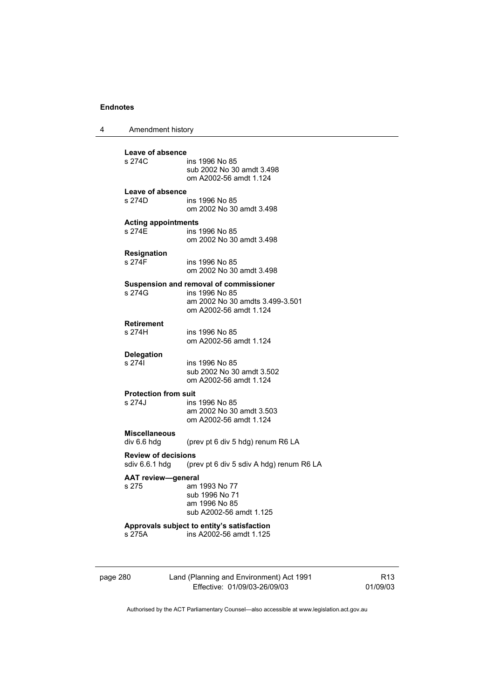| Amendment history |
|-------------------|

| Leave of absence<br>s 274C                                                               | ins 1996 No 85<br>sub 2002 No 30 amdt 3.498<br>om A2002-56 amdt 1.124                                                 |  |  |
|------------------------------------------------------------------------------------------|-----------------------------------------------------------------------------------------------------------------------|--|--|
| Leave of absence<br>s 274D                                                               | ins 1996 No 85<br>om 2002 No 30 amdt 3.498                                                                            |  |  |
| <b>Acting appointments</b><br>s 274F                                                     | ins 1996 No 85<br>om 2002 No 30 amdt 3.498                                                                            |  |  |
| <b>Resignation</b><br>s 274F                                                             | ins 1996 No 85<br>om 2002 No 30 amdt 3.498                                                                            |  |  |
| s 274G                                                                                   | Suspension and removal of commissioner<br>ins 1996 No 85<br>am 2002 No 30 amdts 3.499-3.501<br>om A2002-56 amdt 1.124 |  |  |
| <b>Retirement</b><br>s 274H                                                              | ins 1996 No 85<br>om A2002-56 amdt 1.124                                                                              |  |  |
| <b>Delegation</b><br>s 2741                                                              | ins 1996 No 85<br>sub 2002 No 30 amdt 3.502<br>om A2002-56 amdt 1.124                                                 |  |  |
| <b>Protection from suit</b><br>s 274.I                                                   | ins 1996 No 85<br>am 2002 No 30 amdt 3.503<br>om A2002-56 amdt 1.124                                                  |  |  |
| <b>Miscellaneous</b><br>div 6.6 hdg                                                      | (prev pt 6 div 5 hdg) renum R6 LA                                                                                     |  |  |
| <b>Review of decisions</b><br>sdiv 6.6.1 hdg<br>(prev pt 6 div 5 sdiv A hdg) renum R6 LA |                                                                                                                       |  |  |
| <b>AAT review-general</b><br>s 275                                                       | am 1993 No 77<br>sub 1996 No 71<br>am 1996 No 85<br>sub A2002-56 amdt 1.125                                           |  |  |
| s 275A                                                                                   | Approvals subject to entity's satisfaction<br>ins A2002-56 amdt 1.125                                                 |  |  |
|                                                                                          |                                                                                                                       |  |  |

page 280 Land (Planning and Environment) Act 1991 Effective: 01/09/03-26/09/03

R13 01/09/03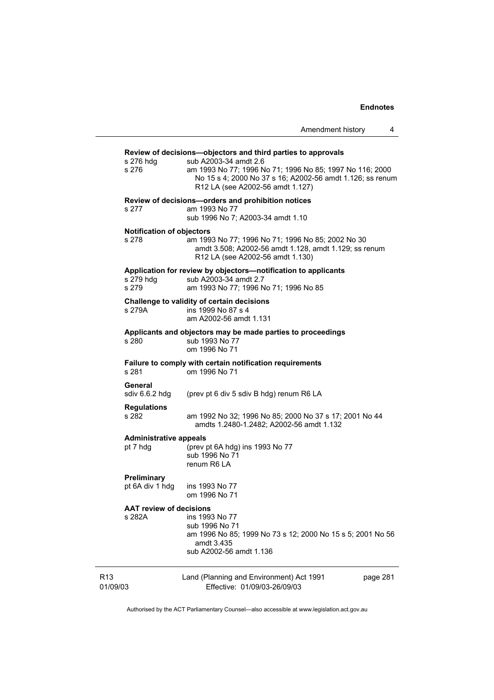|                                           | Amendment history<br>4                                                                                                                                                                                                                             |
|-------------------------------------------|----------------------------------------------------------------------------------------------------------------------------------------------------------------------------------------------------------------------------------------------------|
| s 276 hdg<br>s 276                        | Review of decisions-objectors and third parties to approvals<br>sub A2003-34 amdt 2.6<br>am 1993 No 77; 1996 No 71; 1996 No 85; 1997 No 116; 2000<br>No 15 s 4; 2000 No 37 s 16; A2002-56 amdt 1.126; ss renum<br>R12 LA (see A2002-56 amdt 1.127) |
| s 277                                     | Review of decisions-orders and prohibition notices<br>am 1993 No 77<br>sub 1996 No 7; A2003-34 amdt 1.10                                                                                                                                           |
| <b>Notification of objectors</b><br>s 278 | am 1993 No 77; 1996 No 71; 1996 No 85; 2002 No 30<br>amdt 3.508; A2002-56 amdt 1.128, amdt 1.129; ss renum<br>R12 LA (see A2002-56 amdt 1.130)                                                                                                     |
| s 279 hdg<br>s 279                        | Application for review by objectors-notification to applicants<br>sub A2003-34 amdt 2.7<br>am 1993 No 77; 1996 No 71; 1996 No 85                                                                                                                   |
| s 279A                                    | Challenge to validity of certain decisions<br>ins 1999 No 87 s 4<br>am A2002-56 amdt 1.131                                                                                                                                                         |
| s 280                                     | Applicants and objectors may be made parties to proceedings<br>sub 1993 No 77<br>om 1996 No 71                                                                                                                                                     |
| s 281                                     | Failure to comply with certain notification requirements<br>om 1996 No 71                                                                                                                                                                          |
| General<br>sdiv 6.6.2 hdg                 | (prev pt 6 div 5 sdiv B hdg) renum R6 LA                                                                                                                                                                                                           |
| <b>Regulations</b><br>s 282               | am 1992 No 32; 1996 No 85; 2000 No 37 s 17; 2001 No 44<br>amdts 1.2480-1.2482; A2002-56 amdt 1.132                                                                                                                                                 |
| <b>Administrative appeals</b><br>pt 7 hdg | (prev pt 6A hdg) ins 1993 No 77<br>sub 1996 No 71<br>renum R6 LA                                                                                                                                                                                   |
| <b>Preliminary</b><br>pt 6A div 1 hdg     | ins 1993 No 77<br>om 1996 No 71                                                                                                                                                                                                                    |
| <b>AAT review of decisions</b><br>s 282A  | ins 1993 No 77<br>sub 1996 No 71<br>am 1996 No 85; 1999 No 73 s 12; 2000 No 15 s 5; 2001 No 56<br>amdt 3.435<br>sub A2002-56 amdt 1.136                                                                                                            |
| R <sub>13</sub><br>01/09/03               | Land (Planning and Environment) Act 1991<br>page 281<br>Effective: 01/09/03-26/09/03                                                                                                                                                               |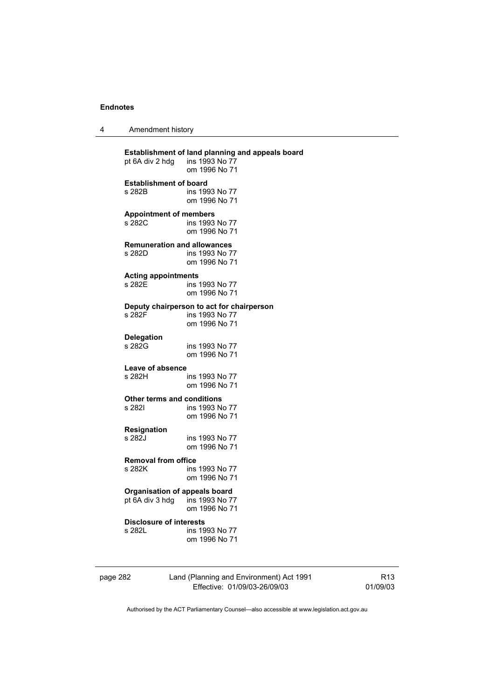| 4 | Amendment history |
|---|-------------------|
|---|-------------------|

| pt 6A div 2 hdg                      | Establishment of land planning and appeals board<br>ins 1993 No 77<br>om 1996 No 71 |
|--------------------------------------|-------------------------------------------------------------------------------------|
| <b>Establishment of board</b>        | ins 1993 No 77                                                                      |
| s 282B                               | om 1996 No 71                                                                       |
| <b>Appointment of members</b>        | ins 1993 No 77                                                                      |
| s 282C                               | om 1996 No 71                                                                       |
| <b>Remuneration and allowances</b>   | ins 1993 No 77                                                                      |
| s 282D                               | om 1996 No 71                                                                       |
| <b>Acting appointments</b>           | ins 1993 No 77                                                                      |
| s 282E                               | om 1996 No 71                                                                       |
| s 282F                               | Deputy chairperson to act for chairperson<br>ins 1993 No 77<br>om 1996 No 71        |
| <b>Delegation</b>                    | ins 1993 No 77                                                                      |
| s 282G                               | om 1996 No 71                                                                       |
| Leave of absence                     | ins 1993 No 77                                                                      |
| s 282H                               | om 1996 No 71                                                                       |
| Other terms and conditions           | ins 1993 No 77                                                                      |
| s 282I                               | om 1996 No 71                                                                       |
| Resignation                          | ins 1993 No 77                                                                      |
| s 282J                               | om 1996 No 71                                                                       |
| <b>Removal from office</b>           | ins 1993 No 77                                                                      |
| s 282K                               | om 1996 No 71                                                                       |
| <b>Organisation of appeals board</b> | ins 1993 No 77                                                                      |
| pt 6A div 3 hdg                      | om 1996 No 71                                                                       |
| <b>Disclosure of interests</b>       | ins 1993 No 77                                                                      |
| s 282L                               | om 1996 No 71                                                                       |

| page 282 |  |
|----------|--|
|----------|--|

# page 282 Land (Planning and Environment) Act 1991 Effective: 01/09/03-26/09/03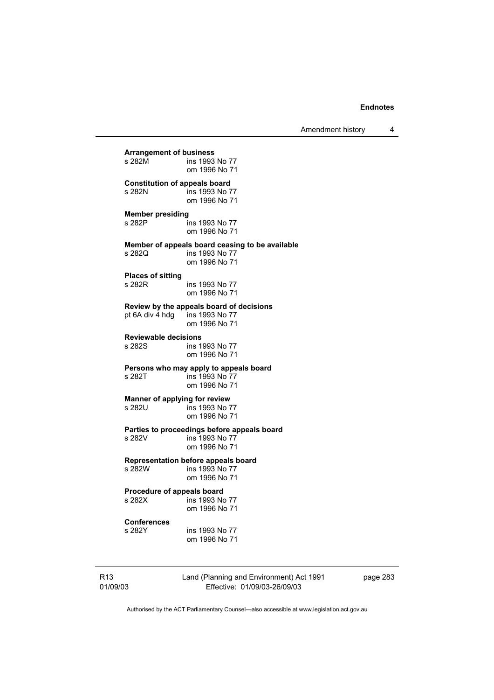Amendment history 4

**Arrangement of business**  ins 1993 No 77 om 1996 No 71 **Constitution of appeals board**<br>**5 282N ins 1993 No 7** ins 1993 No 77 om 1996 No 71 **Member presiding**  s 282P ins 1993 No 77 om 1996 No 71 **Member of appeals board ceasing to be available**  s 282Q ins 1993 No 77 om 1996 No 71 **Places of sitting**  s 282R ins 1993 No 77 om 1996 No 71 **Review by the appeals board of decisions**  pt 6A div  $\frac{1}{4}$  hdg om 1996 No 71 **Reviewable decisions**  ins 1993 No 77 om 1996 No 71 **Persons who may apply to appeals board**  ins 1993 No 77 om 1996 No 71 **Manner of applying for review**<br>**s** 282U **ins 1993 No** 7 ins 1993 No 77 om 1996 No 71 **Parties to proceedings before appeals board**  s 282V ins 1993 No 77 om 1996 No 71 **Representation before appeals board**  ins 1993 No 77 om 1996 No 71 **Procedure of appeals board**<br>s 282X ins 1993 No ins 1993 No 77 om 1996 No 71 **Conferences**  ins 1993 No 77

om 1996 No 71

R13 01/09/03 Land (Planning and Environment) Act 1991 Effective: 01/09/03-26/09/03

page 283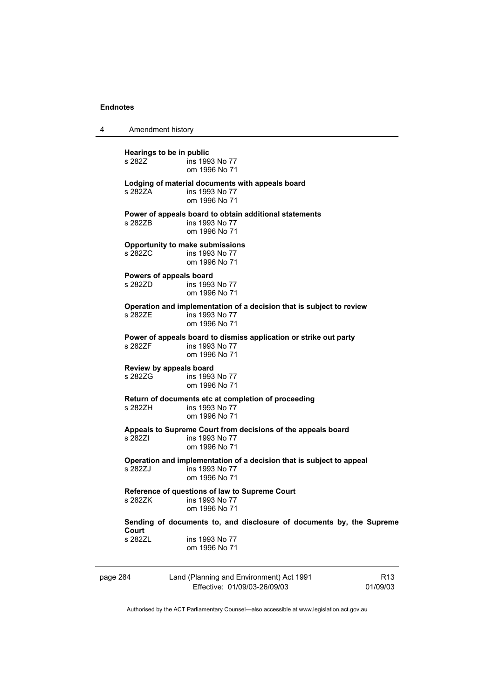4 Amendment history

page 284 Land (Planning and Environment) Act 1991 Effective: 01/09/03-26/09/03 R13 01/09/03 **Hearings to be in public**  ins 1993 No 77 om 1996 No 71 **Lodging of material documents with appeals board**  s 282ZA ins 1993 No 77 om 1996 No 71 **Power of appeals board to obtain additional statements**  s 282ZB ins 1993 No 77 om 1996 No 71 **Opportunity to make submissions**  s 282ZC ins 1993 No 77 om 1996 No 71 **Powers of appeals board**  s 282ZD ins 1993 No 77 om 1996 No 71 **Operation and implementation of a decision that is subject to review**   $ins$  1993 No 77 om 1996 No 71 **Power of appeals board to dismiss application or strike out party**  s 282ZF ins 1993 No 77 om 1996 No 71 **Review by appeals board**  ins 1993 No 77 om 1996 No 71 **Return of documents etc at completion of proceeding**  s 282ZH ins 1993 No 77 om 1996 No 71 **Appeals to Supreme Court from decisions of the appeals board**  s 282ZI ins 1993 No 77 om 1996 No 71 **Operation and implementation of a decision that is subject to appeal**  ins 1993 No 77 om 1996 No 71 **Reference of questions of law to Supreme Court**  ins 1993 No 77 om 1996 No 71 **Sending of documents to, and disclosure of documents by, the Supreme Court**  s 282ZL ins 1993 No 77 om 1996 No 71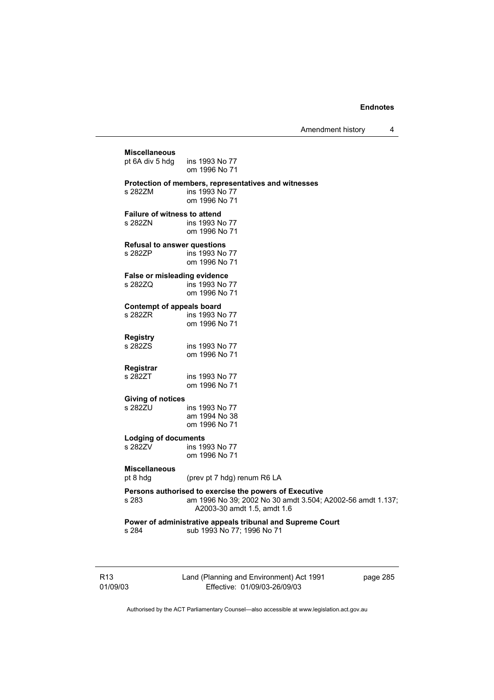Amendment history 4

| <b>Miscellaneous</b>                | ins 1993 No 77                                                                                                                                      |
|-------------------------------------|-----------------------------------------------------------------------------------------------------------------------------------------------------|
| pt 6A div 5 hdg                     | om 1996 No 71                                                                                                                                       |
| s 282ZM                             | Protection of members, representatives and witnesses<br>ins 1993 No 77<br>om 1996 No 71                                                             |
| <b>Failure of witness to attend</b> | ins 1993 No 77                                                                                                                                      |
| s 282ZN                             | om 1996 No 71                                                                                                                                       |
| <b>Refusal to answer questions</b>  | ins 1993 No 77                                                                                                                                      |
| s 282ZP                             | om 1996 No 71                                                                                                                                       |
| <b>False or misleading evidence</b> | ins 1993 No 77                                                                                                                                      |
| s 282ZQ                             | om 1996 No 71                                                                                                                                       |
| <b>Contempt of appeals board</b>    | ins 1993 No 77                                                                                                                                      |
| s 282ZR                             | om 1996 No 71                                                                                                                                       |
| <b>Registry</b>                     | ins 1993 No 77                                                                                                                                      |
| s 282ZS                             | om 1996 No 71                                                                                                                                       |
| Registrar                           | ins 1993 No 77                                                                                                                                      |
| s 282ZT                             | om 1996 No 71                                                                                                                                       |
| <b>Giving of notices</b><br>s 282ZU | ins 1993 No 77<br>am 1994 No 38<br>om 1996 No 71                                                                                                    |
| <b>Lodging of documents</b>         | ins 1993 No 77                                                                                                                                      |
| s 282ZV                             | om 1996 No 71                                                                                                                                       |
| <b>Miscellaneous</b><br>pt 8 hdg    | (prev pt 7 hdg) renum R6 LA                                                                                                                         |
| s 283                               | Persons authorised to exercise the powers of Executive<br>am 1996 No 39; 2002 No 30 amdt 3.504; A2002-56 amdt 1.137;<br>A2003-30 amdt 1.5, amdt 1.6 |
| s 284                               | Power of administrative appeals tribunal and Supreme Court<br>sub 1993 No 77; 1996 No 71                                                            |

R13 01/09/03 Land (Planning and Environment) Act 1991 Effective: 01/09/03-26/09/03

page 285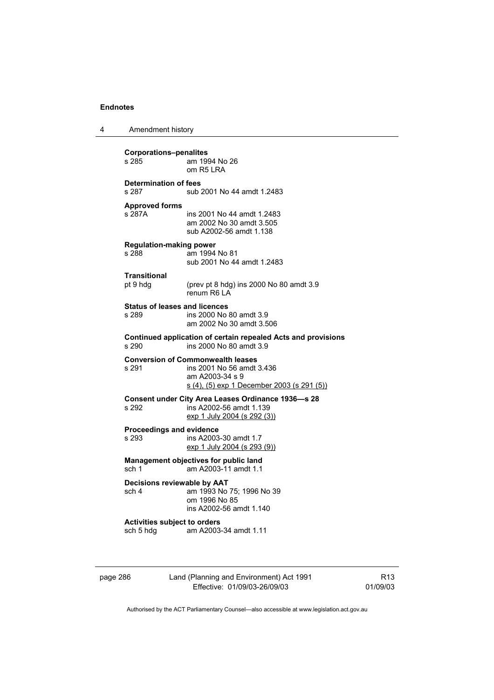| Amendment history<br>л |  |  |
|------------------------|--|--|
|------------------------|--|--|

| <b>Corporations-penalites</b><br>s 285<br>am 1994 No 26<br>$om$ R <sub>5</sub> $R$ A                                  |                                                                                                                                        |  |  |
|-----------------------------------------------------------------------------------------------------------------------|----------------------------------------------------------------------------------------------------------------------------------------|--|--|
| <b>Determination of fees</b><br>s 287                                                                                 | sub 2001 No 44 amdt 1.2483                                                                                                             |  |  |
| <b>Approved forms</b><br>s 287A                                                                                       | ins 2001 No 44 amdt 1.2483<br>am 2002 No 30 amdt 3.505<br>sub A2002-56 amdt 1.138                                                      |  |  |
| <b>Regulation-making power</b><br>s 288                                                                               | am 1994 No 81<br>sub 2001 No 44 amdt 1.2483                                                                                            |  |  |
| <b>Transitional</b><br>pt 9 hdg                                                                                       | (prev pt 8 hdg) ins 2000 No 80 amdt 3.9<br>renum R6 LA                                                                                 |  |  |
| <b>Status of leases and licences</b><br>s 289                                                                         | ins 2000 No 80 amdt 3.9<br>am 2002 No 30 amdt 3.506                                                                                    |  |  |
| Continued application of certain repealed Acts and provisions<br>s 290<br>ins 2000 No 80 amdt 3.9                     |                                                                                                                                        |  |  |
| s 291                                                                                                                 | <b>Conversion of Commonwealth leases</b><br>ins 2001 No 56 amdt 3.436<br>am A2003-34 s 9<br>s (4), (5) exp 1 December 2003 (s 291 (5)) |  |  |
| Consent under City Area Leases Ordinance 1936-s 28<br>s 292<br>ins A2002-56 amdt 1.139<br>exp 1 July 2004 (s 292 (3)) |                                                                                                                                        |  |  |
| <b>Proceedings and evidence</b><br>s 293                                                                              | ins A2003-30 amdt 1.7<br>exp 1 July 2004 (s 293 (9))                                                                                   |  |  |
| Management objectives for public land<br>am A2003-11 amdt 1.1<br>sch 1                                                |                                                                                                                                        |  |  |
| Decisions reviewable by AAT<br>am 1993 No 75; 1996 No 39<br>sch 4<br>om 1996 No 85<br>ins A2002-56 amdt 1.140         |                                                                                                                                        |  |  |
| <b>Activities subject to orders</b><br>sch 5 hdg                                                                      | am A2003-34 amdt 1.11                                                                                                                  |  |  |

page 286 Land (Planning and Environment) Act 1991 Effective: 01/09/03-26/09/03

R13 01/09/03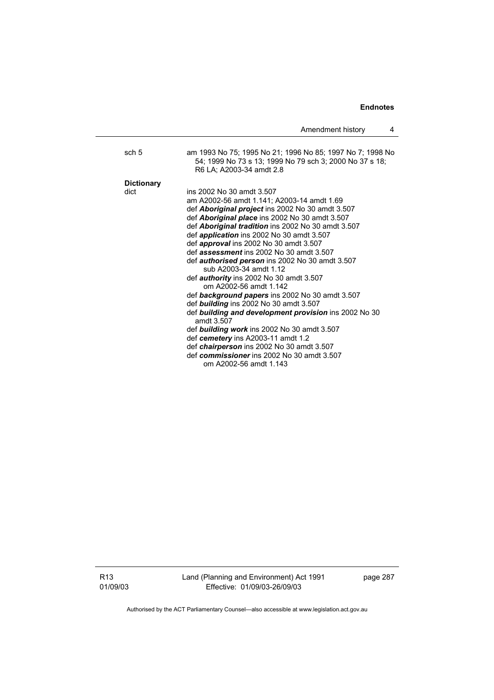|                   | Amendment history                                                                                                                                                                                                                                                                                                                                                                                                                                                                                                                                                                                                                                                                                                                                                                                                                                                        | 4 |
|-------------------|--------------------------------------------------------------------------------------------------------------------------------------------------------------------------------------------------------------------------------------------------------------------------------------------------------------------------------------------------------------------------------------------------------------------------------------------------------------------------------------------------------------------------------------------------------------------------------------------------------------------------------------------------------------------------------------------------------------------------------------------------------------------------------------------------------------------------------------------------------------------------|---|
| sch 5             | am 1993 No 75; 1995 No 21; 1996 No 85; 1997 No 7; 1998 No<br>54; 1999 No 73 s 13; 1999 No 79 sch 3; 2000 No 37 s 18;<br>R6 LA; A2003-34 amdt 2.8                                                                                                                                                                                                                                                                                                                                                                                                                                                                                                                                                                                                                                                                                                                         |   |
| <b>Dictionary</b> |                                                                                                                                                                                                                                                                                                                                                                                                                                                                                                                                                                                                                                                                                                                                                                                                                                                                          |   |
| dict              | ins 2002 No 30 amdt 3.507<br>am A2002-56 amdt 1.141; A2003-14 amdt 1.69<br>def <b>Aboriginal project</b> ins 2002 No 30 amdt 3.507<br>def <b>Aboriginal place</b> ins 2002 No 30 amdt 3.507<br>def <b>Aboriginal tradition</b> ins 2002 No 30 amdt 3.507<br>def application ins 2002 No 30 amdt 3.507<br>def approval ins 2002 No 30 amdt 3.507<br>def assessment ins 2002 No 30 amdt 3.507<br>def <i>authorised person</i> ins 2002 No 30 amdt 3.507<br>sub A2003-34 amdt 1.12<br>def <b>authority</b> ins 2002 No 30 amdt 3.507<br>om A2002-56 amdt 1.142<br>def background papers ins 2002 No 30 amdt 3.507<br>def <b>building</b> ins 2002 No 30 amdt 3.507<br>def building and development provision ins 2002 No 30<br>amdt 3.507<br>def building work ins 2002 No 30 amdt 3.507<br>def cemetery ins A2003-11 amdt 1.2<br>def chairperson ins 2002 No 30 amdt 3.507 |   |
|                   | def commissioner ins 2002 No 30 amdt 3.507<br>om A2002-56 amdt 1.143                                                                                                                                                                                                                                                                                                                                                                                                                                                                                                                                                                                                                                                                                                                                                                                                     |   |

R13 01/09/03 Land (Planning and Environment) Act 1991 Effective: 01/09/03-26/09/03

page 287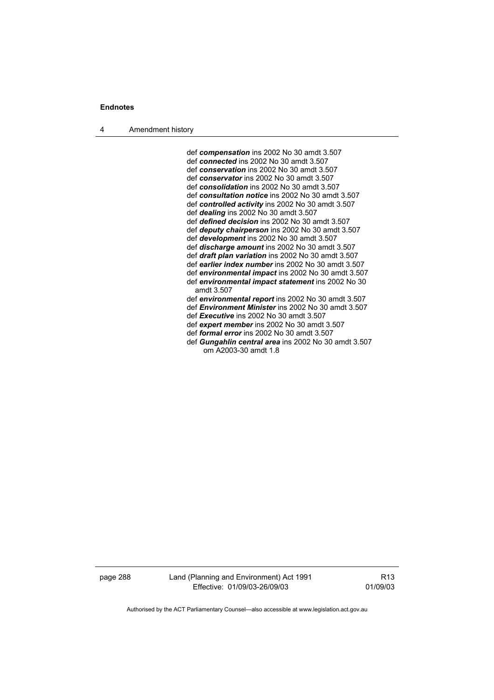4 Amendment history

 def *compensation* ins 2002 No 30 amdt 3.507 def *connected* ins 2002 No 30 amdt 3.507 def *conservation* ins 2002 No 30 amdt 3.507 def *conservator* ins 2002 No 30 amdt 3.507 def *consolidation* ins 2002 No 30 amdt 3.507 def *consultation notice* ins 2002 No 30 amdt 3.507 def *controlled activity* ins 2002 No 30 amdt 3.507 def *dealing* ins 2002 No 30 amdt 3.507 def *defined decision* ins 2002 No 30 amdt 3.507 def *deputy chairperson* ins 2002 No 30 amdt 3.507 def *development* ins 2002 No 30 amdt 3.507 def *discharge amount* ins 2002 No 30 amdt 3.507 def *draft plan variation* ins 2002 No 30 amdt 3.507 def *earlier index number* ins 2002 No 30 amdt 3.507 def *environmental impact* ins 2002 No 30 amdt 3.507 def *environmental impact statement* ins 2002 No 30 amdt 3.507 def *environmental report* ins 2002 No 30 amdt 3.507 def *Environment Minister* ins 2002 No 30 amdt 3.507 def *Executive* ins 2002 No 30 amdt 3.507 def *expert member* ins 2002 No 30 amdt 3.507 def *formal error* ins 2002 No 30 amdt 3.507

 def *Gungahlin central area* ins 2002 No 30 amdt 3.507 om A2003-30 amdt 1.8

page 288 Land (Planning and Environment) Act 1991 Effective: 01/09/03-26/09/03

R13 01/09/03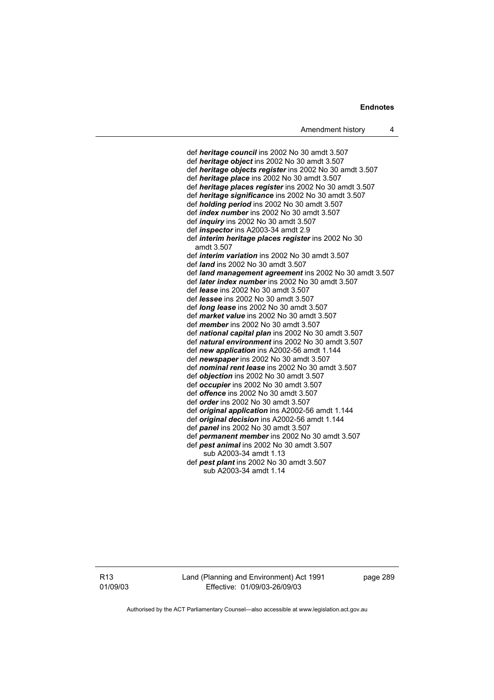def *heritage council* ins 2002 No 30 amdt 3.507 def *heritage object* ins 2002 No 30 amdt 3.507 def *heritage objects register* ins 2002 No 30 amdt 3.507 def *heritage place* ins 2002 No 30 amdt 3.507 def *heritage places register* ins 2002 No 30 amdt 3.507 def *heritage significance* ins 2002 No 30 amdt 3.507 def *holding period* ins 2002 No 30 amdt 3.507 def *index number* ins 2002 No 30 amdt 3.507 def *inquiry* ins 2002 No 30 amdt 3.507 def *inspector* ins A2003-34 amdt 2.9 def *interim heritage places register* ins 2002 No 30 amdt 3.507 def *interim variation* ins 2002 No 30 amdt 3.507 def *land* ins 2002 No 30 amdt 3.507 def *land management agreement* ins 2002 No 30 amdt 3.507 def *later index number* ins 2002 No 30 amdt 3.507 def *lease* ins 2002 No 30 amdt 3.507 def *lessee* ins 2002 No 30 amdt 3.507 def *long lease* ins 2002 No 30 amdt 3.507 def *market value* ins 2002 No 30 amdt 3.507 def *member* ins 2002 No 30 amdt 3.507 def *national capital plan* ins 2002 No 30 amdt 3.507 def *natural environment* ins 2002 No 30 amdt 3.507 def *new application* ins A2002-56 amdt 1.144 def *newspaper* ins 2002 No 30 amdt 3.507 def *nominal rent lease* ins 2002 No 30 amdt 3.507 def *objection* ins 2002 No 30 amdt 3.507 def *occupier* ins 2002 No 30 amdt 3.507 def *offence* ins 2002 No 30 amdt 3.507 def *order* ins 2002 No 30 amdt 3.507 def *original application* ins A2002-56 amdt 1.144 def *original decision* ins A2002-56 amdt 1.144 def *panel* ins 2002 No 30 amdt 3.507 def *permanent member* ins 2002 No 30 amdt 3.507 def *pest animal* ins 2002 No 30 amdt 3.507 sub A2003-34 amdt 1.13 def *pest plant* ins 2002 No 30 amdt 3.507 sub A2003-34 amdt 1.14

R13 01/09/03 Land (Planning and Environment) Act 1991 Effective: 01/09/03-26/09/03

page 289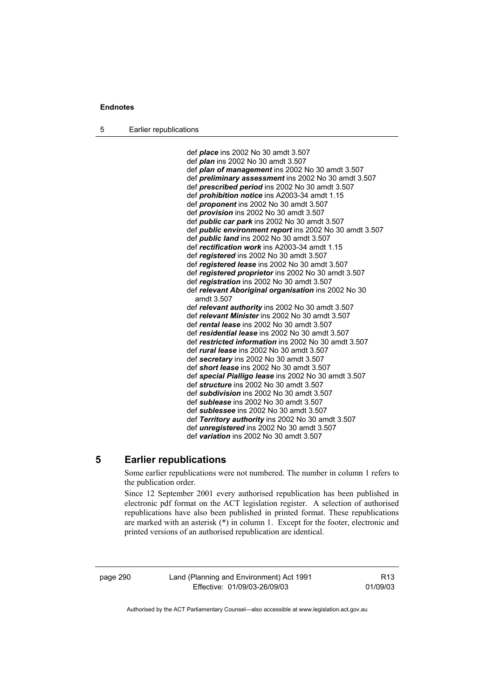5 Earlier republications

 def *place* ins 2002 No 30 amdt 3.507 def *plan* ins 2002 No 30 amdt 3.507 def *plan of management* ins 2002 No 30 amdt 3.507 def *preliminary assessment* ins 2002 No 30 amdt 3.507 def *prescribed period* ins 2002 No 30 amdt 3.507 def *prohibition notice* ins A2003-34 amdt 1.15 def *proponent* ins 2002 No 30 amdt 3.507 def *provision* ins 2002 No 30 amdt 3.507 def *public car park* ins 2002 No 30 amdt 3.507 def *public environment report* ins 2002 No 30 amdt 3.507 def *public land* ins 2002 No 30 amdt 3.507 def *rectification work* ins A2003-34 amdt 1.15 def *registered* ins 2002 No 30 amdt 3.507 def *registered lease* ins 2002 No 30 amdt 3.507 def *registered proprietor* ins 2002 No 30 amdt 3.507 def *registration* ins 2002 No 30 amdt 3.507 def *relevant Aboriginal organisation* ins 2002 No 30 amdt 3.507 def *relevant authority* ins 2002 No 30 amdt 3.507 def *relevant Minister* ins 2002 No 30 amdt 3.507 def *rental lease* ins 2002 No 30 amdt 3.507 def *residential lease* ins 2002 No 30 amdt 3.507 def *restricted information* ins 2002 No 30 amdt 3.507 def *rural lease* ins 2002 No 30 amdt 3.507 def *secretary* ins 2002 No 30 amdt 3.507 def *short lease* ins 2002 No 30 amdt 3.507 def *special Pialligo lease* ins 2002 No 30 amdt 3.507 def *structure* ins 2002 No 30 amdt 3.507 def *subdivision* ins 2002 No 30 amdt 3.507 def *sublease* ins 2002 No 30 amdt 3.507 def *sublessee* ins 2002 No 30 amdt 3.507 def *Territory authority* ins 2002 No 30 amdt 3.507 def *unregistered* ins 2002 No 30 amdt 3.507 def *variation* ins 2002 No 30 amdt 3.507

# **5 Earlier republications**

Some earlier republications were not numbered. The number in column 1 refers to the publication order.

Since 12 September 2001 every authorised republication has been published in electronic pdf format on the ACT legislation register. A selection of authorised republications have also been published in printed format. These republications are marked with an asterisk (\*) in column 1. Except for the footer, electronic and printed versions of an authorised republication are identical.

page 290 Land (Planning and Environment) Act 1991 Effective: 01/09/03-26/09/03

R13 01/09/03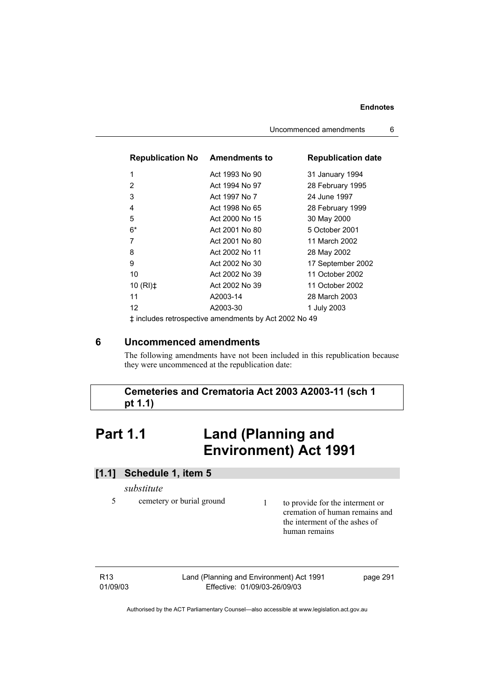| <b>Republication No Amendments to</b>                 |                | <b>Republication date</b> |  |  |
|-------------------------------------------------------|----------------|---------------------------|--|--|
| $\mathbf{1}$                                          | Act 1993 No 90 | 31 January 1994           |  |  |
| $\overline{2}$                                        | Act 1994 No 97 | 28 February 1995          |  |  |
| 3                                                     | Act 1997 No 7  | 24 June 1997              |  |  |
| 4                                                     | Act 1998 No 65 | 28 February 1999          |  |  |
| 5                                                     | Act 2000 No 15 | 30 May 2000               |  |  |
| $6*$                                                  | Act 2001 No 80 | 5 October 2001            |  |  |
| 7                                                     | Act 2001 No 80 | 11 March 2002             |  |  |
| 8                                                     | Act 2002 No 11 | 28 May 2002               |  |  |
| 9                                                     | Act 2002 No 30 | 17 September 2002         |  |  |
| 10                                                    | Act 2002 No 39 | 11 October 2002           |  |  |
| 10 $(RI)$ <sup><math>\pm</math></sup>                 | Act 2002 No 39 | 11 October 2002           |  |  |
| 11                                                    | A2003-14       | 28 March 2003             |  |  |
| 12 <sup>2</sup>                                       | A2003-30       | 1 July 2003               |  |  |
| t includes retrospective amendments by Act 2002 No 49 |                |                           |  |  |

‡ includes retrospective amendments by Act 2002 No 49

# **6 Uncommenced amendments**

The following amendments have not been included in this republication because they were uncommenced at the republication date:

# **Cemeteries and Crematoria Act 2003 A2003-11 (sch 1 pt 1.1)**

# **Part 1.1 Land (Planning and Environment) Act 1991**

# **[1.1] Schedule 1, item 5**

*substitute* 

- 
- 5 cemetery or burial ground 1 to provide for the interment or cremation of human remains and the interment of the ashes of human remains

R13 01/09/03 Land (Planning and Environment) Act 1991 Effective: 01/09/03-26/09/03

page 291